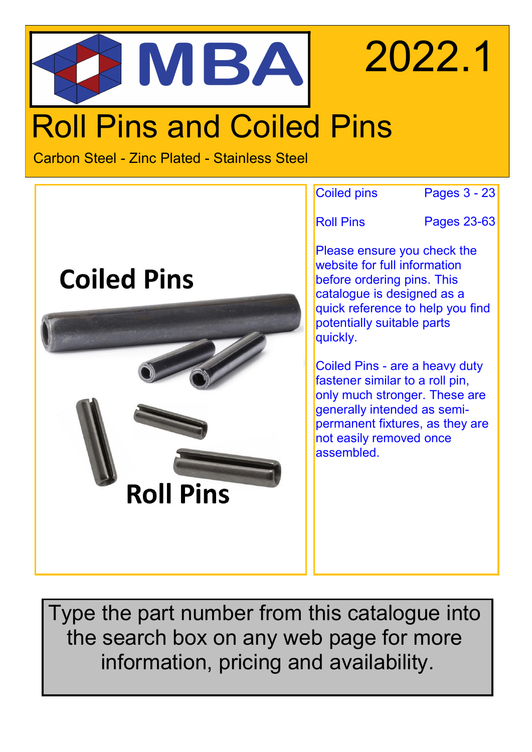# 2022.1 MBA Roll Pins and Coiled Pins

Carbon Steel - Zinc Plated - Stainless Steel



Type the part number from this catalogue into the search box on any web page for more information, pricing and availability.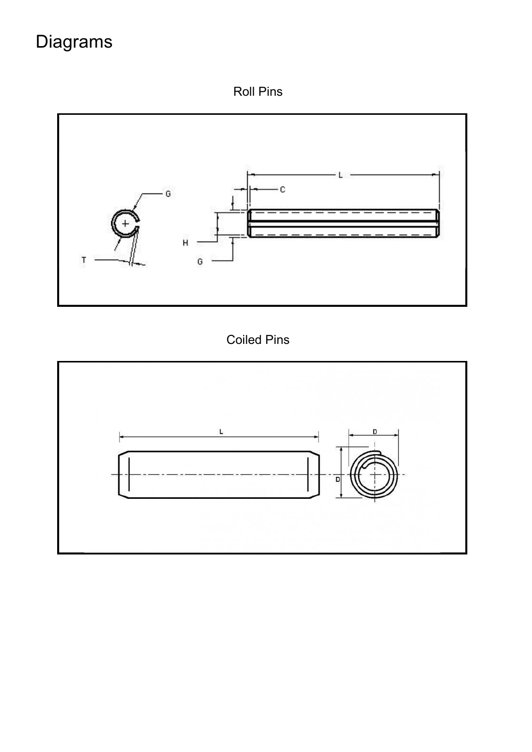## Diagrams

Roll Pins



Coiled Pins

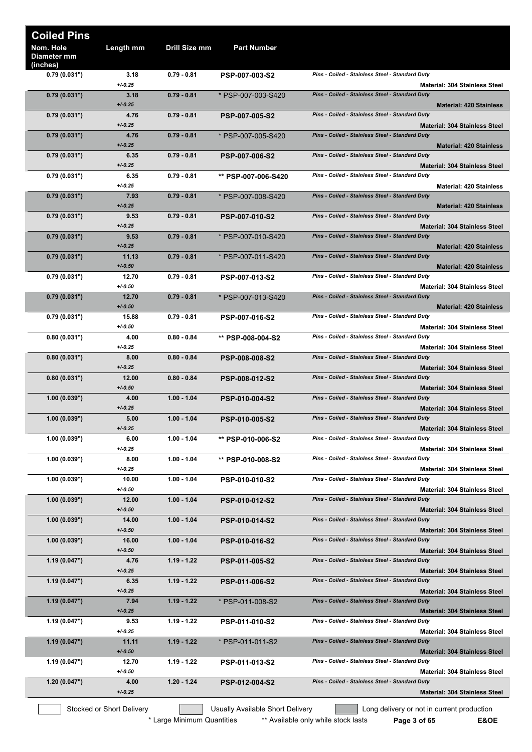| <b>Coiled Pins</b>                   |                           |               |                                  |                                                                                         |
|--------------------------------------|---------------------------|---------------|----------------------------------|-----------------------------------------------------------------------------------------|
| Nom. Hole<br>Diameter mm<br>(inches) | Length mm                 | Drill Size mm | <b>Part Number</b>               |                                                                                         |
| 0.79(0.031")                         | 3.18                      | $0.79 - 0.81$ | <b>PSP-007-003-S2</b>            | Pins - Coiled - Stainless Steel - Standard Duty                                         |
| 0.79(0.031")                         | $+/0.25$<br>3.18          | $0.79 - 0.81$ | * PSP-007-003-S420               | <b>Material: 304 Stainless Steel</b><br>Pins - Coiled - Stainless Steel - Standard Duty |
| 0.79(0.031")                         | $+/-0.25$<br>4.76         | $0.79 - 0.81$ | <b>PSP-007-005-S2</b>            | <b>Material: 420 Stainless</b><br>Pins - Coiled - Stainless Steel - Standard Duty       |
|                                      | $+/0.25$                  |               |                                  | <b>Material: 304 Stainless Steel</b>                                                    |
| 0.79(0.031")                         | 4.76<br>$+/0.25$          | $0.79 - 0.81$ | * PSP-007-005-S420               | Pins - Coiled - Stainless Steel - Standard Duty<br><b>Material: 420 Stainless</b>       |
| 0.79(0.031")                         | 6.35<br>$+/0.25$          | $0.79 - 0.81$ | <b>PSP-007-006-S2</b>            | Pins - Coiled - Stainless Steel - Standard Duty<br><b>Material: 304 Stainless Steel</b> |
| 0.79(0.031")                         | 6.35<br>$+/-0.25$         | $0.79 - 0.81$ | ** PSP-007-006-S420              | Pins - Coiled - Stainless Steel - Standard Duty                                         |
| 0.79(0.031")                         | 7.93                      | $0.79 - 0.81$ | * PSP-007-008-S420               | <b>Material: 420 Stainless</b><br>Pins - Coiled - Stainless Steel - Standard Duty       |
| 0.79(0.031")                         | $+/-0.25$<br>9.53         | $0.79 - 0.81$ | <b>PSP-007-010-S2</b>            | <b>Material: 420 Stainless</b><br>Pins - Coiled - Stainless Steel - Standard Duty       |
|                                      | $+/-0.25$                 |               |                                  | <b>Material: 304 Stainless Steel</b>                                                    |
| 0.79(0.031")                         | 9.53<br>$+/-0.25$         | $0.79 - 0.81$ | * PSP-007-010-S420               | Pins - Coiled - Stainless Steel - Standard Duty<br><b>Material: 420 Stainless</b>       |
| 0.79(0.031")                         | 11.13<br>$+/-0.50$        | $0.79 - 0.81$ | * PSP-007-011-S420               | Pins - Coiled - Stainless Steel - Standard Duty<br><b>Material: 420 Stainless</b>       |
| 0.79(0.031")                         | 12.70                     | $0.79 - 0.81$ | <b>PSP-007-013-S2</b>            | Pins - Coiled - Stainless Steel - Standard Duty                                         |
| 0.79(0.031")                         | $+/-0.50$<br>12.70        | $0.79 - 0.81$ | * PSP-007-013-S420               | <b>Material: 304 Stainless Steel</b><br>Pins - Coiled - Stainless Steel - Standard Duty |
|                                      | $+/-0.50$                 |               |                                  | <b>Material: 420 Stainless</b>                                                          |
| 0.79(0.031")                         | 15.88<br>$+/-0.50$        | $0.79 - 0.81$ | <b>PSP-007-016-S2</b>            | Pins - Coiled - Stainless Steel - Standard Duty<br><b>Material: 304 Stainless Steel</b> |
| 0.80(0.031")                         | 4.00                      | $0.80 - 0.84$ | ** PSP-008-004-S2                | Pins - Coiled - Stainless Steel - Standard Duty                                         |
| 0.80(0.031")                         | $+/0.25$<br>8.00          | $0.80 - 0.84$ | <b>PSP-008-008-S2</b>            | <b>Material: 304 Stainless Steel</b><br>Pins - Coiled - Stainless Steel - Standard Duty |
| 0.80(0.031")                         | $+/-0.25$<br>12.00        | $0.80 - 0.84$ | PSP-008-012-S2                   | <b>Material: 304 Stainless Steel</b><br>Pins - Coiled - Stainless Steel - Standard Duty |
|                                      | $+/-0.50$                 |               |                                  | <b>Material: 304 Stainless Steel</b>                                                    |
| (0.039")                             | 4.00<br>$+/0.25$          | $1.00 - 1.04$ | <b>PSP-010-004-S2</b>            | Pins - Coiled - Stainless Steel - Standard Duty<br><b>Material: 304 Stainless Steel</b> |
| (0.039")                             | 5.00                      | $1.00 - 1.04$ | <b>PSP-010-005-S2</b>            | Pins - Coiled - Stainless Steel - Standard Duty                                         |
| 1.00(0.039")                         | $+/-0.25$<br>6.00         | $1.00 - 1.04$ | ** PSP-010-006-S2                | <b>Material: 304 Stainless Steel</b><br>Pins - Coiled - Stainless Steel - Standard Duty |
|                                      | $+/0.25$<br>8.00          | $1.00 - 1.04$ |                                  | <b>Material: 304 Stainless Steel</b><br>Pins - Coiled - Stainless Steel - Standard Duty |
| 1.00(0.039")                         | $+/0.25$                  |               | ** PSP-010-008-S2                | <b>Material: 304 Stainless Steel</b>                                                    |
| 1.00 (0.039")                        | 10.00<br>$+/0.50$         | $1.00 - 1.04$ | PSP-010-010-S2                   | Pins - Coiled - Stainless Steel - Standard Duty<br><b>Material: 304 Stainless Steel</b> |
| 1.00(0.039")                         | 12.00                     | $1.00 - 1.04$ | PSP-010-012-S2                   | Pins - Coiled - Stainless Steel - Standard Duty                                         |
| 1.00(0.039")                         | $+/-0.50$<br>14.00        | $1.00 - 1.04$ | PSP-010-014-S2                   | <b>Material: 304 Stainless Steel</b><br>Pins - Coiled - Stainless Steel - Standard Duty |
|                                      | $+/-0.50$                 |               |                                  | Material: 304 Stainless Steel                                                           |
| 1.00(0.039")                         | 16.00<br>$+/-0.50$        | $1.00 - 1.04$ | <b>PSP-010-016-S2</b>            | Pins - Coiled - Stainless Steel - Standard Duty<br><b>Material: 304 Stainless Steel</b> |
| 1.19(0.047")                         | 4.76<br>$+/-0.25$         | $1.19 - 1.22$ | PSP-011-005-S2                   | Pins - Coiled - Stainless Steel - Standard Duty                                         |
| 1.19(0.047")                         | 6.35                      | $1.19 - 1.22$ | <b>PSP-011-006-S2</b>            | <b>Material: 304 Stainless Steel</b><br>Pins - Coiled - Stainless Steel - Standard Duty |
| 1.19(0.047")                         | $+/-0.25$<br>7.94         | $1.19 - 1.22$ | * PSP-011-008-S2                 | <b>Material: 304 Stainless Steel</b><br>Pins - Coiled - Stainless Steel - Standard Duty |
|                                      | $+/-0.25$                 |               |                                  | <b>Material: 304 Stainless Steel</b>                                                    |
| 1.19(0.047")                         | 9.53<br>$+/0.25$          | $1.19 - 1.22$ | PSP-011-010-S2                   | Pins - Coiled - Stainless Steel - Standard Duty<br><b>Material: 304 Stainless Steel</b> |
| 1.19(0.047")                         | 11.11                     | $1.19 - 1.22$ | * PSP-011-011-S2                 | Pins - Coiled - Stainless Steel - Standard Duty                                         |
| 1.19(0.047")                         | $+/-0.50$<br>12.70        | $1.19 - 1.22$ | PSP-011-013-S2                   | <b>Material: 304 Stainless Steel</b><br>Pins - Coiled - Stainless Steel - Standard Duty |
|                                      | $+/0.50$<br>4.00          | $1.20 - 1.24$ |                                  | <b>Material: 304 Stainless Steel</b><br>Pins - Coiled - Stainless Steel - Standard Duty |
| 1.20(0.047")                         | $+/-0.25$                 |               | PSP-012-004-S2                   | <b>Material: 304 Stainless Steel</b>                                                    |
|                                      | Stocked or Short Delivery |               | Usually Available Short Delivery | Long delivery or not in current production                                              |

\* Large Minimum Quantities \*\*\* Available only while stock lasts **Page 3 of 65 E&OE**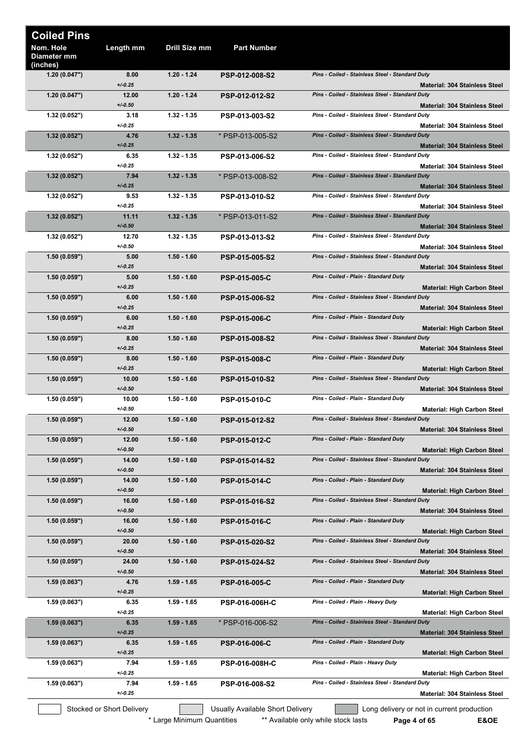| <b>Coiled Pins</b>                   |                                       |               |                                  |                                                                                         |
|--------------------------------------|---------------------------------------|---------------|----------------------------------|-----------------------------------------------------------------------------------------|
| Nom. Hole<br>Diameter mm<br>(inches) | Length mm                             | Drill Size mm | <b>Part Number</b>               |                                                                                         |
| 1.20(0.047")                         | 8.00<br>$+/0.25$                      | $1.20 - 1.24$ | <b>PSP-012-008-S2</b>            | Pins - Coiled - Stainless Steel - Standard Duty<br><b>Material: 304 Stainless Steel</b> |
| 1.20(0.047")                         | 12.00<br>$+/0.50$                     | $1.20 - 1.24$ | PSP-012-012-S2                   | Pins - Coiled - Stainless Steel - Standard Duty<br>Material: 304 Stainless Steel        |
| 1.32(0.052")                         | 3.18<br>$+/0.25$                      | $1.32 - 1.35$ | PSP-013-003-S2                   | Pins - Coiled - Stainless Steel - Standard Duty<br><b>Material: 304 Stainless Steel</b> |
| 1.32(0.052")                         | 4.76<br>$+/0.25$                      | $1.32 - 1.35$ | * PSP-013-005-S2                 | Pins - Coiled - Stainless Steel - Standard Duty<br><b>Material: 304 Stainless Steel</b> |
| 1.32(0.052")                         | 6.35<br>$+/0.25$                      | $1.32 - 1.35$ | PSP-013-006-S2                   | Pins - Coiled - Stainless Steel - Standard Duty<br><b>Material: 304 Stainless Steel</b> |
| 1.32(0.052")                         | 7.94<br>$+/0.25$                      | $1.32 - 1.35$ | * PSP-013-008-S2                 | Pins - Coiled - Stainless Steel - Standard Duty<br><b>Material: 304 Stainless Steel</b> |
| 1.32(0.052")                         | 9.53<br>$+/0.25$                      | $1.32 - 1.35$ | PSP-013-010-S2                   | Pins - Coiled - Stainless Steel - Standard Duty<br><b>Material: 304 Stainless Steel</b> |
| 1.32(0.052")                         | 11.11<br>$+/-0.50$                    | $1.32 - 1.35$ | * PSP-013-011-S2                 | Pins - Coiled - Stainless Steel - Standard Duty<br><b>Material: 304 Stainless Steel</b> |
| 1.32(0.052")                         | 12.70<br>$+/-0.50$                    | $1.32 - 1.35$ | PSP-013-013-S2                   | Pins - Coiled - Stainless Steel - Standard Duty<br><b>Material: 304 Stainless Steel</b> |
| 1.50(0.059")                         | 5.00<br>$+/0.25$                      | $1.50 - 1.60$ | PSP-015-005-S2                   | Pins - Coiled - Stainless Steel - Standard Duty<br><b>Material: 304 Stainless Steel</b> |
| 1.50(0.059")                         | 5.00<br>$+/0.25$                      | $1.50 - 1.60$ | <b>PSP-015-005-C</b>             | Pins - Coiled - Plain - Standard Duty<br>Material: High Carbon Steel                    |
| 1.50(0.059")                         | 6.00<br>$+/0.25$                      | $1.50 - 1.60$ | <b>PSP-015-006-S2</b>            | Pins - Coiled - Stainless Steel - Standard Duty<br><b>Material: 304 Stainless Steel</b> |
| 1.50(0.059")                         | 6.00<br>$+/0.25$                      | $1.50 - 1.60$ | <b>PSP-015-006-C</b>             | Pins - Coiled - Plain - Standard Duty<br><b>Material: High Carbon Steel</b>             |
| (0.059")                             | 8.00<br>$+/0.25$                      | $1.50 - 1.60$ | <b>PSP-015-008-S2</b>            | Pins - Coiled - Stainless Steel - Standard Duty<br><b>Material: 304 Stainless Steel</b> |
| 1.50(0.059")                         | 8.00<br>$+/0.25$                      | $1.50 - 1.60$ | <b>PSP-015-008-C</b>             | Pins - Coiled - Plain - Standard Duty<br><b>Material: High Carbon Steel</b>             |
| 1.50(0.059")                         | 10.00<br>$+/0.50$                     | $1.50 - 1.60$ | <b>PSP-015-010-S2</b>            | Pins - Coiled - Stainless Steel - Standard Duty<br><b>Material: 304 Stainless Steel</b> |
| 1.50(0.059")                         | 10.00<br>$+/0.50$                     | 1.50 - 1.60   | <b>PSP-015-010-C</b>             | Pins - Coiled - Plain - Standard Duty<br><b>Material: High Carbon Steel</b>             |
| 1.50(0.059")                         | 12.00<br>$+/0.50$                     | $1.50 - 1.60$ | <b>PSP-015-012-S2</b>            | Pins - Coiled - Stainless Steel - Standard Duty<br><b>Material: 304 Stainless Steel</b> |
| 1.50(0.059")                         | 12.00<br>$+/-0.50$                    | $1.50 - 1.60$ | <b>PSP-015-012-C</b>             | Pins - Coiled - Plain - Standard Duty<br><b>Material: High Carbon Steel</b>             |
| 1.50(0.059")                         | 14.00<br>$+/0.50$                     | $1.50 - 1.60$ | PSP-015-014-S2                   | Pins - Coiled - Stainless Steel - Standard Duty<br><b>Material: 304 Stainless Steel</b> |
| 1.50(0.059")                         | 14.00<br>$+/-0.50$                    | $1.50 - 1.60$ | <b>PSP-015-014-C</b>             | Pins - Coiled - Plain - Standard Duty                                                   |
| 1.50(0.059")                         | 16.00<br>$+/0.50$                     | $1.50 - 1.60$ | PSP-015-016-S2                   | Material: High Carbon Steel<br>Pins - Coiled - Stainless Steel - Standard Duty          |
| 1.50(0.059")                         | 16.00                                 | $1.50 - 1.60$ | <b>PSP-015-016-C</b>             | <b>Material: 304 Stainless Steel</b><br>Pins - Coiled - Plain - Standard Duty           |
| 1.50(0.059")                         | $+/0.50$<br>20.00                     | $1.50 - 1.60$ | <b>PSP-015-020-S2</b>            | <b>Material: High Carbon Steel</b><br>Pins - Coiled - Stainless Steel - Standard Duty   |
| 1.50(0.059")                         | $+/0.50$<br>24.00                     | $1.50 - 1.60$ | PSP-015-024-S2                   | <b>Material: 304 Stainless Steel</b><br>Pins - Coiled - Stainless Steel - Standard Duty |
| 1.59(0.063")                         | $+/-0.50$<br>4.76                     | 1.59 - 1.65   | <b>PSP-016-005-C</b>             | <b>Material: 304 Stainless Steel</b><br>Pins - Coiled - Plain - Standard Duty           |
| 1.59(0.063")                         | $+/0.25$<br>6.35                      | $1.59 - 1.65$ | <b>PSP-016-006H-C</b>            | Material: High Carbon Steel<br>Pins - Coiled - Plain - Heavy Duty                       |
| 1.59(0.063")                         | $+/0.25$<br>6.35                      | $1.59 - 1.65$ | * PSP-016-006-S2                 | Material: High Carbon Steel<br>Pins - Coiled - Stainless Steel - Standard Duty          |
| (0.063")                             | $+/0.25$<br>6.35                      | $1.59 - 1.65$ | <b>PSP-016-006-C</b>             | <b>Material: 304 Stainless Steel</b><br>Pins - Coiled - Plain - Standard Duty           |
| 1.59(0.063")                         | $+/0.25$<br>7.94                      | 1.59 - 1.65   | <b>PSP-016-008H-C</b>            | <b>Material: High Carbon Steel</b><br>Pins - Coiled - Plain - Heavy Duty                |
| 1.59(0.063")                         | $+/0.25$<br>7.94                      | $1.59 - 1.65$ | PSP-016-008-S2                   | <b>Material: High Carbon Steel</b><br>Pins - Coiled - Stainless Steel - Standard Duty   |
|                                      | $+/0.25$<br>Stocked or Short Delivery |               | Usually Available Short Delivery | <b>Material: 304 Stainless Steel</b><br>Long delivery or not in current production      |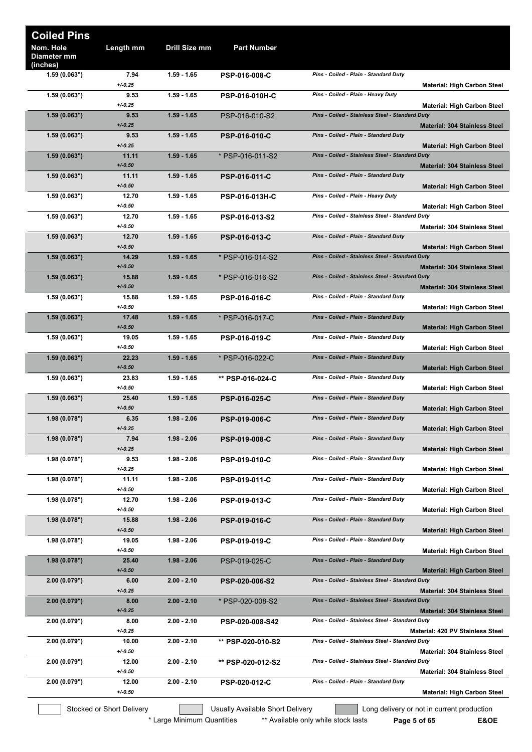| <b>Coiled Pins</b>                   |                           |               |                                  |                                                                                         |
|--------------------------------------|---------------------------|---------------|----------------------------------|-----------------------------------------------------------------------------------------|
| Nom. Hole<br>Diameter mm<br>(inches) | Length mm                 | Drill Size mm | <b>Part Number</b>               |                                                                                         |
| 1.59(0.063")                         | 7.94<br>$+/0.25$          | $1.59 - 1.65$ | <b>PSP-016-008-C</b>             | Pins - Coiled - Plain - Standard Duty<br>Material: High Carbon Steel                    |
| 1.59(0.063")                         | 9.53<br>$+/0.25$          | $1.59 - 1.65$ | <b>PSP-016-010H-C</b>            | Pins - Coiled - Plain - Heavy Duty<br>Material: High Carbon Steel                       |
| 1.59(0.063")                         | 9.53<br>$+/0.25$          | $1.59 - 1.65$ | PSP-016-010-S2                   | Pins - Coiled - Stainless Steel - Standard Duty<br><b>Material: 304 Stainless Steel</b> |
| 1.59(0.063")                         | 9.53<br>$+/0.25$          | $1.59 - 1.65$ | <b>PSP-016-010-C</b>             | Pins - Coiled - Plain - Standard Duty<br><b>Material: High Carbon Steel</b>             |
| 1.59(0.063")                         | 11.11<br>$+/0.50$         | $1.59 - 1.65$ | * PSP-016-011-S2                 | Pins - Coiled - Stainless Steel - Standard Duty<br><b>Material: 304 Stainless Steel</b> |
| 1.59(0.063")                         | 11.11<br>$+/-0.50$        | $1.59 - 1.65$ | <b>PSP-016-011-C</b>             | Pins - Coiled - Plain - Standard Duty<br>Material: High Carbon Steel                    |
| 1.59(0.063")                         | 12.70<br>$+/-0.50$        | $1.59 - 1.65$ | <b>PSP-016-013H-C</b>            | Pins - Coiled - Plain - Heavy Duty<br>Material: High Carbon Steel                       |
| 1.59 (0.063")                        | 12.70<br>$+/0.50$         | $1.59 - 1.65$ | PSP-016-013-S2                   | Pins - Coiled - Stainless Steel - Standard Duty<br><b>Material: 304 Stainless Steel</b> |
| 1.59(0.063")                         | 12.70<br>$+/-0.50$        | $1.59 - 1.65$ | <b>PSP-016-013-C</b>             | Pins - Coiled - Plain - Standard Duty<br><b>Material: High Carbon Steel</b>             |
| 1.59(0.063")                         | 14.29<br>$+/-0.50$        | $1.59 - 1.65$ | * PSP-016-014-S2                 | Pins - Coiled - Stainless Steel - Standard Duty<br><b>Material: 304 Stainless Steel</b> |
| 1.59(0.063")                         | 15.88<br>$+/0.50$         | $1.59 - 1.65$ | * PSP-016-016-S2                 | Pins - Coiled - Stainless Steel - Standard Duty<br><b>Material: 304 Stainless Steel</b> |
| 1.59(0.063")                         | 15.88<br>$+/0.50$         | 1.59 - 1.65   | <b>PSP-016-016-C</b>             | Pins - Coiled - Plain - Standard Duty<br><b>Material: High Carbon Steel</b>             |
| 1.59(0.063")                         | 17.48<br>$+/0.50$         | $1.59 - 1.65$ | * PSP-016-017-C                  | Pins - Coiled - Plain - Standard Duty<br><b>Material: High Carbon Steel</b>             |
| 1.59(0.063")                         | 19.05<br>$+/0.50$         | 1.59 - 1.65   | <b>PSP-016-019-C</b>             | Pins - Coiled - Plain - Standard Duty<br>Material: High Carbon Steel                    |
| 1.59(0.063")                         | 22.23<br>$+/0.50$         | $1.59 - 1.65$ | * PSP-016-022-C                  | Pins - Coiled - Plain - Standard Duty<br><b>Material: High Carbon Steel</b>             |
| 1.59(0.063")                         | 23.83<br>$+/0.50$         | 1.59 - 1.65   | ** PSP-016-024-C                 | Pins - Coiled - Plain - Standard Duty<br>Material: High Carbon Steel                    |
| 1.59(0.063")                         | 25.40<br>$+/0.50$         | $1.59 - 1.65$ | <b>PSP-016-025-C</b>             | Pins - Coiled - Plain - Standard Duty<br><b>Material: High Carbon Steel</b>             |
| 1.98(0.078")                         | 6.35<br>$+/0.25$          | $1.98 - 2.06$ | <b>PSP-019-006-C</b>             | Pins - Coiled - Plain - Standard Duty<br><b>Material: High Carbon Steel</b>             |
| 1.98(0.078")                         | 7.94<br>$+/0.25$          | $1.98 - 2.06$ | <b>PSP-019-008-C</b>             | Pins - Coiled - Plain - Standard Duty<br><b>Material: High Carbon Steel</b>             |
| 1.98(0.078")                         | 9.53<br>$+/0.25$          | $1.98 - 2.06$ | <b>PSP-019-010-C</b>             | Pins - Coiled - Plain - Standard Duty<br><b>Material: High Carbon Steel</b>             |
| 1.98(0.078")                         | 11.11<br>$+/0.50$         | $1.98 - 2.06$ | <b>PSP-019-011-C</b>             | Pins - Coiled - Plain - Standard Duty<br><b>Material: High Carbon Steel</b>             |
| 1.98 (0.078")                        | 12.70<br>$+/0.50$         | $1.98 - 2.06$ | PSP-019-013-C                    | Pins - Coiled - Plain - Standard Duty<br><b>Material: High Carbon Steel</b>             |
| 1.98(0.078")                         | 15.88<br>$+/-0.50$        | $1.98 - 2.06$ | <b>PSP-019-016-C</b>             | Pins - Coiled - Plain - Standard Duty<br>Material: High Carbon Steel                    |
| 1.98(0.078")                         | 19.05<br>$+/0.50$         | $1.98 - 2.06$ | <b>PSP-019-019-C</b>             | Pins - Coiled - Plain - Standard Duty<br>Material: High Carbon Steel                    |
| (0.078")                             | 25.40<br>$+/-0.50$        | $1.98 - 2.06$ | PSP-019-025-C                    | Pins - Coiled - Plain - Standard Duty<br><b>Material: High Carbon Steel</b>             |
| 2.00(0.079")                         | 6.00<br>$+/0.25$          | $2.00 - 2.10$ | <b>PSP-020-006-S2</b>            | Pins - Coiled - Stainless Steel - Standard Duty<br><b>Material: 304 Stainless Steel</b> |
| 2.00(0.079")                         | 8.00<br>$+/0.25$          | $2.00 - 2.10$ | * PSP-020-008-S2                 | Pins - Coiled - Stainless Steel - Standard Duty<br><b>Material: 304 Stainless Steel</b> |
| 2.00(0.079")                         | 8.00<br>$+/0.25$          | $2.00 - 2.10$ | PSP-020-008-S42                  | Pins - Coiled - Stainless Steel - Standard Duty<br>Material: 420 PV Stainless Steel     |
| 2.00(0.079")                         | 10.00<br>$+/0.50$         | $2.00 - 2.10$ | ** PSP-020-010-S2                | Pins - Coiled - Stainless Steel - Standard Duty<br><b>Material: 304 Stainless Steel</b> |
| 2.00(0.079")                         | 12.00<br>$+/0.50$         | $2.00 - 2.10$ | ** PSP-020-012-S2                | Pins - Coiled - Stainless Steel - Standard Duty<br><b>Material: 304 Stainless Steel</b> |
| 2.00(0.079")                         | 12.00<br>$+/0.50$         | $2.00 - 2.10$ | PSP-020-012-C                    | Pins - Coiled - Plain - Standard Duty<br><b>Material: High Carbon Steel</b>             |
|                                      | Stocked or Short Delivery |               | Usually Available Short Delivery | Long delivery or not in current production                                              |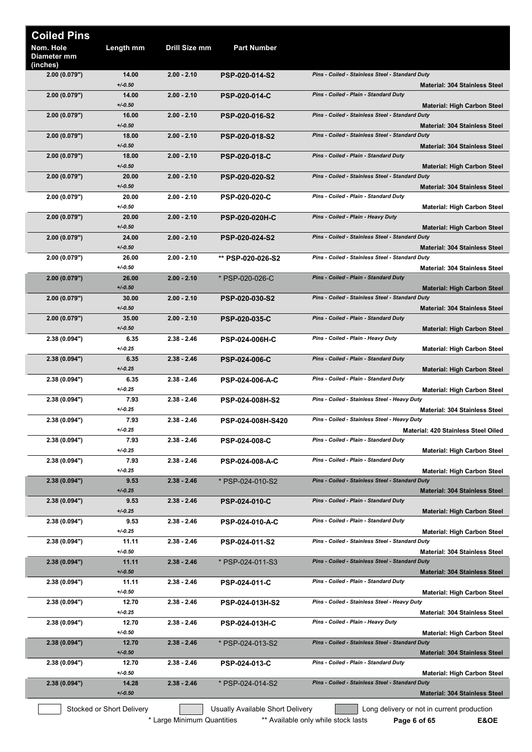| <b>Coiled Pins</b>                   |                           |                            |                                  |                                                                                         |
|--------------------------------------|---------------------------|----------------------------|----------------------------------|-----------------------------------------------------------------------------------------|
| Nom. Hole<br>Diameter mm<br>(inches) | Length mm                 | Drill Size mm              | <b>Part Number</b>               |                                                                                         |
| 2.00(0.079")                         | 14.00<br>$+/-0.50$        | $2.00 - 2.10$              | <b>PSP-020-014-S2</b>            | Pins - Coiled - Stainless Steel - Standard Duty<br><b>Material: 304 Stainless Steel</b> |
| 2.00(0.079")                         | 14.00<br>$+/-0.50$        | $2.00 - 2.10$              | <b>PSP-020-014-C</b>             | Pins - Coiled - Plain - Standard Duty<br><b>Material: High Carbon Steel</b>             |
| 2.00(0.079")                         | 16.00<br>$+/-0.50$        | $2.00 - 2.10$              | PSP-020-016-S2                   | Pins - Coiled - Stainless Steel - Standard Duty<br><b>Material: 304 Stainless Steel</b> |
| 2.00(0.079")                         | 18.00<br>$+/-0.50$        | $2.00 - 2.10$              | <b>PSP-020-018-S2</b>            | Pins - Coiled - Stainless Steel - Standard Duty<br><b>Material: 304 Stainless Steel</b> |
| 2.00(0.079")                         | 18.00<br>$+/-0.50$        | $2.00 - 2.10$              | <b>PSP-020-018-C</b>             | Pins - Coiled - Plain - Standard Duty<br><b>Material: High Carbon Steel</b>             |
| 2.00(0.079")                         | 20.00<br>$+/-0.50$        | $2.00 - 2.10$              | <b>PSP-020-020-S2</b>            | Pins - Coiled - Stainless Steel - Standard Duty<br><b>Material: 304 Stainless Steel</b> |
| 2.00 (0.079")                        | 20.00<br>$+/-0.50$        | $2.00 - 2.10$              | <b>PSP-020-020-C</b>             | Pins - Coiled - Plain - Standard Duty<br><b>Material: High Carbon Steel</b>             |
| 2.00(0.079")                         | 20.00<br>$+/-0.50$        | $2.00 - 2.10$              | <b>PSP-020-020H-C</b>            | Pins - Coiled - Plain - Heavy Duty                                                      |
| 2.00(0.079")                         | 24.00<br>$+/-0.50$        | $2.00 - 2.10$              | <b>PSP-020-024-S2</b>            | <b>Material: High Carbon Steel</b><br>Pins - Coiled - Stainless Steel - Standard Duty   |
| 2.00 (0.079")                        | 26.00                     | $2.00 - 2.10$              | ** PSP-020-026-S2                | <b>Material: 304 Stainless Steel</b><br>Pins - Coiled - Stainless Steel - Standard Duty |
| 2.00 (0.079")                        | $+/-0.50$<br>26.00        | $2.00 - 2.10$              | * PSP-020-026-C                  | Material: 304 Stainless Steel<br>Pins - Coiled - Plain - Standard Duty                  |
| 2.00(0.079")                         | $+/-0.50$<br>30.00        | $2.00 - 2.10$              | <b>PSP-020-030-S2</b>            | <b>Material: High Carbon Steel</b><br>Pins - Coiled - Stainless Steel - Standard Duty   |
| 2.00(0.079")                         | $+/-0.50$<br>35.00        | $2.00 - 2.10$              | <b>PSP-020-035-C</b>             | <b>Material: 304 Stainless Steel</b><br>Pins - Coiled - Plain - Standard Duty           |
| 2.38 (0.094")                        | $+/-0.50$<br>6.35         | $2.38 - 2.46$              | <b>PSP-024-006H-C</b>            | <b>Material: High Carbon Steel</b><br>Pins - Coiled - Plain - Heavy Duty                |
| 2.38(0.094")                         | $+/-0.25$<br>6.35         | $2.38 - 2.46$              | <b>PSP-024-006-C</b>             | <b>Material: High Carbon Steel</b><br>Pins - Coiled - Plain - Standard Duty             |
| 2.38 (0.094")                        | $+/0.25$<br>6.35          | $2.38 - 2.46$              | <b>PSP-024-006-A-C</b>           | <b>Material: High Carbon Steel</b><br>Pins - Coiled - Plain - Standard Duty             |
| 2.38 (0.094")                        | $+/0.25$<br>7.93          | $2.38 - 2.46$              | PSP-024-008H-S2                  | <b>Material: High Carbon Steel</b><br>Pins - Coiled - Stainless Steel - Heavy Duty      |
| 2.38 (0.094")                        | $+/0.25$<br>7.93          | $2.38 - 2.46$              | PSP-024-008H-S420                | <b>Material: 304 Stainless Steel</b><br>Pins - Coiled - Stainless Steel - Heavy Duty    |
| 2.38 (0.094")                        | $+/0.25$<br>7.93          | $2.38 - 2.46$              | <b>PSP-024-008-C</b>             | Material: 420 Stainless Steel Oiled<br>Pins - Coiled - Plain - Standard Duty            |
|                                      | $+/0.25$<br>7.93          | $2.38 - 2.46$              |                                  | <b>Material: High Carbon Steel</b><br>Pins - Coiled - Plain - Standard Duty             |
| 2.38 (0.094")                        | $+/0.25$                  |                            | <b>PSP-024-008-A-C</b>           | <b>Material: High Carbon Steel</b><br>Pins - Coiled - Stainless Steel - Standard Duty   |
| 2.38(0.094")                         | 9.53<br>$+/-0.25$         | $2.38 - 2.46$              | * PSP-024-010-S2                 | <b>Material: 304 Stainless Steel</b>                                                    |
| 2.38(0.094")                         | 9.53<br>$+/-0.25$         | $2.38 - 2.46$              | <b>PSP-024-010-C</b>             | Pins - Coiled - Plain - Standard Duty<br><b>Material: High Carbon Steel</b>             |
| 2.38 (0.094")                        | 9.53<br>$+/0.25$          | $2.38 - 2.46$              | <b>PSP-024-010-A-C</b>           | Pins - Coiled - Plain - Standard Duty<br><b>Material: High Carbon Steel</b>             |
| 2.38 (0.094")                        | 11.11<br>$+/0.50$         | $2.38 - 2.46$              | PSP-024-011-S2                   | Pins - Coiled - Stainless Steel - Standard Duty<br>Material: 304 Stainless Steel        |
| 2.38(0.094")                         | 11.11<br>$+/-0.50$        | $2.38 - 2.46$              | * PSP-024-011-S3                 | Pins - Coiled - Stainless Steel - Standard Duty<br><b>Material: 304 Stainless Steel</b> |
| 2.38 (0.094")                        | 11.11<br>$+/0.50$         | $2.38 - 2.46$              | <b>PSP-024-011-C</b>             | Pins - Coiled - Plain - Standard Duty<br><b>Material: High Carbon Steel</b>             |
| 2.38 (0.094")                        | 12.70<br>$+/0.25$         | $2.38 - 2.46$              | PSP-024-013H-S2                  | Pins - Coiled - Stainless Steel - Heavy Duty<br><b>Material: 304 Stainless Steel</b>    |
| 2.38 (0.094")                        | 12.70<br>$+/-0.50$        | $2.38 - 2.46$              | <b>PSP-024-013H-C</b>            | Pins - Coiled - Plain - Heavy Duty<br><b>Material: High Carbon Steel</b>                |
| 2.38(0.094")                         | 12.70<br>$+/-0.50$        | $2.38 - 2.46$              | * PSP-024-013-S2                 | Pins - Coiled - Stainless Steel - Standard Duty<br><b>Material: 304 Stainless Steel</b> |
| 2.38 (0.094")                        | 12.70<br>$+/0.50$         | $2.38 - 2.46$              | <b>PSP-024-013-C</b>             | Pins - Coiled - Plain - Standard Duty<br><b>Material: High Carbon Steel</b>             |
| 2.38(0.094")                         | 14.28<br>$+/-0.50$        | $2.38 - 2.46$              | * PSP-024-014-S2                 | Pins - Coiled - Stainless Steel - Standard Duty<br><b>Material: 304 Stainless Steel</b> |
|                                      | Stocked or Short Delivery |                            | Usually Available Short Delivery | Long delivery or not in current production                                              |
|                                      |                           | * Large Minimum Quantities |                                  | ** Available only while stock lasts<br>E&OE<br>Page 6 of 65                             |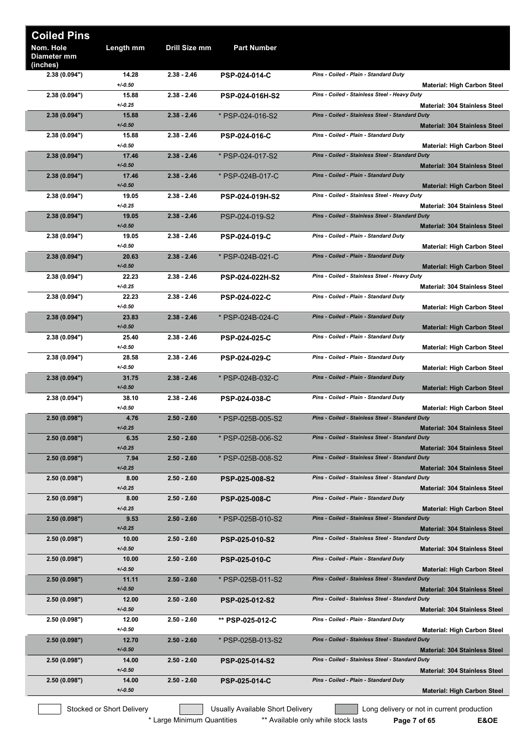| <b>Coiled Pins</b>                   |                           |               |                                  |                                                                                         |
|--------------------------------------|---------------------------|---------------|----------------------------------|-----------------------------------------------------------------------------------------|
| Nom. Hole<br>Diameter mm<br>(inches) | Length mm                 | Drill Size mm | <b>Part Number</b>               |                                                                                         |
| 2.38 (0.094")                        | 14.28<br>$+/-0.50$        | $2.38 - 2.46$ | <b>PSP-024-014-C</b>             | Pins - Coiled - Plain - Standard Duty<br><b>Material: High Carbon Steel</b>             |
| 2.38 (0.094")                        | 15.88<br>$+/0.25$         | $2.38 - 2.46$ | <b>PSP-024-016H-S2</b>           | Pins - Coiled - Stainless Steel - Heavy Duty<br><b>Material: 304 Stainless Steel</b>    |
| 2.38(0.094")                         | 15.88<br>$+/0.50$         | $2.38 - 2.46$ | * PSP-024-016-S2                 | Pins - Coiled - Stainless Steel - Standard Duty<br><b>Material: 304 Stainless Steel</b> |
| 2.38(0.094")                         | 15.88<br>$+/0.50$         | $2.38 - 2.46$ | <b>PSP-024-016-C</b>             | Pins - Coiled - Plain - Standard Duty<br><b>Material: High Carbon Steel</b>             |
| 2.38(0.094")                         | 17.46<br>$+/-0.50$        | $2.38 - 2.46$ | * PSP-024-017-S2                 | Pins - Coiled - Stainless Steel - Standard Duty<br><b>Material: 304 Stainless Steel</b> |
| 2.38(0.094")                         | 17.46<br>$+/-0.50$        | $2.38 - 2.46$ | * PSP-024B-017-C                 | Pins - Coiled - Plain - Standard Duty<br><b>Material: High Carbon Steel</b>             |
| 2.38 (0.094")                        | 19.05<br>$+/0.25$         | $2.38 - 2.46$ | PSP-024-019H-S2                  | Pins - Coiled - Stainless Steel - Heavy Duty<br><b>Material: 304 Stainless Steel</b>    |
| 2.38(0.094")                         | 19.05<br>$+/0.50$         | $2.38 - 2.46$ | PSP-024-019-S2                   | Pins - Coiled - Stainless Steel - Standard Duty<br><b>Material: 304 Stainless Steel</b> |
| 2.38(0.094")                         | 19.05<br>$+/0.50$         | $2.38 - 2.46$ | <b>PSP-024-019-C</b>             | Pins - Coiled - Plain - Standard Duty<br><b>Material: High Carbon Steel</b>             |
| 2.38(0.094")                         | 20.63<br>$+/0.50$         | $2.38 - 2.46$ | * PSP-024B-021-C                 | Pins - Coiled - Plain - Standard Duty<br><b>Material: High Carbon Steel</b>             |
| 2.38 (0.094")                        | 22.23<br>$+/0.25$         | $2.38 - 2.46$ | PSP-024-022H-S2                  | Pins - Coiled - Stainless Steel - Heavy Duty<br><b>Material: 304 Stainless Steel</b>    |
| 2.38(0.094")                         | 22.23<br>$+/0.50$         | $2.38 - 2.46$ | <b>PSP-024-022-C</b>             | Pins - Coiled - Plain - Standard Duty<br><b>Material: High Carbon Steel</b>             |
| 2.38(0.094")                         | 23.83<br>$+/-0.50$        | $2.38 - 2.46$ | * PSP-024B-024-C                 | Pins - Coiled - Plain - Standard Duty<br><b>Material: High Carbon Steel</b>             |
| 2.38(0.094")                         | 25.40<br>$+/0.50$         | $2.38 - 2.46$ | <b>PSP-024-025-C</b>             | Pins - Coiled - Plain - Standard Duty<br><b>Material: High Carbon Steel</b>             |
| 2.38 (0.094")                        | 28.58<br>$+/-0.50$        | $2.38 - 2.46$ | <b>PSP-024-029-C</b>             | Pins - Coiled - Plain - Standard Duty<br><b>Material: High Carbon Steel</b>             |
| 2.38(0.094")                         | 31.75<br>$+/0.50$         | $2.38 - 2.46$ | * PSP-024B-032-C                 | Pins - Coiled - Plain - Standard Duty<br><b>Material: High Carbon Steel</b>             |
| 2.38(0.094")                         | 38.10<br>$+/0.50$         | $2.38 - 2.46$ | <b>PSP-024-038-C</b>             | Pins - Coiled - Plain - Standard Duty<br><b>Material: High Carbon Steel</b>             |
| 2.50(0.098")                         | 4.76<br>$+/-0.25$         | $2.50 - 2.60$ | * PSP-025B-005-S2                | Pins - Coiled - Stainless Steel - Standard Duty<br><b>Material: 304 Stainless Steel</b> |
| 2.50(0.098")                         | 6.35<br>$+/0.25$          | $2.50 - 2.60$ | * PSP-025B-006-S2                | Pins - Coiled - Stainless Steel - Standard Duty<br><b>Material: 304 Stainless Steel</b> |
| 2.50(0.098")                         | 7.94<br>$+/0.25$          | $2.50 - 2.60$ | * PSP-025B-008-S2                | Pins - Coiled - Stainless Steel - Standard Duty<br><b>Material: 304 Stainless Steel</b> |
| 2.50(0.098")                         | 8.00<br>$+/0.25$          | $2.50 - 2.60$ | <b>PSP-025-008-S2</b>            | Pins - Coiled - Stainless Steel - Standard Duty<br><b>Material: 304 Stainless Steel</b> |
| 2.50(0.098")                         | 8.00<br>$+/0.25$          | $2.50 - 2.60$ | <b>PSP-025-008-C</b>             | Pins - Coiled - Plain - Standard Duty<br><b>Material: High Carbon Steel</b>             |
| 2.50(0.098")                         | 9.53<br>$+/0.25$          | $2.50 - 2.60$ | * PSP-025B-010-S2                | Pins - Coiled - Stainless Steel - Standard Duty<br><b>Material: 304 Stainless Steel</b> |
| 2.50(0.098")                         | 10.00<br>$+/0.50$         | $2.50 - 2.60$ | <b>PSP-025-010-S2</b>            | Pins - Coiled - Stainless Steel - Standard Duty<br><b>Material: 304 Stainless Steel</b> |
| 2.50(0.098")                         | 10.00<br>$+/0.50$         | $2.50 - 2.60$ | <b>PSP-025-010-C</b>             | Pins - Coiled - Plain - Standard Duty<br><b>Material: High Carbon Steel</b>             |
| 2.50(0.098")                         | 11.11<br>$+/-0.50$        | $2.50 - 2.60$ | * PSP-025B-011-S2                | Pins - Coiled - Stainless Steel - Standard Duty<br><b>Material: 304 Stainless Steel</b> |
| 2.50(0.098")                         | 12.00<br>$+/0.50$         | $2.50 - 2.60$ | PSP-025-012-S2                   | Pins - Coiled - Stainless Steel - Standard Duty<br><b>Material: 304 Stainless Steel</b> |
| 2.50(0.098")                         | 12.00<br>$+/0.50$         | $2.50 - 2.60$ | ** PSP-025-012-C                 | Pins - Coiled - Plain - Standard Duty<br><b>Material: High Carbon Steel</b>             |
| 2.50(0.098")                         | 12.70<br>$+/0.50$         | $2.50 - 2.60$ | * PSP-025B-013-S2                | Pins - Coiled - Stainless Steel - Standard Duty<br><b>Material: 304 Stainless Steel</b> |
| 2.50(0.098")                         | 14.00<br>$+/0.50$         | $2.50 - 2.60$ | <b>PSP-025-014-S2</b>            | Pins - Coiled - Stainless Steel - Standard Duty<br><b>Material: 304 Stainless Steel</b> |
| 2.50(0.098")                         | 14.00<br>$+/0.50$         | $2.50 - 2.60$ | <b>PSP-025-014-C</b>             | Pins - Coiled - Plain - Standard Duty<br><b>Material: High Carbon Steel</b>             |
|                                      | Stocked or Short Delivery |               | Usually Available Short Delivery | Long delivery or not in current production                                              |

\* Large Minimum Quantities \*\* Available only while stock lasts **Page 7 of 65** E&OE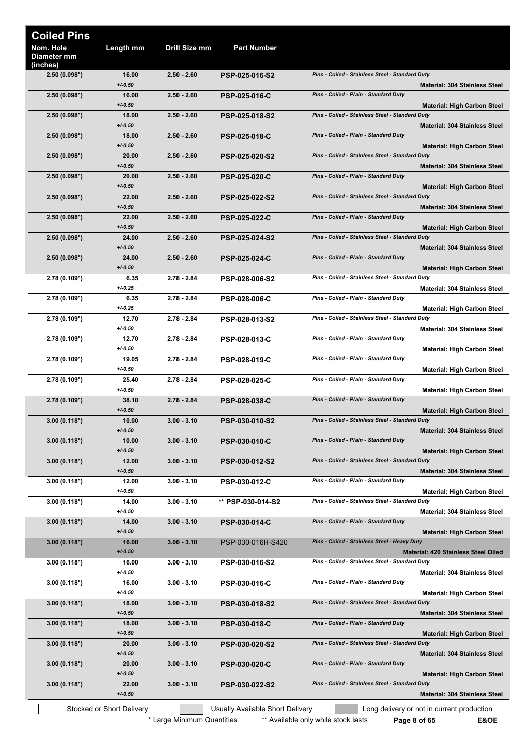| <b>Coiled Pins</b>                   |                           |                            |                                  |                                                                                            |
|--------------------------------------|---------------------------|----------------------------|----------------------------------|--------------------------------------------------------------------------------------------|
| Nom. Hole<br>Diameter mm<br>(inches) | Length mm                 | Drill Size mm              | <b>Part Number</b>               |                                                                                            |
| 2.50(0.098")                         | 16.00<br>$+/0.50$         | $2.50 - 2.60$              | <b>PSP-025-016-S2</b>            | Pins - Coiled - Stainless Steel - Standard Duty<br><b>Material: 304 Stainless Steel</b>    |
| 2.50(0.098")                         | 16.00<br>$+/0.50$         | $2.50 - 2.60$              | <b>PSP-025-016-C</b>             | Pins - Coiled - Plain - Standard Duty<br><b>Material: High Carbon Steel</b>                |
| 2.50(0.098")                         | 18.00<br>$+/0.50$         | $2.50 - 2.60$              | <b>PSP-025-018-S2</b>            | Pins - Coiled - Stainless Steel - Standard Duty<br><b>Material: 304 Stainless Steel</b>    |
| 2.50(0.098")                         | 18.00<br>$+/0.50$         | $2.50 - 2.60$              | <b>PSP-025-018-C</b>             | Pins - Coiled - Plain - Standard Duty<br><b>Material: High Carbon Steel</b>                |
| 2.50(0.098")                         | 20.00<br>$+/0.50$         | $2.50 - 2.60$              | <b>PSP-025-020-S2</b>            | Pins - Coiled - Stainless Steel - Standard Duty<br><b>Material: 304 Stainless Steel</b>    |
| 2.50(0.098")                         | 20.00<br>$+/0.50$         | $2.50 - 2.60$              | <b>PSP-025-020-C</b>             | Pins - Coiled - Plain - Standard Duty<br><b>Material: High Carbon Steel</b>                |
| 2.50(0.098")                         | 22.00<br>$+/0.50$         | $2.50 - 2.60$              | PSP-025-022-S2                   | Pins - Coiled - Stainless Steel - Standard Duty<br><b>Material: 304 Stainless Steel</b>    |
| 2.50 (0.098")                        | 22.00<br>$+/0.50$         | $2.50 - 2.60$              | <b>PSP-025-022-C</b>             | Pins - Coiled - Plain - Standard Duty<br><b>Material: High Carbon Steel</b>                |
| 2.50(0.098")                         | 24.00<br>$+/0.50$         | $2.50 - 2.60$              | <b>PSP-025-024-S2</b>            | Pins - Coiled - Stainless Steel - Standard Duty<br><b>Material: 304 Stainless Steel</b>    |
| 2.50(0.098")                         | 24.00<br>$+/0.50$         | $2.50 - 2.60$              | <b>PSP-025-024-C</b>             | Pins - Coiled - Plain - Standard Duty<br><b>Material: High Carbon Steel</b>                |
| 2.78 (0.109")                        | 6.35<br>$+/0.25$          | $2.78 - 2.84$              | <b>PSP-028-006-S2</b>            | Pins - Coiled - Stainless Steel - Standard Duty<br><b>Material: 304 Stainless Steel</b>    |
| 2.78(0.109")                         | 6.35<br>$+/0.25$          | $2.78 - 2.84$              | <b>PSP-028-006-C</b>             | Pins - Coiled - Plain - Standard Duty<br><b>Material: High Carbon Steel</b>                |
| 2.78 (0.109")                        | 12.70<br>$+/0.50$         | $2.78 - 2.84$              | <b>PSP-028-013-S2</b>            | Pins - Coiled - Stainless Steel - Standard Duty<br><b>Material: 304 Stainless Steel</b>    |
| 2.78 (0.109")                        | 12.70<br>$+/0.50$         | $2.78 - 2.84$              | <b>PSP-028-013-C</b>             | Pins - Coiled - Plain - Standard Duty<br><b>Material: High Carbon Steel</b>                |
| 2.78 (0.109")                        | 19.05<br>$+/0.50$         | $2.78 - 2.84$              | PSP-028-019-C                    | Pins - Coiled - Plain - Standard Duty<br><b>Material: High Carbon Steel</b>                |
| 2.78(0.109")                         | 25.40<br>$+/0.50$         | $2.78 - 2.84$              | <b>PSP-028-025-C</b>             | Pins - Coiled - Plain - Standard Duty<br><b>Material: High Carbon Steel</b>                |
| 2.78(0.109")                         | 38.10<br>$+/-0.50$        | $2.78 - 2.84$              | <b>PSP-028-038-C</b>             | Pins - Coiled - Plain - Standard Duty<br><b>Material: High Carbon Steel</b>                |
| 3.00(0.118")                         | 10.00<br>$+/0.50$         | $3.00 - 3.10$              | <b>PSP-030-010-S2</b>            | Pins - Coiled - Stainless Steel - Standard Duty<br><b>Material: 304 Stainless Steel</b>    |
| 3.00(0.118")                         | 10.00<br>$+/0.50$         | $3.00 - 3.10$              | <b>PSP-030-010-C</b>             | Pins - Coiled - Plain - Standard Duty<br><b>Material: High Carbon Steel</b>                |
| 3.00(0.118")                         | 12.00<br>$+/0.50$         | $3.00 - 3.10$              | PSP-030-012-S2                   | Pins - Coiled - Stainless Steel - Standard Duty<br><b>Material: 304 Stainless Steel</b>    |
| 3.00(0.118")                         | 12.00<br>$+/0.50$         | $3.00 - 3.10$              | <b>PSP-030-012-C</b>             | Pins - Coiled - Plain - Standard Duty<br><b>Material: High Carbon Steel</b>                |
| 3.00 (0.118")                        | 14.00<br>$+/0.50$         | $3.00 - 3.10$              | ** PSP-030-014-S2                | Pins - Coiled - Stainless Steel - Standard Duty<br><b>Material: 304 Stainless Steel</b>    |
| 3.00 (0.118")                        | 14.00<br>$+/0.50$         | $3.00 - 3.10$              | <b>PSP-030-014-C</b>             | Pins - Coiled - Plain - Standard Duty<br><b>Material: High Carbon Steel</b>                |
| 3.00(0.118")                         | 16.00<br>$+/0.50$         | $3.00 - 3.10$              | PSP-030-016H-S420                | Pins - Coiled - Stainless Steel - Heavy Duty<br><b>Material: 420 Stainless Steel Oiled</b> |
| 3.00(0.118")                         | 16.00<br>$+/0.50$         | $3.00 - 3.10$              | PSP-030-016-S2                   | Pins - Coiled - Stainless Steel - Standard Duty<br>Material: 304 Stainless Steel           |
| 3.00(0.118")                         | 16.00<br>$+/0.50$         | $3.00 - 3.10$              | <b>PSP-030-016-C</b>             | Pins - Coiled - Plain - Standard Duty<br><b>Material: High Carbon Steel</b>                |
| 3.00 (0.118")                        | 18.00<br>$+/0.50$         | $3.00 - 3.10$              | PSP-030-018-S2                   | Pins - Coiled - Stainless Steel - Standard Duty<br>Material: 304 Stainless Steel           |
| 3.00(0.118")                         | 18.00<br>$+/0.50$         | $3.00 - 3.10$              | <b>PSP-030-018-C</b>             | Pins - Coiled - Plain - Standard Duty<br><b>Material: High Carbon Steel</b>                |
| 3.00(0.118")                         | 20.00<br>$+/0.50$         | $3.00 - 3.10$              | PSP-030-020-S2                   | Pins - Coiled - Stainless Steel - Standard Duty<br><b>Material: 304 Stainless Steel</b>    |
| 3.00(0.118")                         | 20.00<br>$+/0.50$         | $3.00 - 3.10$              | <b>PSP-030-020-C</b>             | Pins - Coiled - Plain - Standard Duty<br><b>Material: High Carbon Steel</b>                |
| 3.00(0.118")                         | 22.00<br>$+/0.50$         | $3.00 - 3.10$              | PSP-030-022-S2                   | Pins - Coiled - Stainless Steel - Standard Duty<br><b>Material: 304 Stainless Steel</b>    |
|                                      | Stocked or Short Delivery |                            | Usually Available Short Delivery | Long delivery or not in current production                                                 |
|                                      |                           | * Large Minimum Quantities |                                  | ** Available only while stock lasts<br>E&OE<br>Page 8 of 65                                |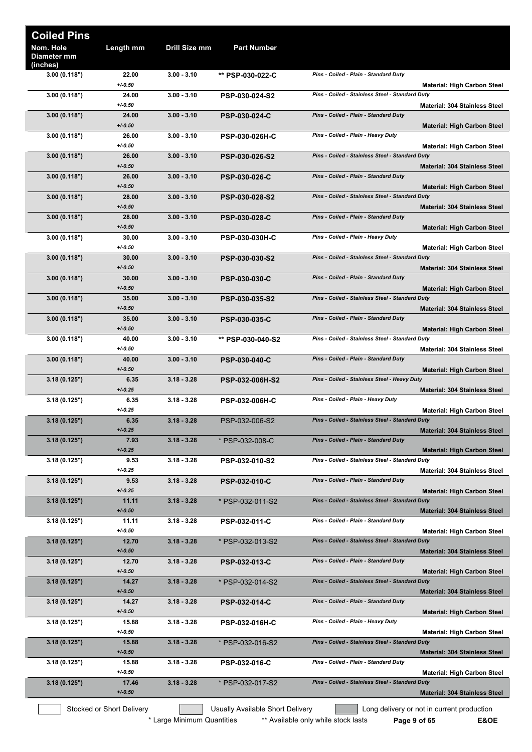| <b>Coiled Pins</b>                   |                           |               |                                  |                                                                                         |
|--------------------------------------|---------------------------|---------------|----------------------------------|-----------------------------------------------------------------------------------------|
| Nom. Hole<br>Diameter mm<br>(inches) | Length mm                 | Drill Size mm | Part Number                      |                                                                                         |
| 3.00(0.118")                         | 22.00<br>$+/0.50$         | $3.00 - 3.10$ | ** PSP-030-022-C                 | Pins - Coiled - Plain - Standard Duty<br><b>Material: High Carbon Steel</b>             |
| 3.00(0.118")                         | 24.00<br>$+/0.50$         | $3.00 - 3.10$ | PSP-030-024-S2                   | Pins - Coiled - Stainless Steel - Standard Duty<br><b>Material: 304 Stainless Steel</b> |
| 3.00(0.118")                         | 24.00<br>$+/0.50$         | $3.00 - 3.10$ | PSP-030-024-C                    | Pins - Coiled - Plain - Standard Duty                                                   |
| 3.00(0.118")                         | 26.00<br>$+/0.50$         | $3.00 - 3.10$ | <b>PSP-030-026H-C</b>            | <b>Material: High Carbon Steel</b><br>Pins - Coiled - Plain - Heavy Duty                |
| 3.00(0.118")                         | 26.00<br>$+/-0.50$        | $3.00 - 3.10$ | <b>PSP-030-026-S2</b>            | <b>Material: High Carbon Steel</b><br>Pins - Coiled - Stainless Steel - Standard Duty   |
| 3.00(0.118")                         | 26.00                     | $3.00 - 3.10$ | <b>PSP-030-026-C</b>             | <b>Material: 304 Stainless Steel</b><br>Pins - Coiled - Plain - Standard Duty           |
| 3.00(0.118")                         | $+/0.50$<br>28.00         | $3.00 - 3.10$ | PSP-030-028-S2                   | <b>Material: High Carbon Steel</b><br>Pins - Coiled - Stainless Steel - Standard Duty   |
| 3.00(0.118")                         | $+/0.50$<br>28.00         | $3.00 - 3.10$ | PSP-030-028-C                    | <b>Material: 304 Stainless Steel</b><br>Pins - Coiled - Plain - Standard Duty           |
| 3.00(0.118")                         | $+/-0.50$<br>30.00        | $3.00 - 3.10$ | <b>PSP-030-030H-C</b>            | <b>Material: High Carbon Steel</b><br>Pins - Coiled - Plain - Heavy Duty                |
| 3.00(0.118")                         | $+/0.50$<br>30.00         | $3.00 - 3.10$ | <b>PSP-030-030-S2</b>            | <b>Material: High Carbon Steel</b><br>Pins - Coiled - Stainless Steel - Standard Duty   |
| 3.00(0.118")                         | $+/-0.50$<br>30.00        | $3.00 - 3.10$ | <b>PSP-030-030-C</b>             | <b>Material: 304 Stainless Steel</b><br>Pins - Coiled - Plain - Standard Duty           |
| 3.00(0.118")                         | $+/0.50$<br>35.00         | $3.00 - 3.10$ | <b>PSP-030-035-S2</b>            | <b>Material: High Carbon Steel</b><br>Pins - Coiled - Stainless Steel - Standard Duty   |
| 3.00(0.118")                         | $+/-0.50$<br>35.00        | $3.00 - 3.10$ | <b>PSP-030-035-C</b>             | Material: 304 Stainless Steel<br>Pins - Coiled - Plain - Standard Duty                  |
| 3.00(0.118")                         | $+/-0.50$<br>40.00        | $3.00 - 3.10$ | ** PSP-030-040-S2                | <b>Material: High Carbon Steel</b><br>Pins - Coiled - Stainless Steel - Standard Duty   |
| 3.00(0.118")                         | $+/0.50$<br>40.00         | $3.00 - 3.10$ | <b>PSP-030-040-C</b>             | <b>Material: 304 Stainless Steel</b><br>Pins - Coiled - Plain - Standard Duty           |
| 3.18(0.125")                         | $+/0.50$<br>6.35          | $3.18 - 3.28$ | <b>PSP-032-006H-S2</b>           | <b>Material: High Carbon Steel</b><br>Pins - Coiled - Stainless Steel - Heavy Duty      |
| 3.18(0.125")                         | $+/0.25$<br>6.35          | $3.18 - 3.28$ | PSP-032-006H-C                   | <b>Material: 304 Stainless Steel</b><br>Pins - Coiled - Plain - Heavy Duty              |
| 3.18(0.125")                         | $+/0.25$<br>6.35          | $3.18 - 3.28$ | PSP-032-006-S2                   | <b>Material: High Carbon Steel</b><br>Pins - Coiled - Stainless Steel - Standard Duty   |
| 3.18(0.125")                         | $+/0.25$<br>7.93          | $3.18 - 3.28$ | * PSP-032-008-C                  | <b>Material: 304 Stainless Steel</b><br>Pins - Coiled - Plain - Standard Duty           |
|                                      | $+/0.25$                  |               |                                  | <b>Material: High Carbon Steel</b><br>Pins - Coiled - Stainless Steel - Standard Duty   |
| 3.18(0.125")                         | 9.53<br>$+/0.25$          | $3.18 - 3.28$ | PSP-032-010-S2                   | <b>Material: 304 Stainless Steel</b>                                                    |
| 3.18(0.125")                         | 9.53<br>$+/0.25$          | $3.18 - 3.28$ | <b>PSP-032-010-C</b>             | Pins - Coiled - Plain - Standard Duty<br><b>Material: High Carbon Steel</b>             |
| 3.18(0.125")                         | 11.11<br>$+/0.50$         | $3.18 - 3.28$ | * PSP-032-011-S2                 | Pins - Coiled - Stainless Steel - Standard Duty<br><b>Material: 304 Stainless Steel</b> |
| 3.18(0.125")                         | 11.11<br>$+/0.50$         | $3.18 - 3.28$ | <b>PSP-032-011-C</b>             | Pins - Coiled - Plain - Standard Duty<br><b>Material: High Carbon Steel</b>             |
| 3.18(0.125")                         | 12.70<br>$+/-0.50$        | $3.18 - 3.28$ | * PSP-032-013-S2                 | Pins - Coiled - Stainless Steel - Standard Duty<br><b>Material: 304 Stainless Steel</b> |
| 3.18(0.125")                         | 12.70<br>$+/0.50$         | $3.18 - 3.28$ | <b>PSP-032-013-C</b>             | Pins - Coiled - Plain - Standard Duty<br><b>Material: High Carbon Steel</b>             |
| 3.18(0.125")                         | 14.27<br>$+/-0.50$        | $3.18 - 3.28$ | * PSP-032-014-S2                 | Pins - Coiled - Stainless Steel - Standard Duty<br><b>Material: 304 Stainless Steel</b> |
| 3.18(0.125")                         | 14.27<br>$+/0.50$         | $3.18 - 3.28$ | <b>PSP-032-014-C</b>             | Pins - Coiled - Plain - Standard Duty<br><b>Material: High Carbon Steel</b>             |
| 3.18(0.125")                         | 15.88<br>$+/0.50$         | $3.18 - 3.28$ | <b>PSP-032-016H-C</b>            | Pins - Coiled - Plain - Heavy Duty<br><b>Material: High Carbon Steel</b>                |
| 3.18(0.125")                         | 15.88<br>$+/0.50$         | $3.18 - 3.28$ | * PSP-032-016-S2                 | Pins - Coiled - Stainless Steel - Standard Duty<br><b>Material: 304 Stainless Steel</b> |
| 3.18(0.125")                         | 15.88<br>$+/0.50$         | $3.18 - 3.28$ | <b>PSP-032-016-C</b>             | Pins - Coiled - Plain - Standard Duty<br><b>Material: High Carbon Steel</b>             |
| 3.18(0.125")                         | 17.46<br>$+/0.50$         | $3.18 - 3.28$ | * PSP-032-017-S2                 | Pins - Coiled - Stainless Steel - Standard Duty<br><b>Material: 304 Stainless Steel</b> |
|                                      | Stocked or Short Delivery |               | Usually Available Short Delivery | Long delivery or not in current production                                              |

\* Large Minimum Quantities \*\* Available only while stock lasts **Page 9 of 65 E&OE**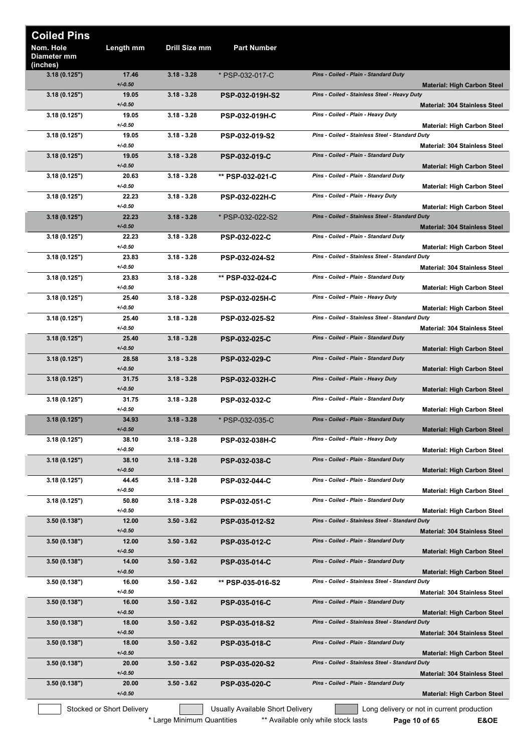| <b>Coiled Pins</b>                   |                           |                            |                                  |                                                                                         |
|--------------------------------------|---------------------------|----------------------------|----------------------------------|-----------------------------------------------------------------------------------------|
| Nom. Hole<br>Diameter mm<br>(inches) | Length mm                 | Drill Size mm              | <b>Part Number</b>               |                                                                                         |
| 3.18(0.125")                         | 17.46<br>$+/-0.50$        | $3.18 - 3.28$              | * PSP-032-017-C                  | Pins - Coiled - Plain - Standard Duty<br><b>Material: High Carbon Steel</b>             |
| 3.18(0.125")                         | 19.05<br>$+/-0.50$        | $3.18 - 3.28$              | <b>PSP-032-019H-S2</b>           | Pins - Coiled - Stainless Steel - Heavy Duty<br><b>Material: 304 Stainless Steel</b>    |
| 3.18 (0.125")                        | 19.05<br>$+/-0.50$        | $3.18 - 3.28$              | <b>PSP-032-019H-C</b>            | Pins - Coiled - Plain - Heavy Duty<br><b>Material: High Carbon Steel</b>                |
| 3.18(0.125")                         | 19.05<br>$+/-0.50$        | $3.18 - 3.28$              | PSP-032-019-S2                   | Pins - Coiled - Stainless Steel - Standard Duty<br><b>Material: 304 Stainless Steel</b> |
| 3.18(0.125")                         | 19.05<br>$+/-0.50$        | $3.18 - 3.28$              | <b>PSP-032-019-C</b>             | Pins - Coiled - Plain - Standard Duty<br><b>Material: High Carbon Steel</b>             |
| 3.18(0.125")                         | 20.63<br>$+/0.50$         | $3.18 - 3.28$              | ** PSP-032-021-C                 | Pins - Coiled - Plain - Standard Duty<br><b>Material: High Carbon Steel</b>             |
| 3.18 (0.125")                        | 22.23<br>$+/0.50$         | $3.18 - 3.28$              | PSP-032-022H-C                   | Pins - Coiled - Plain - Heavy Duty<br><b>Material: High Carbon Steel</b>                |
| 3.18(0.125")                         | 22.23<br>$+/-0.50$        | $3.18 - 3.28$              | * PSP-032-022-S2                 | Pins - Coiled - Stainless Steel - Standard Duty<br><b>Material: 304 Stainless Steel</b> |
| 3.18(0.125")                         | 22.23<br>$+/-0.50$        | $3.18 - 3.28$              | <b>PSP-032-022-C</b>             | Pins - Coiled - Plain - Standard Duty<br><b>Material: High Carbon Steel</b>             |
| 3.18(0.125")                         | 23.83<br>$+/-0.50$        | $3.18 - 3.28$              | PSP-032-024-S2                   | Pins - Coiled - Stainless Steel - Standard Duty<br><b>Material: 304 Stainless Steel</b> |
| 3.18(0.125")                         | 23.83<br>$+/-0.50$        | $3.18 - 3.28$              | ** PSP-032-024-C                 | Pins - Coiled - Plain - Standard Duty<br><b>Material: High Carbon Steel</b>             |
| 3.18 (0.125")                        | 25.40<br>$+/0.50$         | $3.18 - 3.28$              | <b>PSP-032-025H-C</b>            | Pins - Coiled - Plain - Heavy Duty<br><b>Material: High Carbon Steel</b>                |
| 3.18(0.125")                         | 25.40<br>$+/0.50$         | $3.18 - 3.28$              | <b>PSP-032-025-S2</b>            | Pins - Coiled - Stainless Steel - Standard Duty<br><b>Material: 304 Stainless Steel</b> |
| 3.18(0.125")                         | 25.40<br>$+/-0.50$        | $3.18 - 3.28$              | <b>PSP-032-025-C</b>             | Pins - Coiled - Plain - Standard Duty<br><b>Material: High Carbon Steel</b>             |
| 3.18(0.125")                         | 28.58<br>$+/-0.50$        | $3.18 - 3.28$              | <b>PSP-032-029-C</b>             | Pins - Coiled - Plain - Standard Duty<br><b>Material: High Carbon Steel</b>             |
| 3.18(0.125")                         | 31.75<br>$+/-0.50$        | $3.18 - 3.28$              | <b>PSP-032-032H-C</b>            | Pins - Coiled - Plain - Heavy Duty<br><b>Material: High Carbon Steel</b>                |
| 3.18 (0.125")                        | 31.75<br>$+/-0.50$        | $3.18 - 3.28$              | <b>PSP-032-032-C</b>             | Pins - Coiled - Plain - Standard Duty<br><b>Material: High Carbon Steel</b>             |
| 3.18(0.125")                         | 34.93<br>$+/-0.50$        | $3.18 - 3.28$              | * PSP-032-035-C                  | Pins - Coiled - Plain - Standard Duty<br><b>Material: High Carbon Steel</b>             |
| 3.18(0.125")                         | 38.10<br>$+/0.50$         | $3.18 - 3.28$              | <b>PSP-032-038H-C</b>            | Pins - Coiled - Plain - Heavy Duty<br><b>Material: High Carbon Steel</b>                |
| 3.18(0.125")                         | 38.10<br>$+/-0.50$        | $3.18 - 3.28$              | <b>PSP-032-038-C</b>             | Pins - Coiled - Plain - Standard Duty<br><b>Material: High Carbon Steel</b>             |
| 3.18(0.125")                         | 44.45<br>$+/-0.50$        | $3.18 - 3.28$              | PSP-032-044-C                    | Pins - Coiled - Plain - Standard Duty<br><b>Material: High Carbon Steel</b>             |
| 3.18(0.125")                         | 50.80<br>$+/0.50$         | $3.18 - 3.28$              | PSP-032-051-C                    | Pins - Coiled - Plain - Standard Duty<br><b>Material: High Carbon Steel</b>             |
| 3.50(0.138")                         | 12.00<br>$+/-0.50$        | $3.50 - 3.62$              | PSP-035-012-S2                   | Pins - Coiled - Stainless Steel - Standard Duty<br><b>Material: 304 Stainless Steel</b> |
| 3.50(0.138")                         | 12.00<br>$+/-0.50$        | $3.50 - 3.62$              | <b>PSP-035-012-C</b>             | Pins - Coiled - Plain - Standard Duty<br><b>Material: High Carbon Steel</b>             |
| 3.50(0.138")                         | 14.00<br>$+/-0.50$        | $3.50 - 3.62$              | <b>PSP-035-014-C</b>             | Pins - Coiled - Plain - Standard Duty<br><b>Material: High Carbon Steel</b>             |
| 3.50(0.138")                         | 16.00<br>$+/-0.50$        | $3.50 - 3.62$              | ** PSP-035-016-S2                | Pins - Coiled - Stainless Steel - Standard Duty<br>Material: 304 Stainless Steel        |
| 3.50(0.138")                         | 16.00<br>$+/-0.50$        | $3.50 - 3.62$              | <b>PSP-035-016-C</b>             | Pins - Coiled - Plain - Standard Duty<br><b>Material: High Carbon Steel</b>             |
| 3.50(0.138")                         | 18.00<br>$+/-0.50$        | $3.50 - 3.62$              | PSP-035-018-S2                   | Pins - Coiled - Stainless Steel - Standard Duty<br><b>Material: 304 Stainless Steel</b> |
| 3.50(0.138")                         | 18.00<br>$+/-0.50$        | $3.50 - 3.62$              | <b>PSP-035-018-C</b>             | Pins - Coiled - Plain - Standard Duty<br><b>Material: High Carbon Steel</b>             |
| 3.50(0.138")                         | 20.00<br>$+/-0.50$        | $3.50 - 3.62$              | <b>PSP-035-020-S2</b>            | Pins - Coiled - Stainless Steel - Standard Duty<br><b>Material: 304 Stainless Steel</b> |
| 3.50(0.138")                         | 20.00<br>$+/-0.50$        | $3.50 - 3.62$              | <b>PSP-035-020-C</b>             | Pins - Coiled - Plain - Standard Duty<br><b>Material: High Carbon Steel</b>             |
|                                      | Stocked or Short Delivery |                            | Usually Available Short Delivery | Long delivery or not in current production                                              |
|                                      |                           | * Large Minimum Quantities |                                  | ** Available only while stock lasts<br>E&OE<br>Page 10 of 65                            |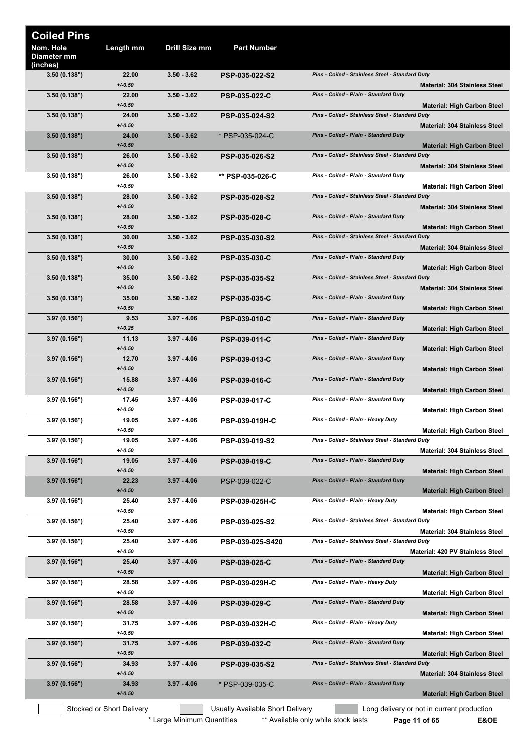| <b>Coiled Pins</b>                   |                           |                            |                                  |                                                                                            |
|--------------------------------------|---------------------------|----------------------------|----------------------------------|--------------------------------------------------------------------------------------------|
| Nom. Hole<br>Diameter mm<br>(inches) | Length mm                 | Drill Size mm              | <b>Part Number</b>               |                                                                                            |
| 3.50(0.138")                         | 22.00<br>$+/-0.50$        | $3.50 - 3.62$              | PSP-035-022-S2                   | Pins - Coiled - Stainless Steel - Standard Duty<br>Material: 304 Stainless Steel           |
| 3.50(0.138")                         | 22.00<br>$+/-0.50$        | $3.50 - 3.62$              | <b>PSP-035-022-C</b>             | Pins - Coiled - Plain - Standard Duty<br><b>Material: High Carbon Steel</b>                |
| 3.50 (0.138")                        | 24.00<br>$+/-0.50$        | $3.50 - 3.62$              | PSP-035-024-S2                   | Pins - Coiled - Stainless Steel - Standard Duty<br><b>Material: 304 Stainless Steel</b>    |
| 3.50(0.138")                         | 24.00<br>$+/-0.50$        | $3.50 - 3.62$              | * PSP-035-024-C                  | Pins - Coiled - Plain - Standard Duty<br><b>Material: High Carbon Steel</b>                |
| 3.50(0.138")                         | 26.00<br>$+/-0.50$        | $3.50 - 3.62$              | PSP-035-026-S2                   | Pins - Coiled - Stainless Steel - Standard Duty<br><b>Material: 304 Stainless Steel</b>    |
| 3.50 (0.138")                        | 26.00<br>$+/-0.50$        | $3.50 - 3.62$              | ** PSP-035-026-C                 | Pins - Coiled - Plain - Standard Duty<br><b>Material: High Carbon Steel</b>                |
| 3.50(0.138")                         | 28.00<br>$+/-0.50$        | $3.50 - 3.62$              | PSP-035-028-S2                   | Pins - Coiled - Stainless Steel - Standard Duty<br><b>Material: 304 Stainless Steel</b>    |
| 3.50(0.138")                         | 28.00<br>$+/-0.50$        | $3.50 - 3.62$              | <b>PSP-035-028-C</b>             | Pins - Coiled - Plain - Standard Duty<br><b>Material: High Carbon Steel</b>                |
| 3.50(0.138")                         | 30.00<br>$+/-0.50$        | $3.50 - 3.62$              | <b>PSP-035-030-S2</b>            | Pins - Coiled - Stainless Steel - Standard Duty<br><b>Material: 304 Stainless Steel</b>    |
| 3.50(0.138")                         | 30.00<br>$+/-0.50$        | $3.50 - 3.62$              | <b>PSP-035-030-C</b>             | Pins - Coiled - Plain - Standard Duty<br><b>Material: High Carbon Steel</b>                |
| 3.50(0.138")                         | 35.00<br>$+/-0.50$        | $3.50 - 3.62$              | <b>PSP-035-035-S2</b>            | Pins - Coiled - Stainless Steel - Standard Duty<br><b>Material: 304 Stainless Steel</b>    |
| 3.50(0.138")                         | 35.00<br>$+/-0.50$        | $3.50 - 3.62$              | <b>PSP-035-035-C</b>             | Pins - Coiled - Plain - Standard Duty<br><b>Material: High Carbon Steel</b>                |
| 3.97 (0.156")                        | 9.53<br>$+/-0.25$         | $3.97 - 4.06$              | <b>PSP-039-010-C</b>             | Pins - Coiled - Plain - Standard Duty<br><b>Material: High Carbon Steel</b>                |
| 3.97(0.156")                         | 11.13<br>$+/-0.50$        | $3.97 - 4.06$              | <b>PSP-039-011-C</b>             | Pins - Coiled - Plain - Standard Duty<br><b>Material: High Carbon Steel</b>                |
| 3.97(0.156")                         | 12.70<br>$+/-0.50$        | $3.97 - 4.06$              | <b>PSP-039-013-C</b>             | Pins - Coiled - Plain - Standard Duty<br><b>Material: High Carbon Steel</b>                |
| 3.97(0.156")                         | 15.88<br>$+/-0.50$        | $3.97 - 4.06$              | <b>PSP-039-016-C</b>             | Pins - Coiled - Plain - Standard Duty<br><b>Material: High Carbon Steel</b>                |
| 3.97 (0.156")                        | 17.45<br>$+/0.50$         | $3.97 - 4.06$              | <b>PSP-039-017-C</b>             | Pins - Coiled - Plain - Standard Duty<br><b>Material: High Carbon Steel</b>                |
| 3.97 (0.156")                        | 19.05<br>$+/-0.50$        | $3.97 - 4.06$              | PSP-039-019H-C                   | Pins - Coiled - Plain - Heavy Duty<br><b>Material: High Carbon Steel</b>                   |
| 3.97 (0.156")                        | 19.05<br>$+/-0.50$        | $3.97 - 4.06$              | PSP-039-019-S2                   | Pins - Coiled - Stainless Steel - Standard Duty<br><b>Material: 304 Stainless Steel</b>    |
| 3.97(0.156")                         | 19.05<br>$+/-0.50$        | $3.97 - 4.06$              | <b>PSP-039-019-C</b>             | Pins - Coiled - Plain - Standard Duty<br><b>Material: High Carbon Steel</b>                |
| 3.97(0.156")                         | 22.23<br>$+/-0.50$        | $3.97 - 4.06$              | PSP-039-022-C                    | Pins - Coiled - Plain - Standard Duty<br><b>Material: High Carbon Steel</b>                |
| 3.97 (0.156")                        | 25.40<br>$+/-0.50$        | $3.97 - 4.06$              | <b>PSP-039-025H-C</b>            | Pins - Coiled - Plain - Heavy Duty<br><b>Material: High Carbon Steel</b>                   |
| 3.97 (0.156")                        | 25.40<br>$+/0.50$         | $3.97 - 4.06$              | PSP-039-025-S2                   | Pins - Coiled - Stainless Steel - Standard Duty<br>Material: 304 Stainless Steel           |
| 3.97 (0.156")                        | 25.40<br>$+/-0.50$        | $3.97 - 4.06$              | PSP-039-025-S420                 | Pins - Coiled - Stainless Steel - Standard Duty<br><b>Material: 420 PV Stainless Steel</b> |
| 3.97(0.156")                         | 25.40<br>$+/-0.50$        | $3.97 - 4.06$              | <b>PSP-039-025-C</b>             | Pins - Coiled - Plain - Standard Duty<br><b>Material: High Carbon Steel</b>                |
| 3.97 (0.156")                        | 28.58<br>$+/-0.50$        | $3.97 - 4.06$              | <b>PSP-039-029H-C</b>            | Pins - Coiled - Plain - Heavy Duty<br><b>Material: High Carbon Steel</b>                   |
| 3.97(0.156")                         | 28.58<br>$+/-0.50$        | $3.97 - 4.06$              | <b>PSP-039-029-C</b>             | Pins - Coiled - Plain - Standard Duty<br><b>Material: High Carbon Steel</b>                |
| 3.97 (0.156")                        | 31.75<br>$+/-0.50$        | $3.97 - 4.06$              | PSP-039-032H-C                   | Pins - Coiled - Plain - Heavy Duty<br><b>Material: High Carbon Steel</b>                   |
| 3.97(0.156")                         | 31.75<br>$+/-0.50$        | $3.97 - 4.06$              | <b>PSP-039-032-C</b>             | Pins - Coiled - Plain - Standard Duty<br><b>Material: High Carbon Steel</b>                |
| 3.97(0.156")                         | 34.93<br>$+/-0.50$        | $3.97 - 4.06$              | PSP-039-035-S2                   | Pins - Coiled - Stainless Steel - Standard Duty<br><b>Material: 304 Stainless Steel</b>    |
| 3.97(0.156")                         | 34.93<br>$+/0.50$         | $3.97 - 4.06$              | * PSP-039-035-C                  | Pins - Coiled - Plain - Standard Duty<br><b>Material: High Carbon Steel</b>                |
|                                      | Stocked or Short Delivery |                            | Usually Available Short Delivery | Long delivery or not in current production                                                 |
|                                      |                           | * Large Minimum Quantities |                                  | ** Available only while stock lasts<br>E&OE<br>Page 11 of 65                               |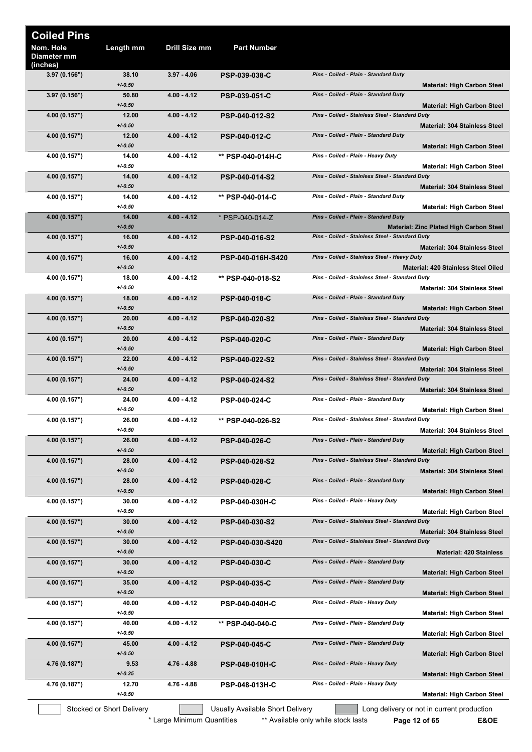| <b>Coiled Pins</b>                   |                           |               |                                  |                                                 |                                                |
|--------------------------------------|---------------------------|---------------|----------------------------------|-------------------------------------------------|------------------------------------------------|
| Nom. Hole<br>Diameter mm<br>(inches) | Length mm                 | Drill Size mm | <b>Part Number</b>               |                                                 |                                                |
| 3.97(0.156")                         | 38.10<br>$+/-0.50$        | $3.97 - 4.06$ | <b>PSP-039-038-C</b>             | Pins - Coiled - Plain - Standard Duty           | <b>Material: High Carbon Steel</b>             |
| 3.97(0.156")                         | 50.80<br>$+/0.50$         | $4.00 - 4.12$ | <b>PSP-039-051-C</b>             | Pins - Coiled - Plain - Standard Duty           | <b>Material: High Carbon Steel</b>             |
| 4.00 (0.157")                        | 12.00<br>$+/0.50$         | $4.00 - 4.12$ | <b>PSP-040-012-S2</b>            | Pins - Coiled - Stainless Steel - Standard Duty | <b>Material: 304 Stainless Steel</b>           |
| 4.00 (0.157")                        | 12.00<br>$+/0.50$         | $4.00 - 4.12$ | <b>PSP-040-012-C</b>             | Pins - Coiled - Plain - Standard Duty           | <b>Material: High Carbon Steel</b>             |
| 4.00 (0.157")                        | 14.00<br>$+/0.50$         | $4.00 - 4.12$ | ** PSP-040-014H-C                | Pins - Coiled - Plain - Heavy Duty              | <b>Material: High Carbon Steel</b>             |
| 4.00 (0.157")                        | 14.00<br>$+/0.50$         | $4.00 - 4.12$ | <b>PSP-040-014-S2</b>            | Pins - Coiled - Stainless Steel - Standard Duty | <b>Material: 304 Stainless Steel</b>           |
| 4.00 (0.157")                        | 14.00<br>$+/-0.50$        | $4.00 - 4.12$ | ** PSP-040-014-C                 | Pins - Coiled - Plain - Standard Duty           | <b>Material: High Carbon Steel</b>             |
| 4.00 (0.157")                        | 14.00<br>$+/-0.50$        | $4.00 - 4.12$ | * PSP-040-014-Z                  | Pins - Coiled - Plain - Standard Duty           | <b>Material: Zinc Plated High Carbon Steel</b> |
| 4.00 (0.157")                        | 16.00<br>$+/-0.50$        | $4.00 - 4.12$ | <b>PSP-040-016-S2</b>            | Pins - Coiled - Stainless Steel - Standard Duty | <b>Material: 304 Stainless Steel</b>           |
| 4.00 (0.157")                        | 16.00<br>$+/0.50$         | $4.00 - 4.12$ | PSP-040-016H-S420                | Pins - Coiled - Stainless Steel - Heavy Duty    | Material: 420 Stainless Steel Oiled            |
| 4.00 (0.157")                        | 18.00<br>$+/0.50$         | $4.00 - 4.12$ | ** PSP-040-018-S2                | Pins - Coiled - Stainless Steel - Standard Duty | <b>Material: 304 Stainless Steel</b>           |
| 4.00 (0.157")                        | 18.00<br>$+/0.50$         | $4.00 - 4.12$ | <b>PSP-040-018-C</b>             | Pins - Coiled - Plain - Standard Duty           | <b>Material: High Carbon Steel</b>             |
| 4.00 (0.157")                        | 20.00<br>$+/0.50$         | $4.00 - 4.12$ | <b>PSP-040-020-S2</b>            | Pins - Coiled - Stainless Steel - Standard Duty | <b>Material: 304 Stainless Steel</b>           |
| 4.00 (0.157")                        | 20.00<br>$+/-0.50$        | $4.00 - 4.12$ | <b>PSP-040-020-C</b>             | Pins - Coiled - Plain - Standard Duty           | <b>Material: High Carbon Steel</b>             |
| 4.00 (0.157")                        | 22.00<br>$+/0.50$         | $4.00 - 4.12$ | <b>PSP-040-022-S2</b>            | Pins - Coiled - Stainless Steel - Standard Duty | <b>Material: 304 Stainless Steel</b>           |
| 4.00 (0.157")                        | 24.00<br>$+/0.50$         | $4.00 - 4.12$ | PSP-040-024-S2                   | Pins - Coiled - Stainless Steel - Standard Duty | <b>Material: 304 Stainless Steel</b>           |
| 4.00 (0.157")                        | 24.00<br>$+/0.50$         | $4.00 - 4.12$ | <b>PSP-040-024-C</b>             | Pins - Coiled - Plain - Standard Duty           | <b>Material: High Carbon Steel</b>             |
| 4.00 (0.157")                        | 26.00<br>$+/0.50$         | $4.00 - 4.12$ | ** PSP-040-026-S2                | Pins - Coiled - Stainless Steel - Standard Duty | <b>Material: 304 Stainless Steel</b>           |
| 4.00 (0.157")                        | 26.00<br>$+/0.50$         | $4.00 - 4.12$ | <b>PSP-040-026-C</b>             | Pins - Coiled - Plain - Standard Duty           | <b>Material: High Carbon Steel</b>             |
| 4.00 (0.157")                        | 28.00<br>$+/0.50$         | $4.00 - 4.12$ | <b>PSP-040-028-S2</b>            | Pins - Coiled - Stainless Steel - Standard Duty | Material: 304 Stainless Steel                  |
| 4.00 (0.157")                        | 28.00<br>$+/0.50$         | $4.00 - 4.12$ | <b>PSP-040-028-C</b>             | Pins - Coiled - Plain - Standard Duty           | <b>Material: High Carbon Steel</b>             |
| 4.00 (0.157")                        | 30.00<br>$+/0.50$         | $4.00 - 4.12$ | <b>PSP-040-030H-C</b>            | Pins - Coiled - Plain - Heavy Duty              | <b>Material: High Carbon Steel</b>             |
| 4.00 (0.157")                        | 30.00<br>$+/0.50$         | $4.00 - 4.12$ | <b>PSP-040-030-S2</b>            | Pins - Coiled - Stainless Steel - Standard Duty | <b>Material: 304 Stainless Steel</b>           |
| 4.00 (0.157")                        | 30.00<br>$+/0.50$         | $4.00 - 4.12$ | PSP-040-030-S420                 | Pins - Coiled - Stainless Steel - Standard Duty | <b>Material: 420 Stainless</b>                 |
| 4.00 (0.157")                        | 30.00<br>$+/0.50$         | $4.00 - 4.12$ | <b>PSP-040-030-C</b>             | Pins - Coiled - Plain - Standard Duty           | <b>Material: High Carbon Steel</b>             |
| 4.00 (0.157")                        | 35.00<br>$+/0.50$         | $4.00 - 4.12$ | <b>PSP-040-035-C</b>             | Pins - Coiled - Plain - Standard Duty           | <b>Material: High Carbon Steel</b>             |
| 4.00 (0.157")                        | 40.00<br>$+/0.50$         | $4.00 - 4.12$ | <b>PSP-040-040H-C</b>            | Pins - Coiled - Plain - Heavy Duty              | <b>Material: High Carbon Steel</b>             |
| 4.00 (0.157")                        | 40.00<br>$+/0.50$         | $4.00 - 4.12$ | ** PSP-040-040-C                 | Pins - Coiled - Plain - Standard Duty           | <b>Material: High Carbon Steel</b>             |
| 4.00 (0.157")                        | 45.00<br>$+/0.50$         | $4.00 - 4.12$ | <b>PSP-040-045-C</b>             | Pins - Coiled - Plain - Standard Duty           | <b>Material: High Carbon Steel</b>             |
| 4.76 (0.187")                        | 9.53<br>$+/0.25$          | 4.76 - 4.88   | <b>PSP-048-010H-C</b>            | Pins - Coiled - Plain - Heavy Duty              | <b>Material: High Carbon Steel</b>             |
| 4.76 (0.187")                        | 12.70<br>$+/0.50$         | 4.76 - 4.88   | <b>PSP-048-013H-C</b>            | Pins - Coiled - Plain - Heavy Duty              | <b>Material: High Carbon Steel</b>             |
|                                      | Stocked or Short Delivery |               | Usually Available Short Delivery |                                                 | Long delivery or not in current production     |

\* Large Minimum Quantities \*\*\* Available only while stock lasts **Page 12 of 65 E&OE** 

 $\frac{1}{2}$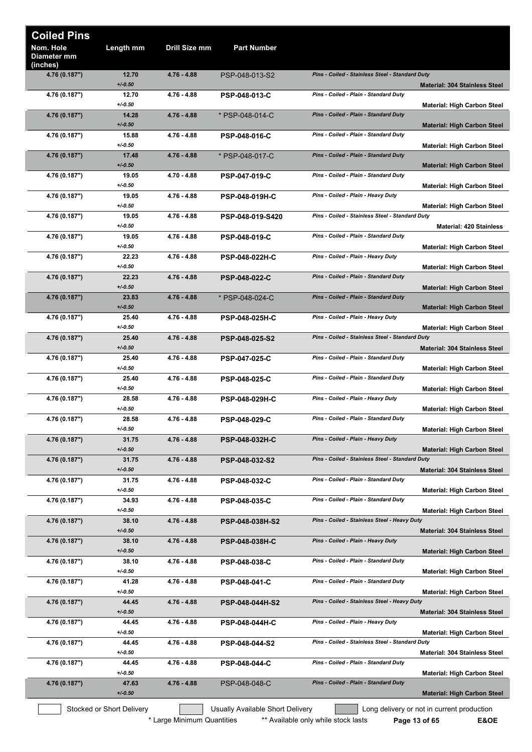| Nom. Hole<br>Drill Size mm<br>Length mm<br><b>Part Number</b><br>Diameter mm<br>(inches)<br>4.76 (0.187")<br>12.70<br>$4.76 - 4.88$<br>Pins - Coiled - Stainless Steel - Standard Duty<br>PSP-048-013-S2<br>$+/0.50$<br><b>Material: 304 Stainless Steel</b><br>12.70<br>4.76 - 4.88<br>Pins - Coiled - Plain - Standard Duty<br>4.76 (0.187")<br><b>PSP-048-013-C</b><br>$+/0.50$<br><b>Material: High Carbon Steel</b><br>Pins - Coiled - Plain - Standard Duty<br>14.28<br>$4.76 - 4.88$<br>* PSP-048-014-C<br>4.76 (0.187")<br>$+/0.50$<br><b>Material: High Carbon Steel</b><br>Pins - Coiled - Plain - Standard Duty<br>4.76 (0.187")<br>15.88<br>$4.76 - 4.88$<br><b>PSP-048-016-C</b><br>$+/0.50$<br><b>Material: High Carbon Steel</b><br>Pins - Coiled - Plain - Standard Duty<br>$4.76 - 4.88$<br>4.76 (0.187")<br>17.48<br>* PSP-048-017-C<br>$+/-0.50$<br><b>Material: High Carbon Steel</b><br>19.05<br>Pins - Coiled - Plain - Standard Duty<br>4.70 - 4.88<br>4.76 (0.187")<br><b>PSP-047-019-C</b><br>$+/-0.50$<br><b>Material: High Carbon Steel</b><br>Pins - Coiled - Plain - Heavy Duty<br>19.05<br>4.76 - 4.88<br>4.76 (0.187")<br><b>PSP-048-019H-C</b><br>$+/-0.50$<br><b>Material: High Carbon Steel</b><br>Pins - Coiled - Stainless Steel - Standard Duty<br>4.76 (0.187")<br>19.05<br>4.76 - 4.88<br>PSP-048-019-S420<br>$+/0.50$<br><b>Material: 420 Stainless</b><br>4.76 - 4.88<br>Pins - Coiled - Plain - Standard Duty<br>4.76 (0.187")<br>19.05<br><b>PSP-048-019-C</b><br>$+/0.50$<br><b>Material: High Carbon Steel</b><br>22.23<br>4.76 - 4.88<br>Pins - Coiled - Plain - Heavy Duty<br>4.76 (0.187")<br><b>PSP-048-022H-C</b><br>$+/0.50$<br><b>Material: High Carbon Steel</b><br>Pins - Coiled - Plain - Standard Duty<br>22.23<br>$4.76 - 4.88$<br>4.76 (0.187")<br><b>PSP-048-022-C</b><br>$+/0.50$<br><b>Material: High Carbon Steel</b><br>23.83<br>Pins - Coiled - Plain - Standard Duty<br>4.76 (0.187")<br>4.76 - 4.88<br>* PSP-048-024-C<br>$+/0.50$<br><b>Material: High Carbon Steel</b><br>Pins - Coiled - Plain - Heavy Duty<br>25.40<br>4.76 - 4.88<br>4.76 (0.187")<br><b>PSP-048-025H-C</b><br>$+/0.50$<br><b>Material: High Carbon Steel</b><br>25.40<br>$4.76 - 4.88$<br>Pins - Coiled - Stainless Steel - Standard Duty<br>4.76 (0.187")<br>PSP-048-025-S2<br>$+/0.50$<br><b>Material: 304 Stainless Steel</b><br>Pins - Coiled - Plain - Standard Duty<br>4.76 - 4.88<br>4.76 (0.187")<br>25.40<br><b>PSP-047-025-C</b><br>$+/0.50$<br><b>Material: High Carbon Steel</b><br>4.76 - 4.88<br>Pins - Coiled - Plain - Standard Duty<br>4.76 (0.187")<br>25.40<br><b>PSP-048-025-C</b><br>$+/0.50$<br><b>Material: High Carbon Steel</b><br>Pins - Coiled - Plain - Heavy Duty<br>4.76 - 4.88<br>PSP-048-029H-C<br>4.76 (0.187")<br>28.58<br>$+/0.50$<br><b>Material: High Carbon Steel</b><br>28.58<br>$4.76 - 4.88$<br>Pins - Coiled - Plain - Standard Duty<br>4.76 (0.187")<br><b>PSP-048-029-C</b><br>$+/0.50$<br><b>Material: High Carbon Steel</b><br>4.76 (0.187")<br>31.75<br>Pins - Coiled - Plain - Heavy Duty<br>4.76 - 4.88<br><b>PSP-048-032H-C</b><br>$+/0.50$<br><b>Material: High Carbon Steel</b><br>Pins - Coiled - Stainless Steel - Standard Duty<br>31.75<br>$4.76 - 4.88$<br>4.76 (0.187")<br>PSP-048-032-S2<br>$+/0.50$<br><b>Material: 304 Stainless Steel</b><br>Pins - Coiled - Plain - Standard Duty<br>31.75<br>4.76 (0.187")<br>4.76 - 4.88<br><b>PSP-048-032-C</b><br>$+/0.50$<br><b>Material: High Carbon Steel</b><br>34.93<br>Pins - Coiled - Plain - Standard Duty<br>4.76 (0.187")<br>4.76 - 4.88<br>PSP-048-035-C<br>$+/0.50$<br><b>Material: High Carbon Steel</b><br>38.10<br>4.76 - 4.88<br>Pins - Coiled - Stainless Steel - Heavy Duty<br>4.76 (0.187")<br>PSP-048-038H-S2<br>$+/0.50$<br><b>Material: 304 Stainless Steel</b><br>38.10<br>Pins - Coiled - Plain - Heavy Duty<br>4.76 (0.187")<br>4.76 - 4.88<br><b>PSP-048-038H-C</b><br>$+/0.50$<br><b>Material: High Carbon Steel</b><br>38.10<br>Pins - Coiled - Plain - Standard Duty<br>4.76 (0.187")<br>4.76 - 4.88<br>PSP-048-038-C<br>$+/0.50$<br><b>Material: High Carbon Steel</b><br>41.28<br>4.76 - 4.88<br>Pins - Coiled - Plain - Standard Duty<br>4.76 (0.187")<br>PSP-048-041-C<br>$+/0.50$<br><b>Material: High Carbon Steel</b><br>Pins - Coiled - Stainless Steel - Heavy Duty<br>4.76 - 4.88<br>4.76 (0.187")<br>44.45<br><b>PSP-048-044H-S2</b><br>$+/0.50$<br><b>Material: 304 Stainless Steel</b><br>Pins - Coiled - Plain - Heavy Duty<br>4.76 (0.187")<br>44.45<br>4.76 - 4.88<br><b>PSP-048-044H-C</b><br>$+/0.50$<br><b>Material: High Carbon Steel</b><br>44.45<br>4.76 - 4.88<br>Pins - Coiled - Stainless Steel - Standard Duty<br>4.76 (0.187")<br>PSP-048-044-S2<br>$+/0.50$<br><b>Material: 304 Stainless Steel</b><br>Pins - Coiled - Plain - Standard Duty<br>4.76 - 4.88<br>4.76 (0.187")<br>44.45<br><b>PSP-048-044-C</b><br>$+/0.50$<br><b>Material: High Carbon Steel</b><br>Pins - Coiled - Plain - Standard Duty<br>4.76 (0.187")<br>47.63<br>4.76 - 4.88<br>PSP-048-048-C<br>$+/-0.50$<br><b>Material: High Carbon Steel</b><br>Stocked or Short Delivery<br>Usually Available Short Delivery<br>Long delivery or not in current production<br>* Large Minimum Quantities<br>** Available only while stock lasts<br>E&OE<br>Page 13 of 65 | <b>Coiled Pins</b> |  |  |
|----------------------------------------------------------------------------------------------------------------------------------------------------------------------------------------------------------------------------------------------------------------------------------------------------------------------------------------------------------------------------------------------------------------------------------------------------------------------------------------------------------------------------------------------------------------------------------------------------------------------------------------------------------------------------------------------------------------------------------------------------------------------------------------------------------------------------------------------------------------------------------------------------------------------------------------------------------------------------------------------------------------------------------------------------------------------------------------------------------------------------------------------------------------------------------------------------------------------------------------------------------------------------------------------------------------------------------------------------------------------------------------------------------------------------------------------------------------------------------------------------------------------------------------------------------------------------------------------------------------------------------------------------------------------------------------------------------------------------------------------------------------------------------------------------------------------------------------------------------------------------------------------------------------------------------------------------------------------------------------------------------------------------------------------------------------------------------------------------------------------------------------------------------------------------------------------------------------------------------------------------------------------------------------------------------------------------------------------------------------------------------------------------------------------------------------------------------------------------------------------------------------------------------------------------------------------------------------------------------------------------------------------------------------------------------------------------------------------------------------------------------------------------------------------------------------------------------------------------------------------------------------------------------------------------------------------------------------------------------------------------------------------------------------------------------------------------------------------------------------------------------------------------------------------------------------------------------------------------------------------------------------------------------------------------------------------------------------------------------------------------------------------------------------------------------------------------------------------------------------------------------------------------------------------------------------------------------------------------------------------------------------------------------------------------------------------------------------------------------------------------------------------------------------------------------------------------------------------------------------------------------------------------------------------------------------------------------------------------------------------------------------------------------------------------------------------------------------------------------------------------------------------------------------------------------------------------------------------------------------------------------------------------------------------------------------------------------------------------------------------------------------------------------------------------------------------------------------------------------------------------------------------------------------------------------------------------------------------------------------------------------------------------------------------------------------------------------------------------------------------------------------------------------------------------------------------------------------------------------------------------------------------------------------------------------------------------------------------------------------------------------------------------------------------------------------------------------------------------------------------------------------------------------------------------------------------------------------------------------------------------------------------------------------------------------------------------------------|--------------------|--|--|
|                                                                                                                                                                                                                                                                                                                                                                                                                                                                                                                                                                                                                                                                                                                                                                                                                                                                                                                                                                                                                                                                                                                                                                                                                                                                                                                                                                                                                                                                                                                                                                                                                                                                                                                                                                                                                                                                                                                                                                                                                                                                                                                                                                                                                                                                                                                                                                                                                                                                                                                                                                                                                                                                                                                                                                                                                                                                                                                                                                                                                                                                                                                                                                                                                                                                                                                                                                                                                                                                                                                                                                                                                                                                                                                                                                                                                                                                                                                                                                                                                                                                                                                                                                                                                                                                                                                                                                                                                                                                                                                                                                                                                                                                                                                                                                                                                                                                                                                                                                                                                                                                                                                                                                                                                                                                                                                                        |                    |  |  |
|                                                                                                                                                                                                                                                                                                                                                                                                                                                                                                                                                                                                                                                                                                                                                                                                                                                                                                                                                                                                                                                                                                                                                                                                                                                                                                                                                                                                                                                                                                                                                                                                                                                                                                                                                                                                                                                                                                                                                                                                                                                                                                                                                                                                                                                                                                                                                                                                                                                                                                                                                                                                                                                                                                                                                                                                                                                                                                                                                                                                                                                                                                                                                                                                                                                                                                                                                                                                                                                                                                                                                                                                                                                                                                                                                                                                                                                                                                                                                                                                                                                                                                                                                                                                                                                                                                                                                                                                                                                                                                                                                                                                                                                                                                                                                                                                                                                                                                                                                                                                                                                                                                                                                                                                                                                                                                                                        |                    |  |  |
|                                                                                                                                                                                                                                                                                                                                                                                                                                                                                                                                                                                                                                                                                                                                                                                                                                                                                                                                                                                                                                                                                                                                                                                                                                                                                                                                                                                                                                                                                                                                                                                                                                                                                                                                                                                                                                                                                                                                                                                                                                                                                                                                                                                                                                                                                                                                                                                                                                                                                                                                                                                                                                                                                                                                                                                                                                                                                                                                                                                                                                                                                                                                                                                                                                                                                                                                                                                                                                                                                                                                                                                                                                                                                                                                                                                                                                                                                                                                                                                                                                                                                                                                                                                                                                                                                                                                                                                                                                                                                                                                                                                                                                                                                                                                                                                                                                                                                                                                                                                                                                                                                                                                                                                                                                                                                                                                        |                    |  |  |
|                                                                                                                                                                                                                                                                                                                                                                                                                                                                                                                                                                                                                                                                                                                                                                                                                                                                                                                                                                                                                                                                                                                                                                                                                                                                                                                                                                                                                                                                                                                                                                                                                                                                                                                                                                                                                                                                                                                                                                                                                                                                                                                                                                                                                                                                                                                                                                                                                                                                                                                                                                                                                                                                                                                                                                                                                                                                                                                                                                                                                                                                                                                                                                                                                                                                                                                                                                                                                                                                                                                                                                                                                                                                                                                                                                                                                                                                                                                                                                                                                                                                                                                                                                                                                                                                                                                                                                                                                                                                                                                                                                                                                                                                                                                                                                                                                                                                                                                                                                                                                                                                                                                                                                                                                                                                                                                                        |                    |  |  |
|                                                                                                                                                                                                                                                                                                                                                                                                                                                                                                                                                                                                                                                                                                                                                                                                                                                                                                                                                                                                                                                                                                                                                                                                                                                                                                                                                                                                                                                                                                                                                                                                                                                                                                                                                                                                                                                                                                                                                                                                                                                                                                                                                                                                                                                                                                                                                                                                                                                                                                                                                                                                                                                                                                                                                                                                                                                                                                                                                                                                                                                                                                                                                                                                                                                                                                                                                                                                                                                                                                                                                                                                                                                                                                                                                                                                                                                                                                                                                                                                                                                                                                                                                                                                                                                                                                                                                                                                                                                                                                                                                                                                                                                                                                                                                                                                                                                                                                                                                                                                                                                                                                                                                                                                                                                                                                                                        |                    |  |  |
|                                                                                                                                                                                                                                                                                                                                                                                                                                                                                                                                                                                                                                                                                                                                                                                                                                                                                                                                                                                                                                                                                                                                                                                                                                                                                                                                                                                                                                                                                                                                                                                                                                                                                                                                                                                                                                                                                                                                                                                                                                                                                                                                                                                                                                                                                                                                                                                                                                                                                                                                                                                                                                                                                                                                                                                                                                                                                                                                                                                                                                                                                                                                                                                                                                                                                                                                                                                                                                                                                                                                                                                                                                                                                                                                                                                                                                                                                                                                                                                                                                                                                                                                                                                                                                                                                                                                                                                                                                                                                                                                                                                                                                                                                                                                                                                                                                                                                                                                                                                                                                                                                                                                                                                                                                                                                                                                        |                    |  |  |
|                                                                                                                                                                                                                                                                                                                                                                                                                                                                                                                                                                                                                                                                                                                                                                                                                                                                                                                                                                                                                                                                                                                                                                                                                                                                                                                                                                                                                                                                                                                                                                                                                                                                                                                                                                                                                                                                                                                                                                                                                                                                                                                                                                                                                                                                                                                                                                                                                                                                                                                                                                                                                                                                                                                                                                                                                                                                                                                                                                                                                                                                                                                                                                                                                                                                                                                                                                                                                                                                                                                                                                                                                                                                                                                                                                                                                                                                                                                                                                                                                                                                                                                                                                                                                                                                                                                                                                                                                                                                                                                                                                                                                                                                                                                                                                                                                                                                                                                                                                                                                                                                                                                                                                                                                                                                                                                                        |                    |  |  |
|                                                                                                                                                                                                                                                                                                                                                                                                                                                                                                                                                                                                                                                                                                                                                                                                                                                                                                                                                                                                                                                                                                                                                                                                                                                                                                                                                                                                                                                                                                                                                                                                                                                                                                                                                                                                                                                                                                                                                                                                                                                                                                                                                                                                                                                                                                                                                                                                                                                                                                                                                                                                                                                                                                                                                                                                                                                                                                                                                                                                                                                                                                                                                                                                                                                                                                                                                                                                                                                                                                                                                                                                                                                                                                                                                                                                                                                                                                                                                                                                                                                                                                                                                                                                                                                                                                                                                                                                                                                                                                                                                                                                                                                                                                                                                                                                                                                                                                                                                                                                                                                                                                                                                                                                                                                                                                                                        |                    |  |  |
|                                                                                                                                                                                                                                                                                                                                                                                                                                                                                                                                                                                                                                                                                                                                                                                                                                                                                                                                                                                                                                                                                                                                                                                                                                                                                                                                                                                                                                                                                                                                                                                                                                                                                                                                                                                                                                                                                                                                                                                                                                                                                                                                                                                                                                                                                                                                                                                                                                                                                                                                                                                                                                                                                                                                                                                                                                                                                                                                                                                                                                                                                                                                                                                                                                                                                                                                                                                                                                                                                                                                                                                                                                                                                                                                                                                                                                                                                                                                                                                                                                                                                                                                                                                                                                                                                                                                                                                                                                                                                                                                                                                                                                                                                                                                                                                                                                                                                                                                                                                                                                                                                                                                                                                                                                                                                                                                        |                    |  |  |
|                                                                                                                                                                                                                                                                                                                                                                                                                                                                                                                                                                                                                                                                                                                                                                                                                                                                                                                                                                                                                                                                                                                                                                                                                                                                                                                                                                                                                                                                                                                                                                                                                                                                                                                                                                                                                                                                                                                                                                                                                                                                                                                                                                                                                                                                                                                                                                                                                                                                                                                                                                                                                                                                                                                                                                                                                                                                                                                                                                                                                                                                                                                                                                                                                                                                                                                                                                                                                                                                                                                                                                                                                                                                                                                                                                                                                                                                                                                                                                                                                                                                                                                                                                                                                                                                                                                                                                                                                                                                                                                                                                                                                                                                                                                                                                                                                                                                                                                                                                                                                                                                                                                                                                                                                                                                                                                                        |                    |  |  |
|                                                                                                                                                                                                                                                                                                                                                                                                                                                                                                                                                                                                                                                                                                                                                                                                                                                                                                                                                                                                                                                                                                                                                                                                                                                                                                                                                                                                                                                                                                                                                                                                                                                                                                                                                                                                                                                                                                                                                                                                                                                                                                                                                                                                                                                                                                                                                                                                                                                                                                                                                                                                                                                                                                                                                                                                                                                                                                                                                                                                                                                                                                                                                                                                                                                                                                                                                                                                                                                                                                                                                                                                                                                                                                                                                                                                                                                                                                                                                                                                                                                                                                                                                                                                                                                                                                                                                                                                                                                                                                                                                                                                                                                                                                                                                                                                                                                                                                                                                                                                                                                                                                                                                                                                                                                                                                                                        |                    |  |  |
|                                                                                                                                                                                                                                                                                                                                                                                                                                                                                                                                                                                                                                                                                                                                                                                                                                                                                                                                                                                                                                                                                                                                                                                                                                                                                                                                                                                                                                                                                                                                                                                                                                                                                                                                                                                                                                                                                                                                                                                                                                                                                                                                                                                                                                                                                                                                                                                                                                                                                                                                                                                                                                                                                                                                                                                                                                                                                                                                                                                                                                                                                                                                                                                                                                                                                                                                                                                                                                                                                                                                                                                                                                                                                                                                                                                                                                                                                                                                                                                                                                                                                                                                                                                                                                                                                                                                                                                                                                                                                                                                                                                                                                                                                                                                                                                                                                                                                                                                                                                                                                                                                                                                                                                                                                                                                                                                        |                    |  |  |
|                                                                                                                                                                                                                                                                                                                                                                                                                                                                                                                                                                                                                                                                                                                                                                                                                                                                                                                                                                                                                                                                                                                                                                                                                                                                                                                                                                                                                                                                                                                                                                                                                                                                                                                                                                                                                                                                                                                                                                                                                                                                                                                                                                                                                                                                                                                                                                                                                                                                                                                                                                                                                                                                                                                                                                                                                                                                                                                                                                                                                                                                                                                                                                                                                                                                                                                                                                                                                                                                                                                                                                                                                                                                                                                                                                                                                                                                                                                                                                                                                                                                                                                                                                                                                                                                                                                                                                                                                                                                                                                                                                                                                                                                                                                                                                                                                                                                                                                                                                                                                                                                                                                                                                                                                                                                                                                                        |                    |  |  |
|                                                                                                                                                                                                                                                                                                                                                                                                                                                                                                                                                                                                                                                                                                                                                                                                                                                                                                                                                                                                                                                                                                                                                                                                                                                                                                                                                                                                                                                                                                                                                                                                                                                                                                                                                                                                                                                                                                                                                                                                                                                                                                                                                                                                                                                                                                                                                                                                                                                                                                                                                                                                                                                                                                                                                                                                                                                                                                                                                                                                                                                                                                                                                                                                                                                                                                                                                                                                                                                                                                                                                                                                                                                                                                                                                                                                                                                                                                                                                                                                                                                                                                                                                                                                                                                                                                                                                                                                                                                                                                                                                                                                                                                                                                                                                                                                                                                                                                                                                                                                                                                                                                                                                                                                                                                                                                                                        |                    |  |  |
|                                                                                                                                                                                                                                                                                                                                                                                                                                                                                                                                                                                                                                                                                                                                                                                                                                                                                                                                                                                                                                                                                                                                                                                                                                                                                                                                                                                                                                                                                                                                                                                                                                                                                                                                                                                                                                                                                                                                                                                                                                                                                                                                                                                                                                                                                                                                                                                                                                                                                                                                                                                                                                                                                                                                                                                                                                                                                                                                                                                                                                                                                                                                                                                                                                                                                                                                                                                                                                                                                                                                                                                                                                                                                                                                                                                                                                                                                                                                                                                                                                                                                                                                                                                                                                                                                                                                                                                                                                                                                                                                                                                                                                                                                                                                                                                                                                                                                                                                                                                                                                                                                                                                                                                                                                                                                                                                        |                    |  |  |
|                                                                                                                                                                                                                                                                                                                                                                                                                                                                                                                                                                                                                                                                                                                                                                                                                                                                                                                                                                                                                                                                                                                                                                                                                                                                                                                                                                                                                                                                                                                                                                                                                                                                                                                                                                                                                                                                                                                                                                                                                                                                                                                                                                                                                                                                                                                                                                                                                                                                                                                                                                                                                                                                                                                                                                                                                                                                                                                                                                                                                                                                                                                                                                                                                                                                                                                                                                                                                                                                                                                                                                                                                                                                                                                                                                                                                                                                                                                                                                                                                                                                                                                                                                                                                                                                                                                                                                                                                                                                                                                                                                                                                                                                                                                                                                                                                                                                                                                                                                                                                                                                                                                                                                                                                                                                                                                                        |                    |  |  |
|                                                                                                                                                                                                                                                                                                                                                                                                                                                                                                                                                                                                                                                                                                                                                                                                                                                                                                                                                                                                                                                                                                                                                                                                                                                                                                                                                                                                                                                                                                                                                                                                                                                                                                                                                                                                                                                                                                                                                                                                                                                                                                                                                                                                                                                                                                                                                                                                                                                                                                                                                                                                                                                                                                                                                                                                                                                                                                                                                                                                                                                                                                                                                                                                                                                                                                                                                                                                                                                                                                                                                                                                                                                                                                                                                                                                                                                                                                                                                                                                                                                                                                                                                                                                                                                                                                                                                                                                                                                                                                                                                                                                                                                                                                                                                                                                                                                                                                                                                                                                                                                                                                                                                                                                                                                                                                                                        |                    |  |  |
|                                                                                                                                                                                                                                                                                                                                                                                                                                                                                                                                                                                                                                                                                                                                                                                                                                                                                                                                                                                                                                                                                                                                                                                                                                                                                                                                                                                                                                                                                                                                                                                                                                                                                                                                                                                                                                                                                                                                                                                                                                                                                                                                                                                                                                                                                                                                                                                                                                                                                                                                                                                                                                                                                                                                                                                                                                                                                                                                                                                                                                                                                                                                                                                                                                                                                                                                                                                                                                                                                                                                                                                                                                                                                                                                                                                                                                                                                                                                                                                                                                                                                                                                                                                                                                                                                                                                                                                                                                                                                                                                                                                                                                                                                                                                                                                                                                                                                                                                                                                                                                                                                                                                                                                                                                                                                                                                        |                    |  |  |
|                                                                                                                                                                                                                                                                                                                                                                                                                                                                                                                                                                                                                                                                                                                                                                                                                                                                                                                                                                                                                                                                                                                                                                                                                                                                                                                                                                                                                                                                                                                                                                                                                                                                                                                                                                                                                                                                                                                                                                                                                                                                                                                                                                                                                                                                                                                                                                                                                                                                                                                                                                                                                                                                                                                                                                                                                                                                                                                                                                                                                                                                                                                                                                                                                                                                                                                                                                                                                                                                                                                                                                                                                                                                                                                                                                                                                                                                                                                                                                                                                                                                                                                                                                                                                                                                                                                                                                                                                                                                                                                                                                                                                                                                                                                                                                                                                                                                                                                                                                                                                                                                                                                                                                                                                                                                                                                                        |                    |  |  |
|                                                                                                                                                                                                                                                                                                                                                                                                                                                                                                                                                                                                                                                                                                                                                                                                                                                                                                                                                                                                                                                                                                                                                                                                                                                                                                                                                                                                                                                                                                                                                                                                                                                                                                                                                                                                                                                                                                                                                                                                                                                                                                                                                                                                                                                                                                                                                                                                                                                                                                                                                                                                                                                                                                                                                                                                                                                                                                                                                                                                                                                                                                                                                                                                                                                                                                                                                                                                                                                                                                                                                                                                                                                                                                                                                                                                                                                                                                                                                                                                                                                                                                                                                                                                                                                                                                                                                                                                                                                                                                                                                                                                                                                                                                                                                                                                                                                                                                                                                                                                                                                                                                                                                                                                                                                                                                                                        |                    |  |  |
|                                                                                                                                                                                                                                                                                                                                                                                                                                                                                                                                                                                                                                                                                                                                                                                                                                                                                                                                                                                                                                                                                                                                                                                                                                                                                                                                                                                                                                                                                                                                                                                                                                                                                                                                                                                                                                                                                                                                                                                                                                                                                                                                                                                                                                                                                                                                                                                                                                                                                                                                                                                                                                                                                                                                                                                                                                                                                                                                                                                                                                                                                                                                                                                                                                                                                                                                                                                                                                                                                                                                                                                                                                                                                                                                                                                                                                                                                                                                                                                                                                                                                                                                                                                                                                                                                                                                                                                                                                                                                                                                                                                                                                                                                                                                                                                                                                                                                                                                                                                                                                                                                                                                                                                                                                                                                                                                        |                    |  |  |
|                                                                                                                                                                                                                                                                                                                                                                                                                                                                                                                                                                                                                                                                                                                                                                                                                                                                                                                                                                                                                                                                                                                                                                                                                                                                                                                                                                                                                                                                                                                                                                                                                                                                                                                                                                                                                                                                                                                                                                                                                                                                                                                                                                                                                                                                                                                                                                                                                                                                                                                                                                                                                                                                                                                                                                                                                                                                                                                                                                                                                                                                                                                                                                                                                                                                                                                                                                                                                                                                                                                                                                                                                                                                                                                                                                                                                                                                                                                                                                                                                                                                                                                                                                                                                                                                                                                                                                                                                                                                                                                                                                                                                                                                                                                                                                                                                                                                                                                                                                                                                                                                                                                                                                                                                                                                                                                                        |                    |  |  |
|                                                                                                                                                                                                                                                                                                                                                                                                                                                                                                                                                                                                                                                                                                                                                                                                                                                                                                                                                                                                                                                                                                                                                                                                                                                                                                                                                                                                                                                                                                                                                                                                                                                                                                                                                                                                                                                                                                                                                                                                                                                                                                                                                                                                                                                                                                                                                                                                                                                                                                                                                                                                                                                                                                                                                                                                                                                                                                                                                                                                                                                                                                                                                                                                                                                                                                                                                                                                                                                                                                                                                                                                                                                                                                                                                                                                                                                                                                                                                                                                                                                                                                                                                                                                                                                                                                                                                                                                                                                                                                                                                                                                                                                                                                                                                                                                                                                                                                                                                                                                                                                                                                                                                                                                                                                                                                                                        |                    |  |  |
|                                                                                                                                                                                                                                                                                                                                                                                                                                                                                                                                                                                                                                                                                                                                                                                                                                                                                                                                                                                                                                                                                                                                                                                                                                                                                                                                                                                                                                                                                                                                                                                                                                                                                                                                                                                                                                                                                                                                                                                                                                                                                                                                                                                                                                                                                                                                                                                                                                                                                                                                                                                                                                                                                                                                                                                                                                                                                                                                                                                                                                                                                                                                                                                                                                                                                                                                                                                                                                                                                                                                                                                                                                                                                                                                                                                                                                                                                                                                                                                                                                                                                                                                                                                                                                                                                                                                                                                                                                                                                                                                                                                                                                                                                                                                                                                                                                                                                                                                                                                                                                                                                                                                                                                                                                                                                                                                        |                    |  |  |
|                                                                                                                                                                                                                                                                                                                                                                                                                                                                                                                                                                                                                                                                                                                                                                                                                                                                                                                                                                                                                                                                                                                                                                                                                                                                                                                                                                                                                                                                                                                                                                                                                                                                                                                                                                                                                                                                                                                                                                                                                                                                                                                                                                                                                                                                                                                                                                                                                                                                                                                                                                                                                                                                                                                                                                                                                                                                                                                                                                                                                                                                                                                                                                                                                                                                                                                                                                                                                                                                                                                                                                                                                                                                                                                                                                                                                                                                                                                                                                                                                                                                                                                                                                                                                                                                                                                                                                                                                                                                                                                                                                                                                                                                                                                                                                                                                                                                                                                                                                                                                                                                                                                                                                                                                                                                                                                                        |                    |  |  |
|                                                                                                                                                                                                                                                                                                                                                                                                                                                                                                                                                                                                                                                                                                                                                                                                                                                                                                                                                                                                                                                                                                                                                                                                                                                                                                                                                                                                                                                                                                                                                                                                                                                                                                                                                                                                                                                                                                                                                                                                                                                                                                                                                                                                                                                                                                                                                                                                                                                                                                                                                                                                                                                                                                                                                                                                                                                                                                                                                                                                                                                                                                                                                                                                                                                                                                                                                                                                                                                                                                                                                                                                                                                                                                                                                                                                                                                                                                                                                                                                                                                                                                                                                                                                                                                                                                                                                                                                                                                                                                                                                                                                                                                                                                                                                                                                                                                                                                                                                                                                                                                                                                                                                                                                                                                                                                                                        |                    |  |  |
|                                                                                                                                                                                                                                                                                                                                                                                                                                                                                                                                                                                                                                                                                                                                                                                                                                                                                                                                                                                                                                                                                                                                                                                                                                                                                                                                                                                                                                                                                                                                                                                                                                                                                                                                                                                                                                                                                                                                                                                                                                                                                                                                                                                                                                                                                                                                                                                                                                                                                                                                                                                                                                                                                                                                                                                                                                                                                                                                                                                                                                                                                                                                                                                                                                                                                                                                                                                                                                                                                                                                                                                                                                                                                                                                                                                                                                                                                                                                                                                                                                                                                                                                                                                                                                                                                                                                                                                                                                                                                                                                                                                                                                                                                                                                                                                                                                                                                                                                                                                                                                                                                                                                                                                                                                                                                                                                        |                    |  |  |
|                                                                                                                                                                                                                                                                                                                                                                                                                                                                                                                                                                                                                                                                                                                                                                                                                                                                                                                                                                                                                                                                                                                                                                                                                                                                                                                                                                                                                                                                                                                                                                                                                                                                                                                                                                                                                                                                                                                                                                                                                                                                                                                                                                                                                                                                                                                                                                                                                                                                                                                                                                                                                                                                                                                                                                                                                                                                                                                                                                                                                                                                                                                                                                                                                                                                                                                                                                                                                                                                                                                                                                                                                                                                                                                                                                                                                                                                                                                                                                                                                                                                                                                                                                                                                                                                                                                                                                                                                                                                                                                                                                                                                                                                                                                                                                                                                                                                                                                                                                                                                                                                                                                                                                                                                                                                                                                                        |                    |  |  |
|                                                                                                                                                                                                                                                                                                                                                                                                                                                                                                                                                                                                                                                                                                                                                                                                                                                                                                                                                                                                                                                                                                                                                                                                                                                                                                                                                                                                                                                                                                                                                                                                                                                                                                                                                                                                                                                                                                                                                                                                                                                                                                                                                                                                                                                                                                                                                                                                                                                                                                                                                                                                                                                                                                                                                                                                                                                                                                                                                                                                                                                                                                                                                                                                                                                                                                                                                                                                                                                                                                                                                                                                                                                                                                                                                                                                                                                                                                                                                                                                                                                                                                                                                                                                                                                                                                                                                                                                                                                                                                                                                                                                                                                                                                                                                                                                                                                                                                                                                                                                                                                                                                                                                                                                                                                                                                                                        |                    |  |  |
|                                                                                                                                                                                                                                                                                                                                                                                                                                                                                                                                                                                                                                                                                                                                                                                                                                                                                                                                                                                                                                                                                                                                                                                                                                                                                                                                                                                                                                                                                                                                                                                                                                                                                                                                                                                                                                                                                                                                                                                                                                                                                                                                                                                                                                                                                                                                                                                                                                                                                                                                                                                                                                                                                                                                                                                                                                                                                                                                                                                                                                                                                                                                                                                                                                                                                                                                                                                                                                                                                                                                                                                                                                                                                                                                                                                                                                                                                                                                                                                                                                                                                                                                                                                                                                                                                                                                                                                                                                                                                                                                                                                                                                                                                                                                                                                                                                                                                                                                                                                                                                                                                                                                                                                                                                                                                                                                        |                    |  |  |
|                                                                                                                                                                                                                                                                                                                                                                                                                                                                                                                                                                                                                                                                                                                                                                                                                                                                                                                                                                                                                                                                                                                                                                                                                                                                                                                                                                                                                                                                                                                                                                                                                                                                                                                                                                                                                                                                                                                                                                                                                                                                                                                                                                                                                                                                                                                                                                                                                                                                                                                                                                                                                                                                                                                                                                                                                                                                                                                                                                                                                                                                                                                                                                                                                                                                                                                                                                                                                                                                                                                                                                                                                                                                                                                                                                                                                                                                                                                                                                                                                                                                                                                                                                                                                                                                                                                                                                                                                                                                                                                                                                                                                                                                                                                                                                                                                                                                                                                                                                                                                                                                                                                                                                                                                                                                                                                                        |                    |  |  |
|                                                                                                                                                                                                                                                                                                                                                                                                                                                                                                                                                                                                                                                                                                                                                                                                                                                                                                                                                                                                                                                                                                                                                                                                                                                                                                                                                                                                                                                                                                                                                                                                                                                                                                                                                                                                                                                                                                                                                                                                                                                                                                                                                                                                                                                                                                                                                                                                                                                                                                                                                                                                                                                                                                                                                                                                                                                                                                                                                                                                                                                                                                                                                                                                                                                                                                                                                                                                                                                                                                                                                                                                                                                                                                                                                                                                                                                                                                                                                                                                                                                                                                                                                                                                                                                                                                                                                                                                                                                                                                                                                                                                                                                                                                                                                                                                                                                                                                                                                                                                                                                                                                                                                                                                                                                                                                                                        |                    |  |  |
|                                                                                                                                                                                                                                                                                                                                                                                                                                                                                                                                                                                                                                                                                                                                                                                                                                                                                                                                                                                                                                                                                                                                                                                                                                                                                                                                                                                                                                                                                                                                                                                                                                                                                                                                                                                                                                                                                                                                                                                                                                                                                                                                                                                                                                                                                                                                                                                                                                                                                                                                                                                                                                                                                                                                                                                                                                                                                                                                                                                                                                                                                                                                                                                                                                                                                                                                                                                                                                                                                                                                                                                                                                                                                                                                                                                                                                                                                                                                                                                                                                                                                                                                                                                                                                                                                                                                                                                                                                                                                                                                                                                                                                                                                                                                                                                                                                                                                                                                                                                                                                                                                                                                                                                                                                                                                                                                        |                    |  |  |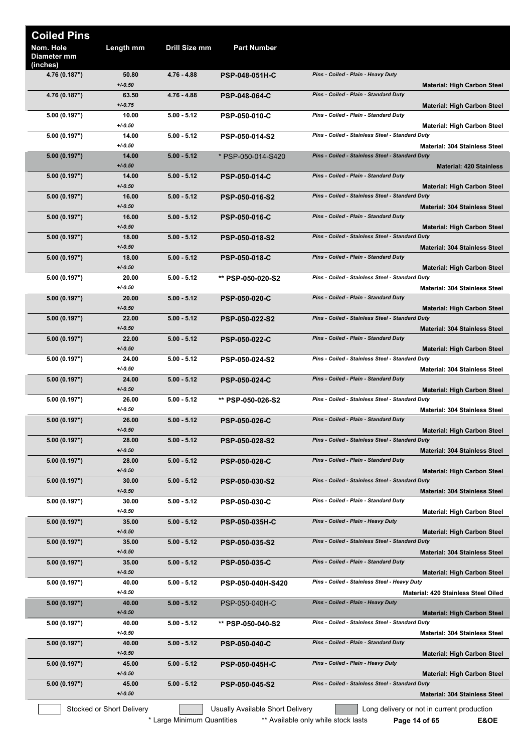| <b>Coiled Pins</b>                   |                           |                            |                                  |                                                 |                                                                     |
|--------------------------------------|---------------------------|----------------------------|----------------------------------|-------------------------------------------------|---------------------------------------------------------------------|
| Nom. Hole<br>Diameter mm<br>(inches) | Length mm                 | Drill Size mm              | <b>Part Number</b>               |                                                 |                                                                     |
| 4.76 (0.187")                        | 50.80<br>$+/-0.50$        | $4.76 - 4.88$              | <b>PSP-048-051H-C</b>            | Pins - Coiled - Plain - Heavy Duty              | <b>Material: High Carbon Steel</b>                                  |
| 4.76 (0.187")                        | 63.50<br>$+/-0.75$        | 4.76 - 4.88                | <b>PSP-048-064-C</b>             | Pins - Coiled - Plain - Standard Duty           | <b>Material: High Carbon Steel</b>                                  |
| 5.00 (0.197")                        | 10.00<br>$+/0.50$         | $5.00 - 5.12$              | <b>PSP-050-010-C</b>             | Pins - Coiled - Plain - Standard Duty           | <b>Material: High Carbon Steel</b>                                  |
| 5.00 (0.197")                        | 14.00<br>$+/0.50$         | $5.00 - 5.12$              | <b>PSP-050-014-S2</b>            | Pins - Coiled - Stainless Steel - Standard Duty | <b>Material: 304 Stainless Steel</b>                                |
| 5.00 (0.197")                        | 14.00<br>$+/-0.50$        | $5.00 - 5.12$              | * PSP-050-014-S420               | Pins - Coiled - Stainless Steel - Standard Duty | <b>Material: 420 Stainless</b>                                      |
| 5.00 (0.197")                        | 14.00<br>$+/-0.50$        | $5.00 - 5.12$              | <b>PSP-050-014-C</b>             | Pins - Coiled - Plain - Standard Duty           | <b>Material: High Carbon Steel</b>                                  |
| 5.00 (0.197")                        | 16.00<br>$+/-0.50$        | $5.00 - 5.12$              | PSP-050-016-S2                   | Pins - Coiled - Stainless Steel - Standard Duty | <b>Material: 304 Stainless Steel</b>                                |
| 5.00 (0.197")                        | 16.00<br>$+/-0.50$        | $5.00 - 5.12$              | <b>PSP-050-016-C</b>             | Pins - Coiled - Plain - Standard Duty           | <b>Material: High Carbon Steel</b>                                  |
| 5.00 (0.197")                        | 18.00<br>$+/-0.50$        | $5.00 - 5.12$              | PSP-050-018-S2                   | Pins - Coiled - Stainless Steel - Standard Duty | <b>Material: 304 Stainless Steel</b>                                |
| 5.00 (0.197")                        | 18.00<br>$+/-0.50$        | $5.00 - 5.12$              | <b>PSP-050-018-C</b>             | Pins - Coiled - Plain - Standard Duty           | <b>Material: High Carbon Steel</b>                                  |
| 5.00 (0.197")                        | 20.00<br>$+/0.50$         | $5.00 - 5.12$              | ** PSP-050-020-S2                | Pins - Coiled - Stainless Steel - Standard Duty | <b>Material: 304 Stainless Steel</b>                                |
| 5.00 (0.197")                        | 20.00<br>$+/-0.50$        | $5.00 - 5.12$              | <b>PSP-050-020-C</b>             | Pins - Coiled - Plain - Standard Duty           | <b>Material: High Carbon Steel</b>                                  |
| 5.00(0.197")                         | 22.00<br>$+/-0.50$        | $5.00 - 5.12$              | PSP-050-022-S2                   | Pins - Coiled - Stainless Steel - Standard Duty | <b>Material: 304 Stainless Steel</b>                                |
| 5.00 (0.197")                        | 22.00<br>$+/-0.50$        | $5.00 - 5.12$              | <b>PSP-050-022-C</b>             | Pins - Coiled - Plain - Standard Duty           | <b>Material: High Carbon Steel</b>                                  |
| 5.00 (0.197")                        | 24.00<br>$+/-0.50$        | $5.00 - 5.12$              | PSP-050-024-S2                   | Pins - Coiled - Stainless Steel - Standard Duty | <b>Material: 304 Stainless Steel</b>                                |
| 5.00 (0.197")                        | 24.00<br>$+/-0.50$        | $5.00 - 5.12$              | <b>PSP-050-024-C</b>             | Pins - Coiled - Plain - Standard Duty           | <b>Material: High Carbon Steel</b>                                  |
| 5.00 (0.197")                        | 26.00<br>$+/0.50$         | $5.00 - 5.12$              | ** PSP-050-026-S2                | Pins - Coiled - Stainless Steel - Standard Duty | <b>Material: 304 Stainless Steel</b>                                |
| 5.00 (0.197")                        | 26.00<br>$+/-0.50$        | $5.00 - 5.12$              | <b>PSP-050-026-C</b>             | Pins - Coiled - Plain - Standard Duty           | <b>Material: High Carbon Steel</b>                                  |
| 5.00 (0.197")                        | 28.00<br>$+/-0.50$        | $5.00 - 5.12$              | <b>PSP-050-028-S2</b>            | Pins - Coiled - Stainless Steel - Standard Duty | <b>Material: 304 Stainless Steel</b>                                |
| 5.00 (0.197")                        | 28.00<br>$+/-0.50$        | $5.00 - 5.12$              | <b>PSP-050-028-C</b>             | Pins - Coiled - Plain - Standard Duty           | <b>Material: High Carbon Steel</b>                                  |
| 5.00 (0.197")                        | 30.00<br>$+/-0.50$        | $5.00 - 5.12$              | <b>PSP-050-030-S2</b>            | Pins - Coiled - Stainless Steel - Standard Duty | <b>Material: 304 Stainless Steel</b>                                |
| 5.00 (0.197")                        | 30.00<br>$+/0.50$         | $5.00 - 5.12$              | <b>PSP-050-030-C</b>             | Pins - Coiled - Plain - Standard Duty           | <b>Material: High Carbon Steel</b>                                  |
| 5.00 (0.197")                        | 35.00<br>$+/-0.50$        | $5.00 - 5.12$              | <b>PSP-050-035H-C</b>            | Pins - Coiled - Plain - Heavy Duty              | <b>Material: High Carbon Steel</b>                                  |
| 5.00 (0.197")                        | 35.00<br>$+/-0.50$        | $5.00 - 5.12$              | <b>PSP-050-035-S2</b>            | Pins - Coiled - Stainless Steel - Standard Duty | Material: 304 Stainless Steel                                       |
| 5.00 (0.197")                        | 35.00<br>$+/-0.50$        | $5.00 - 5.12$              | <b>PSP-050-035-C</b>             | Pins - Coiled - Plain - Standard Duty           | <b>Material: High Carbon Steel</b>                                  |
| 5.00 (0.197")                        | 40.00<br>$+/-0.50$        | $5.00 - 5.12$              | PSP-050-040H-S420                | Pins - Coiled - Stainless Steel - Heavy Duty    | Material: 420 Stainless Steel Oiled                                 |
| 5.00 (0.197")                        | 40.00<br>$+/-0.50$        | $5.00 - 5.12$              | PSP-050-040H-C                   | Pins - Coiled - Plain - Heavy Duty              | <b>Material: High Carbon Steel</b>                                  |
| 5.00 (0.197")                        | 40.00<br>$+/-0.50$        | $5.00 - 5.12$              | ** PSP-050-040-S2                | Pins - Coiled - Stainless Steel - Standard Duty | Material: 304 Stainless Steel                                       |
| 5.00 (0.197")                        | 40.00<br>$+/0.50$         | $5.00 - 5.12$              | <b>PSP-050-040-C</b>             | Pins - Coiled - Plain - Standard Duty           | <b>Material: High Carbon Steel</b>                                  |
| 5.00 (0.197")                        | 45.00<br>$+/-0.50$        | $5.00 - 5.12$              | <b>PSP-050-045H-C</b>            | Pins - Coiled - Plain - Heavy Duty              | <b>Material: High Carbon Steel</b>                                  |
| 5.00 (0.197")                        | 45.00<br>$+/-0.50$        | $5.00 - 5.12$              | PSP-050-045-S2                   | Pins - Coiled - Stainless Steel - Standard Duty | <b>Material: 304 Stainless Steel</b>                                |
|                                      | Stocked or Short Delivery | * Large Minimum Quantities | Usually Available Short Delivery | ** Available only while stock lasts             | Long delivery or not in current production<br>E&OE<br>Page 14 of 65 |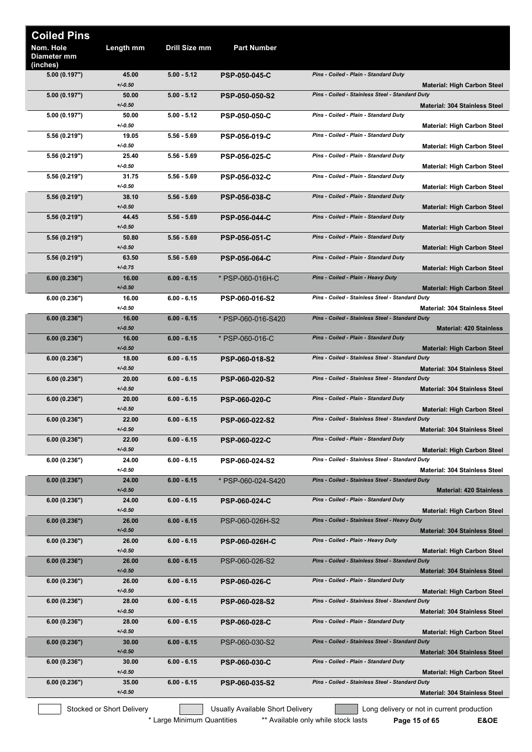| <b>Coiled Pins</b>                   |                           |               |                                  |                                                                                         |
|--------------------------------------|---------------------------|---------------|----------------------------------|-----------------------------------------------------------------------------------------|
| Nom. Hole<br>Diameter mm<br>(inches) | Length mm                 | Drill Size mm | <b>Part Number</b>               |                                                                                         |
| 5.00 (0.197")                        | 45.00<br>$+/0.50$         | $5.00 - 5.12$ | <b>PSP-050-045-C</b>             | Pins - Coiled - Plain - Standard Duty<br><b>Material: High Carbon Steel</b>             |
| 5.00 (0.197")                        | 50.00<br>$+/0.50$         | $5.00 - 5.12$ | <b>PSP-050-050-S2</b>            | Pins - Coiled - Stainless Steel - Standard Duty<br><b>Material: 304 Stainless Steel</b> |
| 5.00 (0.197")                        | 50.00<br>$+/0.50$         | $5.00 - 5.12$ | <b>PSP-050-050-C</b>             | Pins - Coiled - Plain - Standard Duty                                                   |
| 5.56 (0.219")                        | 19.05<br>$+/0.50$         | $5.56 - 5.69$ | <b>PSP-056-019-C</b>             | <b>Material: High Carbon Steel</b><br>Pins - Coiled - Plain - Standard Duty             |
| 5.56 (0.219")                        | 25.40                     | $5.56 - 5.69$ | <b>PSP-056-025-C</b>             | <b>Material: High Carbon Steel</b><br>Pins - Coiled - Plain - Standard Duty             |
| 5.56 (0.219")                        | $+/0.50$<br>31.75         | $5.56 - 5.69$ | <b>PSP-056-032-C</b>             | <b>Material: High Carbon Steel</b><br>Pins - Coiled - Plain - Standard Duty             |
| 5.56 (0.219")                        | $+/0.50$<br>38.10         | $5.56 - 5.69$ | <b>PSP-056-038-C</b>             | <b>Material: High Carbon Steel</b><br>Pins - Coiled - Plain - Standard Duty             |
| 5.56 (0.219")                        | $+/0.50$<br>44.45         | $5.56 - 5.69$ | <b>PSP-056-044-C</b>             | <b>Material: High Carbon Steel</b><br>Pins - Coiled - Plain - Standard Duty             |
|                                      | $+/0.50$                  |               |                                  | <b>Material: High Carbon Steel</b>                                                      |
| 5.56 (0.219")                        | 50.80<br>$+/0.50$         | $5.56 - 5.69$ | <b>PSP-056-051-C</b>             | Pins - Coiled - Plain - Standard Duty<br><b>Material: High Carbon Steel</b>             |
| 5.56 (0.219")                        | 63.50<br>$+/0.75$         | $5.56 - 5.69$ | <b>PSP-056-064-C</b>             | Pins - Coiled - Plain - Standard Duty<br><b>Material: High Carbon Steel</b>             |
| 6.00 (0.236")                        | 16.00<br>$+/0.50$         | $6.00 - 6.15$ | * PSP-060-016H-C                 | Pins - Coiled - Plain - Heavy Duty<br><b>Material: High Carbon Steel</b>                |
| 6.00 (0.236")                        | 16.00                     | $6.00 - 6.15$ | PSP-060-016-S2                   | Pins - Coiled - Stainless Steel - Standard Duty                                         |
| 6.00(0.236")                         | $+/0.50$<br>16.00         | $6.00 - 6.15$ | * PSP-060-016-S420               | <b>Material: 304 Stainless Steel</b><br>Pins - Coiled - Stainless Steel - Standard Duty |
| 6.00 (0.236")                        | $+/0.50$<br>16.00         | $6.00 - 6.15$ | * PSP-060-016-C                  | <b>Material: 420 Stainless</b><br>Pins - Coiled - Plain - Standard Duty                 |
| 6.00(0.236")                         | $+/0.50$<br>18.00         | $6.00 - 6.15$ | <b>PSP-060-018-S2</b>            | <b>Material: High Carbon Steel</b><br>Pins - Coiled - Stainless Steel - Standard Duty   |
|                                      | $+/0.50$                  |               |                                  | <b>Material: 304 Stainless Steel</b>                                                    |
| 6.00 (0.236")                        | 20.00<br>$+/0.50$         | $6.00 - 6.15$ | <b>PSP-060-020-S2</b>            | Pins - Coiled - Stainless Steel - Standard Duty<br><b>Material: 304 Stainless Steel</b> |
| 6.00 (0.236")                        | 20.00<br>$+/0.50$         | $6.00 - 6.15$ | <b>PSP-060-020-C</b>             | Pins - Coiled - Plain - Standard Duty<br><b>Material: High Carbon Steel</b>             |
| 6.00 (0.236")                        | 22.00<br>$+/0.50$         | $6.00 - 6.15$ | <b>PSP-060-022-S2</b>            | Pins - Coiled - Stainless Steel - Standard Duty<br><b>Material: 304 Stainless Steel</b> |
| 6.00 (0.236")                        | 22.00<br>$+/0.50$         | $6.00 - 6.15$ | <b>PSP-060-022-C</b>             | Pins - Coiled - Plain - Standard Duty<br><b>Material: High Carbon Steel</b>             |
| 6.00(0.236")                         | 24.00<br>$+/0.50$         | $6.00 - 6.15$ | <b>PSP-060-024-S2</b>            | Pins - Coiled - Stainless Steel - Standard Duty<br><b>Material: 304 Stainless Steel</b> |
| 6.00(0.236")                         | 24.00<br>$+/0.50$         | $6.00 - 6.15$ | * PSP-060-024-S420               | Pins - Coiled - Stainless Steel - Standard Duty                                         |
| 6.00(0.236")                         | 24.00                     | $6.00 - 6.15$ | <b>PSP-060-024-C</b>             | <b>Material: 420 Stainless</b><br>Pins - Coiled - Plain - Standard Duty                 |
| 6.00 (0.236")                        | $+/0.50$<br>26.00         | $6.00 - 6.15$ | PSP-060-026H-S2                  | <b>Material: High Carbon Steel</b><br>Pins - Coiled - Stainless Steel - Heavy Duty      |
|                                      | $+/0.50$<br>26.00         |               |                                  | <b>Material: 304 Stainless Steel</b><br>Pins - Coiled - Plain - Heavy Duty              |
| 6.00(0.236")                         | $+/0.50$                  | $6.00 - 6.15$ | <b>PSP-060-026H-C</b>            | <b>Material: High Carbon Steel</b>                                                      |
| 6.00 (0.236")                        | 26.00<br>$+/-0.50$        | $6.00 - 6.15$ | PSP-060-026-S2                   | Pins - Coiled - Stainless Steel - Standard Duty<br><b>Material: 304 Stainless Steel</b> |
| 6.00 (0.236")                        | 26.00<br>$+/0.50$         | $6.00 - 6.15$ | <b>PSP-060-026-C</b>             | Pins - Coiled - Plain - Standard Duty<br><b>Material: High Carbon Steel</b>             |
| 6.00(0.236")                         | 28.00<br>$+/0.50$         | $6.00 - 6.15$ | <b>PSP-060-028-S2</b>            | Pins - Coiled - Stainless Steel - Standard Duty<br><b>Material: 304 Stainless Steel</b> |
| 6.00(0.236")                         | 28.00<br>$+/0.50$         | $6.00 - 6.15$ | <b>PSP-060-028-C</b>             | Pins - Coiled - Plain - Standard Duty                                                   |
| 6.00 (0.236")                        | 30.00                     | $6.00 - 6.15$ | PSP-060-030-S2                   | <b>Material: High Carbon Steel</b><br>Pins - Coiled - Stainless Steel - Standard Duty   |
| 6.00 (0.236")                        | $+/0.50$<br>30.00         | $6.00 - 6.15$ | <b>PSP-060-030-C</b>             | <b>Material: 304 Stainless Steel</b><br>Pins - Coiled - Plain - Standard Duty           |
| 6.00(0.236")                         | $+/0.50$<br>35.00         | $6.00 - 6.15$ | <b>PSP-060-035-S2</b>            | <b>Material: High Carbon Steel</b><br>Pins - Coiled - Stainless Steel - Standard Duty   |
|                                      | $+/0.50$                  |               |                                  | Material: 304 Stainless Steel                                                           |
|                                      | Stocked or Short Delivery |               | Usually Available Short Delivery | Long delivery or not in current production                                              |

\* Large Minimum Quantities \*\*\* Available only while stock lasts **Page 15 of 65 E&OE**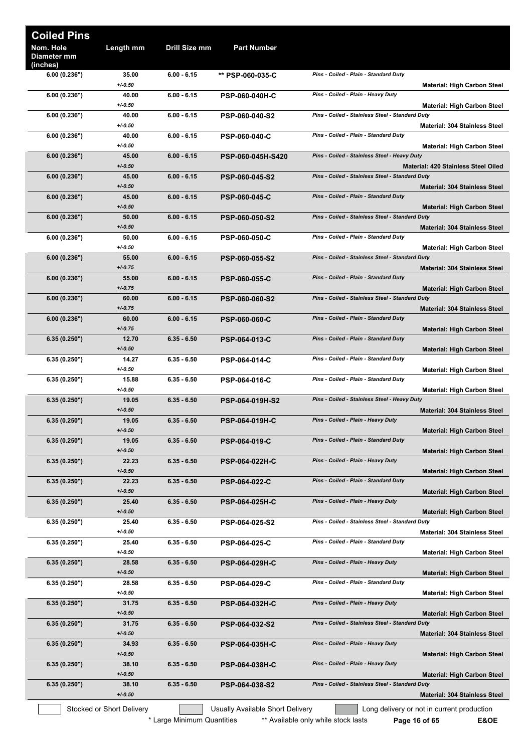| <b>Coiled Pins</b>                   |                           |                            |                                  |                                                                                                            |
|--------------------------------------|---------------------------|----------------------------|----------------------------------|------------------------------------------------------------------------------------------------------------|
| Nom. Hole<br>Diameter mm<br>(inches) | Length mm                 | Drill Size mm              | <b>Part Number</b>               |                                                                                                            |
| 6.00(0.236")                         | 35.00<br>$+/0.50$         | $6.00 - 6.15$              | ** PSP-060-035-C                 | Pins - Coiled - Plain - Standard Duty<br><b>Material: High Carbon Steel</b>                                |
| 6.00(0.236")                         | 40.00<br>$+/0.50$         | $6.00 - 6.15$              | <b>PSP-060-040H-C</b>            | Pins - Coiled - Plain - Heavy Duty<br><b>Material: High Carbon Steel</b>                                   |
| 6.00(0.236")                         | 40.00<br>$+/0.50$         | $6.00 - 6.15$              | PSP-060-040-S2                   | Pins - Coiled - Stainless Steel - Standard Duty<br><b>Material: 304 Stainless Steel</b>                    |
| 6.00(0.236")                         | 40.00<br>$+/0.50$         | $6.00 - 6.15$              | <b>PSP-060-040-C</b>             | Pins - Coiled - Plain - Standard Duty<br><b>Material: High Carbon Steel</b>                                |
| 6.00(0.236")                         | 45.00<br>$+/0.50$         | $6.00 - 6.15$              | PSP-060-045H-S420                | Pins - Coiled - Stainless Steel - Heavy Duty<br>Material: 420 Stainless Steel Oiled                        |
| 6.00(0.236")                         | 45.00<br>$+/-0.50$        | $6.00 - 6.15$              | PSP-060-045-S2                   | Pins - Coiled - Stainless Steel - Standard Duty<br><b>Material: 304 Stainless Steel</b>                    |
| 6.00(0.236")                         | 45.00<br>$+/0.50$         | $6.00 - 6.15$              | <b>PSP-060-045-C</b>             | Pins - Coiled - Plain - Standard Duty<br><b>Material: High Carbon Steel</b>                                |
| 6.00(0.236")                         | 50.00<br>$+/-0.50$        | $6.00 - 6.15$              | <b>PSP-060-050-S2</b>            | Pins - Coiled - Stainless Steel - Standard Duty<br><b>Material: 304 Stainless Steel</b>                    |
| 6.00(0.236")                         | 50.00<br>$+/0.50$         | $6.00 - 6.15$              | <b>PSP-060-050-C</b>             | Pins - Coiled - Plain - Standard Duty<br><b>Material: High Carbon Steel</b>                                |
| 6.00(0.236")                         | 55.00<br>$+/0.75$         | 6.00 - 6.15                | <b>PSP-060-055-S2</b>            | Pins - Coiled - Stainless Steel - Standard Duty<br><b>Material: 304 Stainless Steel</b>                    |
| 6.00(0.236")                         | 55.00<br>$+/0.75$         | $6.00 - 6.15$              | <b>PSP-060-055-C</b>             | Pins - Coiled - Plain - Standard Duty<br><b>Material: High Carbon Steel</b>                                |
| 6.00(0.236")                         | 60.00<br>$+/0.75$         | $6.00 - 6.15$              | <b>PSP-060-060-S2</b>            | Pins - Coiled - Stainless Steel - Standard Duty<br><b>Material: 304 Stainless Steel</b>                    |
| 6.00(0.236")                         | 60.00<br>$+/0.75$         | 6.00 - 6.15                | <b>PSP-060-060-C</b>             | Pins - Coiled - Plain - Standard Duty<br><b>Material: High Carbon Steel</b>                                |
| 6.35(0.250")                         | 12.70<br>$+/-0.50$        | 6.35 - 6.50                | <b>PSP-064-013-C</b>             | Pins - Coiled - Plain - Standard Duty<br>Material: High Carbon Steel                                       |
| 6.35(0.250")                         | 14.27<br>$+/0.50$         | $6.35 - 6.50$              | <b>PSP-064-014-C</b>             | Pins - Coiled - Plain - Standard Duty<br><b>Material: High Carbon Steel</b>                                |
| 6.35(0.250")                         | 15.88<br>$+/0.50$         | $6.35 - 6.50$              | PSP-064-016-C                    | Pins - Coiled - Plain - Standard Duty<br><b>Material: High Carbon Steel</b>                                |
| 6.35(0.250")                         | 19.05<br>$+/0.50$         | $6.35 - 6.50$              | <b>PSP-064-019H-S2</b>           | Pins - Coiled - Stainless Steel - Heavy Duty<br><b>Material: 304 Stainless Steel</b>                       |
| 6.35(0.250")                         | 19.05<br>$+/-0.50$        | $6.35 - 6.50$              | <b>PSP-064-019H-C</b>            | Pins - Coiled - Plain - Heavy Duty<br><b>Material: High Carbon Steel</b>                                   |
| 6.35(0.250")                         | 19.05<br>$+/-0.50$        | $6.35 - 6.50$              | <b>PSP-064-019-C</b>             | Pins - Coiled - Plain - Standard Duty<br><b>Material: High Carbon Steel</b>                                |
| 6.35(0.250")                         | 22.23<br>$+/-0.50$        | $6.35 - 6.50$              | <b>PSP-064-022H-C</b>            | Pins - Coiled - Plain - Heavy Duty<br><b>Material: High Carbon Steel</b>                                   |
| 6.35(0.250")                         | 22.23<br>$+/-0.50$        | $6.35 - 6.50$              | PSP-064-022-C                    | Pins - Coiled - Plain - Standard Duty<br><b>Material: High Carbon Steel</b>                                |
| 6.35(0.250")                         | 25.40<br>$+/-0.50$        | $6.35 - 6.50$              | <b>PSP-064-025H-C</b>            | Pins - Coiled - Plain - Heavy Duty<br><b>Material: High Carbon Steel</b>                                   |
| 6.35(0.250")                         | 25.40<br>$+/0.50$         | $6.35 - 6.50$              | PSP-064-025-S2                   | Pins - Coiled - Stainless Steel - Standard Duty<br><b>Material: 304 Stainless Steel</b>                    |
| 6.35(0.250")                         | 25.40<br>$+/0.50$         | $6.35 - 6.50$              | <b>PSP-064-025-C</b>             | Pins - Coiled - Plain - Standard Duty<br><b>Material: High Carbon Steel</b>                                |
| 6.35(0.250")                         | 28.58<br>$+/-0.50$        | $6.35 - 6.50$              | <b>PSP-064-029H-C</b>            | Pins - Coiled - Plain - Heavy Duty<br><b>Material: High Carbon Steel</b>                                   |
| 6.35(0.250")                         | 28.58<br>$+/-0.50$        | $6.35 - 6.50$              | <b>PSP-064-029-C</b>             | Pins - Coiled - Plain - Standard Duty<br><b>Material: High Carbon Steel</b>                                |
| 6.35(0.250")                         | 31.75<br>$+/-0.50$        | $6.35 - 6.50$              | PSP-064-032H-C                   | Pins - Coiled - Plain - Heavy Duty<br><b>Material: High Carbon Steel</b>                                   |
| 6.35(0.250")                         | 31.75<br>$+/0.50$         | $6.35 - 6.50$              | PSP-064-032-S2                   | Pins - Coiled - Stainless Steel - Standard Duty<br><b>Material: 304 Stainless Steel</b>                    |
| 6.35(0.250")                         | 34.93<br>$+/0.50$         | $6.35 - 6.50$              | <b>PSP-064-035H-C</b>            | Pins - Coiled - Plain - Heavy Duty<br><b>Material: High Carbon Steel</b>                                   |
| 6.35(0.250")                         | 38.10<br>$+/-0.50$        | $6.35 - 6.50$              | <b>PSP-064-038H-C</b>            | Pins - Coiled - Plain - Heavy Duty<br><b>Material: High Carbon Steel</b>                                   |
| 6.35(0.250")                         | 38.10<br>$+/-0.50$        | $6.35 - 6.50$              | PSP-064-038-S2                   | Pins - Coiled - Stainless Steel - Standard Duty<br><b>Material: 304 Stainless Steel</b>                    |
|                                      | Stocked or Short Delivery | * Large Minimum Quantities | Usually Available Short Delivery | Long delivery or not in current production<br>** Available only while stock lasts<br>E&OE<br>Page 16 of 65 |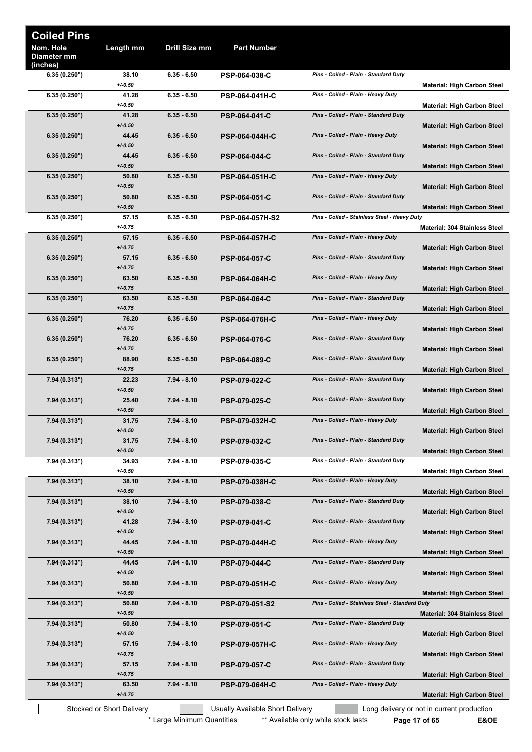| <b>Coiled Pins</b>                   |                           |               |                                  |                                                 |                                            |
|--------------------------------------|---------------------------|---------------|----------------------------------|-------------------------------------------------|--------------------------------------------|
| Nom. Hole<br>Diameter mm<br>(inches) | Length mm                 | Drill Size mm | <b>Part Number</b>               |                                                 |                                            |
| 6.35(0.250")                         | 38.10<br>$+/0.50$         | $6.35 - 6.50$ | <b>PSP-064-038-C</b>             | Pins - Coiled - Plain - Standard Duty           | <b>Material: High Carbon Steel</b>         |
| 6.35(0.250")                         | 41.28<br>$+/-0.50$        | $6.35 - 6.50$ | <b>PSP-064-041H-C</b>            | Pins - Coiled - Plain - Heavy Duty              | <b>Material: High Carbon Steel</b>         |
| 6.35(0.250")                         | 41.28<br>$+/0.50$         | $6.35 - 6.50$ | <b>PSP-064-041-C</b>             | Pins - Coiled - Plain - Standard Duty           | <b>Material: High Carbon Steel</b>         |
| 6.35(0.250")                         | 44.45<br>$+/-0.50$        | $6.35 - 6.50$ | <b>PSP-064-044H-C</b>            | Pins - Coiled - Plain - Heavy Duty              |                                            |
| 6.35(0.250")                         | 44.45<br>$+/-0.50$        | $6.35 - 6.50$ | <b>PSP-064-044-C</b>             | Pins - Coiled - Plain - Standard Duty           | <b>Material: High Carbon Steel</b>         |
| 6.35(0.250")                         | 50.80                     | $6.35 - 6.50$ | <b>PSP-064-051H-C</b>            | Pins - Coiled - Plain - Heavy Duty              | <b>Material: High Carbon Steel</b>         |
| 6.35(0.250")                         | $+/0.50$<br>50.80         | $6.35 - 6.50$ | PSP-064-051-C                    | Pins - Coiled - Plain - Standard Duty           | <b>Material: High Carbon Steel</b>         |
| 6.35(0.250")                         | $+/-0.50$<br>57.15        | $6.35 - 6.50$ | PSP-064-057H-S2                  | Pins - Coiled - Stainless Steel - Heavy Duty    | <b>Material: High Carbon Steel</b>         |
| 6.35(0.250")                         | $+/0.75$<br>57.15         | $6.35 - 6.50$ | <b>PSP-064-057H-C</b>            | Pins - Coiled - Plain - Heavy Duty              | <b>Material: 304 Stainless Steel</b>       |
| 6.35(0.250")                         | $+/-0.75$<br>57.15        | $6.35 - 6.50$ | <b>PSP-064-057-C</b>             | Pins - Coiled - Plain - Standard Duty           | <b>Material: High Carbon Steel</b>         |
| 6.35(0.250")                         | $+/0.75$<br>63.50         | $6.35 - 6.50$ | <b>PSP-064-064H-C</b>            | Pins - Coiled - Plain - Heavy Duty              | <b>Material: High Carbon Steel</b>         |
| 6.35(0.250")                         | $+/-0.75$<br>63.50        | $6.35 - 6.50$ | <b>PSP-064-064-C</b>             | Pins - Coiled - Plain - Standard Duty           | <b>Material: High Carbon Steel</b>         |
|                                      | $+/0.75$<br>76.20         | $6.35 - 6.50$ |                                  | Pins - Coiled - Plain - Heavy Duty              | <b>Material: High Carbon Steel</b>         |
| 6.35(0.250")                         | $+/-0.75$                 |               | <b>PSP-064-076H-C</b>            |                                                 | Material: High Carbon Steel                |
| 6.35(0.250")                         | 76.20<br>$+/-0.75$        | $6.35 - 6.50$ | <b>PSP-064-076-C</b>             | Pins - Coiled - Plain - Standard Duty           | Material: High Carbon Steel                |
| 6.35(0.250")                         | 88.90<br>$+/0.75$         | $6.35 - 6.50$ | <b>PSP-064-089-C</b>             | Pins - Coiled - Plain - Standard Duty           | <b>Material: High Carbon Steel</b>         |
| 7.94 (0.313")                        | 22.23<br>$+/0.50$         | 7.94 - 8.10   | <b>PSP-079-022-C</b>             | Pins - Coiled - Plain - Standard Duty           | <b>Material: High Carbon Steel</b>         |
| 7.94 (0.313")                        | 25.40<br>$+/0.50$         | 7.94 - 8.10   | PSP-079-025-C                    | Pins - Coiled - Plain - Standard Duty           | <b>Material: High Carbon Steel</b>         |
| 7.94 (0.313")                        | 31.75<br>$+/-0.50$        | 7.94 - 8.10   | PSP-079-032H-C                   | Pins - Coiled - Plain - Heavy Duty              | <b>Material: High Carbon Steel</b>         |
| 7.94 (0.313")                        | 31.75<br>$+/-0.50$        | $7.94 - 8.10$ | <b>PSP-079-032-C</b>             | Pins - Coiled - Plain - Standard Duty           | <b>Material: High Carbon Steel</b>         |
| 7.94 (0.313")                        | 34.93<br>$+/-0.50$        | 7.94 - 8.10   | <b>PSP-079-035-C</b>             | Pins - Coiled - Plain - Standard Duty           | <b>Material: High Carbon Steel</b>         |
| 7.94 (0.313")                        | 38.10<br>$+/-0.50$        | 7.94 - 8.10   | <b>PSP-079-038H-C</b>            | Pins - Coiled - Plain - Heavy Duty              | <b>Material: High Carbon Steel</b>         |
| 7.94 (0.313")                        | 38.10                     | $7.94 - 8.10$ | <b>PSP-079-038-C</b>             | Pins - Coiled - Plain - Standard Duty           |                                            |
| 7.94 (0.313")                        | $+/-0.50$<br>41.28        | 7.94 - 8.10   | <b>PSP-079-041-C</b>             | Pins - Coiled - Plain - Standard Duty           | <b>Material: High Carbon Steel</b>         |
| 7.94 (0.313")                        | $+/-0.50$<br>44.45        | $7.94 - 8.10$ | <b>PSP-079-044H-C</b>            | Pins - Coiled - Plain - Heavy Duty              | <b>Material: High Carbon Steel</b>         |
| 7.94 (0.313")                        | $+/-0.50$<br>44.45        | 7.94 - 8.10   | <b>PSP-079-044-C</b>             | Pins - Coiled - Plain - Standard Duty           | <b>Material: High Carbon Steel</b>         |
| 7.94 (0.313")                        | $+/-0.50$<br>50.80        | 7.94 - 8.10   | <b>PSP-079-051H-C</b>            | Pins - Coiled - Plain - Heavy Duty              | <b>Material: High Carbon Steel</b>         |
| 7.94(0.313")                         | $+/-0.50$<br>50.80        | 7.94 - 8.10   | PSP-079-051-S2                   | Pins - Coiled - Stainless Steel - Standard Duty | <b>Material: High Carbon Steel</b>         |
| 7.94 (0.313")                        | $+/-0.50$<br>50.80        | 7.94 - 8.10   | <b>PSP-079-051-C</b>             | Pins - Coiled - Plain - Standard Duty           | <b>Material: 304 Stainless Steel</b>       |
| 7.94 (0.313")                        | $+/-0.50$<br>57.15        | $7.94 - 8.10$ | <b>PSP-079-057H-C</b>            | Pins - Coiled - Plain - Heavy Duty              | <b>Material: High Carbon Steel</b>         |
|                                      | $+/-0.75$                 |               |                                  | Pins - Coiled - Plain - Standard Duty           | <b>Material: High Carbon Steel</b>         |
| 7.94 (0.313")                        | 57.15<br>$+/0.75$         | 7.94 - 8.10   | <b>PSP-079-057-C</b>             |                                                 | <b>Material: High Carbon Steel</b>         |
| 7.94 (0.313")                        | 63.50<br>$+/-0.75$        | $7.94 - 8.10$ | <b>PSP-079-064H-C</b>            | Pins - Coiled - Plain - Heavy Duty              | <b>Material: High Carbon Steel</b>         |
|                                      | Stocked or Short Delivery |               | Usually Available Short Delivery |                                                 | Long delivery or not in current production |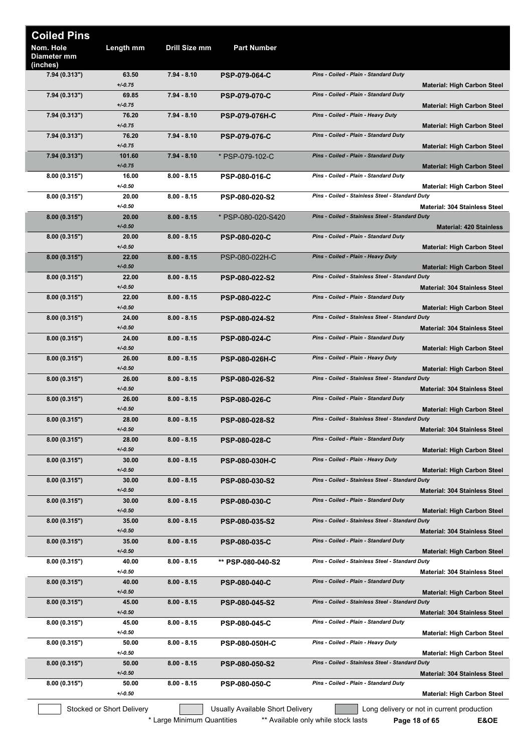| <b>Coiled Pins</b>                   |                           |               |                                  |                                                                                         |
|--------------------------------------|---------------------------|---------------|----------------------------------|-----------------------------------------------------------------------------------------|
| Nom. Hole<br>Diameter mm<br>(inches) | Length mm                 | Drill Size mm | <b>Part Number</b>               |                                                                                         |
| 7.94 (0.313")                        | 63.50                     | $7.94 - 8.10$ | <b>PSP-079-064-C</b>             | Pins - Coiled - Plain - Standard Duty                                                   |
| 7.94 (0.313")                        | $+/0.75$<br>69.85         | 7.94 - 8.10   | <b>PSP-079-070-C</b>             | <b>Material: High Carbon Steel</b><br>Pins - Coiled - Plain - Standard Duty             |
|                                      | $+/0.75$<br>76.20         |               |                                  | <b>Material: High Carbon Steel</b><br>Pins - Coiled - Plain - Heavy Duty                |
| 7.94 (0.313")                        | $+/0.75$                  | $7.94 - 8.10$ | <b>PSP-079-076H-C</b>            | <b>Material: High Carbon Steel</b>                                                      |
| 7.94 (0.313")                        | 76.20<br>$+/0.75$         | 7.94 - 8.10   | <b>PSP-079-076-C</b>             | Pins - Coiled - Plain - Standard Duty<br><b>Material: High Carbon Steel</b>             |
| 7.94 (0.313")                        | 101.60<br>$+/0.75$        | $7.94 - 8.10$ | * PSP-079-102-C                  | Pins - Coiled - Plain - Standard Duty                                                   |
| 8.00(0.315")                         | 16.00                     | $8.00 - 8.15$ | <b>PSP-080-016-C</b>             | <b>Material: High Carbon Steel</b><br>Pins - Coiled - Plain - Standard Duty             |
| 8.00(0.315")                         | $+/0.50$<br>20.00         | $8.00 - 8.15$ | <b>PSP-080-020-S2</b>            | <b>Material: High Carbon Steel</b><br>Pins - Coiled - Stainless Steel - Standard Duty   |
|                                      | $+/0.50$                  |               |                                  | <b>Material: 304 Stainless Steel</b>                                                    |
| 8.00(0.315")                         | 20.00<br>$+/-0.50$        | $8.00 - 8.15$ | * PSP-080-020-S420               | Pins - Coiled - Stainless Steel - Standard Duty<br><b>Material: 420 Stainless</b>       |
| 8.00(0.315")                         | 20.00<br>$+/0.50$         | $8.00 - 8.15$ | <b>PSP-080-020-C</b>             | Pins - Coiled - Plain - Standard Duty<br><b>Material: High Carbon Steel</b>             |
| 8.00(0.315")                         | 22.00                     | $8.00 - 8.15$ | PSP-080-022H-C                   | Pins - Coiled - Plain - Heavy Duty                                                      |
| 8.00(0.315")                         | $+/-0.50$<br>22.00        | $8.00 - 8.15$ | <b>PSP-080-022-S2</b>            | <b>Material: High Carbon Steel</b><br>Pins - Coiled - Stainless Steel - Standard Duty   |
|                                      | $+/0.50$<br>22.00         | $8.00 - 8.15$ |                                  | <b>Material: 304 Stainless Steel</b><br>Pins - Coiled - Plain - Standard Duty           |
| 8.00(0.315")                         | $+/-0.50$                 |               | <b>PSP-080-022-C</b>             | <b>Material: High Carbon Steel</b>                                                      |
| 8.00(0.315")                         | 24.00<br>$+/-0.50$        | $8.00 - 8.15$ | PSP-080-024-S2                   | Pins - Coiled - Stainless Steel - Standard Duty<br>Material: 304 Stainless Steel        |
| 8.00(0.315")                         | 24.00                     | $8.00 - 8.15$ | <b>PSP-080-024-C</b>             | Pins - Coiled - Plain - Standard Duty                                                   |
| 8.00(0.315")                         | $+/0.50$<br>26.00         | $8.00 - 8.15$ | <b>PSP-080-026H-C</b>            | <b>Material: High Carbon Steel</b><br>Pins - Coiled - Plain - Heavy Duty                |
| 8.00(0.315")                         | $+/0.50$<br>26.00         | $8.00 - 8.15$ | PSP-080-026-S2                   | <b>Material: High Carbon Steel</b><br>Pins - Coiled - Stainless Steel - Standard Duty   |
|                                      | $+/0.50$                  |               |                                  | <b>Material: 304 Stainless Steel</b>                                                    |
| 8.00(0.315")                         | 26.00<br>$+/0.50$         | $8.00 - 8.15$ | <b>PSP-080-026-C</b>             | Pins - Coiled - Plain - Standard Duty<br><b>Material: High Carbon Steel</b>             |
| 8.00(0.315")                         | 28.00<br>$+/0.50$         | $8.00 - 8.15$ | <b>PSP-080-028-S2</b>            | Pins - Coiled - Stainless Steel - Standard Duty<br><b>Material: 304 Stainless Steel</b> |
| 8.00(0.315")                         | 28.00                     | $8.00 - 8.15$ | <b>PSP-080-028-C</b>             | Pins - Coiled - Plain - Standard Duty                                                   |
| 8.00(0.315")                         | $+/0.50$<br>30.00         | $8.00 - 8.15$ | <b>PSP-080-030H-C</b>            | <b>Material: High Carbon Steel</b><br>Pins - Coiled - Plain - Heavy Duty                |
|                                      | $+/0.50$                  |               |                                  | <b>Material: High Carbon Steel</b>                                                      |
| 8.00(0.315")                         | 30.00<br>$+/-0.50$        | $8.00 - 8.15$ | PSP-080-030-S2                   | Pins - Coiled - Stainless Steel - Standard Duty<br><b>Material: 304 Stainless Steel</b> |
| 8.00(0.315")                         | 30.00<br>$+/0.50$         | $8.00 - 8.15$ | PSP-080-030-C                    | Pins - Coiled - Plain - Standard Duty<br><b>Material: High Carbon Steel</b>             |
| 8.00(0.315")                         | 35.00                     | $8.00 - 8.15$ | PSP-080-035-S2                   | Pins - Coiled - Stainless Steel - Standard Duty                                         |
| 8.00(0.315")                         | $+/0.50$<br>35.00         | $8.00 - 8.15$ | <b>PSP-080-035-C</b>             | <b>Material: 304 Stainless Steel</b><br>Pins - Coiled - Plain - Standard Duty           |
|                                      | $+/-0.50$                 |               |                                  | <b>Material: High Carbon Steel</b>                                                      |
| 8.00(0.315")                         | 40.00<br>$+/0.50$         | $8.00 - 8.15$ | ** PSP-080-040-S2                | Pins - Coiled - Stainless Steel - Standard Duty<br><b>Material: 304 Stainless Steel</b> |
| 8.00(0.315")                         | 40.00<br>$+/0.50$         | $8.00 - 8.15$ | <b>PSP-080-040-C</b>             | Pins - Coiled - Plain - Standard Duty<br><b>Material: High Carbon Steel</b>             |
| 8.00(0.315")                         | 45.00                     | $8.00 - 8.15$ | PSP-080-045-S2                   | Pins - Coiled - Stainless Steel - Standard Duty                                         |
| 8.00(0.315")                         | $+/-0.50$<br>45.00        | $8.00 - 8.15$ | <b>PSP-080-045-C</b>             | Material: 304 Stainless Steel<br>Pins - Coiled - Plain - Standard Duty                  |
| 8.00(0.315")                         | $+/0.50$<br>50.00         | $8.00 - 8.15$ | <b>PSP-080-050H-C</b>            | <b>Material: High Carbon Steel</b><br>Pins - Coiled - Plain - Heavy Duty                |
|                                      | $+/0.50$                  |               |                                  | <b>Material: High Carbon Steel</b>                                                      |
| 8.00(0.315")                         | 50.00<br>$+/-0.50$        | $8.00 - 8.15$ | <b>PSP-080-050-S2</b>            | Pins - Coiled - Stainless Steel - Standard Duty<br><b>Material: 304 Stainless Steel</b> |
| 8.00(0.315")                         | 50.00<br>$+/0.50$         | $8.00 - 8.15$ | <b>PSP-080-050-C</b>             | Pins - Coiled - Plain - Standard Duty<br><b>Material: High Carbon Steel</b>             |
|                                      | Stocked or Short Delivery |               | Usually Available Short Delivery | Long delivery or not in current production                                              |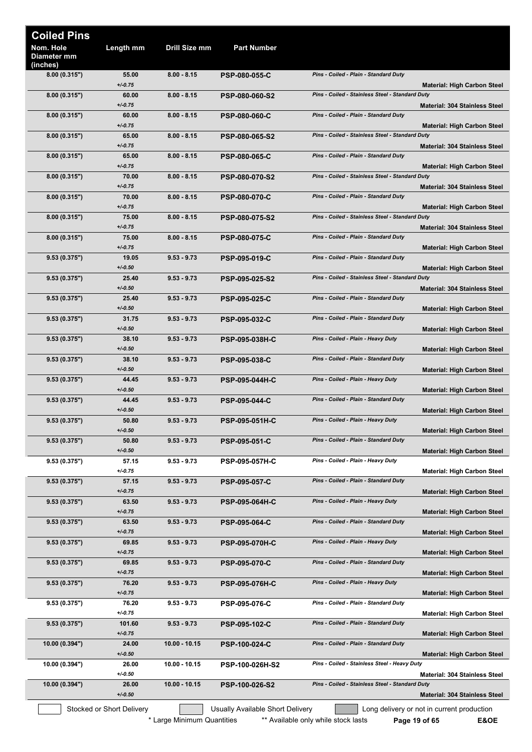| <b>Coiled Pins</b>                          |                           |                            |                                  |                                                                                         |  |
|---------------------------------------------|---------------------------|----------------------------|----------------------------------|-----------------------------------------------------------------------------------------|--|
| Nom. Hole<br><b>Diameter mm</b><br>(inches) | Length mm                 | Drill Size mm              | <b>Part Number</b>               |                                                                                         |  |
| 8.00(0.315")                                | 55.00<br>$+/0.75$         | $8.00 - 8.15$              | <b>PSP-080-055-C</b>             | Pins - Coiled - Plain - Standard Duty<br><b>Material: High Carbon Steel</b>             |  |
| 8.00(0.315")                                | 60.00<br>$+/0.75$         | $8.00 - 8.15$              | <b>PSP-080-060-S2</b>            | Pins - Coiled - Stainless Steel - Standard Duty<br><b>Material: 304 Stainless Steel</b> |  |
| 8.00(0.315")                                | 60.00<br>$+/0.75$         | $8.00 - 8.15$              | <b>PSP-080-060-C</b>             | Pins - Coiled - Plain - Standard Duty<br><b>Material: High Carbon Steel</b>             |  |
| 8.00(0.315")                                | 65.00<br>$+/0.75$         | $8.00 - 8.15$              | <b>PSP-080-065-S2</b>            | Pins - Coiled - Stainless Steel - Standard Duty<br><b>Material: 304 Stainless Steel</b> |  |
| 8.00(0.315")                                | 65.00<br>$+/0.75$         | $8.00 - 8.15$              | <b>PSP-080-065-C</b>             | Pins - Coiled - Plain - Standard Duty<br><b>Material: High Carbon Steel</b>             |  |
| 8.00(0.315")                                | 70.00<br>$+/0.75$         | $8.00 - 8.15$              | <b>PSP-080-070-S2</b>            | Pins - Coiled - Stainless Steel - Standard Duty<br><b>Material: 304 Stainless Steel</b> |  |
| 8.00(0.315")                                | 70.00<br>$+/0.75$         | $8.00 - 8.15$              | <b>PSP-080-070-C</b>             | Pins - Coiled - Plain - Standard Duty<br><b>Material: High Carbon Steel</b>             |  |
| 8.00(0.315")                                | 75.00<br>$+/0.75$         | $8.00 - 8.15$              | PSP-080-075-S2                   | Pins - Coiled - Stainless Steel - Standard Duty<br><b>Material: 304 Stainless Steel</b> |  |
| 8.00(0.315")                                | 75.00<br>$+/0.75$         | $8.00 - 8.15$              | <b>PSP-080-075-C</b>             | Pins - Coiled - Plain - Standard Duty<br><b>Material: High Carbon Steel</b>             |  |
| 9.53(0.375")                                | 19.05<br>$+/0.50$         | $9.53 - 9.73$              | <b>PSP-095-019-C</b>             | Pins - Coiled - Plain - Standard Duty                                                   |  |
| 9.53(0.375")                                | 25.40                     | $9.53 - 9.73$              | <b>PSP-095-025-S2</b>            | <b>Material: High Carbon Steel</b><br>Pins - Coiled - Stainless Steel - Standard Duty   |  |
| 9.53(0.375")                                | $+/0.50$<br>25.40         | $9.53 - 9.73$              | <b>PSP-095-025-C</b>             | <b>Material: 304 Stainless Steel</b><br>Pins - Coiled - Plain - Standard Duty           |  |
| 9.53 (0.375")                               | $+/-0.50$<br>31.75        | $9.53 - 9.73$              | <b>PSP-095-032-C</b>             | <b>Material: High Carbon Steel</b><br>Pins - Coiled - Plain - Standard Duty             |  |
| 9.53(0.375")                                | $+/0.50$<br>38.10         | $9.53 - 9.73$              | <b>PSP-095-038H-C</b>            | <b>Material: High Carbon Steel</b><br>Pins - Coiled - Plain - Heavy Duty                |  |
| 9.53(0.375")                                | $+/0.50$<br>38.10         | $9.53 - 9.73$              | <b>PSP-095-038-C</b>             | <b>Material: High Carbon Steel</b><br>Pins - Coiled - Plain - Standard Duty             |  |
| 9.53(0.375")                                | $+/0.50$<br>44.45         | $9.53 - 9.73$              | <b>PSP-095-044H-C</b>            | <b>Material: High Carbon Steel</b><br>Pins - Coiled - Plain - Heavy Duty                |  |
| 9.53(0.375")                                | $+/0.50$<br>44.45         | $9.53 - 9.73$              | <b>PSP-095-044-C</b>             | <b>Material: High Carbon Steel</b><br>Pins - Coiled - Plain - Standard Duty             |  |
| 9.53(0.375")                                | $+/0.50$<br>50.80         | $9.53 - 9.73$              | <b>PSP-095-051H-C</b>            | <b>Material: High Carbon Steel</b><br>Pins - Coiled - Plain - Heavy Duty                |  |
| 9.53(0.375")                                | $+/0.50$<br>50.80         | $9.53 - 9.73$              | <b>PSP-095-051-C</b>             | <b>Material: High Carbon Steel</b><br>Pins - Coiled - Plain - Standard Duty             |  |
| 9.53(0.375")                                | $+/0.50$<br>57.15         | $9.53 - 9.73$              | <b>PSP-095-057H-C</b>            | <b>Material: High Carbon Steel</b><br>Pins - Coiled - Plain - Heavy Duty                |  |
| 9.53(0.375")                                | $+/0.75$<br>57.15         | $9.53 - 9.73$              | <b>PSP-095-057-C</b>             | <b>Material: High Carbon Steel</b><br>Pins - Coiled - Plain - Standard Duty             |  |
| 9.53(0.375")                                | $+/0.75$<br>63.50         | $9.53 - 9.73$              | PSP-095-064H-C                   | <b>Material: High Carbon Steel</b><br>Pins - Coiled - Plain - Heavy Duty                |  |
|                                             | $+/0.75$                  |                            |                                  | <b>Material: High Carbon Steel</b>                                                      |  |
| 9.53(0.375")                                | 63.50<br>$+/0.75$         | $9.53 - 9.73$              | <b>PSP-095-064-C</b>             | Pins - Coiled - Plain - Standard Duty<br><b>Material: High Carbon Steel</b>             |  |
| 9.53(0.375")                                | 69.85<br>$+/0.75$         | $9.53 - 9.73$              | <b>PSP-095-070H-C</b>            | Pins - Coiled - Plain - Heavy Duty<br><b>Material: High Carbon Steel</b>                |  |
| 9.53(0.375")                                | 69.85<br>$+/0.75$         | $9.53 - 9.73$              | <b>PSP-095-070-C</b>             | Pins - Coiled - Plain - Standard Duty<br><b>Material: High Carbon Steel</b>             |  |
| 9.53(0.375")                                | 76.20<br>$+/0.75$         | $9.53 - 9.73$              | <b>PSP-095-076H-C</b>            | Pins - Coiled - Plain - Heavy Duty<br><b>Material: High Carbon Steel</b>                |  |
| 9.53(0.375")                                | 76.20<br>$+/0.75$         | $9.53 - 9.73$              | PSP-095-076-C                    | Pins - Coiled - Plain - Standard Duty<br><b>Material: High Carbon Steel</b>             |  |
| 9.53(0.375")                                | 101.60<br>$+/0.75$        | $9.53 - 9.73$              | <b>PSP-095-102-C</b>             | Pins - Coiled - Plain - Standard Duty<br><b>Material: High Carbon Steel</b>             |  |
| 10.00(0.394")                               | 24.00<br>$+/0.50$         | $10.00 - 10.15$            | <b>PSP-100-024-C</b>             | Pins - Coiled - Plain - Standard Duty<br><b>Material: High Carbon Steel</b>             |  |
| 10.00 (0.394")                              | 26.00<br>$+/0.50$         | 10.00 - 10.15              | <b>PSP-100-026H-S2</b>           | Pins - Coiled - Stainless Steel - Heavy Duty<br><b>Material: 304 Stainless Steel</b>    |  |
| 10.00(0.394")                               | 26.00<br>$+/0.50$         | $10.00 - 10.15$            | <b>PSP-100-026-S2</b>            | Pins - Coiled - Stainless Steel - Standard Duty<br><b>Material: 304 Stainless Steel</b> |  |
|                                             | Stocked or Short Delivery |                            | Usually Available Short Delivery | Long delivery or not in current production                                              |  |
|                                             |                           | * Large Minimum Quantities |                                  | ** Available only while stock lasts<br>E&OE<br>Page 19 of 65                            |  |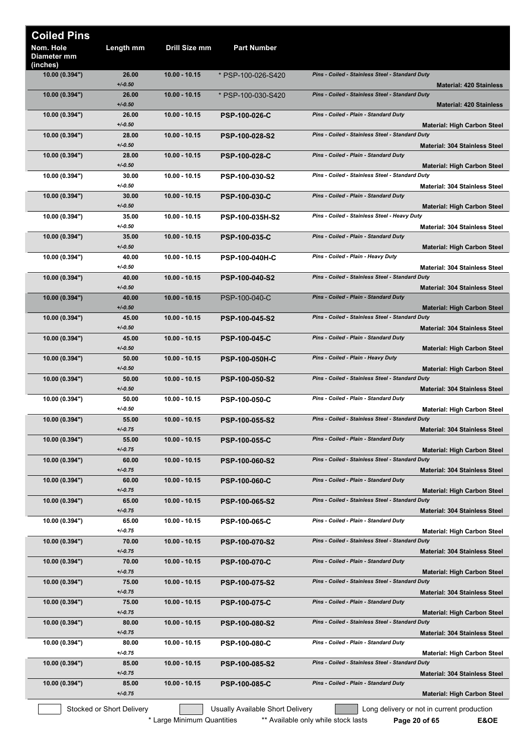| <b>Coiled Pins</b>                   |                           |                 |                                  |                                                                                         |
|--------------------------------------|---------------------------|-----------------|----------------------------------|-----------------------------------------------------------------------------------------|
| Nom. Hole<br>Diameter mm<br>(inches) | Length mm                 | Drill Size mm   | <b>Part Number</b>               |                                                                                         |
| 10.00 (0.394")                       | 26.00<br>$+/-0.50$        | 10.00 - 10.15   | * PSP-100-026-S420               | Pins - Coiled - Stainless Steel - Standard Duty<br><b>Material: 420 Stainless</b>       |
| 10.00(0.394")                        | 26.00<br>$+/-0.50$        | 10.00 - 10.15   | * PSP-100-030-S420               | Pins - Coiled - Stainless Steel - Standard Duty<br><b>Material: 420 Stainless</b>       |
| 10.00(0.394")                        | 26.00<br>$+/0.50$         | 10.00 - 10.15   | <b>PSP-100-026-C</b>             | Pins - Coiled - Plain - Standard Duty<br><b>Material: High Carbon Steel</b>             |
| 10.00 (0.394")                       | 28.00<br>$+/0.50$         | 10.00 - 10.15   | PSP-100-028-S2                   | Pins - Coiled - Stainless Steel - Standard Duty<br><b>Material: 304 Stainless Steel</b> |
| 10.00 (0.394")                       | 28.00<br>$+/0.50$         | $10.00 - 10.15$ | <b>PSP-100-028-C</b>             | Pins - Coiled - Plain - Standard Duty<br><b>Material: High Carbon Steel</b>             |
| 10.00 (0.394")                       | 30.00<br>$+/0.50$         | 10.00 - 10.15   | PSP-100-030-S2                   | Pins - Coiled - Stainless Steel - Standard Duty<br><b>Material: 304 Stainless Steel</b> |
| 10.00(0.394")                        | 30.00<br>$+/-0.50$        | 10.00 - 10.15   | <b>PSP-100-030-C</b>             | Pins - Coiled - Plain - Standard Duty<br><b>Material: High Carbon Steel</b>             |
| 10.00 (0.394")                       | 35.00<br>$+/0.50$         | 10.00 - 10.15   | PSP-100-035H-S2                  | Pins - Coiled - Stainless Steel - Heavy Duty<br><b>Material: 304 Stainless Steel</b>    |
| 10.00 (0.394")                       | 35.00<br>$+/-0.50$        | 10.00 - 10.15   | <b>PSP-100-035-C</b>             | Pins - Coiled - Plain - Standard Duty<br><b>Material: High Carbon Steel</b>             |
| 10.00 (0.394")                       | 40.00<br>$+/0.50$         | 10.00 - 10.15   | <b>PSP-100-040H-C</b>            | Pins - Coiled - Plain - Heavy Duty<br><b>Material: 304 Stainless Steel</b>              |
| 10.00 (0.394")                       | 40.00<br>$+/-0.50$        | $10.00 - 10.15$ | <b>PSP-100-040-S2</b>            | Pins - Coiled - Stainless Steel - Standard Duty                                         |
| 10.00(0.394")                        | 40.00<br>$+/0.50$         | $10.00 - 10.15$ | PSP-100-040-C                    | <b>Material: 304 Stainless Steel</b><br>Pins - Coiled - Plain - Standard Duty           |
| 10.00 (0.394")                       | 45.00                     | 10.00 - 10.15   | <b>PSP-100-045-S2</b>            | <b>Material: High Carbon Steel</b><br>Pins - Coiled - Stainless Steel - Standard Duty   |
| 10.00(0.394")                        | $+/-0.50$<br>45.00        | 10.00 - 10.15   | <b>PSP-100-045-C</b>             | <b>Material: 304 Stainless Steel</b><br>Pins - Coiled - Plain - Standard Duty           |
| 10.00(0.394")                        | $+/-0.50$<br>50.00        | 10.00 - 10.15   | <b>PSP-100-050H-C</b>            | <b>Material: High Carbon Steel</b><br>Pins - Coiled - Plain - Heavy Duty                |
| 10.00(0.394")                        | $+/-0.50$<br>50.00        | 10.00 - 10.15   | <b>PSP-100-050-S2</b>            | <b>Material: High Carbon Steel</b><br>Pins - Coiled - Stainless Steel - Standard Duty   |
| 10.00 (0.394")                       | $+/0.50$<br>50.00         | 10.00 - 10.15   | <b>PSP-100-050-C</b>             | <b>Material: 304 Stainless Steel</b><br>Pins - Coiled - Plain - Standard Duty           |
| 10.00 (0.394")                       | $+/0.50$<br>55.00         | 10.00 - 10.15   | PSP-100-055-S2                   | <b>Material: High Carbon Steel</b><br>Pins - Coiled - Stainless Steel - Standard Duty   |
| 10.00 (0.394")                       | $+/0.75$<br>55.00         | $10.00 - 10.15$ | <b>PSP-100-055-C</b>             | <b>Material: 304 Stainless Steel</b><br>Pins - Coiled - Plain - Standard Duty           |
| 10.00(0.394")                        | $+/0.75$<br>60.00         | 10.00 - 10.15   | <b>PSP-100-060-S2</b>            | <b>Material: High Carbon Steel</b><br>Pins - Coiled - Stainless Steel - Standard Duty   |
| 10.00(0.394")                        | $+/0.75$<br>60.00         | 10.00 - 10.15   | <b>PSP-100-060-C</b>             | <b>Material: 304 Stainless Steel</b><br>Pins - Coiled - Plain - Standard Duty           |
| 10.00(0.394")                        | $+/0.75$<br>65.00         | 10.00 - 10.15   | PSP-100-065-S2                   | <b>Material: High Carbon Steel</b><br>Pins - Coiled - Stainless Steel - Standard Duty   |
| 10.00 (0.394")                       | $+/0.75$<br>65.00         | 10.00 - 10.15   | <b>PSP-100-065-C</b>             | <b>Material: 304 Stainless Steel</b><br>Pins - Coiled - Plain - Standard Duty           |
| 10.00(0.394")                        | $+/0.75$<br>70.00         | $10.00 - 10.15$ | <b>PSP-100-070-S2</b>            | <b>Material: High Carbon Steel</b><br>Pins - Coiled - Stainless Steel - Standard Duty   |
| 10.00(0.394")                        | $+/0.75$<br>70.00         | 10.00 - 10.15   | <b>PSP-100-070-C</b>             | Material: 304 Stainless Steel<br>Pins - Coiled - Plain - Standard Duty                  |
| 10.00(0.394")                        | $+/0.75$<br>75.00         | 10.00 - 10.15   | PSP-100-075-S2                   | <b>Material: High Carbon Steel</b><br>Pins - Coiled - Stainless Steel - Standard Duty   |
| 10.00 (0.394")                       | $+/0.75$<br>75.00         | 10.00 - 10.15   | <b>PSP-100-075-C</b>             | <b>Material: 304 Stainless Steel</b><br>Pins - Coiled - Plain - Standard Duty           |
| 10.00(0.394")                        | $+/0.75$<br>80.00         | 10.00 - 10.15   | <b>PSP-100-080-S2</b>            | <b>Material: High Carbon Steel</b><br>Pins - Coiled - Stainless Steel - Standard Duty   |
| 10.00 (0.394")                       | $+/0.75$<br>80.00         | 10.00 - 10.15   | <b>PSP-100-080-C</b>             | <b>Material: 304 Stainless Steel</b><br>Pins - Coiled - Plain - Standard Duty           |
| 10.00(0.394")                        | $+/0.75$<br>85.00         | $10.00 - 10.15$ | PSP-100-085-S2                   | <b>Material: High Carbon Steel</b><br>Pins - Coiled - Stainless Steel - Standard Duty   |
| 10.00(0.394")                        | $+/0.75$<br>85.00         | $10.00 - 10.15$ | <b>PSP-100-085-C</b>             | <b>Material: 304 Stainless Steel</b><br>Pins - Coiled - Plain - Standard Duty           |
|                                      | $+/0.75$                  |                 |                                  | <b>Material: High Carbon Steel</b>                                                      |
|                                      | Stocked or Short Delivery |                 | Usually Available Short Delivery | Long delivery or not in current production                                              |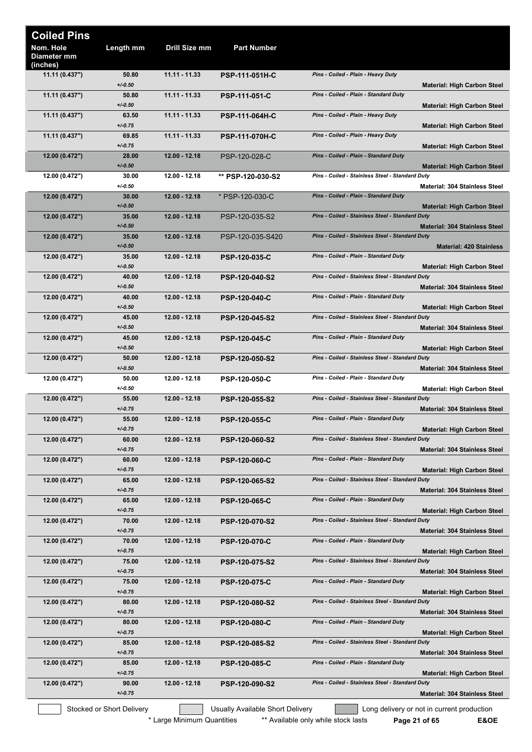| <b>Coiled Pins</b><br>Nom. Hole<br>Diameter mm | Length mm                              | Drill Size mm   | <b>Part Number</b>               |                                                                                                                |
|------------------------------------------------|----------------------------------------|-----------------|----------------------------------|----------------------------------------------------------------------------------------------------------------|
| (inches)<br>11.11 (0.437")                     | 50.80<br>$+/-0.50$                     | $11.11 - 11.33$ | <b>PSP-111-051H-C</b>            | Pins - Coiled - Plain - Heavy Duty<br><b>Material: High Carbon Steel</b>                                       |
| 11.11(0.437")                                  | 50.80<br>$+/-0.50$                     | 11.11 - 11.33   | <b>PSP-111-051-C</b>             | Pins - Coiled - Plain - Standard Duty                                                                          |
| 11.11 (0.437")                                 | 63.50<br>$+/-0.75$                     | 11.11 - 11.33   | <b>PSP-111-064H-C</b>            | <b>Material: High Carbon Steel</b><br>Pins - Coiled - Plain - Heavy Duty<br><b>Material: High Carbon Steel</b> |
| 11.11 (0.437")                                 | 69.85<br>$+/-0.75$                     | 11.11 - 11.33   | <b>PSP-111-070H-C</b>            | Pins - Coiled - Plain - Heavy Duty<br><b>Material: High Carbon Steel</b>                                       |
| 12.00 (0.472")                                 | 28.00<br>$+/-0.50$                     | 12.00 - 12.18   | PSP-120-028-C                    | Pins - Coiled - Plain - Standard Duty<br><b>Material: High Carbon Steel</b>                                    |
| 12.00 (0.472")                                 | 30.00<br>$+/0.50$                      | 12.00 - 12.18   | ** PSP-120-030-S2                | Pins - Coiled - Stainless Steel - Standard Duty<br>Material: 304 Stainless Steel                               |
| 12.00 (0.472")                                 | 30.00<br>$+/-0.50$                     | 12.00 - 12.18   | * PSP-120-030-C                  | Pins - Coiled - Plain - Standard Duty<br><b>Material: High Carbon Steel</b>                                    |
| 12.00 (0.472")                                 | 35.00<br>$+/-0.50$                     | 12.00 - 12.18   | PSP-120-035-S2                   | Pins - Coiled - Stainless Steel - Standard Duty<br><b>Material: 304 Stainless Steel</b>                        |
| 12.00 (0.472")                                 | 35.00<br>$+/-0.50$                     | 12.00 - 12.18   | PSP-120-035-S420                 | Pins - Coiled - Stainless Steel - Standard Duty<br><b>Material: 420 Stainless</b>                              |
| 12.00 (0.472")                                 | 35.00<br>$+/-0.50$                     | 12.00 - 12.18   | <b>PSP-120-035-C</b>             | Pins - Coiled - Plain - Standard Duty<br><b>Material: High Carbon Steel</b>                                    |
| 12.00 (0.472")                                 | 40.00<br>$+/-0.50$                     | 12.00 - 12.18   | <b>PSP-120-040-S2</b>            | Pins - Coiled - Stainless Steel - Standard Duty<br><b>Material: 304 Stainless Steel</b>                        |
| 12.00 (0.472")                                 | 40.00<br>$+/-0.50$                     | 12.00 - 12.18   | <b>PSP-120-040-C</b>             | Pins - Coiled - Plain - Standard Duty<br><b>Material: High Carbon Steel</b>                                    |
| 12.00 (0.472")                                 | 45.00<br>$+/-0.50$                     | 12.00 - 12.18   | <b>PSP-120-045-S2</b>            | Pins - Coiled - Stainless Steel - Standard Duty<br><b>Material: 304 Stainless Steel</b>                        |
| 12.00(0.472")                                  | 45.00<br>$+/-0.50$                     | 12.00 - 12.18   | <b>PSP-120-045-C</b>             | Pins - Coiled - Plain - Standard Duty<br><b>Material: High Carbon Steel</b>                                    |
| 12.00(0.472")                                  | 50.00<br>$+/-0.50$                     | 12.00 - 12.18   | <b>PSP-120-050-S2</b>            | Pins - Coiled - Stainless Steel - Standard Duty<br><b>Material: 304 Stainless Steel</b>                        |
| 12.00 (0.472")                                 | 50.00<br>$+/0.50$                      | 12.00 - 12.18   | <b>PSP-120-050-C</b>             | Pins - Coiled - Plain - Standard Duty<br><b>Material: High Carbon Steel</b>                                    |
| 12.00 (0.472")                                 | 55.00<br>$+/-0.75$                     | 12.00 - 12.18   | PSP-120-055-S2                   | Pins - Coiled - Stainless Steel - Standard Duty<br><b>Material: 304 Stainless Steel</b>                        |
| 12.00 (0.472")                                 | 55.00<br>$+/-0.75$                     | 12.00 - 12.18   | <b>PSP-120-055-C</b>             | Pins - Coiled - Plain - Standard Duty<br><b>Material: High Carbon Steel</b>                                    |
| 12.00 (0.472")                                 | 60.00<br>$+/-0.75$                     | 12.00 - 12.18   | PSP-120-060-S2                   | Pins - Coiled - Stainless Steel - Standard Duty                                                                |
| 12.00 (0.472")                                 | 60.00<br>$+/0.75$                      | 12.00 - 12.18   | <b>PSP-120-060-C</b>             | <b>Material: 304 Stainless Steel</b><br>Pins - Coiled - Plain - Standard Duty                                  |
| 12.00(0.472")                                  | 65.00                                  | 12.00 - 12.18   | <b>PSP-120-065-S2</b>            | <b>Material: High Carbon Steel</b><br>Pins - Coiled - Stainless Steel - Standard Duty                          |
| 12.00 (0.472")                                 | $+/-0.75$<br>65.00                     | 12.00 - 12.18   | <b>PSP-120-065-C</b>             | <b>Material: 304 Stainless Steel</b><br>Pins - Coiled - Plain - Standard Duty                                  |
| 12.00 (0.472")                                 | $+/0.75$<br>70.00                      | 12.00 - 12.18   | PSP-120-070-S2                   | <b>Material: High Carbon Steel</b><br>Pins - Coiled - Stainless Steel - Standard Duty                          |
| 12.00 (0.472")                                 | $+/-0.75$<br>70.00                     | 12.00 - 12.18   | <b>PSP-120-070-C</b>             | <b>Material: 304 Stainless Steel</b><br>Pins - Coiled - Plain - Standard Duty                                  |
| 12.00 (0.472")                                 | $+/-0.75$<br>75.00                     | 12.00 - 12.18   | PSP-120-075-S2                   | <b>Material: High Carbon Steel</b><br>Pins - Coiled - Stainless Steel - Standard Duty                          |
| 12.00(0.472")                                  | $+/-0.75$<br>75.00                     | 12.00 - 12.18   | <b>PSP-120-075-C</b>             | <b>Material: 304 Stainless Steel</b><br>Pins - Coiled - Plain - Standard Duty                                  |
| 12.00 (0.472")                                 | $+/-0.75$<br>80.00                     | 12.00 - 12.18   | PSP-120-080-S2                   | <b>Material: High Carbon Steel</b><br>Pins - Coiled - Stainless Steel - Standard Duty                          |
| 12.00 (0.472")                                 | $+/-0.75$<br>80.00                     | 12.00 - 12.18   | <b>PSP-120-080-C</b>             | <b>Material: 304 Stainless Steel</b><br>Pins - Coiled - Plain - Standard Duty                                  |
| 12.00 (0.472")                                 | $+/-0.75$<br>85.00                     | 12.00 - 12.18   | PSP-120-085-S2                   | <b>Material: High Carbon Steel</b><br>Pins - Coiled - Stainless Steel - Standard Duty                          |
| 12.00 (0.472")                                 | $+/-0.75$<br>85.00                     | 12.00 - 12.18   | <b>PSP-120-085-C</b>             | <b>Material: 304 Stainless Steel</b><br>Pins - Coiled - Plain - Standard Duty                                  |
| 12.00 (0.472")                                 | $+/-0.75$<br>90.00                     | 12.00 - 12.18   | PSP-120-090-S2                   | <b>Material: High Carbon Steel</b><br>Pins - Coiled - Stainless Steel - Standard Duty                          |
|                                                | $+/-0.75$<br>Stocked or Short Delivery |                 | Usually Available Short Delivery | <b>Material: 304 Stainless Steel</b><br>Long delivery or not in current production                             |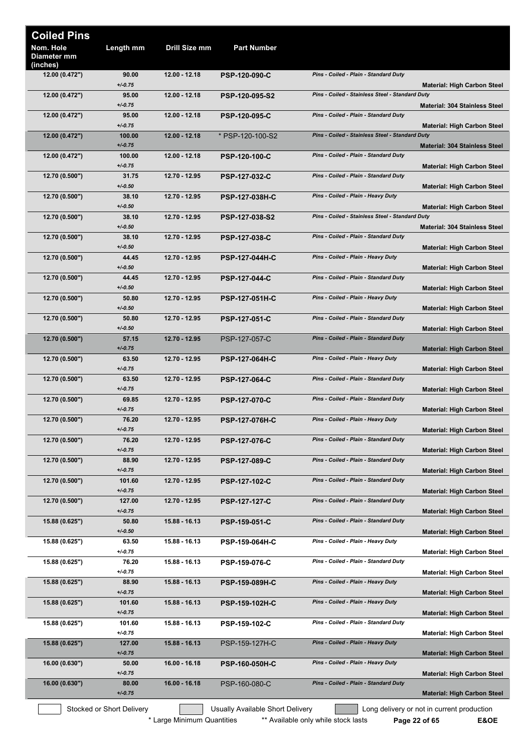| <b>Coiled Pins</b>                   |                               |                 |                                  |                                                 |                                                                                  |
|--------------------------------------|-------------------------------|-----------------|----------------------------------|-------------------------------------------------|----------------------------------------------------------------------------------|
| Nom. Hole<br>Diameter mm<br>(inches) | Length mm                     | Drill Size mm   | <b>Part Number</b>               |                                                 |                                                                                  |
| 12.00 (0.472")                       | 90.00<br>$+/0.75$             | 12.00 - 12.18   | <b>PSP-120-090-C</b>             | Pins - Coiled - Plain - Standard Duty           | <b>Material: High Carbon Steel</b>                                               |
| 12.00 (0.472")                       | 95.00<br>$+/0.75$             | 12.00 - 12.18   | <b>PSP-120-095-S2</b>            | Pins - Coiled - Stainless Steel - Standard Duty | Material: 304 Stainless Steel                                                    |
| 12.00 (0.472")                       | 95.00<br>$+/0.75$             | 12.00 - 12.18   | <b>PSP-120-095-C</b>             | Pins - Coiled - Plain - Standard Duty           | <b>Material: High Carbon Steel</b>                                               |
| 12.00 (0.472")                       | 100.00<br>$+/0.75$            | $12.00 - 12.18$ | * PSP-120-100-S2                 | Pins - Coiled - Stainless Steel - Standard Duty | <b>Material: 304 Stainless Steel</b>                                             |
| 12.00 (0.472")                       | 100.00                        | 12.00 - 12.18   | <b>PSP-120-100-C</b>             | Pins - Coiled - Plain - Standard Duty           |                                                                                  |
| 12.70 (0.500")                       | $+/0.75$<br>31.75             | 12.70 - 12.95   | <b>PSP-127-032-C</b>             | Pins - Coiled - Plain - Standard Duty           | <b>Material: High Carbon Steel</b>                                               |
| 12.70 (0.500")                       | $+/-0.50$<br>38.10            | 12.70 - 12.95   | <b>PSP-127-038H-C</b>            | Pins - Coiled - Plain - Heavy Duty              | Material: High Carbon Steel                                                      |
| 12.70(0.500")                        | $+/0.50$<br>38.10             | 12.70 - 12.95   | PSP-127-038-S2                   | Pins - Coiled - Stainless Steel - Standard Duty | <b>Material: High Carbon Steel</b>                                               |
| 12.70 (0.500")                       | $+/0.50$<br>38.10             | 12.70 - 12.95   | <b>PSP-127-038-C</b>             | Pins - Coiled - Plain - Standard Duty           | <b>Material: 304 Stainless Steel</b>                                             |
| 12.70 (0.500")                       | $+/0.50$<br>44.45             | 12.70 - 12.95   | <b>PSP-127-044H-C</b>            | Pins - Coiled - Plain - Heavy Duty              | <b>Material: High Carbon Steel</b>                                               |
| 12.70 (0.500")                       | $+/0.50$<br>44.45             | 12.70 - 12.95   | <b>PSP-127-044-C</b>             | Pins - Coiled - Plain - Standard Duty           | Material: High Carbon Steel                                                      |
|                                      | $+/-0.50$                     |                 |                                  |                                                 | Material: High Carbon Steel                                                      |
| 12.70(0.500")                        | 50.80<br>$+/-0.50$            | 12.70 - 12.95   | <b>PSP-127-051H-C</b>            | Pins - Coiled - Plain - Heavy Duty              | Material: High Carbon Steel                                                      |
| 12.70 (0.500")                       | 50.80<br>$+/0.50$             | 12.70 - 12.95   | <b>PSP-127-051-C</b>             | Pins - Coiled - Plain - Standard Duty           | <b>Material: High Carbon Steel</b>                                               |
| 12.70 (0.500")                       | 57.15<br>$+/0.75$             | 12.70 - 12.95   | PSP-127-057-C                    | Pins - Coiled - Plain - Standard Duty           | <b>Material: High Carbon Steel</b>                                               |
| 12.70(0.500")                        | 63.50<br>$+/0.75$             | 12.70 - 12.95   | <b>PSP-127-064H-C</b>            | Pins - Coiled - Plain - Heavy Duty              | <b>Material: High Carbon Steel</b>                                               |
| 12.70(0.500")                        | 63.50<br>$+/0.75$             | 12.70 - 12.95   | <b>PSP-127-064-C</b>             | Pins - Coiled - Plain - Standard Duty           | <b>Material: High Carbon Steel</b>                                               |
| 12.70 (0.500")                       | 69.85<br>$+/0.75$             | 12.70 - 12.95   | <b>PSP-127-070-C</b>             | Pins - Coiled - Plain - Standard Duty           |                                                                                  |
| 12.70 (0.500")                       | 76.20                         | 12.70 - 12.95   | PSP-127-076H-C                   | Pins - Coiled - Plain - Heavy Duty              | <b>Material: High Carbon Steel</b>                                               |
| 12.70 (0.500")                       | $+/0.75$<br>76.20             | 12.70 - 12.95   | <b>PSP-127-076-C</b>             | Pins - Coiled - Plain - Standard Duty           | <b>Material: High Carbon Steel</b>                                               |
| 12.70 (0.500")                       | $+/0.75$<br>88.90             | 12.70 - 12.95   | <b>PSP-127-089-C</b>             | Pins - Coiled - Plain - Standard Duty           | <b>Material: High Carbon Steel</b>                                               |
| 12.70(0.500")                        | $+/0.75$<br>101.60            | 12.70 - 12.95   | <b>PSP-127-102-C</b>             | Pins - Coiled - Plain - Standard Duty           | <b>Material: High Carbon Steel</b>                                               |
| 12.70 (0.500")                       | $+/0.75$<br>127.00            | 12.70 - 12.95   | <b>PSP-127-127-C</b>             | Pins - Coiled - Plain - Standard Duty           | <b>Material: High Carbon Steel</b>                                               |
| 15.88 (0.625")                       | $+/0.75$<br>50.80             | 15.88 - 16.13   | <b>PSP-159-051-C</b>             | Pins - Coiled - Plain - Standard Duty           | Material: High Carbon Steel                                                      |
|                                      | $+/0.50$                      |                 |                                  |                                                 | <b>Material: High Carbon Steel</b>                                               |
| 15.88 (0.625")                       | 63.50<br>$+/-0.75$            | 15.88 - 16.13   | <b>PSP-159-064H-C</b>            | Pins - Coiled - Plain - Heavy Duty              | <b>Material: High Carbon Steel</b>                                               |
| 15.88 (0.625")                       | 76.20<br>$+/0.75$             | 15.88 - 16.13   | <b>PSP-159-076-C</b>             | Pins - Coiled - Plain - Standard Duty           | <b>Material: High Carbon Steel</b>                                               |
| 15.88 (0.625")                       | 88.90<br>$+/0.75$             | 15.88 - 16.13   | <b>PSP-159-089H-C</b>            | Pins - Coiled - Plain - Heavy Duty              | <b>Material: High Carbon Steel</b>                                               |
| 15.88 (0.625")                       | 101.60<br>$+/0.75$            | 15.88 - 16.13   | <b>PSP-159-102H-C</b>            | Pins - Coiled - Plain - Heavy Duty              | Material: High Carbon Steel                                                      |
| 15.88 (0.625")                       | 101.60<br>$+/0.75$            | 15.88 - 16.13   | <b>PSP-159-102-C</b>             | Pins - Coiled - Plain - Standard Duty           | <b>Material: High Carbon Steel</b>                                               |
| 15.88 (0.625")                       | 127.00<br>$+/0.75$            | 15.88 - 16.13   | PSP-159-127H-C                   | Pins - Coiled - Plain - Heavy Duty              |                                                                                  |
| 16.00 (0.630")                       | 50.00                         | 16.00 - 16.18   | <b>PSP-160-050H-C</b>            | Pins - Coiled - Plain - Heavy Duty              | <b>Material: High Carbon Steel</b>                                               |
| 16.00 (0.630")                       | $+/0.75$<br>80.00<br>$+/0.75$ | 16.00 - 16.18   | PSP-160-080-C                    | Pins - Coiled - Plain - Standard Duty           | <b>Material: High Carbon Steel</b>                                               |
|                                      | Stocked or Short Delivery     |                 | Usually Available Short Delivery |                                                 | <b>Material: High Carbon Steel</b><br>Long delivery or not in current production |

\* Large Minimum Quantities \*\* Available only while stock lasts **Page 22 of 65** E&OE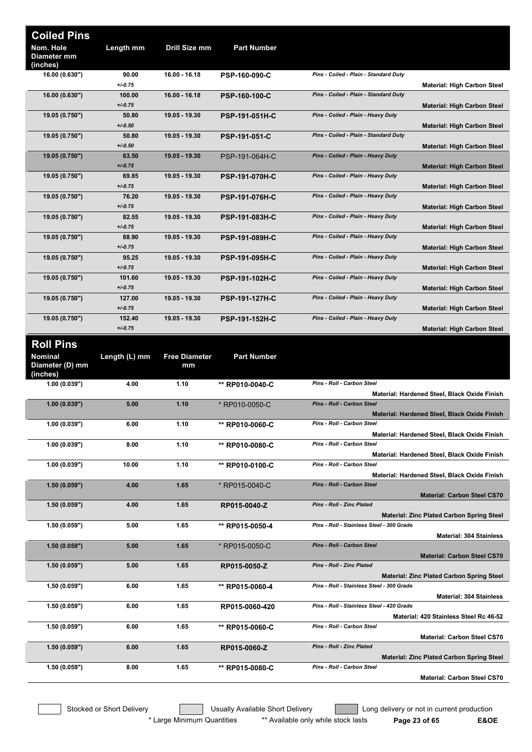| <b>Coiled Pins</b>                   |                     |                            |                       |                                                                                   |
|--------------------------------------|---------------------|----------------------------|-----------------------|-----------------------------------------------------------------------------------|
| Nom. Hole<br>Diameter mm<br>(inches) | Length mm           | Drill Size mm              | <b>Part Number</b>    |                                                                                   |
| 16.00 (0.630")                       | 90.00               | 16.00 - 16.18              | PSP-160-090-C         | Pins - Coiled - Plain - Standard Duty                                             |
|                                      | $+/0.75$            |                            |                       | <b>Material: High Carbon Steel</b>                                                |
| 16.00 (0.630")                       | 100.00<br>$+/-0.75$ | 16.00 - 16.18              | <b>PSP-160-100-C</b>  | Pins - Coiled - Plain - Standard Duty<br><b>Material: High Carbon Steel</b>       |
| 19.05 (0.750")                       | 50.80<br>$+/-0.50$  | 19.05 - 19.30              | <b>PSP-191-051H-C</b> | Pins - Coiled - Plain - Heavy Duty<br><b>Material: High Carbon Steel</b>          |
| 19.05 (0.750")                       | 50.80<br>$+/-0.50$  | 19.05 - 19.30              | PSP-191-051-C         | Pins - Coiled - Plain - Standard Duty<br><b>Material: High Carbon Steel</b>       |
| 19.05 (0.750")                       | 63.50<br>$+/0.75$   | 19.05 - 19.30              | PSP-191-064H-C        | Pins - Coiled - Plain - Heavy Duty<br><b>Material: High Carbon Steel</b>          |
| 19.05 (0.750")                       | 69.85<br>$+/-0.75$  | 19.05 - 19.30              | <b>PSP-191-070H-C</b> | Pins - Coiled - Plain - Heavy Duty<br><b>Material: High Carbon Steel</b>          |
| 19.05 (0.750")                       | 76.20<br>$+/-0.75$  | 19.05 - 19.30              | <b>PSP-191-076H-C</b> | Pins - Coiled - Plain - Heavy Duty                                                |
| 19.05 (0.750")                       | 82.55               | 19.05 - 19.30              | <b>PSP-191-083H-C</b> | <b>Material: High Carbon Steel</b><br>Pins - Coiled - Plain - Heavy Duty          |
| 19.05 (0.750")                       | $+/-0.75$<br>88.90  | 19.05 - 19.30              | <b>PSP-191-089H-C</b> | <b>Material: High Carbon Steel</b><br>Pins - Coiled - Plain - Heavy Duty          |
|                                      | $+/-0.75$           |                            |                       | <b>Material: High Carbon Steel</b>                                                |
| 19.05 (0.750")                       | 95.25<br>$+/-0.75$  | 19.05 - 19.30              | <b>PSP-191-095H-C</b> | Pins - Coiled - Plain - Heavy Duty<br><b>Material: High Carbon Steel</b>          |
| 19.05 (0.750")                       | 101.60<br>$+/0.75$  | 19.05 - 19.30              | <b>PSP-191-102H-C</b> | Pins - Coiled - Plain - Heavy Duty<br><b>Material: High Carbon Steel</b>          |
| 19.05 (0.750")                       | 127.00<br>$+/0.75$  | 19.05 - 19.30              | <b>PSP-191-127H-C</b> | Pins - Coiled - Plain - Heavy Duty<br><b>Material: High Carbon Steel</b>          |
| 19.05 (0.750")                       | 152.40<br>$+/-0.75$ | 19.05 - 19.30              | <b>PSP-191-152H-C</b> | Pins - Coiled - Plain - Heavy Duty<br><b>Material: High Carbon Steel</b>          |
| <b>Roll Pins</b>                     |                     |                            |                       |                                                                                   |
| <b>Nominal</b><br>Diameter (D) mm    | Length (L) mm       | <b>Free Diameter</b><br>mm | <b>Part Number</b>    |                                                                                   |
| (inches)<br>1.00(0.039")             | 4.00                | 1.10                       | ** RP010-0040-C       | Pins - Roll - Carbon Steel                                                        |
| 1.00(0.039")                         | 5.00                | 1.10                       | * RP010-0050-C        | Material: Hardened Steel, Black Oxide Finish<br>Pins - Roll - Carbon Steel        |
| 1.00(0.039")                         | 6.00                | 1.10                       | ** RP010-0060-C       | Material: Hardened Steel, Black Oxide Finish<br>Pins - Roll - Carbon Steel        |
|                                      |                     |                            |                       | Material: Hardened Steel, Black Oxide Finish                                      |
| 1.00(0.039")                         | 8.00                | 1.10                       | ** RP010-0080-C       | Pins - Roll - Carbon Steel<br>Material: Hardened Steel, Black Oxide Finish        |
| 1.00(0.039")                         | 10.00               | 1.10                       | ** RP010-0100-C       | Pins - Roll - Carbon Steel                                                        |
| 1.50(0.059")                         | 4.00                | 1.65                       | * RP015-0040-C        | Material: Hardened Steel, Black Oxide Finish<br><b>Pins - Roll - Carbon Steel</b> |
| 1.50(0.059")                         | 4.00                | 1.65                       | RP015-0040-Z          | <b>Material: Carbon Steel CS70</b><br>Pins - Roll - Zinc Plated                   |
|                                      |                     |                            |                       | <b>Material: Zinc Plated Carbon Spring Steel</b>                                  |
| 1.50(0.059")                         | 5.00                | 1.65                       | ** RP015-0050-4       | Pins - Roll - Stainless Steel - 300 Grade<br><b>Material: 304 Stainless</b>       |
| 1.50(0.059")                         | 5.00                | 1.65                       | * RP015-0050-C        | Pins - Roll - Carbon Steel<br><b>Material: Carbon Steel CS70</b>                  |
| 1.50(0.059")                         | 5.00                | 1.65                       | RP015-0050-Z          | Pins - Roll - Zinc Plated<br><b>Material: Zinc Plated Carbon Spring Steel</b>     |
| 1.50(0.059")                         | 6.00                | 1.65                       | ** RP015-0060-4       | Pins - Roll - Stainless Steel - 300 Grade<br><b>Material: 304 Stainless</b>       |
| 1.50(0.059")                         | 6.00                | 1.65                       | RP015-0060-420        | Pins - Roll - Stainless Steel - 420 Grade                                         |
| 1.50(0.059")                         | 6.00                | 1.65                       | ** RP015-0060-C       | Material: 420 Stainless Steel Rc 46-52<br>Pins - Roll - Carbon Steel              |
| 1.50(0.059")                         | 6.00                | 1.65                       | RP015-0060-Z          | <b>Material: Carbon Steel CS70</b><br>Pins - Roll - Zinc Plated                   |
| 1.50(0.059")                         | 8.00                | 1.65                       | ** RP015-0080-C       | <b>Material: Zinc Plated Carbon Spring Steel</b><br>Pins - Roll - Carbon Steel    |
|                                      |                     |                            |                       | <b>Material: Carbon Steel CS70</b>                                                |

Stocked or Short Delivery **The Contract Contract Contract Contract** Long delivery or not in current production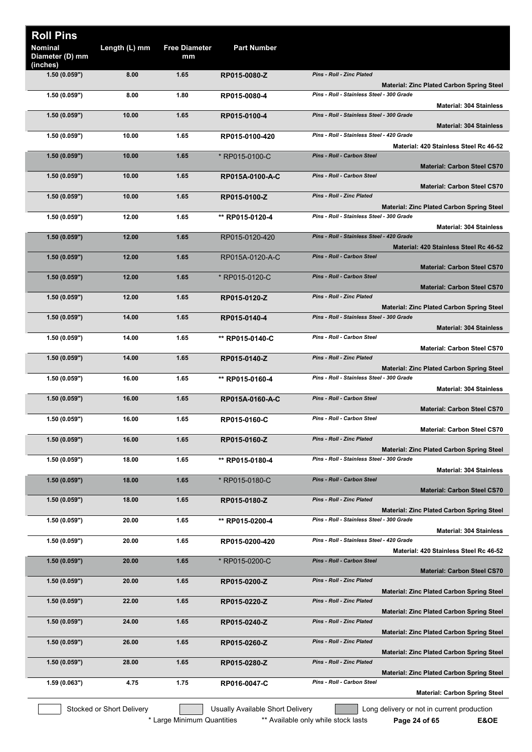| <b>Roll Pins</b>                              |               |                            |                    |                                                                                               |
|-----------------------------------------------|---------------|----------------------------|--------------------|-----------------------------------------------------------------------------------------------|
| <b>Nominal</b><br>Diameter (D) mm<br>(inches) | Length (L) mm | <b>Free Diameter</b><br>mm | <b>Part Number</b> |                                                                                               |
| 1.50(0.059")                                  | 8.00          | 1.65                       | RP015-0080-Z       | <b>Pins - Roll - Zinc Plated</b>                                                              |
|                                               | 8.00          | 1.80                       |                    | <b>Material: Zinc Plated Carbon Spring Steel</b><br>Pins - Roll - Stainless Steel - 300 Grade |
| 1.50(0.059")                                  |               |                            | RP015-0080-4       | <b>Material: 304 Stainless</b>                                                                |
| 1.50(0.059")                                  | 10.00         | 1.65                       | RP015-0100-4       | Pins - Roll - Stainless Steel - 300 Grade<br><b>Material: 304 Stainless</b>                   |
| 1.50(0.059")                                  | 10.00         | 1.65                       | RP015-0100-420     | Pins - Roll - Stainless Steel - 420 Grade<br>Material: 420 Stainless Steel Rc 46-52           |
| 1.50(0.059")                                  | 10.00         | 1.65                       | * RP015-0100-C     | <b>Pins - Roll - Carbon Steel</b><br><b>Material: Carbon Steel CS70</b>                       |
| 1.50(0.059")                                  | 10.00         | 1.65                       | RP015A-0100-A-C    | Pins - Roll - Carbon Steel<br><b>Material: Carbon Steel CS70</b>                              |
| 1.50(0.059")                                  | 10.00         | 1.65                       | RP015-0100-Z       | <b>Pins - Roll - Zinc Plated</b><br><b>Material: Zinc Plated Carbon Spring Steel</b>          |
| 1.50(0.059")                                  | 12.00         | 1.65                       | ** RP015-0120-4    | Pins - Roll - Stainless Steel - 300 Grade                                                     |
|                                               |               |                            |                    | <b>Material: 304 Stainless</b>                                                                |
| 1.50(0.059")                                  | 12.00         | 1.65                       | RP015-0120-420     | Pins - Roll - Stainless Steel - 420 Grade<br>Material: 420 Stainless Steel Rc 46-52           |
| 1.50(0.059")                                  | 12.00         | 1.65                       | RP015A-0120-A-C    | Pins - Roll - Carbon Steel<br><b>Material: Carbon Steel CS70</b>                              |
| 1.50(0.059")                                  | 12.00         | 1.65                       | * RP015-0120-C     | <b>Pins - Roll - Carbon Steel</b><br><b>Material: Carbon Steel CS70</b>                       |
| 1.50(0.059")                                  | 12.00         | 1.65                       | RP015-0120-Z       | Pins - Roll - Zinc Plated                                                                     |
| 1.50(0.059")                                  | 14.00         | 1.65                       | RP015-0140-4       | <b>Material: Zinc Plated Carbon Spring Steel</b><br>Pins - Roll - Stainless Steel - 300 Grade |
| 1.50(0.059")                                  | 14.00         | 1.65                       | ** RP015-0140-C    | <b>Material: 304 Stainless</b><br>Pins - Roll - Carbon Steel                                  |
| 1.50(0.059")                                  | 14.00         | 1.65                       | RP015-0140-Z       | <b>Material: Carbon Steel CS70</b><br>Pins - Roll - Zinc Plated                               |
|                                               |               |                            |                    | <b>Material: Zinc Plated Carbon Spring Steel</b>                                              |
| 1.50(0.059")                                  | 16.00         | 1.65                       | ** RP015-0160-4    | Pins - Roll - Stainless Steel - 300 Grade<br><b>Material: 304 Stainless</b>                   |
| 1.50(0.059")                                  | 16.00         | 1.65                       | RP015A-0160-A-C    | Pins - Roll - Carbon Steel<br><b>Material: Carbon Steel CS70</b>                              |
| 1.50 (0.059")                                 | 16.00         | 1.65                       | RP015-0160-C       | Pins - Roll - Carbon Steel<br><b>Material: Carbon Steel CS70</b>                              |
| 1.50(0.059")                                  | 16.00         | 1.65                       | RP015-0160-Z       | Pins - Roll - Zinc Plated<br><b>Material: Zinc Plated Carbon Spring Steel</b>                 |
| 1.50(0.059")                                  | 18.00         | 1.65                       | ** RP015-0180-4    | Pins - Roll - Stainless Steel - 300 Grade<br><b>Material: 304 Stainless</b>                   |
| 1.50(0.059")                                  | 18.00         | 1.65                       | * RP015-0180-C     | Pins - Roll - Carbon Steel                                                                    |
| 1.50(0.059")                                  | 18.00         | 1.65                       | RP015-0180-Z       | <b>Material: Carbon Steel CS70</b><br>Pins - Roll - Zinc Plated                               |
|                                               |               |                            |                    | <b>Material: Zinc Plated Carbon Spring Steel</b>                                              |
| 1.50(0.059")                                  | 20.00         | 1.65                       | ** RP015-0200-4    | Pins - Roll - Stainless Steel - 300 Grade<br><b>Material: 304 Stainless</b>                   |
| 1.50(0.059")                                  | 20.00         | 1.65                       | RP015-0200-420     | Pins - Roll - Stainless Steel - 420 Grade<br>Material: 420 Stainless Steel Rc 46-52           |
| 1.50(0.059")                                  | 20.00         | 1.65                       | * RP015-0200-C     | Pins - Roll - Carbon Steel<br><b>Material: Carbon Steel CS70</b>                              |
| 1.50(0.059")                                  | 20.00         | 1.65                       | RP015-0200-Z       | <b>Pins - Roll - Zinc Plated</b>                                                              |
| 1.50(0.059")                                  | 22.00         | 1.65                       | RP015-0220-Z       | <b>Material: Zinc Plated Carbon Spring Steel</b><br><b>Pins - Roll - Zinc Plated</b>          |
| 1.50(0.059")                                  | 24.00         | 1.65                       | RP015-0240-Z       | <b>Material: Zinc Plated Carbon Spring Steel</b><br>Pins - Roll - Zinc Plated                 |
| 1.50(0.059")                                  | 26.00         | 1.65                       | RP015-0260-Z       | <b>Material: Zinc Plated Carbon Spring Steel</b><br>Pins - Roll - Zinc Plated                 |
| 1.50(0.059")                                  | 28.00         | 1.65                       | RP015-0280-Z       | <b>Material: Zinc Plated Carbon Spring Steel</b><br>Pins - Roll - Zinc Plated                 |
|                                               |               |                            |                    | Material: Zinc Plated Carbon Spring Steel                                                     |
| 1.59(0.063")                                  | 4.75          | 1.75                       | RP016-0047-C       | Pins - Roll - Carbon Steel<br><b>Material: Carbon Spring Steel</b>                            |

Stocked or Short Delivery **The Contract Contract Contract Contract** Long delivery or not in current production

\* Large Minimum Quantities \*\* Available only while stock lasts **Page 24 of 65 E&OE**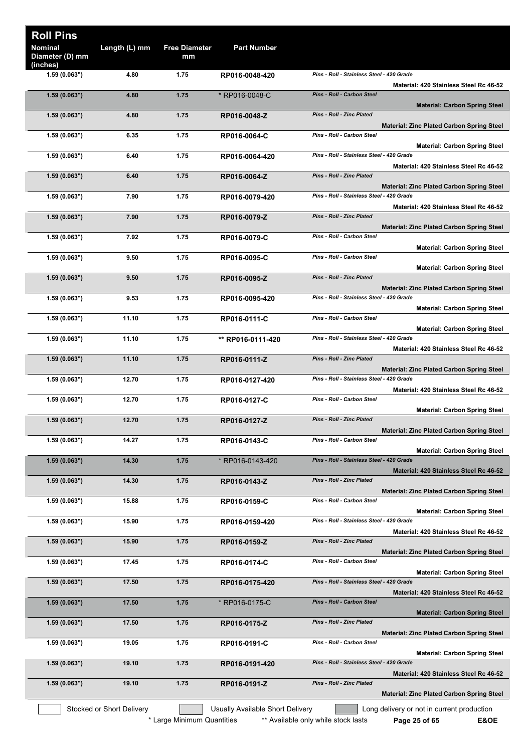| <b>Roll Pins</b><br>Nominal<br>Diameter (D) mm | Length (L) mm             | <b>Free Diameter</b><br>mm | <b>Part Number</b>               |                                                                                               |
|------------------------------------------------|---------------------------|----------------------------|----------------------------------|-----------------------------------------------------------------------------------------------|
| (inches)<br>1.59(0.063")                       | 4.80                      | 1.75                       | RP016-0048-420                   | Pins - Roll - Stainless Steel - 420 Grade                                                     |
| 1.59(0.063")                                   | 4.80                      | 1.75                       | * RP016-0048-C                   | Material: 420 Stainless Steel Rc 46-52<br>Pins - Roll - Carbon Steel                          |
|                                                |                           |                            |                                  | <b>Material: Carbon Spring Steel</b>                                                          |
| 1.59(0.063")                                   | 4.80                      | 1.75                       | RP016-0048-Z                     | <b>Pins - Roll - Zinc Plated</b><br><b>Material: Zinc Plated Carbon Spring Steel</b>          |
| 1.59(0.063")                                   | 6.35                      | 1.75                       | RP016-0064-C                     | Pins - Roll - Carbon Steel<br><b>Material: Carbon Spring Steel</b>                            |
| 1.59(0.063")                                   | 6.40                      | 1.75                       | RP016-0064-420                   | Pins - Roll - Stainless Steel - 420 Grade<br>Material: 420 Stainless Steel Rc 46-52           |
| 1.59(0.063")                                   | 6.40                      | 1.75                       | RP016-0064-Z                     | Pins - Roll - Zinc Plated                                                                     |
| 1.59(0.063")                                   | 7.90                      | 1.75                       | RP016-0079-420                   | <b>Material: Zinc Plated Carbon Spring Steel</b><br>Pins - Roll - Stainless Steel - 420 Grade |
| 1.59(0.063")                                   | 7.90                      | 1.75                       | RP016-0079-Z                     | Material: 420 Stainless Steel Rc 46-52<br><b>Pins - Roll - Zinc Plated</b>                    |
|                                                |                           |                            |                                  | Material: Zinc Plated Carbon Spring Steel                                                     |
| 1.59(0.063")                                   | 7.92                      | 1.75                       | RP016-0079-C                     | Pins - Roll - Carbon Steel<br><b>Material: Carbon Spring Steel</b>                            |
| 1.59(0.063")                                   | 9.50                      | 1.75                       | RP016-0095-C                     | Pins - Roll - Carbon Steel<br><b>Material: Carbon Spring Steel</b>                            |
| 1.59(0.063")                                   | 9.50                      | 1.75                       | RP016-0095-Z                     | <b>Pins - Roll - Zinc Plated</b>                                                              |
| 1.59(0.063")                                   | 9.53                      | 1.75                       | RP016-0095-420                   | Material: Zinc Plated Carbon Spring Steel<br>Pins - Roll - Stainless Steel - 420 Grade        |
| 1.59(0.063")                                   | 11.10                     | 1.75                       | RP016-0111-C                     | <b>Material: Carbon Spring Steel</b><br>Pins - Roll - Carbon Steel                            |
|                                                |                           |                            |                                  | <b>Material: Carbon Spring Steel</b>                                                          |
| 1.59 (0.063")                                  | 11.10                     | 1.75                       | ** RP016-0111-420                | Pins - Roll - Stainless Steel - 420 Grade<br>Material: 420 Stainless Steel Rc 46-52           |
| 1.59(0.063")                                   | 11.10                     | 1.75                       | RP016-0111-Z                     | <b>Pins - Roll - Zinc Plated</b><br><b>Material: Zinc Plated Carbon Spring Steel</b>          |
| 1.59(0.063")                                   | 12.70                     | 1.75                       | RP016-0127-420                   | Pins - Roll - Stainless Steel - 420 Grade                                                     |
| 1.59(0.063")                                   | 12.70                     | 1.75                       | RP016-0127-C                     | Material: 420 Stainless Steel Rc 46-52<br>Pins - Roll - Carbon Steel                          |
| 1.59(0.063")                                   | 12.70                     | 1.75                       | RP016-0127-Z                     | <b>Material: Carbon Spring Steel</b><br>Pins - Roll - Zinc Plated                             |
|                                                |                           |                            |                                  | <b>Material: Zinc Plated Carbon Spring Steel</b>                                              |
| 1.59(0.063")                                   | 14.27                     | 1.75                       | RP016-0143-C                     | Pins - Roll - Carbon Steel<br><b>Material: Carbon Spring Steel</b>                            |
| 1.59(0.063")                                   | 14.30                     | 1.75                       | *RP016-0143-420                  | Pins - Roll - Stainless Steel - 420 Grade<br>Material: 420 Stainless Steel Rc 46-52           |
| 1.59(0.063")                                   | 14.30                     | 1.75                       | RP016-0143-Z                     | Pins - Roll - Zinc Plated                                                                     |
| 1.59(0.063")                                   | 15.88                     | 1.75                       | RP016-0159-C                     | <b>Material: Zinc Plated Carbon Spring Steel</b><br>Pins - Roll - Carbon Steel                |
| 1.59(0.063")                                   | 15.90                     | 1.75                       | RP016-0159-420                   | <b>Material: Carbon Spring Steel</b><br>Pins - Roll - Stainless Steel - 420 Grade             |
|                                                |                           |                            |                                  | Material: 420 Stainless Steel Rc 46-52<br>Pins - Roll - Zinc Plated                           |
| 1.59(0.063")                                   | 15.90                     | 1.75                       | RP016-0159-Z                     | <b>Material: Zinc Plated Carbon Spring Steel</b>                                              |
| 1.59(0.063")                                   | 17.45                     | 1.75                       | RP016-0174-C                     | Pins - Roll - Carbon Steel<br><b>Material: Carbon Spring Steel</b>                            |
| 1.59(0.063")                                   | 17.50                     | 1.75                       | RP016-0175-420                   | Pins - Roll - Stainless Steel - 420 Grade<br>Material: 420 Stainless Steel Rc 46-52           |
| 1.59(0.063")                                   | 17.50                     | 1.75                       | * RP016-0175-C                   | Pins - Roll - Carbon Steel<br><b>Material: Carbon Spring Steel</b>                            |
| 1.59(0.063")                                   | 17.50                     | 1.75                       | RP016-0175-Z                     | Pins - Roll - Zinc Plated                                                                     |
| 1.59(0.063")                                   | 19.05                     | 1.75                       | RP016-0191-C                     | <b>Material: Zinc Plated Carbon Spring Steel</b><br>Pins - Roll - Carbon Steel                |
| 1.59(0.063")                                   | 19.10                     | 1.75                       | RP016-0191-420                   | <b>Material: Carbon Spring Steel</b><br>Pins - Roll - Stainless Steel - 420 Grade             |
| 1.59(0.063")                                   | 19.10                     | 1.75                       | RP016-0191-Z                     | Material: 420 Stainless Steel Rc 46-52<br>Pins - Roll - Zinc Plated                           |
|                                                |                           |                            |                                  | <b>Material: Zinc Plated Carbon Spring Steel</b>                                              |
|                                                | Stocked or Short Delivery |                            | Usually Available Short Delivery | Long delivery or not in current production                                                    |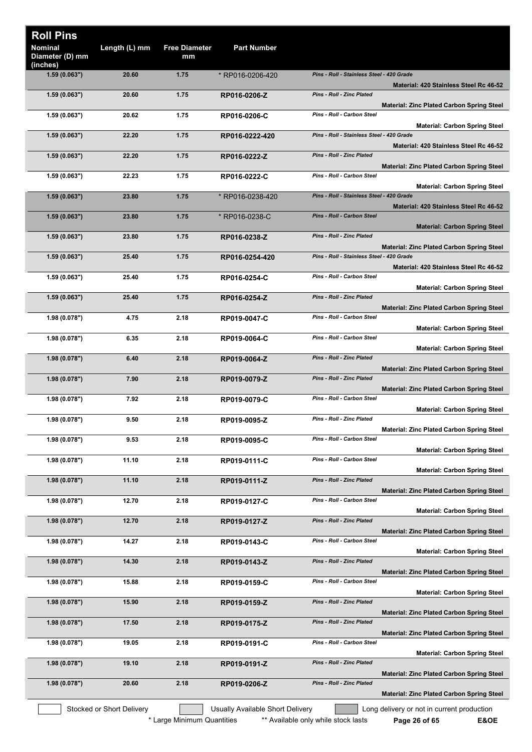| <b>Roll Pins</b>                       |                           |                            |                                  |                                                                                               |  |
|----------------------------------------|---------------------------|----------------------------|----------------------------------|-----------------------------------------------------------------------------------------------|--|
| Nominal<br>Diameter (D) mm<br>(inches) | Length (L) mm             | <b>Free Diameter</b><br>mm | <b>Part Number</b>               |                                                                                               |  |
| 1.59(0.063")                           | 20.60                     | 1.75                       | * RP016-0206-420                 | Pins - Roll - Stainless Steel - 420 Grade<br>Material: 420 Stainless Steel Rc 46-52           |  |
| 1.59(0.063")                           | 20.60                     | 1.75                       | RP016-0206-Z                     | Pins - Roll - Zinc Plated                                                                     |  |
| 1.59(0.063")                           | 20.62                     | 1.75                       | RP016-0206-C                     | <b>Material: Zinc Plated Carbon Spring Steel</b><br>Pins - Roll - Carbon Steel                |  |
| 1.59(0.063")                           | 22.20                     | 1.75                       | RP016-0222-420                   | <b>Material: Carbon Spring Steel</b><br>Pins - Roll - Stainless Steel - 420 Grade             |  |
| 1.59(0.063")                           | 22.20                     | 1.75                       | RP016-0222-Z                     | Material: 420 Stainless Steel Rc 46-52<br><b>Pins - Roll - Zinc Plated</b>                    |  |
| 1.59(0.063")                           | 22.23                     | 1.75                       | RP016-0222-C                     | <b>Material: Zinc Plated Carbon Spring Steel</b><br>Pins - Roll - Carbon Steel                |  |
| 1.59(0.063")                           | 23.80                     | 1.75                       | * RP016-0238-420                 | <b>Material: Carbon Spring Steel</b><br>Pins - Roll - Stainless Steel - 420 Grade             |  |
| 1.59(0.063")                           | 23.80                     | 1.75                       | * RP016-0238-C                   | Material: 420 Stainless Steel Rc 46-52<br>Pins - Roll - Carbon Steel                          |  |
| 1.59(0.063")                           | 23.80                     | 1.75                       | RP016-0238-Z                     | <b>Material: Carbon Spring Steel</b><br><b>Pins - Roll - Zinc Plated</b>                      |  |
| 1.59(0.063")                           | 25.40                     | 1.75                       | RP016-0254-420                   | <b>Material: Zinc Plated Carbon Spring Steel</b><br>Pins - Roll - Stainless Steel - 420 Grade |  |
| 1.59(0.063")                           | 25.40                     | 1.75                       | RP016-0254-C                     | Material: 420 Stainless Steel Rc 46-52<br>Pins - Roll - Carbon Steel                          |  |
| 1.59(0.063")                           | 25.40                     | 1.75                       | RP016-0254-Z                     | <b>Material: Carbon Spring Steel</b><br><b>Pins - Roll - Zinc Plated</b>                      |  |
|                                        |                           |                            |                                  | <b>Material: Zinc Plated Carbon Spring Steel</b><br>Pins - Roll - Carbon Steel                |  |
| 1.98 (0.078")                          | 4.75                      | 2.18                       | RP019-0047-C                     | <b>Material: Carbon Spring Steel</b>                                                          |  |
| 1.98 (0.078")                          | 6.35                      | 2.18                       | RP019-0064-C                     | Pins - Roll - Carbon Steel<br><b>Material: Carbon Spring Steel</b>                            |  |
| 1.98(0.078")                           | 6.40                      | 2.18                       | RP019-0064-Z                     | Pins - Roll - Zinc Plated<br><b>Material: Zinc Plated Carbon Spring Steel</b>                 |  |
| 1.98(0.078")                           | 7.90                      | 2.18                       | RP019-0079-Z                     | Pins - Roll - Zinc Plated<br><b>Material: Zinc Plated Carbon Spring Steel</b>                 |  |
| 1.98 (0.078")                          | 7.92                      | 2.18                       | RP019-0079-C                     | Pins - Roll - Carbon Steel<br><b>Material: Carbon Spring Steel</b>                            |  |
| 1.98 (0.078")                          | 9.50                      | 2.18                       | RP019-0095-Z                     | Pins - Roll - Zinc Plated<br><b>Material: Zinc Plated Carbon Spring Steel</b>                 |  |
| 1.98 (0.078")                          | 9.53                      | 2.18                       | RP019-0095-C                     | Pins - Roll - Carbon Steel<br><b>Material: Carbon Spring Steel</b>                            |  |
| 1.98 (0.078")                          | 11.10                     | 2.18                       | RP019-0111-C                     | Pins - Roll - Carbon Steel                                                                    |  |
| 1.98(0.078")                           | 11.10                     | 2.18                       | RP019-0111-Z                     | <b>Material: Carbon Spring Steel</b><br><b>Pins - Roll - Zinc Plated</b>                      |  |
| 1.98 (0.078")                          | 12.70                     | 2.18                       | RP019-0127-C                     | <b>Material: Zinc Plated Carbon Spring Steel</b><br>Pins - Roll - Carbon Steel                |  |
| 1.98(0.078")                           | 12.70                     | 2.18                       | RP019-0127-Z                     | <b>Material: Carbon Spring Steel</b><br>Pins - Roll - Zinc Plated                             |  |
| 1.98(0.078")                           | 14.27                     | 2.18                       | RP019-0143-C                     | <b>Material: Zinc Plated Carbon Spring Steel</b><br>Pins - Roll - Carbon Steel                |  |
| 1.98(0.078")                           | 14.30                     | 2.18                       | RP019-0143-Z                     | <b>Material: Carbon Spring Steel</b><br>Pins - Roll - Zinc Plated                             |  |
| 1.98(0.078")                           | 15.88                     | 2.18                       | RP019-0159-C                     | <b>Material: Zinc Plated Carbon Spring Steel</b><br>Pins - Roll - Carbon Steel                |  |
| 1.98(0.078")                           | 15.90                     | 2.18                       | RP019-0159-Z                     | <b>Material: Carbon Spring Steel</b><br>Pins - Roll - Zinc Plated                             |  |
| 1.98(0.078")                           | 17.50                     | 2.18                       | RP019-0175-Z                     | <b>Material: Zinc Plated Carbon Spring Steel</b><br>Pins - Roll - Zinc Plated                 |  |
| 1.98(0.078")                           | 19.05                     | 2.18                       |                                  | <b>Material: Zinc Plated Carbon Spring Steel</b><br>Pins - Roll - Carbon Steel                |  |
|                                        |                           |                            | RP019-0191-C                     | <b>Material: Carbon Spring Steel</b><br>Pins - Roll - Zinc Plated                             |  |
| 1.98(0.078")                           | 19.10                     | 2.18                       | RP019-0191-Z                     | <b>Material: Zinc Plated Carbon Spring Steel</b>                                              |  |
| 1.98(0.078")                           | 20.60                     | 2.18                       | RP019-0206-Z                     | Pins - Roll - Zinc Plated<br><b>Material: Zinc Plated Carbon Spring Steel</b>                 |  |
|                                        | Stocked or Short Delivery |                            | Usually Available Short Delivery | Long delivery or not in current production                                                    |  |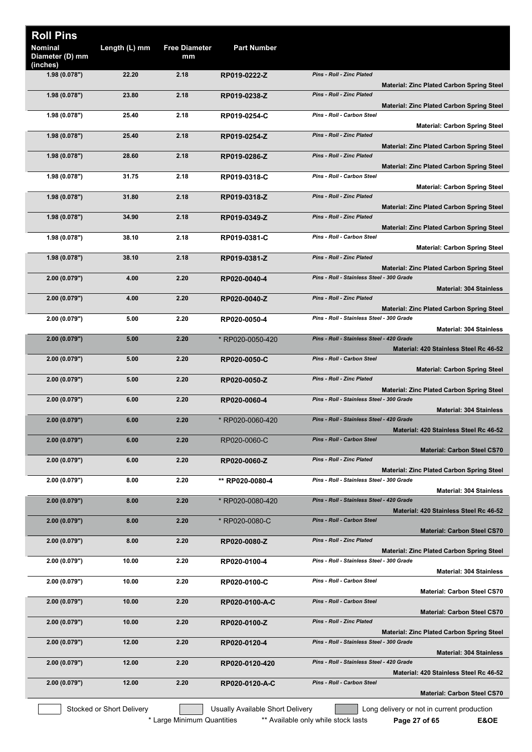|                                                                                                      |                                           | <b>Part Number</b>               | <b>Free Diameter</b><br>mm | Length (L) mm             | <b>Roll Pins</b><br><b>Nominal</b><br>Diameter (D) mm |
|------------------------------------------------------------------------------------------------------|-------------------------------------------|----------------------------------|----------------------------|---------------------------|-------------------------------------------------------|
|                                                                                                      | <b>Pins - Roll - Zinc Plated</b>          | RP019-0222-Z                     | 2.18                       | 22.20                     | (inches)<br>1.98(0.078")                              |
| <b>Material: Zinc Plated Carbon Spring Steel</b>                                                     | Pins - Roll - Zinc Plated                 | RP019-0238-Z                     | 2.18                       | 23.80                     | 1.98(0.078")                                          |
| <b>Material: Zinc Plated Carbon Spring Steel</b>                                                     | Pins - Roll - Carbon Steel                | RP019-0254-C                     | 2.18                       | 25.40                     | 1.98(0.078")                                          |
| <b>Material: Carbon Spring Steel</b>                                                                 | <b>Pins - Roll - Zinc Plated</b>          | RP019-0254-Z                     | 2.18                       | 25.40                     | 1.98(0.078")                                          |
| <b>Material: Zinc Plated Carbon Spring Steel</b><br><b>Material: Zinc Plated Carbon Spring Steel</b> | Pins - Roll - Zinc Plated                 | RP019-0286-Z                     | 2.18                       | 28.60                     | 1.98(0.078")                                          |
| <b>Material: Carbon Spring Steel</b>                                                                 | Pins - Roll - Carbon Steel                | RP019-0318-C                     | 2.18                       | 31.75                     | 1.98 (0.078")                                         |
| <b>Material: Zinc Plated Carbon Spring Steel</b>                                                     | Pins - Roll - Zinc Plated                 | RP019-0318-Z                     | 2.18                       | 31.80                     | 1.98(0.078")                                          |
| Material: Zinc Plated Carbon Spring Steel                                                            | Pins - Roll - Zinc Plated                 | RP019-0349-Z                     | 2.18                       | 34.90                     | 1.98(0.078")                                          |
| <b>Material: Carbon Spring Steel</b>                                                                 | Pins - Roll - Carbon Steel                | RP019-0381-C                     | 2.18                       | 38.10                     | 1.98(0.078")                                          |
| <b>Material: Zinc Plated Carbon Spring Steel</b>                                                     | Pins - Roll - Zinc Plated                 | RP019-0381-Z                     | 2.18                       | 38.10                     | 1.98(0.078")                                          |
| <b>Material: 304 Stainless</b>                                                                       | Pins - Roll - Stainless Steel - 300 Grade | RP020-0040-4                     | 2.20                       | 4.00                      | 2.00(0.079")                                          |
| <b>Material: Zinc Plated Carbon Spring Steel</b>                                                     | Pins - Roll - Zinc Plated                 | RP020-0040-Z                     | 2.20                       | 4.00                      | 2.00(0.079")                                          |
| <b>Material: 304 Stainless</b>                                                                       | Pins - Roll - Stainless Steel - 300 Grade | RP020-0050-4                     | 2.20                       | 5.00                      | 2.00 (0.079")                                         |
| Material: 420 Stainless Steel Rc 46-52                                                               | Pins - Roll - Stainless Steel - 420 Grade | * RP020-0050-420                 | 2.20                       | 5.00                      | 2.00(0.079")                                          |
| <b>Material: Carbon Spring Steel</b>                                                                 | Pins - Roll - Carbon Steel                | RP020-0050-C                     | 2.20                       | 5.00                      | 2.00(0.079")                                          |
| <b>Material: Zinc Plated Carbon Spring Steel</b>                                                     | <b>Pins - Roll - Zinc Plated</b>          | RP020-0050-Z                     | 2.20                       | 5.00                      | 2.00(0.079")                                          |
| <b>Material: 304 Stainless</b>                                                                       | Pins - Roll - Stainless Steel - 300 Grade | RP020-0060-4                     | 2.20                       | 6.00                      | 2.00(0.079")                                          |
| Material: 420 Stainless Steel Rc 46-52                                                               | Pins - Roll - Stainless Steel - 420 Grade | * RP020-0060-420                 | 2.20                       | 6.00                      | 2.00 (0.079")                                         |
| <b>Material: Carbon Steel CS70</b>                                                                   | Pins - Roll - Carbon Steel                | RP020-0060-C                     | 2.20                       | 6.00                      | 2.00(0.079")                                          |
| <b>Material: Zinc Plated Carbon Spring Steel</b>                                                     | Pins - Roll - Zinc Plated                 | RP020-0060-Z                     | 2.20                       | 6.00                      | 2.00(0.079")                                          |
| <b>Material: 304 Stainless</b>                                                                       | Pins - Roll - Stainless Steel - 300 Grade | ** RP020-0080-4                  | 2.20                       | 8.00                      | 2.00(0.079")                                          |
| Material: 420 Stainless Steel Rc 46-52                                                               | Pins - Roll - Stainless Steel - 420 Grade | * RP020-0080-420                 | 2.20                       | 8.00                      | 2.00(0.079")                                          |
| <b>Material: Carbon Steel CS70</b>                                                                   | <b>Pins - Roll - Carbon Steel</b>         | * RP020-0080-C                   | 2.20                       | 8.00                      | 2.00(0.079")                                          |
| <b>Material: Zinc Plated Carbon Spring Steel</b>                                                     | Pins - Roll - Zinc Plated                 | RP020-0080-Z                     | 2.20                       | 8.00                      | 2.00(0.079")                                          |
| <b>Material: 304 Stainless</b>                                                                       | Pins - Roll - Stainless Steel - 300 Grade | RP020-0100-4                     | 2.20                       | 10.00                     | 2.00(0.079")                                          |
| <b>Material: Carbon Steel CS70</b>                                                                   | Pins - Roll - Carbon Steel                | RP020-0100-C                     | 2.20                       | 10.00                     | 2.00 (0.079")                                         |
| <b>Material: Carbon Steel CS70</b>                                                                   | Pins - Roll - Carbon Steel                | RP020-0100-A-C                   | 2.20                       | 10.00                     | 2.00(0.079")                                          |
| <b>Material: Zinc Plated Carbon Spring Steel</b>                                                     | Pins - Roll - Zinc Plated                 | RP020-0100-Z                     | 2.20                       | 10.00                     | 2.00(0.079")                                          |
| <b>Material: 304 Stainless</b>                                                                       | Pins - Roll - Stainless Steel - 300 Grade | RP020-0120-4                     | 2.20                       | 12.00                     | 2.00(0.079")                                          |
| Material: 420 Stainless Steel Rc 46-52                                                               | Pins - Roll - Stainless Steel - 420 Grade | RP020-0120-420                   | 2.20                       | 12.00                     | 2.00(0.079")                                          |
| <b>Material: Carbon Steel CS70</b>                                                                   | Pins - Roll - Carbon Steel                | RP020-0120-A-C                   | 2.20                       | 12.00                     | 2.00(0.079")                                          |
| Long delivery or not in current production                                                           |                                           | Usually Available Short Delivery |                            | Stocked or Short Delivery |                                                       |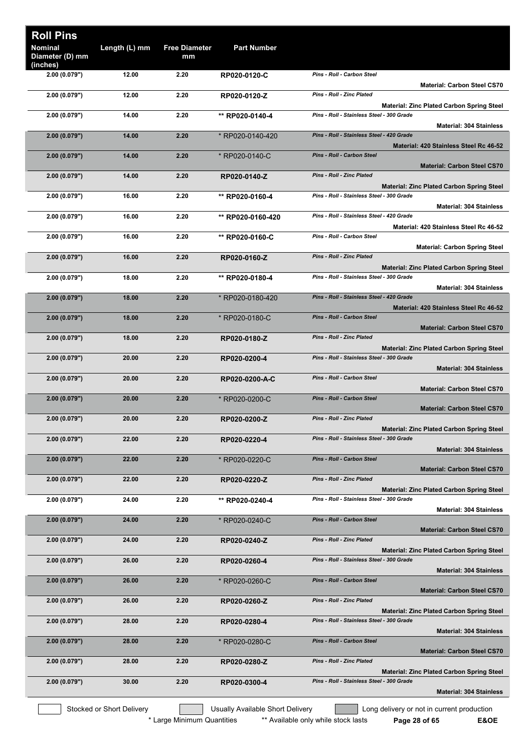| <b>Roll Pins</b>                              |                           |                            |                                  |                                                                                               |
|-----------------------------------------------|---------------------------|----------------------------|----------------------------------|-----------------------------------------------------------------------------------------------|
| <b>Nominal</b><br>Diameter (D) mm<br>(inches) | Length (L) mm             | <b>Free Diameter</b><br>mm | <b>Part Number</b>               |                                                                                               |
| 2.00 (0.079")                                 | 12.00                     | 2.20                       | RP020-0120-C                     | Pins - Roll - Carbon Steel<br>Material: Carbon Steel CS70                                     |
| 2.00(0.079")                                  | 12.00                     | 2.20                       | RP020-0120-Z                     | Pins - Roll - Zinc Plated<br><b>Material: Zinc Plated Carbon Spring Steel</b>                 |
| 2.00(0.079")                                  | 14.00                     | 2.20                       | ** RP020-0140-4                  | Pins - Roll - Stainless Steel - 300 Grade<br><b>Material: 304 Stainless</b>                   |
| 2.00(0.079")                                  | 14.00                     | 2.20                       | * RP020-0140-420                 | Pins - Roll - Stainless Steel - 420 Grade                                                     |
| 2.00(0.079")                                  | 14.00                     | 2.20                       | * RP020-0140-C                   | Material: 420 Stainless Steel Rc 46-52<br>Pins - Roll - Carbon Steel                          |
| 2.00(0.079")                                  | 14.00                     | 2.20                       | RP020-0140-Z                     | <b>Material: Carbon Steel CS70</b><br>Pins - Roll - Zinc Plated                               |
| 2.00(0.079")                                  | 16.00                     | 2.20                       | ** RP020-0160-4                  | <b>Material: Zinc Plated Carbon Spring Steel</b><br>Pins - Roll - Stainless Steel - 300 Grade |
| 2.00(0.079")                                  | 16.00                     | 2.20                       | ** RP020-0160-420                | <b>Material: 304 Stainless</b><br>Pins - Roll - Stainless Steel - 420 Grade                   |
| 2.00(0.079")                                  | 16.00                     | 2.20                       | ** RP020-0160-C                  | Material: 420 Stainless Steel Rc 46-52<br>Pins - Roll - Carbon Steel                          |
|                                               |                           |                            |                                  | <b>Material: Carbon Spring Steel</b><br>Pins - Roll - Zinc Plated                             |
| 2.00(0.079")                                  | 16.00                     | 2.20                       | RP020-0160-Z                     | <b>Material: Zinc Plated Carbon Spring Steel</b>                                              |
| 2.00(0.079")                                  | 18.00                     | 2.20                       | ** RP020-0180-4                  | Pins - Roll - Stainless Steel - 300 Grade<br><b>Material: 304 Stainless</b>                   |
| 2.00(0.079")                                  | 18.00                     | 2.20                       | * RP020-0180-420                 | Pins - Roll - Stainless Steel - 420 Grade<br>Material: 420 Stainless Steel Rc 46-52           |
| 2.00(0.079")                                  | 18.00                     | 2.20                       | * RP020-0180-C                   | Pins - Roll - Carbon Steel<br><b>Material: Carbon Steel CS70</b>                              |
| 2.00(0.079")                                  | 18.00                     | 2.20                       | RP020-0180-Z                     | <b>Pins - Roll - Zinc Plated</b>                                                              |
| 2.00(0.079")                                  | 20.00                     | 2.20                       | RP020-0200-4                     | <b>Material: Zinc Plated Carbon Spring Steel</b><br>Pins - Roll - Stainless Steel - 300 Grade |
| 2.00(0.079")                                  | 20.00                     | 2.20                       | RP020-0200-A-C                   | <b>Material: 304 Stainless</b><br>Pins - Roll - Carbon Steel                                  |
| 2.00(0.079")                                  | 20.00                     | 2.20                       | * RP020-0200-C                   | <b>Material: Carbon Steel CS70</b><br><b>Pins - Roll - Carbon Steel</b>                       |
| 2.00(0.079")                                  | 20.00                     | 2.20                       | RP020-0200-Z                     | <b>Material: Carbon Steel CS70</b><br><b>Pins - Roll - Zinc Plated</b>                        |
| 2.00(0.079")                                  | 22.00                     | 2.20                       | RP020-0220-4                     | <b>Material: Zinc Plated Carbon Spring Steel</b><br>Pins - Roll - Stainless Steel - 300 Grade |
|                                               |                           |                            |                                  | <b>Material: 304 Stainless</b>                                                                |
| 2.00(0.079")                                  | 22.00                     | 2.20                       | * RP020-0220-C                   | Pins - Roll - Carbon Steel<br><b>Material: Carbon Steel CS70</b>                              |
| 2.00(0.079")                                  | 22.00                     | 2.20                       | RP020-0220-Z                     | <b>Pins - Roll - Zinc Plated</b><br><b>Material: Zinc Plated Carbon Spring Steel</b>          |
| 2.00 (0.079")                                 | 24.00                     | 2.20                       | ** RP020-0240-4                  | Pins - Roll - Stainless Steel - 300 Grade<br><b>Material: 304 Stainless</b>                   |
| 2.00(0.079")                                  | 24.00                     | 2.20                       | * RP020-0240-C                   | Pins - Roll - Carbon Steel<br><b>Material: Carbon Steel CS70</b>                              |
| 2.00(0.079")                                  | 24.00                     | 2.20                       | RP020-0240-Z                     | Pins - Roll - Zinc Plated                                                                     |
| 2.00(0.079")                                  | 26.00                     | 2.20                       | RP020-0260-4                     | <b>Material: Zinc Plated Carbon Spring Steel</b><br>Pins - Roll - Stainless Steel - 300 Grade |
| 2.00(0.079")                                  | 26.00                     | 2.20                       | * RP020-0260-C                   | <b>Material: 304 Stainless</b><br>Pins - Roll - Carbon Steel                                  |
| 2.00(0.079")                                  | 26.00                     | 2.20                       | RP020-0260-Z                     | <b>Material: Carbon Steel CS70</b><br><b>Pins - Roll - Zinc Plated</b>                        |
| 2.00(0.079")                                  | 28.00                     | 2.20                       | RP020-0280-4                     | <b>Material: Zinc Plated Carbon Spring Steel</b><br>Pins - Roll - Stainless Steel - 300 Grade |
|                                               |                           |                            |                                  | <b>Material: 304 Stainless</b><br>Pins - Roll - Carbon Steel                                  |
| 2.00(0.079")                                  | 28.00                     | 2.20                       | * RP020-0280-C                   | <b>Material: Carbon Steel CS70</b>                                                            |
| 2.00(0.079")                                  | 28.00                     | 2.20                       | RP020-0280-Z                     | <b>Pins - Roll - Zinc Plated</b><br><b>Material: Zinc Plated Carbon Spring Steel</b>          |
| 2.00(0.079")                                  | 30.00                     | 2.20                       | RP020-0300-4                     | Pins - Roll - Stainless Steel - 300 Grade<br><b>Material: 304 Stainless</b>                   |
|                                               | Stocked or Short Delivery |                            | Usually Available Short Delivery | Long delivery or not in current production                                                    |

\* Large Minimum Quantities \*\* Available only while stock lasts **Page 28 of 65** E&OE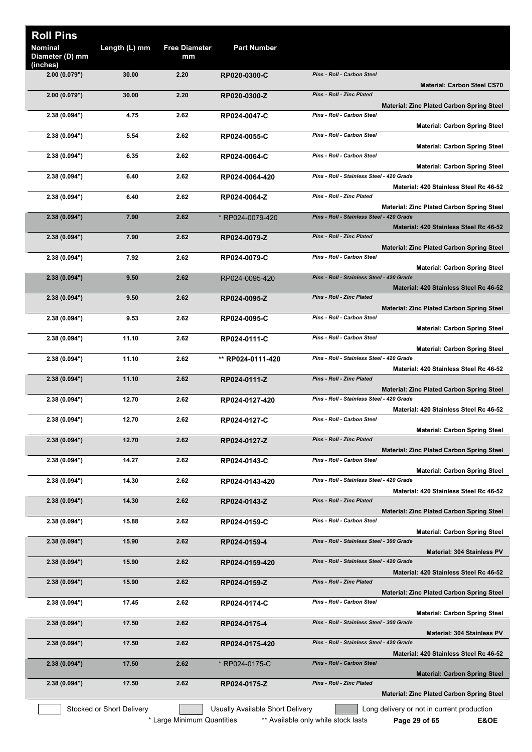|                                                  |                                           | <b>Part Number</b>               | <b>Free Diameter</b><br>mm | Length (L) mm             | <b>Roll Pins</b><br><b>Nominal</b><br>Diameter (D) mm |
|--------------------------------------------------|-------------------------------------------|----------------------------------|----------------------------|---------------------------|-------------------------------------------------------|
|                                                  |                                           |                                  |                            |                           | (inches)                                              |
| <b>Material: Carbon Steel CS70</b>               | Pins - Roll - Carbon Steel                | RP020-0300-C                     | 2.20                       | 30.00                     | 2.00(0.079")                                          |
| <b>Material: Zinc Plated Carbon Spring Steel</b> | <b>Pins - Roll - Zinc Plated</b>          | RP020-0300-Z                     | 2.20                       | 30.00                     | 2.00(0.079")                                          |
| <b>Material: Carbon Spring Steel</b>             | Pins - Roll - Carbon Steel                | RP024-0047-C                     | 2.62                       | 4.75                      | 2.38 (0.094")                                         |
|                                                  | Pins - Roll - Carbon Steel                | RP024-0055-C                     | 2.62                       | 5.54                      | 2.38 (0.094")                                         |
| <b>Material: Carbon Spring Steel</b>             | Pins - Roll - Carbon Steel                | RP024-0064-C                     | 2.62                       | 6.35                      | 2.38 (0.094")                                         |
| <b>Material: Carbon Spring Steel</b>             | Pins - Roll - Stainless Steel - 420 Grade | RP024-0064-420                   | 2.62                       | 6.40                      | 2.38 (0.094")                                         |
| Material: 420 Stainless Steel Rc 46-52           | Pins - Roll - Zinc Plated                 | RP024-0064-Z                     | 2.62                       | 6.40                      | 2.38 (0.094")                                         |
| <b>Material: Zinc Plated Carbon Spring Steel</b> | Pins - Roll - Stainless Steel - 420 Grade | *RP024-0079-420                  | 2.62                       | 7.90                      | 2.38(0.094")                                          |
| Material: 420 Stainless Steel Rc 46-52           |                                           |                                  |                            |                           |                                                       |
| <b>Material: Zinc Plated Carbon Spring Steel</b> | <b>Pins - Roll - Zinc Plated</b>          | RP024-0079-Z                     | 2.62                       | 7.90                      | 2.38(0.094")                                          |
| <b>Material: Carbon Spring Steel</b>             | Pins - Roll - Carbon Steel                | RP024-0079-C                     | 2.62                       | 7.92                      | 2.38(0.094")                                          |
|                                                  | Pins - Roll - Stainless Steel - 420 Grade | RP024-0095-420                   | 2.62                       | 9.50                      | 2.38(0.094")                                          |
| Material: 420 Stainless Steel Rc 46-52           | <b>Pins - Roll - Zinc Plated</b>          | RP024-0095-Z                     | 2.62                       | 9.50                      | 2.38(0.094")                                          |
| Material: Zinc Plated Carbon Spring Steel        | Pins - Roll - Carbon Steel                | RP024-0095-C                     | 2.62                       | 9.53                      | 2.38 (0.094")                                         |
| <b>Material: Carbon Spring Steel</b>             |                                           |                                  |                            |                           |                                                       |
| <b>Material: Carbon Spring Steel</b>             | Pins - Roll - Carbon Steel                | RP024-0111-C                     | 2.62                       | 11.10                     | 2.38 (0.094")                                         |
| Material: 420 Stainless Steel Rc 46-52           | Pins - Roll - Stainless Steel - 420 Grade | ** RP024-0111-420                | 2.62                       | 11.10                     | 2.38(0.094")                                          |
| <b>Material: Zinc Plated Carbon Spring Steel</b> | Pins - Roll - Zinc Plated                 | RP024-0111-Z                     | 2.62                       | 11.10                     | 2.38 (0.094")                                         |
| Material: 420 Stainless Steel Rc 46-52           | Pins - Roll - Stainless Steel - 420 Grade | RP024-0127-420                   | 2.62                       | 12.70                     | 2.38 (0.094")                                         |
|                                                  | Pins - Roll - Carbon Steel                | RP024-0127-C                     | 2.62                       | 12.70                     | 2.38 (0.094")                                         |
| <b>Material: Carbon Spring Steel</b>             | Pins - Roll - Zinc Plated                 | RP024-0127-Z                     | 2.62                       | 12.70                     | 2.38(0.094")                                          |
| <b>Material: Zinc Plated Carbon Spring Steel</b> | Pins - Roll - Carbon Steel                | RP024-0143-C                     | 2.62                       | 14.27                     | 2.38(0.094")                                          |
| <b>Material: Carbon Spring Steel</b>             | Pins - Roll - Stainless Steel - 420 Grade | RP024-0143-420                   | 2.62                       | 14.30                     | 2.38 (0.094")                                         |
| Material: 420 Stainless Steel Rc 46-52           |                                           |                                  |                            |                           |                                                       |
| <b>Material: Zinc Plated Carbon Spring Steel</b> | Pins - Roll - Zinc Plated                 | RP024-0143-Z                     | 2.62                       | 14.30                     | 2.38(0.094")                                          |
| <b>Material: Carbon Spring Steel</b>             | Pins - Roll - Carbon Steel                | RP024-0159-C                     | 2.62                       | 15.88                     | 2.38 (0.094")                                         |
| <b>Material: 304 Stainless PV</b>                | Pins - Roll - Stainless Steel - 300 Grade | RP024-0159-4                     | 2.62                       | 15.90                     | 2.38(0.094")                                          |
|                                                  | Pins - Roll - Stainless Steel - 420 Grade | RP024-0159-420                   | 2.62                       | 15.90                     | 2.38(0.094")                                          |
| Material: 420 Stainless Steel Rc 46-52           | Pins - Roll - Zinc Plated                 | RP024-0159-Z                     | 2.62                       | 15.90                     | 2.38(0.094")                                          |
| <b>Material: Zinc Plated Carbon Spring Steel</b> | Pins - Roll - Carbon Steel                | RP024-0174-C                     | 2.62                       | 17.45                     | 2.38 (0.094")                                         |
| <b>Material: Carbon Spring Steel</b>             | Pins - Roll - Stainless Steel - 300 Grade | RP024-0175-4                     | 2.62                       | 17.50                     | 2.38(0.094")                                          |
| <b>Material: 304 Stainless PV</b>                |                                           |                                  |                            |                           |                                                       |
| Material: 420 Stainless Steel Rc 46-52           | Pins - Roll - Stainless Steel - 420 Grade | RP024-0175-420                   | 2.62                       | 17.50                     | 2.38(0.094")                                          |
| <b>Material: Carbon Spring Steel</b>             | Pins - Roll - Carbon Steel                | * RP024-0175-C                   | 2.62                       | 17.50                     | 2.38(0.094")                                          |
|                                                  | Pins - Roll - Zinc Plated                 | RP024-0175-Z                     | 2.62                       | 17.50                     | 2.38(0.094")                                          |
| <b>Material: Zinc Plated Carbon Spring Steel</b> |                                           |                                  |                            |                           |                                                       |
| Long delivery or not in current production       |                                           | Usually Available Short Delivery |                            | Stocked or Short Delivery |                                                       |

\* Large Minimum Quantities \*\* Available only while stock lasts **Page 29 of 65 E&OE**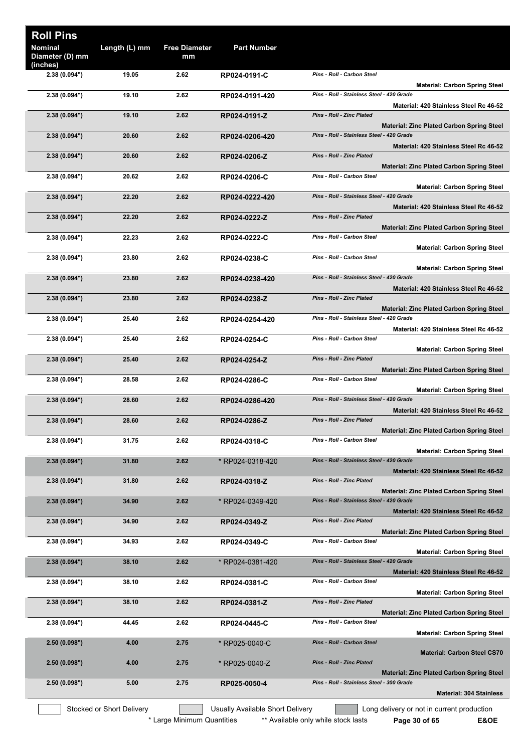| <b>Roll Pins</b><br><b>Nominal</b><br>Diameter (D) mm | Length (L) mm             | <b>Free Diameter</b><br>mm | <b>Part Number</b>               |                                                                                               |
|-------------------------------------------------------|---------------------------|----------------------------|----------------------------------|-----------------------------------------------------------------------------------------------|
| (inches)<br>2.38 (0.094")                             | 19.05                     | 2.62                       | RP024-0191-C                     | Pins - Roll - Carbon Steel                                                                    |
| 2.38 (0.094")                                         | 19.10                     | 2.62                       | RP024-0191-420                   | <b>Material: Carbon Spring Steel</b><br>Pins - Roll - Stainless Steel - 420 Grade             |
|                                                       |                           |                            |                                  | Material: 420 Stainless Steel Rc 46-52                                                        |
| 2.38(0.094")                                          | 19.10                     | 2.62                       | RP024-0191-Z                     | <b>Pins - Roll - Zinc Plated</b><br><b>Material: Zinc Plated Carbon Spring Steel</b>          |
| 2.38(0.094")                                          | 20.60                     | 2.62                       | RP024-0206-420                   | Pins - Roll - Stainless Steel - 420 Grade                                                     |
| 2.38(0.094")                                          | 20.60                     | 2.62                       | RP024-0206-Z                     | Material: 420 Stainless Steel Rc 46-52<br><b>Pins - Roll - Zinc Plated</b>                    |
|                                                       |                           |                            |                                  | <b>Material: Zinc Plated Carbon Spring Steel</b>                                              |
| 2.38 (0.094")                                         | 20.62                     | 2.62                       | RP024-0206-C                     | Pins - Roll - Carbon Steel<br><b>Material: Carbon Spring Steel</b>                            |
| 2.38(0.094")                                          | 22.20                     | 2.62                       | RP024-0222-420                   | Pins - Roll - Stainless Steel - 420 Grade                                                     |
| 2.38(0.094")                                          | 22.20                     | 2.62                       | RP024-0222-Z                     | Material: 420 Stainless Steel Rc 46-52<br>Pins - Roll - Zinc Plated                           |
|                                                       |                           |                            |                                  | <b>Material: Zinc Plated Carbon Spring Steel</b>                                              |
| 2.38 (0.094")                                         | 22.23                     | 2.62                       | RP024-0222-C                     | Pins - Roll - Carbon Steel<br><b>Material: Carbon Spring Steel</b>                            |
| 2.38 (0.094")                                         | 23.80                     | 2.62                       | RP024-0238-C                     | Pins - Roll - Carbon Steel                                                                    |
| 2.38(0.094")                                          | 23.80                     | 2.62                       | RP024-0238-420                   | <b>Material: Carbon Spring Steel</b><br>Pins - Roll - Stainless Steel - 420 Grade             |
|                                                       |                           | 2.62                       |                                  | Material: 420 Stainless Steel Rc 46-52<br><b>Pins - Roll - Zinc Plated</b>                    |
| 2.38(0.094")                                          | 23.80                     |                            | RP024-0238-Z                     | <b>Material: Zinc Plated Carbon Spring Steel</b>                                              |
| 2.38 (0.094")                                         | 25.40                     | 2.62                       | RP024-0254-420                   | Pins - Roll - Stainless Steel - 420 Grade                                                     |
| 2.38 (0.094")                                         | 25.40                     | 2.62                       | RP024-0254-C                     | Material: 420 Stainless Steel Rc 46-52<br>Pins - Roll - Carbon Steel                          |
| 2.38(0.094")                                          | 25.40                     | 2.62                       |                                  | <b>Material: Carbon Spring Steel</b><br><b>Pins - Roll - Zinc Plated</b>                      |
|                                                       |                           |                            | RP024-0254-Z                     | <b>Material: Zinc Plated Carbon Spring Steel</b>                                              |
| 2.38 (0.094")                                         | 28.58                     | 2.62                       | RP024-0286-C                     | Pins - Roll - Carbon Steel<br><b>Material: Carbon Spring Steel</b>                            |
| 2.38 (0.094")                                         | 28.60                     | 2.62                       | RP024-0286-420                   | Pins - Roll - Stainless Steel - 420 Grade                                                     |
| 2.38 (0.094")                                         | 28.60                     | 2.62                       | RP024-0286-Z                     | Material: 420 Stainless Steel Rc 46-52<br><b>Pins - Roll - Zinc Plated</b>                    |
|                                                       |                           |                            |                                  | <b>Material: Zinc Plated Carbon Spring Steel</b>                                              |
| 2.38 (0.094")                                         | 31.75                     | 2.62                       | RP024-0318-C                     | Pins - Roll - Carbon Steel<br><b>Material: Carbon Spring Steel</b>                            |
| 2.38(0.094")                                          | 31.80                     | 2.62                       | * RP024-0318-420                 | Pins - Roll - Stainless Steel - 420 Grade                                                     |
| 2.38(0.094")                                          | 31.80                     | 2.62                       | RP024-0318-Z                     | Material: 420 Stainless Steel Rc 46-52<br><b>Pins - Roll - Zinc Plated</b>                    |
|                                                       | 34.90                     | 2.62                       |                                  | <b>Material: Zinc Plated Carbon Spring Steel</b><br>Pins - Roll - Stainless Steel - 420 Grade |
| 2.38(0.094")                                          |                           |                            | * RP024-0349-420                 | Material: 420 Stainless Steel Rc 46-52                                                        |
| 2.38(0.094")                                          | 34.90                     | 2.62                       | RP024-0349-Z                     | Pins - Roll - Zinc Plated<br><b>Material: Zinc Plated Carbon Spring Steel</b>                 |
| 2.38 (0.094")                                         | 34.93                     | 2.62                       | RP024-0349-C                     | Pins - Roll - Carbon Steel                                                                    |
| 2.38(0.094")                                          | 38.10                     | 2.62                       | * RP024-0381-420                 | <b>Material: Carbon Spring Steel</b><br>Pins - Roll - Stainless Steel - 420 Grade             |
|                                                       |                           |                            |                                  | Material: 420 Stainless Steel Rc 46-52                                                        |
| 2.38 (0.094")                                         | 38.10                     | 2.62                       | RP024-0381-C                     | Pins - Roll - Carbon Steel<br><b>Material: Carbon Spring Steel</b>                            |
| 2.38(0.094")                                          | 38.10                     | 2.62                       | RP024-0381-Z                     | Pins - Roll - Zinc Plated                                                                     |
| 2.38 (0.094")                                         | 44.45                     | 2.62                       | RP024-0445-C                     | <b>Material: Zinc Plated Carbon Spring Steel</b><br>Pins - Roll - Carbon Steel                |
|                                                       |                           |                            |                                  | <b>Material: Carbon Spring Steel</b><br>Pins - Roll - Carbon Steel                            |
| 2.50(0.098")                                          | 4.00                      | 2.75                       | * RP025-0040-C                   | <b>Material: Carbon Steel CS70</b>                                                            |
| 2.50(0.098")                                          | 4.00                      | 2.75                       | * RP025-0040-Z                   | Pins - Roll - Zinc Plated<br><b>Material: Zinc Plated Carbon Spring Steel</b>                 |
| 2.50(0.098")                                          | 5.00                      | 2.75                       | RP025-0050-4                     | Pins - Roll - Stainless Steel - 300 Grade                                                     |
|                                                       |                           |                            |                                  | <b>Material: 304 Stainless</b>                                                                |
|                                                       | Stocked or Short Delivery |                            | Usually Available Short Delivery | Long delivery or not in current production                                                    |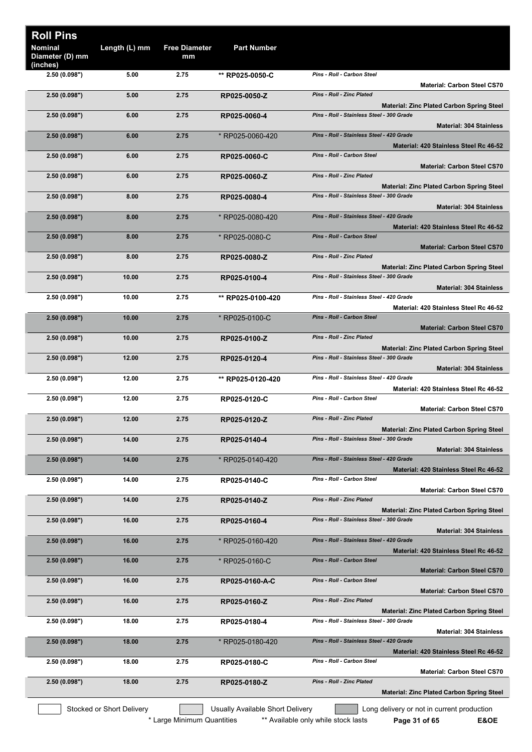| <b>Roll Pins</b>                              |                           |                            |                                  |                                                                                               |
|-----------------------------------------------|---------------------------|----------------------------|----------------------------------|-----------------------------------------------------------------------------------------------|
| <b>Nominal</b><br>Diameter (D) mm<br>(inches) | Length (L) mm             | <b>Free Diameter</b><br>mm | <b>Part Number</b>               |                                                                                               |
| 2.50 (0.098")                                 | 5.00                      | 2.75                       | ** RP025-0050-C                  | Pins - Roll - Carbon Steel<br><b>Material: Carbon Steel CS70</b>                              |
| 2.50(0.098")                                  | 5.00                      | 2.75                       | RP025-0050-Z                     | <b>Pins - Roll - Zinc Plated</b>                                                              |
| 2.50(0.098")                                  | 6.00                      | 2.75                       | RP025-0060-4                     | <b>Material: Zinc Plated Carbon Spring Steel</b><br>Pins - Roll - Stainless Steel - 300 Grade |
| 2.50(0.098")                                  | 6.00                      | 2.75                       | * RP025-0060-420                 | <b>Material: 304 Stainless</b><br>Pins - Roll - Stainless Steel - 420 Grade                   |
| 2.50(0.098")                                  | 6.00                      | 2.75                       | RP025-0060-C                     | Material: 420 Stainless Steel Rc 46-52<br>Pins - Roll - Carbon Steel                          |
| 2.50(0.098")                                  | 6.00                      | 2.75                       | RP025-0060-Z                     | <b>Material: Carbon Steel CS70</b><br><b>Pins - Roll - Zinc Plated</b>                        |
| 2.50(0.098")                                  | 8.00                      | 2.75                       | RP025-0080-4                     | <b>Material: Zinc Plated Carbon Spring Steel</b><br>Pins - Roll - Stainless Steel - 300 Grade |
| 2.50(0.098")                                  | 8.00                      | 2.75                       | * RP025-0080-420                 | <b>Material: 304 Stainless</b><br>Pins - Roll - Stainless Steel - 420 Grade                   |
| 2.50(0.098")                                  | 8.00                      | 2.75                       | * RP025-0080-C                   | Material: 420 Stainless Steel Rc 46-52<br><b>Pins - Roll - Carbon Steel</b>                   |
| 2.50(0.098")                                  | 8.00                      | 2.75                       | RP025-0080-Z                     | <b>Material: Carbon Steel CS70</b><br><b>Pins - Roll - Zinc Plated</b>                        |
| 2.50(0.098")                                  | 10.00                     | 2.75                       | RP025-0100-4                     | <b>Material: Zinc Plated Carbon Spring Steel</b><br>Pins - Roll - Stainless Steel - 300 Grade |
| 2.50 (0.098")                                 | 10.00                     | 2.75                       | ** RP025-0100-420                | <b>Material: 304 Stainless</b><br>Pins - Roll - Stainless Steel - 420 Grade                   |
| 2.50(0.098")                                  | 10.00                     | 2.75                       | * RP025-0100-C                   | Material: 420 Stainless Steel Rc 46-52<br><b>Pins - Roll - Carbon Steel</b>                   |
| 2.50(0.098")                                  | 10.00                     | 2.75                       | RP025-0100-Z                     | <b>Material: Carbon Steel CS70</b><br><b>Pins - Roll - Zinc Plated</b>                        |
| 2.50(0.098")                                  | 12.00                     | 2.75                       | RP025-0120-4                     | <b>Material: Zinc Plated Carbon Spring Steel</b><br>Pins - Roll - Stainless Steel - 300 Grade |
|                                               |                           |                            |                                  | <b>Material: 304 Stainless</b><br>Pins - Roll - Stainless Steel - 420 Grade                   |
| 2.50(0.098")                                  | 12.00                     | 2.75                       | ** RP025-0120-420                | Material: 420 Stainless Steel Rc 46-52                                                        |
| 2.50(0.098")                                  | 12.00                     | 2.75                       | RP025-0120-C                     | Pins - Roll - Carbon Steel<br><b>Material: Carbon Steel CS70</b>                              |
| 2.50 (0.098")                                 | 12.00                     | 2.75                       | RP025-0120-Z                     | <b>Pins - Roll - Zinc Plated</b><br><b>Material: Zinc Plated Carbon Spring Steel</b>          |
| 2.50(0.098")                                  | 14.00                     | 2.75                       | RP025-0140-4                     | Pins - Roll - Stainless Steel - 300 Grade<br><b>Material: 304 Stainless</b>                   |
| 2.50(0.098")                                  | 14.00                     | 2.75                       | * RP025-0140-420                 | Pins - Roll - Stainless Steel - 420 Grade<br>Material: 420 Stainless Steel Rc 46-52           |
| 2.50 (0.098")                                 | 14.00                     | 2.75                       | RP025-0140-C                     | Pins - Roll - Carbon Steel<br><b>Material: Carbon Steel CS70</b>                              |
| 2.50(0.098")                                  | 14.00                     | 2.75                       | RP025-0140-Z                     | <b>Pins - Roll - Zinc Plated</b>                                                              |
| 2.50(0.098")                                  | 16.00                     | 2.75                       | RP025-0160-4                     | <b>Material: Zinc Plated Carbon Spring Steel</b><br>Pins - Roll - Stainless Steel - 300 Grade |
| 2.50(0.098")                                  | 16.00                     | 2.75                       | * RP025-0160-420                 | <b>Material: 304 Stainless</b><br>Pins - Roll - Stainless Steel - 420 Grade                   |
| 2.50(0.098")                                  | 16.00                     | 2.75                       | * RP025-0160-C                   | Material: 420 Stainless Steel Rc 46-52<br>Pins - Roll - Carbon Steel                          |
| 2.50(0.098")                                  | 16.00                     | 2.75                       | RP025-0160-A-C                   | <b>Material: Carbon Steel CS70</b><br>Pins - Roll - Carbon Steel                              |
| 2.50(0.098")                                  | 16.00                     | 2.75                       | RP025-0160-Z                     | <b>Material: Carbon Steel CS70</b><br>Pins - Roll - Zinc Plated                               |
| 2.50(0.098")                                  | 18.00                     | 2.75                       | RP025-0180-4                     | <b>Material: Zinc Plated Carbon Spring Steel</b><br>Pins - Roll - Stainless Steel - 300 Grade |
| 2.50(0.098")                                  | 18.00                     | 2.75                       | * RP025-0180-420                 | <b>Material: 304 Stainless</b><br>Pins - Roll - Stainless Steel - 420 Grade                   |
| 2.50 (0.098")                                 | 18.00                     | 2.75                       | RP025-0180-C                     | Material: 420 Stainless Steel Rc 46-52<br>Pins - Roll - Carbon Steel                          |
| 2.50(0.098")                                  | 18.00                     | 2.75                       | RP025-0180-Z                     | <b>Material: Carbon Steel CS70</b><br><b>Pins - Roll - Zinc Plated</b>                        |
|                                               |                           |                            |                                  | <b>Material: Zinc Plated Carbon Spring Steel</b>                                              |
|                                               | Stocked or Short Delivery |                            | Usually Available Short Delivery | Long delivery or not in current production                                                    |

\* Large Minimum Quantities \*\*\* Available only while stock lasts **Page 31 of 65 E&OE**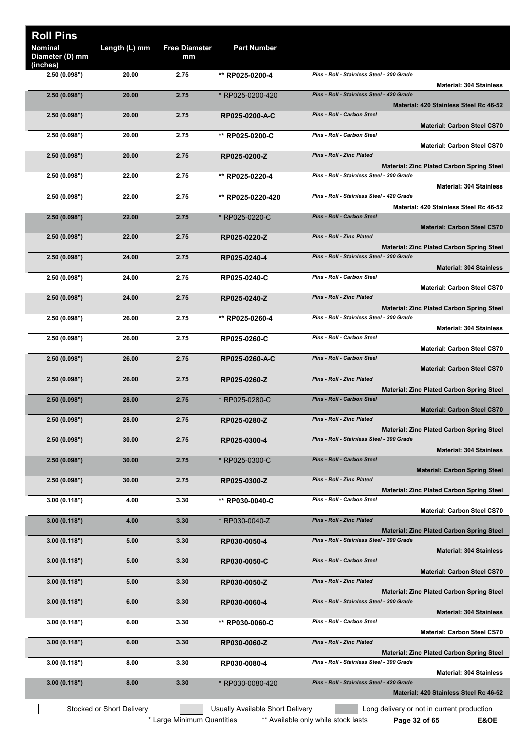| <b>Roll Pins</b><br><b>Nominal</b><br>Diameter (D) mm | Length (L) mm             | <b>Free Diameter</b><br>mm | <b>Part Number</b>               |                                                                                                                                 |
|-------------------------------------------------------|---------------------------|----------------------------|----------------------------------|---------------------------------------------------------------------------------------------------------------------------------|
| (inches)<br>2.50 (0.098")                             | 20.00                     | 2.75                       | ** RP025-0200-4                  | Pins - Roll - Stainless Steel - 300 Grade<br><b>Material: 304 Stainless</b>                                                     |
| 2.50(0.098")                                          | 20.00                     | 2.75                       | * RP025-0200-420                 | Pins - Roll - Stainless Steel - 420 Grade                                                                                       |
| 2.50(0.098")                                          | 20.00                     | 2.75                       | RP025-0200-A-C                   | Material: 420 Stainless Steel Rc 46-52<br>Pins - Roll - Carbon Steel<br><b>Material: Carbon Steel CS70</b>                      |
| 2.50(0.098")                                          | 20.00                     | 2.75                       | ** RP025-0200-C                  | Pins - Roll - Carbon Steel<br><b>Material: Carbon Steel CS70</b>                                                                |
| 2.50(0.098")                                          | 20.00                     | 2.75                       | RP025-0200-Z                     | Pins - Roll - Zinc Plated<br><b>Material: Zinc Plated Carbon Spring Steel</b>                                                   |
| 2.50 (0.098")                                         | 22.00                     | 2.75                       | ** RP025-0220-4                  | Pins - Roll - Stainless Steel - 300 Grade<br><b>Material: 304 Stainless</b>                                                     |
| 2.50(0.098")                                          | 22.00                     | 2.75                       | ** RP025-0220-420                | Pins - Roll - Stainless Steel - 420 Grade                                                                                       |
| 2.50(0.098")                                          | 22.00                     | 2.75                       | * RP025-0220-C                   | Material: 420 Stainless Steel Rc 46-52<br>Pins - Roll - Carbon Steel<br><b>Material: Carbon Steel CS70</b>                      |
| 2.50(0.098")                                          | 22.00                     | 2.75                       | RP025-0220-Z                     | <b>Pins - Roll - Zinc Plated</b>                                                                                                |
| 2.50(0.098")                                          | 24.00                     | 2.75                       | RP025-0240-4                     | <b>Material: Zinc Plated Carbon Spring Steel</b><br>Pins - Roll - Stainless Steel - 300 Grade                                   |
| 2.50(0.098")                                          | 24.00                     | 2.75                       | RP025-0240-C                     | <b>Material: 304 Stainless</b><br>Pins - Roll - Carbon Steel                                                                    |
| 2.50(0.098")                                          | 24.00                     | 2.75                       | RP025-0240-Z                     | <b>Material: Carbon Steel CS70</b><br>Pins - Roll - Zinc Plated                                                                 |
| 2.50 (0.098")                                         | 26.00                     | 2.75                       | ** RP025-0260-4                  | <b>Material: Zinc Plated Carbon Spring Steel</b><br>Pins - Roll - Stainless Steel - 300 Grade                                   |
| 2.50 (0.098")                                         | 26.00                     | 2.75                       | RP025-0260-C                     | <b>Material: 304 Stainless</b><br>Pins - Roll - Carbon Steel                                                                    |
| 2.50(0.098")                                          | 26.00                     | 2.75                       | RP025-0260-A-C                   | <b>Material: Carbon Steel CS70</b><br>Pins - Roll - Carbon Steel                                                                |
| 2.50(0.098")                                          | 26.00                     | 2.75                       | RP025-0260-Z                     | <b>Material: Carbon Steel CS70</b><br><b>Pins - Roll - Zinc Plated</b>                                                          |
| 2.50(0.098")                                          | 28.00                     | 2.75                       | * RP025-0280-C                   | <b>Material: Zinc Plated Carbon Spring Steel</b><br>Pins - Roll - Carbon Steel                                                  |
| 2.50(0.098")                                          | 28.00                     | 2.75                       | RP025-0280-Z                     | <b>Material: Carbon Steel CS70</b><br>Pins - Roll - Zinc Plated                                                                 |
| 2.50(0.098")                                          | 30.00                     | 2.75                       | RP025-0300-4                     | <b>Material: Zinc Plated Carbon Spring Steel</b><br>Pins - Roll - Stainless Steel - 300 Grade                                   |
|                                                       |                           |                            |                                  | <b>Material: 304 Stainless</b><br>Pins - Roll - Carbon Steel                                                                    |
| 2.50(0.098")                                          | 30.00                     | 2.75                       | * RP025-0300-C                   | <b>Material: Carbon Spring Steel</b>                                                                                            |
| 2.50(0.098")                                          | 30.00                     | 2.75                       | RP025-0300-Z                     | Pins - Roll - Zinc Plated<br><b>Material: Zinc Plated Carbon Spring Steel</b>                                                   |
| 3.00(0.118")                                          | 4.00                      | 3.30                       | ** RP030-0040-C                  | Pins - Roll - Carbon Steel<br><b>Material: Carbon Steel CS70</b>                                                                |
| 3.00(0.118")                                          | 4.00                      | 3.30                       | * RP030-0040-Z                   | <b>Pins - Roll - Zinc Plated</b><br><b>Material: Zinc Plated Carbon Spring Steel</b>                                            |
| 3.00(0.118")                                          | 5.00                      | 3.30                       | RP030-0050-4                     | Pins - Roll - Stainless Steel - 300 Grade<br><b>Material: 304 Stainless</b>                                                     |
| 3.00(0.118")                                          | 5.00                      | 3.30                       | RP030-0050-C                     | Pins - Roll - Carbon Steel<br><b>Material: Carbon Steel CS70</b>                                                                |
| 3.00(0.118")                                          | 5.00                      | 3.30                       | RP030-0050-Z                     | Pins - Roll - Zinc Plated                                                                                                       |
| 3.00(0.118")                                          | 6.00                      | 3.30                       | RP030-0060-4                     | <b>Material: Zinc Plated Carbon Spring Steel</b><br>Pins - Roll - Stainless Steel - 300 Grade<br><b>Material: 304 Stainless</b> |
| 3.00(0.118")                                          | 6.00                      | 3.30                       | ** RP030-0060-C                  | Pins - Roll - Carbon Steel                                                                                                      |
| 3.00(0.118")                                          | 6.00                      | 3.30                       | RP030-0060-Z                     | <b>Material: Carbon Steel CS70</b><br>Pins - Roll - Zinc Plated                                                                 |
| 3.00(0.118")                                          | 8.00                      | 3.30                       | RP030-0080-4                     | <b>Material: Zinc Plated Carbon Spring Steel</b><br>Pins - Roll - Stainless Steel - 300 Grade                                   |
| 3.00(0.118")                                          | 8.00                      | 3.30                       | * RP030-0080-420                 | <b>Material: 304 Stainless</b><br>Pins - Roll - Stainless Steel - 420 Grade                                                     |
|                                                       | Stocked or Short Delivery |                            | Usually Available Short Delivery | Material: 420 Stainless Steel Rc 46-52<br>Long delivery or not in current production                                            |
|                                                       |                           | * Large Minimum Quantities |                                  | ** Available only while stock lasts<br><b>E&amp;OE</b><br>Page 32 of 65                                                         |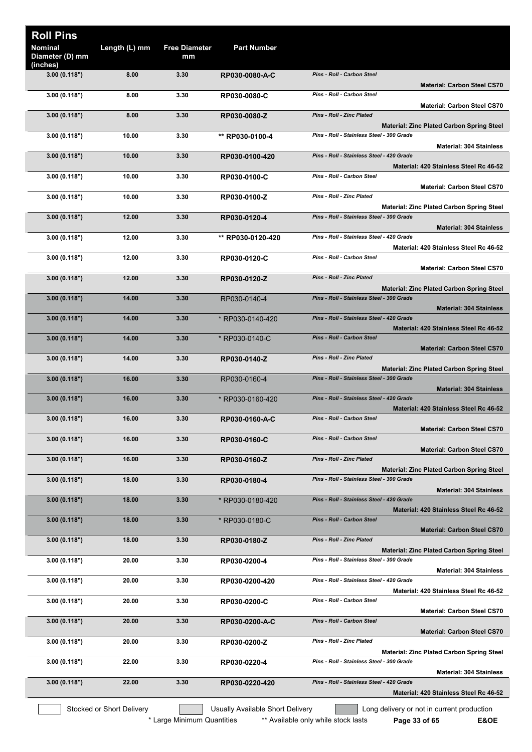| <b>Roll Pins</b>                       |                           |                            |                                  |                                                                                               |
|----------------------------------------|---------------------------|----------------------------|----------------------------------|-----------------------------------------------------------------------------------------------|
| Nominal<br>Diameter (D) mm<br>(inches) | Length (L) mm             | <b>Free Diameter</b><br>mm | <b>Part Number</b>               |                                                                                               |
| 3.00(0.118")                           | 8.00                      | 3.30                       | RP030-0080-A-C                   | <b>Pins - Roll - Carbon Steel</b><br><b>Material: Carbon Steel CS70</b>                       |
| 3.00(0.118")                           | 8.00                      | 3.30                       | RP030-0080-C                     | Pins - Roll - Carbon Steel<br><b>Material: Carbon Steel CS70</b>                              |
| 3.00(0.118")                           | 8.00                      | 3.30                       | RP030-0080-Z                     | Pins - Roll - Zinc Plated                                                                     |
| 3.00 (0.118")                          | 10.00                     | 3.30                       | ** RP030-0100-4                  | <b>Material: Zinc Plated Carbon Spring Steel</b><br>Pins - Roll - Stainless Steel - 300 Grade |
| 3.00(0.118")                           | 10.00                     | 3.30                       | RP030-0100-420                   | <b>Material: 304 Stainless</b><br>Pins - Roll - Stainless Steel - 420 Grade                   |
| 3.00(0.118")                           | 10.00                     | 3.30                       | RP030-0100-C                     | Material: 420 Stainless Steel Rc 46-52<br>Pins - Roll - Carbon Steel                          |
| 3.00 (0.118")                          | 10.00                     | 3.30                       | RP030-0100-Z                     | <b>Material: Carbon Steel CS70</b><br>Pins - Roll - Zinc Plated                               |
| 3.00(0.118")                           | 12.00                     | 3.30                       | RP030-0120-4                     | <b>Material: Zinc Plated Carbon Spring Steel</b><br>Pins - Roll - Stainless Steel - 300 Grade |
| 3.00(0.118")                           | 12.00                     | 3.30                       | ** RP030-0120-420                | <b>Material: 304 Stainless</b><br>Pins - Roll - Stainless Steel - 420 Grade                   |
| 3.00(0.118")                           | 12.00                     | 3.30                       | RP030-0120-C                     | Material: 420 Stainless Steel Rc 46-52<br>Pins - Roll - Carbon Steel                          |
|                                        |                           |                            |                                  | <b>Material: Carbon Steel CS70</b>                                                            |
| 3.00(0.118")                           | 12.00                     | 3.30                       | RP030-0120-Z                     | <b>Pins - Roll - Zinc Plated</b><br><b>Material: Zinc Plated Carbon Spring Steel</b>          |
| 3.00(0.118")                           | 14.00                     | 3.30                       | RP030-0140-4                     | Pins - Roll - Stainless Steel - 300 Grade<br><b>Material: 304 Stainless</b>                   |
| 3.00(0.118")                           | 14.00                     | 3.30                       | * RP030-0140-420                 | Pins - Roll - Stainless Steel - 420 Grade<br>Material: 420 Stainless Steel Rc 46-52           |
| 3.00(0.118")                           | 14.00                     | 3.30                       | * RP030-0140-C                   | <b>Pins - Roll - Carbon Steel</b>                                                             |
| 3.00(0.118")                           | 14.00                     | 3.30                       | RP030-0140-Z                     | <b>Material: Carbon Steel CS70</b><br>Pins - Roll - Zinc Plated                               |
| 3.00(0.118")                           | 16.00                     | 3.30                       | RP030-0160-4                     | <b>Material: Zinc Plated Carbon Spring Steel</b><br>Pins - Roll - Stainless Steel - 300 Grade |
| 3.00(0.118")                           | 16.00                     | 3.30                       | * RP030-0160-420                 | <b>Material: 304 Stainless</b><br>Pins - Roll - Stainless Steel - 420 Grade                   |
|                                        |                           |                            |                                  | Material: 420 Stainless Steel Rc 46-52                                                        |
| 3.00(0.118")                           | 16.00                     | 3.30                       | RP030-0160-A-C                   | <b>Pins - Roll - Carbon Steel</b><br><b>Material: Carbon Steel CS70</b>                       |
| 3.00(0.118")                           | 16.00                     | 3.30                       | RP030-0160-C                     | <b>Pins - Roll - Carbon Steel</b><br><b>Material: Carbon Steel CS70</b>                       |
| 3.00(0.118")                           | 16.00                     | 3.30                       | RP030-0160-Z                     | Pins - Roll - Zinc Plated<br><b>Material: Zinc Plated Carbon Spring Steel</b>                 |
| 3.00(0.118")                           | 18.00                     | 3.30                       | RP030-0180-4                     | Pins - Roll - Stainless Steel - 300 Grade                                                     |
| 3.00(0.118")                           | 18.00                     | 3.30                       | * RP030-0180-420                 | <b>Material: 304 Stainless</b><br>Pins - Roll - Stainless Steel - 420 Grade                   |
| 3.00(0.118")                           | 18.00                     | 3.30                       | * RP030-0180-C                   | Material: 420 Stainless Steel Rc 46-52<br>Pins - Roll - Carbon Steel                          |
|                                        |                           |                            |                                  | <b>Material: Carbon Steel CS70</b>                                                            |
| 3.00(0.118")                           | 18.00                     | 3.30                       | RP030-0180-Z                     | Pins - Roll - Zinc Plated<br><b>Material: Zinc Plated Carbon Spring Steel</b>                 |
| 3.00(0.118")                           | 20.00                     | 3.30                       | RP030-0200-4                     | Pins - Roll - Stainless Steel - 300 Grade<br><b>Material: 304 Stainless</b>                   |
| 3.00(0.118")                           | 20.00                     | 3.30                       | RP030-0200-420                   | Pins - Roll - Stainless Steel - 420 Grade<br>Material: 420 Stainless Steel Rc 46-52           |
| 3.00(0.118")                           | 20.00                     | 3.30                       | RP030-0200-C                     | Pins - Roll - Carbon Steel<br><b>Material: Carbon Steel CS70</b>                              |
| 3.00(0.118")                           | 20.00                     | 3.30                       | RP030-0200-A-C                   | Pins - Roll - Carbon Steel<br><b>Material: Carbon Steel CS70</b>                              |
| 3.00(0.118")                           | 20.00                     | 3.30                       | RP030-0200-Z                     | Pins - Roll - Zinc Plated<br><b>Material: Zinc Plated Carbon Spring Steel</b>                 |
| 3.00(0.118")                           | 22.00                     | 3.30                       | RP030-0220-4                     | Pins - Roll - Stainless Steel - 300 Grade                                                     |
| 3.00(0.118")                           | 22.00                     | 3.30                       | RP030-0220-420                   | <b>Material: 304 Stainless</b><br>Pins - Roll - Stainless Steel - 420 Grade                   |
|                                        |                           |                            |                                  | Material: 420 Stainless Steel Rc 46-52                                                        |
|                                        | Stocked or Short Delivery |                            | Usually Available Short Delivery | Long delivery or not in current production                                                    |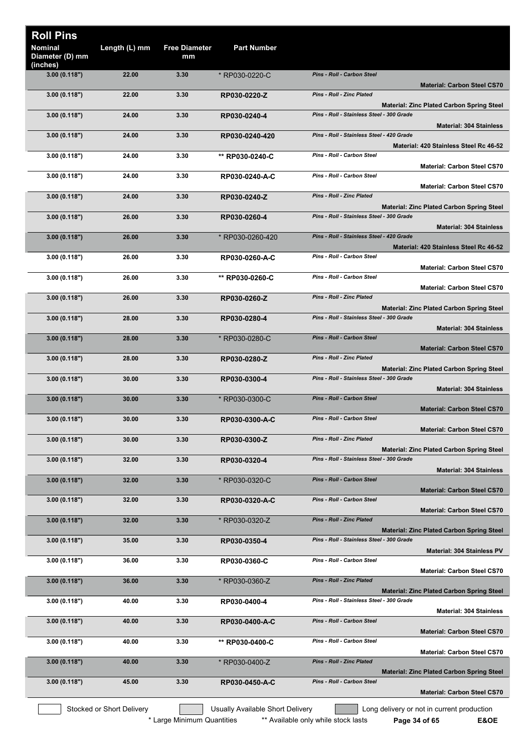| <b>Roll Pins</b>                       |                           |                            |                                  |                                                                                               |
|----------------------------------------|---------------------------|----------------------------|----------------------------------|-----------------------------------------------------------------------------------------------|
| Nominal<br>Diameter (D) mm<br>(inches) | Length (L) mm             | <b>Free Diameter</b><br>mm | <b>Part Number</b>               |                                                                                               |
| 3.00(0.118")                           | 22.00                     | 3.30                       | * RP030-0220-C                   | <b>Pins - Roll - Carbon Steel</b><br><b>Material: Carbon Steel CS70</b>                       |
| 3.00(0.118")                           | 22.00                     | 3.30                       | RP030-0220-Z                     | Pins - Roll - Zinc Plated<br><b>Material: Zinc Plated Carbon Spring Steel</b>                 |
| 3.00 (0.118")                          | 24.00                     | 3.30                       | RP030-0240-4                     | Pins - Roll - Stainless Steel - 300 Grade<br><b>Material: 304 Stainless</b>                   |
| 3.00(0.118")                           | 24.00                     | 3.30                       | RP030-0240-420                   | Pins - Roll - Stainless Steel - 420 Grade<br>Material: 420 Stainless Steel Rc 46-52           |
| 3.00(0.118")                           | 24.00                     | 3.30                       | ** RP030-0240-C                  | Pins - Roll - Carbon Steel<br><b>Material: Carbon Steel CS70</b>                              |
| 3.00(0.118")                           | 24.00                     | 3.30                       | RP030-0240-A-C                   | <b>Pins - Roll - Carbon Steel</b>                                                             |
| 3.00(0.118")                           | 24.00                     | 3.30                       | RP030-0240-Z                     | <b>Material: Carbon Steel CS70</b><br><b>Pins - Roll - Zinc Plated</b>                        |
| 3.00(0.118")                           | 26.00                     | 3.30                       | RP030-0260-4                     | <b>Material: Zinc Plated Carbon Spring Steel</b><br>Pins - Roll - Stainless Steel - 300 Grade |
| 3.00(0.118")                           | 26.00                     | 3.30                       | * RP030-0260-420                 | <b>Material: 304 Stainless</b><br>Pins - Roll - Stainless Steel - 420 Grade                   |
| 3.00(0.118")                           | 26.00                     | 3.30                       | RP030-0260-A-C                   | Material: 420 Stainless Steel Rc 46-52<br>Pins - Roll - Carbon Steel                          |
| 3.00(0.118")                           | 26.00                     | 3.30                       | ** RP030-0260-C                  | <b>Material: Carbon Steel CS70</b><br>Pins - Roll - Carbon Steel                              |
| 3.00(0.118")                           | 26.00                     | 3.30                       | RP030-0260-Z                     | <b>Material: Carbon Steel CS70</b><br><b>Pins - Roll - Zinc Plated</b>                        |
| 3.00(0.118")                           | 28.00                     | 3.30                       | RP030-0280-4                     | <b>Material: Zinc Plated Carbon Spring Steel</b><br>Pins - Roll - Stainless Steel - 300 Grade |
| 3.00(0.118")                           | 28.00                     | 3.30                       | * RP030-0280-C                   | <b>Material: 304 Stainless</b><br>Pins - Roll - Carbon Steel                                  |
|                                        |                           |                            |                                  | <b>Material: Carbon Steel CS70</b>                                                            |
| 3.00(0.118")                           | 28.00                     | 3.30                       | RP030-0280-Z                     | Pins - Roll - Zinc Plated<br><b>Material: Zinc Plated Carbon Spring Steel</b>                 |
| 3.00(0.118")                           | 30.00                     | 3.30                       | RP030-0300-4                     | Pins - Roll - Stainless Steel - 300 Grade<br><b>Material: 304 Stainless</b>                   |
| 3.00 (0.118")                          | 30.00                     | 3.30                       | * RP030-0300-C                   | Pins - Roll - Carbon Steel<br><b>Material: Carbon Steel CS70</b>                              |
| 3.00(0.118")                           | 30.00                     | 3.30                       | RP030-0300-A-C                   | Pins - Roll - Carbon Steel<br><b>Material: Carbon Steel CS70</b>                              |
| 3.00(0.118")                           | 30.00                     | 3.30                       | RP030-0300-Z                     | Pins - Roll - Zinc Plated<br>Material: Zinc Plated Carbon Spring Steel                        |
| 3.00(0.118")                           | 32.00                     | 3.30                       | RP030-0320-4                     | Pins - Roll - Stainless Steel - 300 Grade                                                     |
| 3.00(0.118")                           | 32.00                     | 3.30                       | * RP030-0320-C                   | <b>Material: 304 Stainless</b><br>Pins - Roll - Carbon Steel                                  |
| 3.00(0.118")                           | 32.00                     | 3.30                       | RP030-0320-A-C                   | <b>Material: Carbon Steel CS70</b><br>Pins - Roll - Carbon Steel                              |
| 3.00(0.118")                           | 32.00                     | 3.30                       | * RP030-0320-Z                   | <b>Material: Carbon Steel CS70</b><br><b>Pins - Roll - Zinc Plated</b>                        |
|                                        |                           |                            |                                  | <b>Material: Zinc Plated Carbon Spring Steel</b>                                              |
| 3.00(0.118")                           | 35.00                     | 3.30                       | RP030-0350-4                     | Pins - Roll - Stainless Steel - 300 Grade<br><b>Material: 304 Stainless PV</b>                |
| 3.00(0.118")                           | 36.00                     | 3.30                       | RP030-0360-C                     | Pins - Roll - Carbon Steel<br><b>Material: Carbon Steel CS70</b>                              |
| 3.00(0.118")                           | 36.00                     | 3.30                       | * RP030-0360-Z                   | <b>Pins - Roll - Zinc Plated</b><br><b>Material: Zinc Plated Carbon Spring Steel</b>          |
| 3.00(0.118")                           | 40.00                     | 3.30                       | RP030-0400-4                     | Pins - Roll - Stainless Steel - 300 Grade<br><b>Material: 304 Stainless</b>                   |
| 3.00(0.118")                           | 40.00                     | 3.30                       | RP030-0400-A-C                   | Pins - Roll - Carbon Steel<br><b>Material: Carbon Steel CS70</b>                              |
| 3.00(0.118")                           | 40.00                     | 3.30                       | ** RP030-0400-C                  | Pins - Roll - Carbon Steel                                                                    |
| 3.00(0.118")                           | 40.00                     | 3.30                       | * RP030-0400-Z                   | <b>Material: Carbon Steel CS70</b><br><b>Pins - Roll - Zinc Plated</b>                        |
| 3.00(0.118")                           | 45.00                     | 3.30                       | RP030-0450-A-C                   | <b>Material: Zinc Plated Carbon Spring Steel</b><br>Pins - Roll - Carbon Steel                |
|                                        |                           |                            |                                  | <b>Material: Carbon Steel CS70</b>                                                            |
|                                        | Stocked or Short Delivery |                            | Usually Available Short Delivery | Long delivery or not in current production                                                    |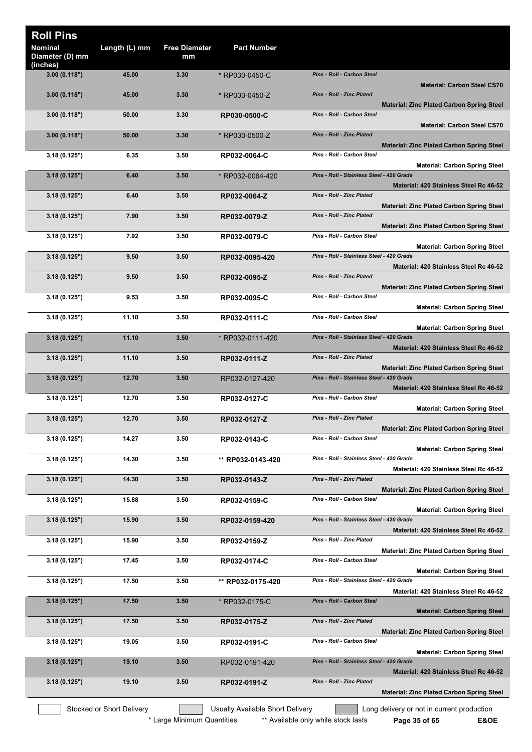| <b>Roll Pins</b>                              |                           |                            |                                  |                                                                                               |
|-----------------------------------------------|---------------------------|----------------------------|----------------------------------|-----------------------------------------------------------------------------------------------|
| <b>Nominal</b><br>Diameter (D) mm<br>(inches) | Length (L) mm             | <b>Free Diameter</b><br>mm | <b>Part Number</b>               |                                                                                               |
| 3.00(0.118")                                  | 45.00                     | 3.30                       | * RP030-0450-C                   | Pins - Roll - Carbon Steel<br><b>Material: Carbon Steel CS70</b>                              |
| 3.00(0.118")                                  | 45.00                     | 3.30                       | * RP030-0450-Z                   | <b>Pins - Roll - Zinc Plated</b><br><b>Material: Zinc Plated Carbon Spring Steel</b>          |
| 3.00(0.118")                                  | 50.00                     | 3.30                       | RP030-0500-C                     | Pins - Roll - Carbon Steel<br><b>Material: Carbon Steel CS70</b>                              |
| 3.00(0.118")                                  | 50.00                     | 3.30                       | * RP030-0500-Z                   | <b>Pins - Roll - Zinc Plated</b><br><b>Material: Zinc Plated Carbon Spring Steel</b>          |
| 3.18(0.125")                                  | 6.35                      | 3.50                       | RP032-0064-C                     | Pins - Roll - Carbon Steel<br><b>Material: Carbon Spring Steel</b>                            |
| 3.18(0.125")                                  | 6.40                      | 3.50                       | * RP032-0064-420                 | Pins - Roll - Stainless Steel - 420 Grade<br>Material: 420 Stainless Steel Rc 46-52           |
| 3.18(0.125")                                  | 6.40                      | 3.50                       | RP032-0064-Z                     | <b>Pins - Roll - Zinc Plated</b><br><b>Material: Zinc Plated Carbon Spring Steel</b>          |
| 3.18(0.125")                                  | 7.90                      | 3.50                       | RP032-0079-Z                     | <b>Pins - Roll - Zinc Plated</b><br><b>Material: Zinc Plated Carbon Spring Steel</b>          |
| 3.18(0.125")                                  | 7.92                      | 3.50                       | RP032-0079-C                     | Pins - Roll - Carbon Steel<br><b>Material: Carbon Spring Steel</b>                            |
| 3.18(0.125")                                  | 9.50                      | 3.50                       | RP032-0095-420                   | Pins - Roll - Stainless Steel - 420 Grade<br>Material: 420 Stainless Steel Rc 46-52           |
| 3.18(0.125")                                  | 9.50                      | 3.50                       | RP032-0095-Z                     | <b>Pins - Roll - Zinc Plated</b>                                                              |
| 3.18(0.125")                                  | 9.53                      | 3.50                       | RP032-0095-C                     | <b>Material: Zinc Plated Carbon Spring Steel</b><br>Pins - Roll - Carbon Steel                |
| 3.18(0.125")                                  | 11.10                     | 3.50                       | RP032-0111-C                     | <b>Material: Carbon Spring Steel</b><br>Pins - Roll - Carbon Steel                            |
| 3.18(0.125")                                  | 11.10                     | 3.50                       | * RP032-0111-420                 | <b>Material: Carbon Spring Steel</b><br>Pins - Roll - Stainless Steel - 420 Grade             |
| 3.18(0.125")                                  | 11.10                     | 3.50                       | RP032-0111-Z                     | Material: 420 Stainless Steel Rc 46-52<br><b>Pins - Roll - Zinc Plated</b>                    |
| 3.18(0.125")                                  | 12.70                     | 3.50                       | RP032-0127-420                   | <b>Material: Zinc Plated Carbon Spring Steel</b><br>Pins - Roll - Stainless Steel - 420 Grade |
| 3.18(0.125")                                  | 12.70                     | 3.50                       | RP032-0127-C                     | Material: 420 Stainless Steel Rc 46-52<br>Pins - Roll - Carbon Steel                          |
| 3.18(0.125")                                  | 12.70                     | 3.50                       | RP032-0127-Z                     | <b>Material: Carbon Spring Steel</b><br><b>Pins - Roll - Zinc Plated</b>                      |
| 3.18(0.125")                                  | 14.27                     | 3.50                       | RP032-0143-C                     | <b>Material: Zinc Plated Carbon Spring Steel</b><br>Pins - Roll - Carbon Steel                |
| 3.18(0.125")                                  | 14.30                     | 3.50                       | ** RP032-0143-420                | <b>Material: Carbon Spring Steel</b><br>Pins - Roll - Stainless Steel - 420 Grade             |
| 3.18(0.125")                                  | 14.30                     | 3.50                       | RP032-0143-Z                     | Material: 420 Stainless Steel Rc 46-52<br><b>Pins - Roll - Zinc Plated</b>                    |
| 3.18(0.125")                                  | 15.88                     | 3.50                       | RP032-0159-C                     | <b>Material: Zinc Plated Carbon Spring Steel</b><br>Pins - Roll - Carbon Steel                |
| 3.18(0.125")                                  | 15.90                     | 3.50                       | RP032-0159-420                   | <b>Material: Carbon Spring Steel</b><br>Pins - Roll - Stainless Steel - 420 Grade             |
| 3.18(0.125")                                  | 15.90                     | 3.50                       | RP032-0159-Z                     | Material: 420 Stainless Steel Rc 46-52<br>Pins - Roll - Zinc Plated                           |
| 3.18(0.125")                                  | 17.45                     | 3.50                       | RP032-0174-C                     | <b>Material: Zinc Plated Carbon Spring Steel</b><br>Pins - Roll - Carbon Steel                |
| 3.18(0.125")                                  | 17.50                     | 3.50                       | ** RP032-0175-420                | <b>Material: Carbon Spring Steel</b><br>Pins - Roll - Stainless Steel - 420 Grade             |
| 3.18(0.125")                                  | 17.50                     | 3.50                       | * RP032-0175-C                   | Material: 420 Stainless Steel Rc 46-52<br>Pins - Roll - Carbon Steel                          |
| 3.18(0.125")                                  | 17.50                     | 3.50                       | RP032-0175-Z                     | <b>Material: Carbon Spring Steel</b><br>Pins - Roll - Zinc Plated                             |
| 3.18(0.125")                                  | 19.05                     | 3.50                       | RP032-0191-C                     | <b>Material: Zinc Plated Carbon Spring Steel</b><br>Pins - Roll - Carbon Steel                |
| 3.18(0.125")                                  | 19.10                     | 3.50                       | RP032-0191-420                   | <b>Material: Carbon Spring Steel</b><br>Pins - Roll - Stainless Steel - 420 Grade             |
| 3.18(0.125")                                  | 19.10                     | 3.50                       | RP032-0191-Z                     | Material: 420 Stainless Steel Rc 46-52<br><b>Pins - Roll - Zinc Plated</b>                    |
|                                               |                           |                            |                                  | <b>Material: Zinc Plated Carbon Spring Steel</b>                                              |
|                                               | Stocked or Short Delivery |                            | Usually Available Short Delivery | Long delivery or not in current production                                                    |

\* Large Minimum Quantities \*\* Available only while stock lasts **Page 35 of 65 E&OE** 

 $\overline{\phantom{a}}$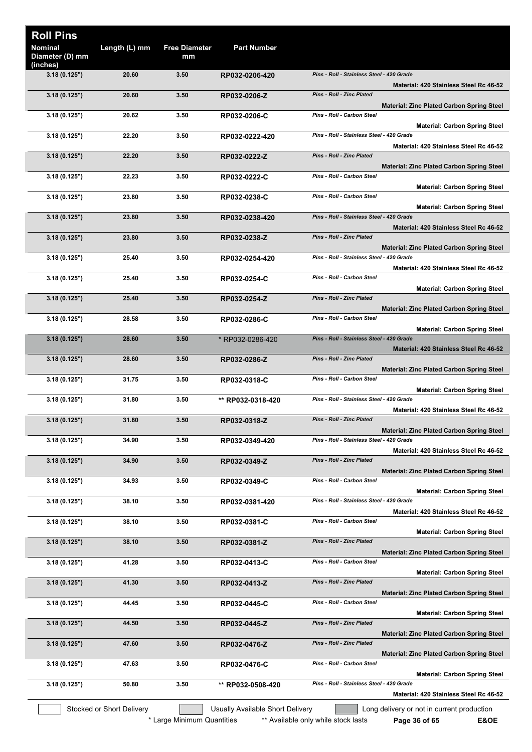| <b>Roll Pins</b>                       |                           |                            |                                  |                                                                                               |
|----------------------------------------|---------------------------|----------------------------|----------------------------------|-----------------------------------------------------------------------------------------------|
| Nominal<br>Diameter (D) mm<br>(inches) | Length (L) mm             | <b>Free Diameter</b><br>mm | <b>Part Number</b>               |                                                                                               |
| 3.18(0.125")                           | 20.60                     | 3.50                       | RP032-0206-420                   | Pins - Roll - Stainless Steel - 420 Grade<br>Material: 420 Stainless Steel Rc 46-52           |
| 3.18(0.125")                           | 20.60                     | 3.50                       | RP032-0206-Z                     | <b>Pins - Roll - Zinc Plated</b><br><b>Material: Zinc Plated Carbon Spring Steel</b>          |
| 3.18(0.125")                           | 20.62                     | 3.50                       | RP032-0206-C                     | Pins - Roll - Carbon Steel<br><b>Material: Carbon Spring Steel</b>                            |
| 3.18(0.125")                           | 22.20                     | 3.50                       | RP032-0222-420                   | Pins - Roll - Stainless Steel - 420 Grade<br>Material: 420 Stainless Steel Rc 46-52           |
| 3.18(0.125")                           | 22.20                     | 3.50                       | RP032-0222-Z                     | Pins - Roll - Zinc Plated<br><b>Material: Zinc Plated Carbon Spring Steel</b>                 |
| 3.18(0.125")                           | 22.23                     | 3.50                       | RP032-0222-C                     | Pins - Roll - Carbon Steel<br><b>Material: Carbon Spring Steel</b>                            |
| 3.18 (0.125")                          | 23.80                     | 3.50                       | RP032-0238-C                     | Pins - Roll - Carbon Steel<br><b>Material: Carbon Spring Steel</b>                            |
| 3.18(0.125")                           | 23.80                     | 3.50                       | RP032-0238-420                   | Pins - Roll - Stainless Steel - 420 Grade<br>Material: 420 Stainless Steel Rc 46-52           |
| 3.18(0.125")                           | 23.80                     | 3.50                       | RP032-0238-Z                     | <b>Pins - Roll - Zinc Plated</b><br><b>Material: Zinc Plated Carbon Spring Steel</b>          |
| 3.18(0.125")                           | 25.40                     | 3.50                       | RP032-0254-420                   | Pins - Roll - Stainless Steel - 420 Grade<br>Material: 420 Stainless Steel Rc 46-52           |
| 3.18(0.125")                           | 25.40                     | 3.50                       | RP032-0254-C                     | Pins - Roll - Carbon Steel<br><b>Material: Carbon Spring Steel</b>                            |
| 3.18(0.125")                           | 25.40                     | 3.50                       | RP032-0254-Z                     | <b>Pins - Roll - Zinc Plated</b><br>Material: Zinc Plated Carbon Spring Steel                 |
| 3.18(0.125")                           | 28.58                     | 3.50                       | RP032-0286-C                     | Pins - Roll - Carbon Steel<br><b>Material: Carbon Spring Steel</b>                            |
| 3.18(0.125")                           | 28.60                     | 3.50                       | * RP032-0286-420                 | Pins - Roll - Stainless Steel - 420 Grade<br>Material: 420 Stainless Steel Rc 46-52           |
| 3.18(0.125")                           | 28.60                     | 3.50                       | RP032-0286-Z                     | <b>Pins - Roll - Zinc Plated</b>                                                              |
| 3.18(0.125")                           | 31.75                     | 3.50                       | RP032-0318-C                     | <b>Material: Zinc Plated Carbon Spring Steel</b><br><b>Pins - Roll - Carbon Steel</b>         |
| 3.18(0.125")                           | 31.80                     | 3.50                       | ** RP032-0318-420                | <b>Material: Carbon Spring Steel</b><br>Pins - Roll - Stainless Steel - 420 Grade             |
| 3.18(0.125")                           | 31.80                     | 3.50                       | RP032-0318-Z                     | Material: 420 Stainless Steel Rc 46-52<br><b>Pins - Roll - Zinc Plated</b>                    |
| 3.18(0.125")                           | 34.90                     | 3.50                       | RP032-0349-420                   | <b>Material: Zinc Plated Carbon Spring Steel</b><br>Pins - Roll - Stainless Steel - 420 Grade |
| 3.18(0.125")                           | 34.90                     | 3.50                       | RP032-0349-Z                     | Material: 420 Stainless Steel Rc 46-52<br>Pins - Roll - Zinc Plated                           |
| 3.18(0.125")                           | 34.93                     | 3.50                       | RP032-0349-C                     | <b>Material: Zinc Plated Carbon Spring Steel</b><br>Pins - Roll - Carbon Steel                |
| 3.18(0.125")                           | 38.10                     | 3.50                       | RP032-0381-420                   | <b>Material: Carbon Spring Steel</b><br>Pins - Roll - Stainless Steel - 420 Grade             |
| 3.18(0.125")                           | 38.10                     | 3.50                       | RP032-0381-C                     | Material: 420 Stainless Steel Rc 46-52<br>Pins - Roll - Carbon Steel                          |
| 3.18(0.125")                           | 38.10                     | 3.50                       | RP032-0381-Z                     | <b>Material: Carbon Spring Steel</b><br><b>Pins - Roll - Zinc Plated</b>                      |
| 3.18(0.125")                           | 41.28                     | 3.50                       | RP032-0413-C                     | <b>Material: Zinc Plated Carbon Spring Steel</b><br>Pins - Roll - Carbon Steel                |
| 3.18(0.125")                           | 41.30                     | 3.50                       | RP032-0413-Z                     | <b>Material: Carbon Spring Steel</b><br>Pins - Roll - Zinc Plated                             |
| 3.18(0.125")                           | 44.45                     | 3.50                       | RP032-0445-C                     | <b>Material: Zinc Plated Carbon Spring Steel</b><br>Pins - Roll - Carbon Steel                |
| 3.18(0.125")                           | 44.50                     | 3.50                       | RP032-0445-Z                     | <b>Material: Carbon Spring Steel</b><br>Pins - Roll - Zinc Plated                             |
| 3.18(0.125")                           | 47.60                     | 3.50                       | RP032-0476-Z                     | <b>Material: Zinc Plated Carbon Spring Steel</b><br>Pins - Roll - Zinc Plated                 |
| 3.18(0.125")                           | 47.63                     | 3.50                       | RP032-0476-C                     | <b>Material: Zinc Plated Carbon Spring Steel</b><br>Pins - Roll - Carbon Steel                |
| 3.18 (0.125")                          | 50.80                     | 3.50                       | ** RP032-0508-420                | <b>Material: Carbon Spring Steel</b><br>Pins - Roll - Stainless Steel - 420 Grade             |
|                                        |                           |                            |                                  | Material: 420 Stainless Steel Rc 46-52                                                        |
|                                        | Stocked or Short Delivery |                            | Usually Available Short Delivery | Long delivery or not in current production                                                    |

\* Large Minimum Quantities \*\*\* Available only while stock lasts **Page 36 of 65 E&OE** 

 $\lfloor$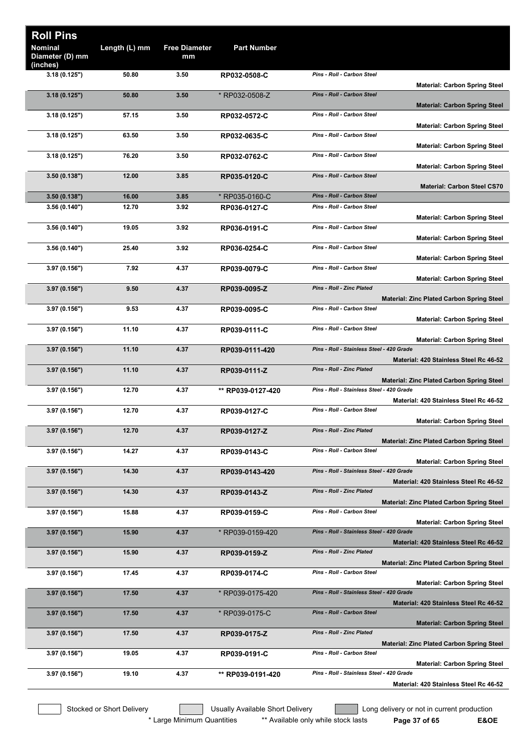| <b>Roll Pins</b><br>Nominal<br>Diameter (D) mm | Length (L) mm | <b>Free Diameter</b><br>mm | <b>Part Number</b> |                                           |                                                                            |
|------------------------------------------------|---------------|----------------------------|--------------------|-------------------------------------------|----------------------------------------------------------------------------|
| (inches)<br>3.18(0.125")                       | 50.80         | 3.50                       | RP032-0508-C       | Pins - Roll - Carbon Steel                |                                                                            |
|                                                |               |                            |                    |                                           | <b>Material: Carbon Spring Steel</b>                                       |
| 3.18(0.125")                                   | 50.80         | 3.50                       | * RP032-0508-Z     | Pins - Roll - Carbon Steel                | <b>Material: Carbon Spring Steel</b>                                       |
| 3.18(0.125")                                   | 57.15         | 3.50                       | RP032-0572-C       | Pins - Roll - Carbon Steel                |                                                                            |
| 3.18(0.125")                                   | 63.50         | 3.50                       | RP032-0635-C       | Pins - Roll - Carbon Steel                | <b>Material: Carbon Spring Steel</b>                                       |
| 3.18(0.125")                                   | 76.20         | 3.50                       | RP032-0762-C       | Pins - Roll - Carbon Steel                | <b>Material: Carbon Spring Steel</b>                                       |
| 3.50(0.138")                                   | 12.00         | 3.85                       | RP035-0120-C       | Pins - Roll - Carbon Steel                | <b>Material: Carbon Spring Steel</b><br><b>Material: Carbon Steel CS70</b> |
| 3.50(0.138")                                   | 16.00         | 3.85                       | * RP035-0160-C     | <b>Pins - Roll - Carbon Steel</b>         |                                                                            |
| 3.56(0.140")                                   | 12.70         | 3.92                       | RP036-0127-C       | Pins - Roll - Carbon Steel                | <b>Material: Carbon Spring Steel</b>                                       |
| 3.56(0.140")                                   | 19.05         | 3.92                       | RP036-0191-C       | Pins - Roll - Carbon Steel                |                                                                            |
| 3.56 (0.140")                                  | 25.40         | 3.92                       | RP036-0254-C       | Pins - Roll - Carbon Steel                | <b>Material: Carbon Spring Steel</b>                                       |
|                                                |               |                            |                    |                                           | <b>Material: Carbon Spring Steel</b>                                       |
| 3.97 (0.156")                                  | 7.92          | 4.37                       | RP039-0079-C       | Pins - Roll - Carbon Steel                | <b>Material: Carbon Spring Steel</b>                                       |
| 3.97(0.156")                                   | 9.50          | 4.37                       | RP039-0095-Z       | Pins - Roll - Zinc Plated                 | Material: Zinc Plated Carbon Spring Steel                                  |
| 3.97 (0.156")                                  | 9.53          | 4.37                       | RP039-0095-C       | Pins - Roll - Carbon Steel                | <b>Material: Carbon Spring Steel</b>                                       |
| 3.97 (0.156")                                  | 11.10         | 4.37                       | RP039-0111-C       | Pins - Roll - Carbon Steel                | <b>Material: Carbon Spring Steel</b>                                       |
| 3.97(0.156")                                   | 11.10         | 4.37                       | RP039-0111-420     | Pins - Roll - Stainless Steel - 420 Grade | Material: 420 Stainless Steel Rc 46-52                                     |
| 3.97(0.156")                                   | 11.10         | 4.37                       | RP039-0111-Z       | Pins - Roll - Zinc Plated                 |                                                                            |
| 3.97 (0.156")                                  | 12.70         | 4.37                       | ** RP039-0127-420  | Pins - Roll - Stainless Steel - 420 Grade | <b>Material: Zinc Plated Carbon Spring Steel</b>                           |
| 3.97 (0.156")                                  | 12.70         | 4.37                       | RP039-0127-C       | Pins - Roll - Carbon Steel                | Material: 420 Stainless Steel Rc 46-52                                     |
|                                                |               |                            |                    |                                           | Material: Carbon Spring Steel                                              |
| 3.97(0.156")                                   | 12.70         | 4.37                       | RP039-0127-Z       | Pins - Roll - Zinc Plated                 | <b>Material: Zinc Plated Carbon Spring Steel</b>                           |
| 3.97 (0.156")                                  | 14.27         | 4.37                       | RP039-0143-C       | Pins - Roll - Carbon Steel                | <b>Material: Carbon Spring Steel</b>                                       |
| 3.97(0.156")                                   | 14.30         | 4.37                       | RP039-0143-420     | Pins - Roll - Stainless Steel - 420 Grade |                                                                            |
| 3.97(0.156")                                   | 14.30         | 4.37                       | RP039-0143-Z       | Pins - Roll - Zinc Plated                 | Material: 420 Stainless Steel Rc 46-52                                     |
| 3.97 (0.156")                                  | 15.88         | 4.37                       | RP039-0159-C       | Pins - Roll - Carbon Steel                | <b>Material: Zinc Plated Carbon Spring Steel</b>                           |
| 3.97(0.156")                                   | 15.90         | 4.37                       | * RP039-0159-420   | Pins - Roll - Stainless Steel - 420 Grade | <b>Material: Carbon Spring Steel</b>                                       |
|                                                |               |                            |                    | Pins - Roll - Zinc Plated                 | Material: 420 Stainless Steel Rc 46-52                                     |
| 3.97(0.156")                                   | 15.90         | 4.37                       | RP039-0159-Z       |                                           | <b>Material: Zinc Plated Carbon Spring Steel</b>                           |
| 3.97 (0.156")                                  | 17.45         | 4.37                       | RP039-0174-C       | Pins - Roll - Carbon Steel                | <b>Material: Carbon Spring Steel</b>                                       |
| 3.97(0.156")                                   | 17.50         | 4.37                       | * RP039-0175-420   | Pins - Roll - Stainless Steel - 420 Grade | Material: 420 Stainless Steel Rc 46-52                                     |
| 3.97(0.156")                                   | 17.50         | 4.37                       | * RP039-0175-C     | Pins - Roll - Carbon Steel                | <b>Material: Carbon Spring Steel</b>                                       |
| 3.97(0.156")                                   | 17.50         | 4.37                       | RP039-0175-Z       | Pins - Roll - Zinc Plated                 | <b>Material: Zinc Plated Carbon Spring Steel</b>                           |
| 3.97 (0.156")                                  | 19.05         | 4.37                       | RP039-0191-C       | Pins - Roll - Carbon Steel                | <b>Material: Carbon Spring Steel</b>                                       |
| 3.97 (0.156")                                  | 19.10         | 4.37                       | ** RP039-0191-420  | Pins - Roll - Stainless Steel - 420 Grade | Material: 420 Stainless Steel Rc 46-52                                     |

Stocked or Short Delivery **The Contract Contract Contract Contract** Long delivery or not in current production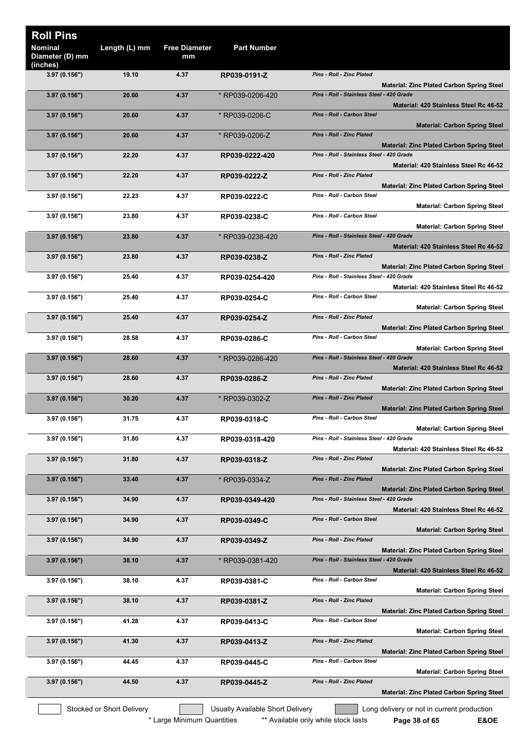| <b>Roll Pins</b>                       |                           |                            |                                  |                                                                                               |
|----------------------------------------|---------------------------|----------------------------|----------------------------------|-----------------------------------------------------------------------------------------------|
| Nominal<br>Diameter (D) mm<br>(inches) | Length (L) mm             | <b>Free Diameter</b><br>mm | <b>Part Number</b>               |                                                                                               |
| 3.97(0.156")                           | 19.10                     | 4.37                       | RP039-0191-Z                     | Pins - Roll - Zinc Plated<br><b>Material: Zinc Plated Carbon Spring Steel</b>                 |
| 3.97(0.156")                           | 20.60                     | 4.37                       | * RP039-0206-420                 | Pins - Roll - Stainless Steel - 420 Grade<br>Material: 420 Stainless Steel Rc 46-52           |
| 3.97(0.156")                           | 20.60                     | 4.37                       | * RP039-0206-C                   | Pins - Roll - Carbon Steel<br><b>Material: Carbon Spring Steel</b>                            |
| 3.97(0.156")                           | 20.60                     | 4.37                       | * RP039-0206-Z                   | <b>Pins - Roll - Zinc Plated</b><br><b>Material: Zinc Plated Carbon Spring Steel</b>          |
| 3.97(0.156")                           | 22.20                     | 4.37                       | RP039-0222-420                   | Pins - Roll - Stainless Steel - 420 Grade<br>Material: 420 Stainless Steel Rc 46-52           |
| 3.97(0.156")                           | 22.20                     | 4.37                       | RP039-0222-Z                     | Pins - Roll - Zinc Plated<br><b>Material: Zinc Plated Carbon Spring Steel</b>                 |
| 3.97(0.156")                           | 22.23                     | 4.37                       | RP039-0222-C                     | Pins - Roll - Carbon Steel<br><b>Material: Carbon Spring Steel</b>                            |
| 3.97 (0.156")                          | 23.80                     | 4.37                       | RP039-0238-C                     | Pins - Roll - Carbon Steel<br><b>Material: Carbon Spring Steel</b>                            |
| 3.97(0.156")                           | 23.80                     | 4.37                       | * RP039-0238-420                 | Pins - Roll - Stainless Steel - 420 Grade<br>Material: 420 Stainless Steel Rc 46-52           |
| 3.97 (0.156")                          | 23.80                     | 4.37                       | RP039-0238-Z                     | <b>Pins - Roll - Zinc Plated</b>                                                              |
| 3.97 (0.156")                          | 25.40                     | 4.37                       | RP039-0254-420                   | <b>Material: Zinc Plated Carbon Spring Steel</b><br>Pins - Roll - Stainless Steel - 420 Grade |
| 3.97 (0.156")                          | 25.40                     | 4.37                       | RP039-0254-C                     | Material: 420 Stainless Steel Rc 46-52<br>Pins - Roll - Carbon Steel                          |
| 3.97(0.156")                           | 25.40                     | 4.37                       | RP039-0254-Z                     | <b>Material: Carbon Spring Steel</b><br>Pins - Roll - Zinc Plated                             |
| 3.97(0.156")                           | 28.58                     | 4.37                       | RP039-0286-C                     | <b>Material: Zinc Plated Carbon Spring Steel</b><br>Pins - Roll - Carbon Steel                |
| 3.97(0.156")                           | 28.60                     | 4.37                       | * RP039-0286-420                 | <b>Material: Carbon Spring Steel</b><br>Pins - Roll - Stainless Steel - 420 Grade             |
| 3.97(0.156")                           | 28.60                     | 4.37                       | RP039-0286-Z                     | Material: 420 Stainless Steel Rc 46-52<br>Pins - Roll - Zinc Plated                           |
| 3.97 (0.156")                          | 30.20                     | 4.37                       | * RP039-0302-Z                   | <b>Material: Zinc Plated Carbon Spring Steel</b><br><b>Pins - Roll - Zinc Plated</b>          |
| 3.97 (0.156")                          | 31.75                     | 4.37                       | RP039-0318-C                     | <b>Material: Zinc Plated Carbon Spring Steel</b><br>Pins - Roll - Carbon Steel                |
| 3.97 (0.156")                          | 31.80                     | 4.37                       | RP039-0318-420                   | <b>Material: Carbon Spring Steel</b><br>Pins - Roll - Stainless Steel - 420 Grade             |
| 3.97(0.156")                           | 31.80                     | 4.37                       | RP039-0318-Z                     | Material: 420 Stainless Steel Rc 46-52<br>Pins - Roll - Zinc Plated                           |
| 3.97(0.156")                           | 33.40                     | 4.37                       | * RP039-0334-Z                   | <b>Material: Zinc Plated Carbon Spring Steel</b><br><b>Pins - Roll - Zinc Plated</b>          |
| 3.97(0.156")                           | 34.90                     | 4.37                       | RP039-0349-420                   | <b>Material: Zinc Plated Carbon Spring Steel</b><br>Pins - Roll - Stainless Steel - 420 Grade |
| 3.97(0.156")                           | 34.90                     | 4.37                       | RP039-0349-C                     | Material: 420 Stainless Steel Rc 46-52<br>Pins - Roll - Carbon Steel                          |
| 3.97(0.156")                           | 34.90                     | 4.37                       | RP039-0349-Z                     | <b>Material: Carbon Spring Steel</b><br>Pins - Roll - Zinc Plated                             |
| 3.97(0.156")                           | 38.10                     | 4.37                       | * RP039-0381-420                 | <b>Material: Zinc Plated Carbon Spring Steel</b><br>Pins - Roll - Stainless Steel - 420 Grade |
| 3.97 (0.156")                          | 38.10                     | 4.37                       | RP039-0381-C                     | Material: 420 Stainless Steel Rc 46-52<br>Pins - Roll - Carbon Steel                          |
| 3.97 (0.156")                          | 38.10                     | 4.37                       | RP039-0381-Z                     | <b>Material: Carbon Spring Steel</b><br><b>Pins - Roll - Zinc Plated</b>                      |
| 3.97(0.156")                           | 41.28                     | 4.37                       | RP039-0413-C                     | <b>Material: Zinc Plated Carbon Spring Steel</b><br>Pins - Roll - Carbon Steel                |
| 3.97(0.156")                           | 41.30                     | 4.37                       |                                  | <b>Material: Carbon Spring Steel</b><br>Pins - Roll - Zinc Plated                             |
|                                        |                           |                            | RP039-0413-Z                     | <b>Material: Zinc Plated Carbon Spring Steel</b><br>Pins - Roll - Carbon Steel                |
| 3.97 (0.156")                          | 44.45                     | 4.37                       | RP039-0445-C                     | <b>Material: Carbon Spring Steel</b>                                                          |
| 3.97(0.156")                           | 44.50                     | 4.37                       | RP039-0445-Z                     | Pins - Roll - Zinc Plated<br><b>Material: Zinc Plated Carbon Spring Steel</b>                 |
|                                        | Stocked or Short Delivery |                            | Usually Available Short Delivery | Long delivery or not in current production                                                    |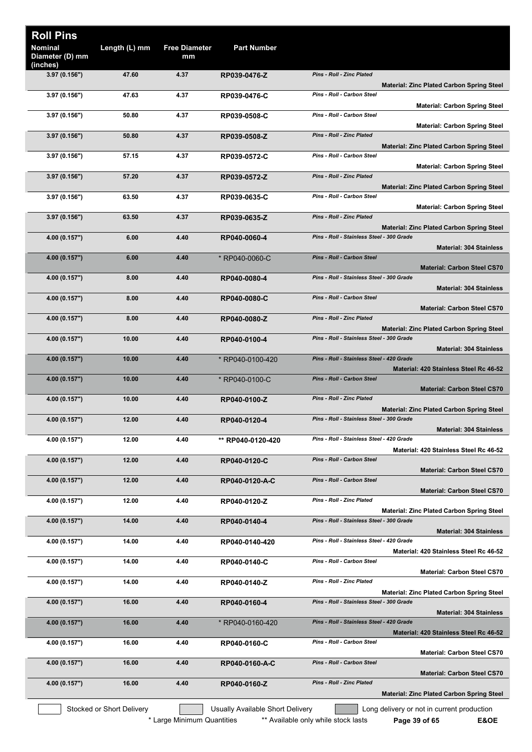| <b>Roll Pins</b>                              |                           |                            |                                  |                                                                                                                       |
|-----------------------------------------------|---------------------------|----------------------------|----------------------------------|-----------------------------------------------------------------------------------------------------------------------|
| <b>Nominal</b><br>Diameter (D) mm<br>(inches) | Length (L) mm             | <b>Free Diameter</b><br>mm | <b>Part Number</b>               |                                                                                                                       |
| 3.97(0.156")                                  | 47.60                     | 4.37                       | RP039-0476-Z                     | <b>Pins - Roll - Zinc Plated</b><br><b>Material: Zinc Plated Carbon Spring Steel</b>                                  |
| 3.97(0.156")                                  | 47.63                     | 4.37                       | RP039-0476-C                     | Pins - Roll - Carbon Steel<br><b>Material: Carbon Spring Steel</b>                                                    |
| 3.97 (0.156")                                 | 50.80                     | 4.37                       | RP039-0508-C                     | Pins - Roll - Carbon Steel<br><b>Material: Carbon Spring Steel</b>                                                    |
| 3.97(0.156")                                  | 50.80                     | 4.37                       | RP039-0508-Z                     | Pins - Roll - Zinc Plated<br><b>Material: Zinc Plated Carbon Spring Steel</b>                                         |
| 3.97(0.156")                                  | 57.15                     | 4.37                       | RP039-0572-C                     | Pins - Roll - Carbon Steel<br><b>Material: Carbon Spring Steel</b>                                                    |
| 3.97(0.156")                                  | 57.20                     | 4.37                       | RP039-0572-Z                     | <b>Pins - Roll - Zinc Plated</b><br><b>Material: Zinc Plated Carbon Spring Steel</b>                                  |
| 3.97 (0.156")                                 | 63.50                     | 4.37                       | RP039-0635-C                     | Pins - Roll - Carbon Steel<br><b>Material: Carbon Spring Steel</b>                                                    |
| 3.97(0.156")                                  | 63.50                     | 4.37                       | RP039-0635-Z                     | <b>Pins - Roll - Zinc Plated</b><br><b>Material: Zinc Plated Carbon Spring Steel</b>                                  |
| 4.00 (0.157")                                 | 6.00                      | 4.40                       | RP040-0060-4                     | Pins - Roll - Stainless Steel - 300 Grade<br><b>Material: 304 Stainless</b>                                           |
| 4.00 (0.157")                                 | 6.00                      | 4.40                       | * RP040-0060-C                   | <b>Pins - Roll - Carbon Steel</b><br><b>Material: Carbon Steel CS70</b>                                               |
| 4.00(0.157")                                  | 8.00                      | 4.40                       | RP040-0080-4                     | Pins - Roll - Stainless Steel - 300 Grade<br><b>Material: 304 Stainless</b>                                           |
| 4.00 (0.157")                                 | 8.00                      | 4.40                       | RP040-0080-C                     | Pins - Roll - Carbon Steel<br><b>Material: Carbon Steel CS70</b>                                                      |
| 4.00 (0.157")                                 | 8.00                      | 4.40                       | RP040-0080-Z                     | <b>Pins - Roll - Zinc Plated</b><br><b>Material: Zinc Plated Carbon Spring Steel</b>                                  |
| 4.00 (0.157")                                 | 10.00                     | 4.40                       | RP040-0100-4                     | Pins - Roll - Stainless Steel - 300 Grade<br><b>Material: 304 Stainless</b>                                           |
| 4.00 (0.157")                                 | 10.00                     | 4.40                       | * RP040-0100-420                 | Pins - Roll - Stainless Steel - 420 Grade<br>Material: 420 Stainless Steel Rc 46-52                                   |
| 4.00 (0.157")                                 | 10.00                     | 4.40                       | * RP040-0100-C                   | <b>Pins - Roll - Carbon Steel</b><br><b>Material: Carbon Steel CS70</b>                                               |
| 4.00 (0.157")                                 | 10.00                     | 4.40                       | RP040-0100-Z                     | Pins - Roll - Zinc Plated<br><b>Material: Zinc Plated Carbon Spring Steel</b>                                         |
| 4.00 (0.157")                                 | 12.00                     | 4.40                       | RP040-0120-4                     | Pins - Roll - Stainless Steel - 300 Grade<br><b>Material: 304 Stainless</b>                                           |
| 4.00 (0.157")                                 | 12.00                     | 4.40                       | ** RP040-0120-420                | Pins - Roll - Stainless Steel - 420 Grade<br>Material: 420 Stainless Steel Rc 46-52                                   |
| 4.00 (0.157")                                 | 12.00                     | 4.40                       | RP040-0120-C                     | <b>Pins - Roll - Carbon Steel</b><br><b>Material: Carbon Steel CS70</b>                                               |
| 4.00 (0.157")                                 | 12.00                     | 4.40                       | RP040-0120-A-C                   | Pins - Roll - Carbon Steel<br><b>Material: Carbon Steel CS70</b>                                                      |
| 4.00 (0.157")                                 | 12.00                     | 4.40                       | RP040-0120-Z                     | Pins - Roll - Zinc Plated<br><b>Material: Zinc Plated Carbon Spring Steel</b>                                         |
| 4.00 (0.157")                                 | 14.00                     | 4.40                       | RP040-0140-4                     | Pins - Roll - Stainless Steel - 300 Grade<br><b>Material: 304 Stainless</b>                                           |
| 4.00 (0.157")                                 | 14.00                     | 4.40                       | RP040-0140-420                   | Pins - Roll - Stainless Steel - 420 Grade<br>Material: 420 Stainless Steel Rc 46-52                                   |
| 4.00 (0.157")                                 | 14.00                     | 4.40                       | RP040-0140-C                     | Pins - Roll - Carbon Steel<br><b>Material: Carbon Steel CS70</b>                                                      |
| 4.00 (0.157")                                 | 14.00                     | 4.40                       | RP040-0140-Z                     | Pins - Roll - Zinc Plated<br>Material: Zinc Plated Carbon Spring Steel                                                |
| 4.00 (0.157")                                 | 16.00                     | 4.40                       | RP040-0160-4                     | Pins - Roll - Stainless Steel - 300 Grade                                                                             |
| 4.00 (0.157")                                 | 16.00                     | 4.40                       | * RP040-0160-420                 | <b>Material: 304 Stainless</b><br>Pins - Roll - Stainless Steel - 420 Grade<br>Material: 420 Stainless Steel Rc 46-52 |
| 4.00 (0.157")                                 | 16.00                     | 4.40                       | RP040-0160-C                     | Pins - Roll - Carbon Steel                                                                                            |
| 4.00 (0.157")                                 | 16.00                     | 4.40                       | RP040-0160-A-C                   | <b>Material: Carbon Steel CS70</b><br>Pins - Roll - Carbon Steel                                                      |
| 4.00 (0.157")                                 | 16.00                     | 4.40                       | RP040-0160-Z                     | <b>Material: Carbon Steel CS70</b><br>Pins - Roll - Zinc Plated                                                       |
|                                               | Stocked or Short Delivery |                            | Usually Available Short Delivery | <b>Material: Zinc Plated Carbon Spring Steel</b><br>Long delivery or not in current production                        |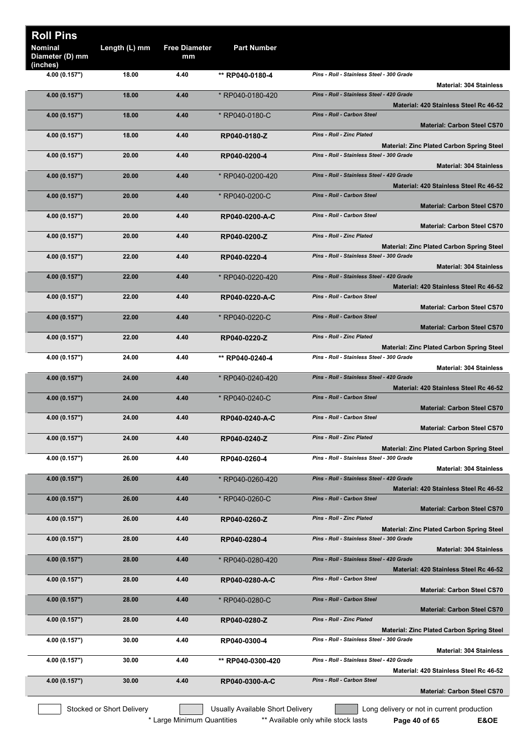| <b>Roll Pins</b><br><b>Nominal</b><br>Diameter (D) mm | Length (L) mm             | <b>Free Diameter</b><br>mm | <b>Part Number</b>               |                                                                                                      |
|-------------------------------------------------------|---------------------------|----------------------------|----------------------------------|------------------------------------------------------------------------------------------------------|
| (inches)<br>4.00 (0.157")                             | 18.00                     | 4.40                       | ** RP040-0180-4                  | Pins - Roll - Stainless Steel - 300 Grade<br><b>Material: 304 Stainless</b>                          |
| 4.00 (0.157")                                         | 18.00                     | 4.40                       | * RP040-0180-420                 | Pins - Roll - Stainless Steel - 420 Grade                                                            |
|                                                       |                           |                            |                                  | Material: 420 Stainless Steel Rc 46-52                                                               |
| 4.00 (0.157")                                         | 18.00                     | 4.40                       | * RP040-0180-C                   | Pins - Roll - Carbon Steel<br><b>Material: Carbon Steel CS70</b><br><b>Pins - Roll - Zinc Plated</b> |
| 4.00 (0.157")                                         | 18.00                     | 4.40                       | RP040-0180-Z                     | <b>Material: Zinc Plated Carbon Spring Steel</b>                                                     |
| 4.00 (0.157")                                         | 20.00                     | 4.40                       | RP040-0200-4                     | Pins - Roll - Stainless Steel - 300 Grade<br><b>Material: 304 Stainless</b>                          |
| 4.00 (0.157")                                         | 20.00                     | 4.40                       | * RP040-0200-420                 | Pins - Roll - Stainless Steel - 420 Grade<br>Material: 420 Stainless Steel Rc 46-52                  |
| 4.00 (0.157")                                         | 20.00                     | 4.40                       | * RP040-0200-C                   | Pins - Roll - Carbon Steel<br><b>Material: Carbon Steel CS70</b>                                     |
| 4.00 (0.157")                                         | 20.00                     | 4.40                       | RP040-0200-A-C                   | Pins - Roll - Carbon Steel<br>Material: Carbon Steel CS70                                            |
| 4.00 (0.157")                                         | 20.00                     | 4.40                       | RP040-0200-Z                     | Pins - Roll - Zinc Plated<br><b>Material: Zinc Plated Carbon Spring Steel</b>                        |
| 4.00 (0.157")                                         | 22.00                     | 4.40                       | RP040-0220-4                     | Pins - Roll - Stainless Steel - 300 Grade<br><b>Material: 304 Stainless</b>                          |
| 4.00 (0.157")                                         | 22.00                     | 4.40                       | * RP040-0220-420                 | Pins - Roll - Stainless Steel - 420 Grade<br>Material: 420 Stainless Steel Rc 46-52                  |
| 4.00 (0.157")                                         | 22.00                     | 4.40                       | RP040-0220-A-C                   | Pins - Roll - Carbon Steel                                                                           |
| 4.00 (0.157")                                         | 22.00                     | 4.40                       | * RP040-0220-C                   | <b>Material: Carbon Steel CS70</b><br>Pins - Roll - Carbon Steel                                     |
| 4.00 (0.157")                                         | 22.00                     | 4.40                       | RP040-0220-Z                     | <b>Material: Carbon Steel CS70</b><br>Pins - Roll - Zinc Plated                                      |
|                                                       | 24.00                     | 4.40                       |                                  | <b>Material: Zinc Plated Carbon Spring Steel</b><br>Pins - Roll - Stainless Steel - 300 Grade        |
| 4.00 (0.157")                                         |                           |                            | ** RP040-0240-4                  | <b>Material: 304 Stainless</b>                                                                       |
| 4.00 (0.157")                                         | 24.00                     | 4.40                       | * RP040-0240-420                 | Pins - Roll - Stainless Steel - 420 Grade<br>Material: 420 Stainless Steel Rc 46-52                  |
| 4.00 (0.157")                                         | 24.00                     | 4.40                       | * RP040-0240-C                   | Pins - Roll - Carbon Steel                                                                           |
| 4.00 (0.157")                                         | 24.00                     | 4.40                       | RP040-0240-A-C                   | <b>Material: Carbon Steel CS70</b><br>Pins - Roll - Carbon Steel                                     |
| 4.00 (0.157")                                         | 24.00                     | 4.40                       | RP040-0240-Z                     | <b>Material: Carbon Steel CS70</b><br>Pins - Roll - Zinc Plated                                      |
| 4.00 (0.157")                                         | 26.00                     | 4.40                       | RP040-0260-4                     | <b>Material: Zinc Plated Carbon Spring Steel</b><br>Pins - Roll - Stainless Steel - 300 Grade        |
| 4.00 (0.157")                                         | 26.00                     | 4.40                       | * RP040-0260-420                 | <b>Material: 304 Stainless</b><br>Pins - Roll - Stainless Steel - 420 Grade                          |
|                                                       |                           |                            |                                  | Material: 420 Stainless Steel Rc 46-52                                                               |
| 4.00 (0.157")                                         | 26.00                     | 4.40                       | * RP040-0260-C                   | Pins - Roll - Carbon Steel<br><b>Material: Carbon Steel CS70</b>                                     |
| 4.00 (0.157")                                         | 26.00                     | 4.40                       | RP040-0260-Z                     | Pins - Roll - Zinc Plated<br><b>Material: Zinc Plated Carbon Spring Steel</b>                        |
| 4.00 (0.157")                                         | 28.00                     | 4.40                       | RP040-0280-4                     | Pins - Roll - Stainless Steel - 300 Grade                                                            |
|                                                       |                           |                            |                                  | <b>Material: 304 Stainless</b>                                                                       |
| 4.00 (0.157")                                         | 28.00                     | 4.40                       | * RP040-0280-420                 | Pins - Roll - Stainless Steel - 420 Grade<br>Material: 420 Stainless Steel Rc 46-52                  |
| 4.00 (0.157")                                         | 28.00                     | 4.40                       | RP040-0280-A-C                   | Pins - Roll - Carbon Steel<br><b>Material: Carbon Steel CS70</b>                                     |
| 4.00 (0.157")                                         | 28.00                     | 4.40                       | * RP040-0280-C                   | Pins - Roll - Carbon Steel<br><b>Material: Carbon Steel CS70</b>                                     |
| 4.00 (0.157")                                         | 28.00                     | 4.40                       | RP040-0280-Z                     | Pins - Roll - Zinc Plated<br><b>Material: Zinc Plated Carbon Spring Steel</b>                        |
| 4.00 (0.157")                                         | 30.00                     | 4.40                       | RP040-0300-4                     | Pins - Roll - Stainless Steel - 300 Grade<br><b>Material: 304 Stainless</b>                          |
| 4.00 (0.157")                                         | 30.00                     | 4.40                       | ** RP040-0300-420                | Pins - Roll - Stainless Steel - 420 Grade<br>Material: 420 Stainless Steel Rc 46-52                  |
| 4.00 (0.157")                                         | 30.00                     | 4.40                       | RP040-0300-A-C                   | Pins - Roll - Carbon Steel<br><b>Material: Carbon Steel CS70</b>                                     |
|                                                       | Stocked or Short Delivery |                            | Usually Available Short Delivery | Long delivery or not in current production                                                           |
|                                                       |                           |                            |                                  |                                                                                                      |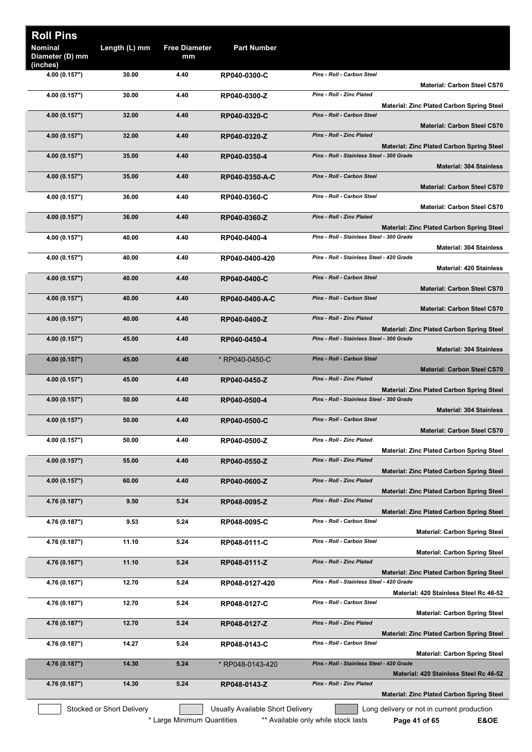| <b>Roll Pins</b>                  |                           |                            |                                         |                                                                                                                                 |
|-----------------------------------|---------------------------|----------------------------|-----------------------------------------|---------------------------------------------------------------------------------------------------------------------------------|
| <b>Nominal</b><br>Diameter (D) mm | Length (L) mm             | <b>Free Diameter</b><br>mm | <b>Part Number</b>                      |                                                                                                                                 |
| (inches)<br>4.00 (0.157")         | 30.00                     | 4.40                       | RP040-0300-C                            | Pins - Roll - Carbon Steel<br><b>Material: Carbon Steel CS70</b>                                                                |
| 4.00 (0.157")                     | 30.00                     | 4.40                       | RP040-0300-Z                            | Pins - Roll - Zinc Plated                                                                                                       |
| 4.00 (0.157")                     | 32.00                     | 4.40                       | RP040-0320-C                            | Material: Zinc Plated Carbon Spring Steel<br>Pins - Roll - Carbon Steel<br><b>Material: Carbon Steel CS70</b>                   |
| 4.00 (0.157")                     | 32.00                     | 4.40                       | RP040-0320-Z                            | <b>Pins - Roll - Zinc Plated</b>                                                                                                |
| 4.00 (0.157")                     | 35.00                     | 4.40                       | RP040-0350-4                            | <b>Material: Zinc Plated Carbon Spring Steel</b><br>Pins - Roll - Stainless Steel - 300 Grade<br><b>Material: 304 Stainless</b> |
| 4.00 (0.157")                     | 35.00                     | 4.40                       | RP040-0350-A-C                          | Pins - Roll - Carbon Steel<br><b>Material: Carbon Steel CS70</b>                                                                |
| 4.00 (0.157")                     | 36.00                     | 4.40                       | RP040-0360-C                            | Pins - Roll - Carbon Steel                                                                                                      |
| 4.00 (0.157")                     | 36.00                     | 4.40                       | RP040-0360-Z                            | <b>Material: Carbon Steel CS70</b><br>Pins - Roll - Zinc Plated                                                                 |
| 4.00 (0.157")                     | 40.00                     | 4.40                       | RP040-0400-4                            | <b>Material: Zinc Plated Carbon Spring Steel</b><br>Pins - Roll - Stainless Steel - 300 Grade                                   |
| 4.00 (0.157")                     | 40.00                     | 4.40                       | RP040-0400-420                          | <b>Material: 304 Stainless</b><br>Pins - Roll - Stainless Steel - 420 Grade                                                     |
| 4.00 (0.157")                     | 40.00                     | 4.40                       | RP040-0400-C                            | <b>Material: 420 Stainless</b><br><b>Pins - Roll - Carbon Steel</b>                                                             |
| 4.00 (0.157")                     | 40.00                     | 4.40                       | RP040-0400-A-C                          | <b>Material: Carbon Steel CS70</b><br>Pins - Roll - Carbon Steel                                                                |
|                                   |                           |                            |                                         | <b>Material: Carbon Steel CS70</b>                                                                                              |
| 4.00 (0.157")                     | 40.00                     | 4.40                       | RP040-0400-Z                            | <b>Pins - Roll - Zinc Plated</b><br><b>Material: Zinc Plated Carbon Spring Steel</b>                                            |
| 4.00 (0.157")                     | 45.00                     | 4.40                       | RP040-0450-4                            | Pins - Roll - Stainless Steel - 300 Grade<br><b>Material: 304 Stainless</b>                                                     |
| 4.00 (0.157")                     | 45.00                     | 4.40                       | * RP040-0450-C                          | <b>Pins - Roll - Carbon Steel</b><br><b>Material: Carbon Steel CS70</b>                                                         |
| 4.00 (0.157")                     | 45.00                     | 4.40                       | RP040-0450-Z                            | <b>Pins - Roll - Zinc Plated</b>                                                                                                |
| 4.00 (0.157")                     | 50.00                     | 4.40                       | RP040-0500-4                            | <b>Material: Zinc Plated Carbon Spring Steel</b><br>Pins - Roll - Stainless Steel - 300 Grade                                   |
| 4.00 (0.157")                     | 50.00                     | 4.40                       | RP040-0500-C                            | <b>Material: 304 Stainless</b><br>Pins - Roll - Carbon Steel                                                                    |
| 4.00 (0.157")                     | 50.00                     | 4.40                       | RP040-0500-Z                            | <b>Material: Carbon Steel CS70</b><br>Pins - Roll - Zinc Plated                                                                 |
| 4.00 (0.157")                     | 55.00                     | 4.40                       | RP040-0550-Z                            | <b>Material: Zinc Plated Carbon Spring Steel</b><br>Pins - Roll - Zinc Plated                                                   |
| 4.00 (0.157")                     | 60.00                     | 4.40                       | RP040-0600-Z                            | <b>Material: Zinc Plated Carbon Spring Steel</b><br>Pins - Roll - Zinc Plated                                                   |
|                                   |                           |                            |                                         | <b>Material: Zinc Plated Carbon Spring Steel</b>                                                                                |
| 4.76 (0.187")                     | 9.50                      | 5.24                       | RP048-0095-Z                            | Pins - Roll - Zinc Plated<br>Material: Zinc Plated Carbon Spring Steel                                                          |
| 4.76 (0.187")                     | 9.53                      | 5.24                       | RP048-0095-C                            | Pins - Roll - Carbon Steel<br><b>Material: Carbon Spring Steel</b>                                                              |
| 4.76 (0.187")                     | 11.10                     | 5.24                       | RP048-0111-C                            | Pins - Roll - Carbon Steel<br><b>Material: Carbon Spring Steel</b>                                                              |
| 4.76 (0.187")                     | 11.10                     | 5.24                       | RP048-0111-Z                            | Pins - Roll - Zinc Plated<br><b>Material: Zinc Plated Carbon Spring Steel</b>                                                   |
| 4.76 (0.187")                     | 12.70                     | 5.24                       | RP048-0127-420                          | Pins - Roll - Stainless Steel - 420 Grade                                                                                       |
| 4.76 (0.187")                     | 12.70                     | 5.24                       | RP048-0127-C                            | Material: 420 Stainless Steel Rc 46-52<br>Pins - Roll - Carbon Steel                                                            |
| 4.76 (0.187")                     | 12.70                     | 5.24                       | RP048-0127-Z                            | <b>Material: Carbon Spring Steel</b><br>Pins - Roll - Zinc Plated                                                               |
| 4.76 (0.187")                     | 14.27                     | 5.24                       | RP048-0143-C                            | <b>Material: Zinc Plated Carbon Spring Steel</b><br>Pins - Roll - Carbon Steel                                                  |
| 4.76 (0.187")                     | 14.30                     | 5.24                       | * RP048-0143-420                        | <b>Material: Carbon Spring Steel</b><br>Pins - Roll - Stainless Steel - 420 Grade                                               |
| 4.76 (0.187")                     | 14.30                     | 5.24                       | RP048-0143-Z                            | Material: 420 Stainless Steel Rc 46-52<br>Pins - Roll - Zinc Plated                                                             |
|                                   |                           |                            |                                         | <b>Material: Zinc Plated Carbon Spring Steel</b>                                                                                |
|                                   | Stocked or Short Delivery | * Large Minimum Quantities | <b>Usually Available Short Delivery</b> | Long delivery or not in current production<br>** Available only while stock lasts<br>E&OE<br>Page 41 of 65                      |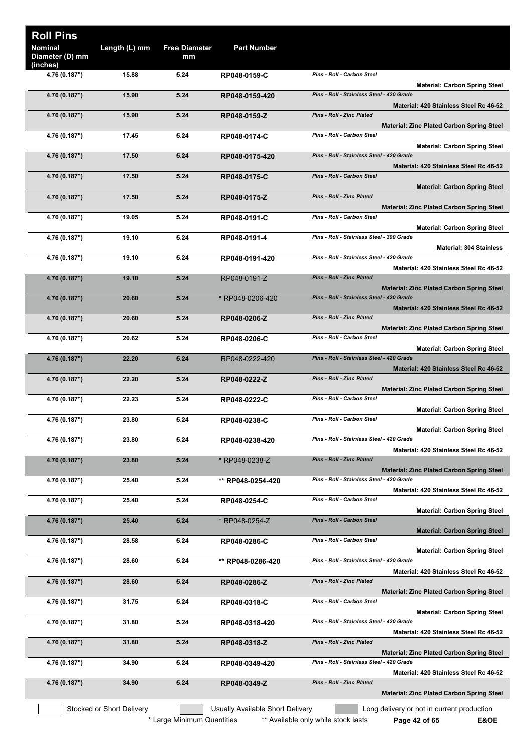| <b>Roll Pins</b>           |                           |                            |                                  |                                                                                                                             |
|----------------------------|---------------------------|----------------------------|----------------------------------|-----------------------------------------------------------------------------------------------------------------------------|
| Nominal<br>Diameter (D) mm | Length (L) mm             | <b>Free Diameter</b><br>mm | <b>Part Number</b>               |                                                                                                                             |
| (inches)<br>4.76 (0.187")  | 15.88                     | 5.24                       | RP048-0159-C                     | Pins - Roll - Carbon Steel<br><b>Material: Carbon Spring Steel</b>                                                          |
| 4.76 (0.187")              | 15.90                     | 5.24                       | RP048-0159-420                   | Pins - Roll - Stainless Steel - 420 Grade                                                                                   |
| 4.76 (0.187")              | 15.90                     | 5.24                       | RP048-0159-Z                     | Material: 420 Stainless Steel Rc 46-52<br><b>Pins - Roll - Zinc Plated</b>                                                  |
| 4.76 (0.187")              | 17.45                     | 5.24                       | RP048-0174-C                     | Material: Zinc Plated Carbon Spring Steel<br>Pins - Roll - Carbon Steel                                                     |
| 4.76 (0.187")              | 17.50                     | 5.24                       | RP048-0175-420                   | <b>Material: Carbon Spring Steel</b><br>Pins - Roll - Stainless Steel - 420 Grade                                           |
| 4.76 (0.187")              | 17.50                     | 5.24                       | RP048-0175-C                     | Material: 420 Stainless Steel Rc 46-52<br>Pins - Roll - Carbon Steel                                                        |
| 4.76 (0.187")              | 17.50                     | 5.24                       | RP048-0175-Z                     | <b>Material: Carbon Spring Steel</b><br>Pins - Roll - Zinc Plated                                                           |
| 4.76 (0.187")              | 19.05                     | 5.24                       | RP048-0191-C                     | <b>Material: Zinc Plated Carbon Spring Steel</b><br><b>Pins - Roll - Carbon Steel</b>                                       |
| 4.76 (0.187")              | 19.10                     | 5.24                       | RP048-0191-4                     | <b>Material: Carbon Spring Steel</b><br>Pins - Roll - Stainless Steel - 300 Grade                                           |
| 4.76 (0.187")              | 19.10                     | 5.24                       | RP048-0191-420                   | <b>Material: 304 Stainless</b><br>Pins - Roll - Stainless Steel - 420 Grade                                                 |
|                            |                           |                            |                                  | Material: 420 Stainless Steel Rc 46-52<br><b>Pins - Roll - Zinc Plated</b>                                                  |
| 4.76 (0.187")              | 19.10                     | 5.24                       | RP048-0191-Z                     | <b>Material: Zinc Plated Carbon Spring Steel</b>                                                                            |
| 4.76 (0.187")              | 20.60                     | 5.24                       | * RP048-0206-420                 | Pins - Roll - Stainless Steel - 420 Grade<br>Material: 420 Stainless Steel Rc 46-52                                         |
| 4.76 (0.187")              | 20.60                     | 5.24                       | RP048-0206-Z                     | <b>Pins - Roll - Zinc Plated</b><br><b>Material: Zinc Plated Carbon Spring Steel</b>                                        |
| 4.76 (0.187")              | 20.62                     | 5.24                       | RP048-0206-C                     | Pins - Roll - Carbon Steel<br><b>Material: Carbon Spring Steel</b>                                                          |
| 4.76 (0.187")              | 22.20                     | 5.24                       | RP048-0222-420                   | Pins - Roll - Stainless Steel - 420 Grade<br>Material: 420 Stainless Steel Rc 46-52                                         |
| 4.76 (0.187")              | 22.20                     | 5.24                       | RP048-0222-Z                     | Pins - Roll - Zinc Plated<br><b>Material: Zinc Plated Carbon Spring Steel</b>                                               |
| 4.76 (0.187")              | 22.23                     | 5.24                       | RP048-0222-C                     | Pins - Roll - Carbon Steel<br><b>Material: Carbon Spring Steel</b>                                                          |
| 4.76 (0.187")              | 23.80                     | 5.24                       | RP048-0238-C                     | Pins - Roll - Carbon Steel<br><b>Material: Carbon Spring Steel</b>                                                          |
| 4.76 (0.187")              | 23.80                     | 5.24                       | RP048-0238-420                   | Pins - Roll - Stainless Steel - 420 Grade<br>Material: 420 Stainless Steel Rc 46-52                                         |
| 4.76 (0.187")              | 23.80                     | 5.24                       | * RP048-0238-Z                   | <b>Pins - Roll - Zinc Plated</b>                                                                                            |
| 4.76 (0.187")              | 25.40                     | 5.24                       | ** RP048-0254-420                | <b>Material: Zinc Plated Carbon Spring Steel</b><br>Pins - Roll - Stainless Steel - 420 Grade                               |
| 4.76 (0.187")              | 25.40                     | 5.24                       | RP048-0254-C                     | Material: 420 Stainless Steel Rc 46-52<br>Pins - Roll - Carbon Steel                                                        |
|                            | 25.40                     | 5.24                       |                                  | <b>Material: Carbon Spring Steel</b><br><b>Pins - Roll - Carbon Steel</b>                                                   |
| 4.76 (0.187")              |                           |                            | * RP048-0254-Z                   | <b>Material: Carbon Spring Steel</b>                                                                                        |
| 4.76 (0.187")              | 28.58                     | 5.24                       | RP048-0286-C                     | Pins - Roll - Carbon Steel<br><b>Material: Carbon Spring Steel</b>                                                          |
| 4.76 (0.187")              | 28.60                     | 5.24                       | ** RP048-0286-420                | Pins - Roll - Stainless Steel - 420 Grade<br>Material: 420 Stainless Steel Rc 46-52                                         |
| 4.76 (0.187")              | 28.60                     | 5.24                       | RP048-0286-Z                     | Pins - Roll - Zinc Plated<br><b>Material: Zinc Plated Carbon Spring Steel</b>                                               |
| 4.76 (0.187")              | 31.75                     | 5.24                       | RP048-0318-C                     | Pins - Roll - Carbon Steel                                                                                                  |
| 4.76 (0.187")              | 31.80                     | 5.24                       | RP048-0318-420                   | <b>Material: Carbon Spring Steel</b><br>Pins - Roll - Stainless Steel - 420 Grade<br>Material: 420 Stainless Steel Rc 46-52 |
| 4.76 (0.187")              | 31.80                     | 5.24                       | RP048-0318-Z                     | <b>Pins - Roll - Zinc Plated</b>                                                                                            |
| 4.76 (0.187")              | 34.90                     | 5.24                       | RP048-0349-420                   | <b>Material: Zinc Plated Carbon Spring Steel</b><br>Pins - Roll - Stainless Steel - 420 Grade                               |
| 4.76 (0.187")              | 34.90                     | 5.24                       | RP048-0349-Z                     | Material: 420 Stainless Steel Rc 46-52<br>Pins - Roll - Zinc Plated                                                         |
|                            |                           |                            |                                  | <b>Material: Zinc Plated Carbon Spring Steel</b>                                                                            |
|                            | Stocked or Short Delivery | * Large Minimum Quantities | Usually Available Short Delivery | Long delivery or not in current production<br>** Available only while stock lasts<br>E&OE<br>Page 42 of 65                  |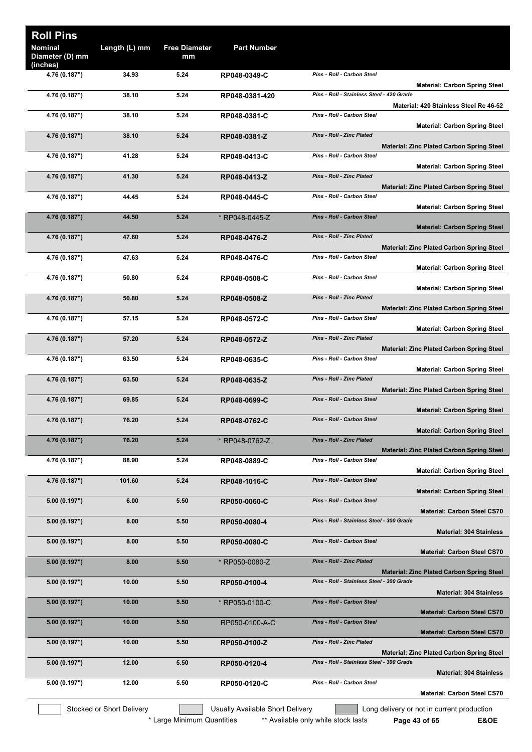| <b>Roll Pins</b><br><b>Nominal</b><br>Diameter (D) mm | Length (L) mm             | <b>Free Diameter</b><br>mm | <b>Part Number</b>               |                                                                                      |  |
|-------------------------------------------------------|---------------------------|----------------------------|----------------------------------|--------------------------------------------------------------------------------------|--|
| (inches)<br>4.76 (0.187")                             | 34.93                     | 5.24                       | RP048-0349-C                     | Pins - Roll - Carbon Steel                                                           |  |
|                                                       |                           |                            |                                  | <b>Material: Carbon Spring Steel</b>                                                 |  |
| 4.76 (0.187")                                         | 38.10                     | 5.24                       | RP048-0381-420                   | Pins - Roll - Stainless Steel - 420 Grade<br>Material: 420 Stainless Steel Rc 46-52  |  |
| 4.76 (0.187")                                         | 38.10                     | 5.24                       | RP048-0381-C                     | Pins - Roll - Carbon Steel                                                           |  |
| 4.76 (0.187")                                         | 38.10                     | 5.24                       | RP048-0381-Z                     | <b>Material: Carbon Spring Steel</b><br><b>Pins - Roll - Zinc Plated</b>             |  |
|                                                       |                           |                            |                                  | <b>Material: Zinc Plated Carbon Spring Steel</b>                                     |  |
| 4.76 (0.187")                                         | 41.28                     | 5.24                       | RP048-0413-C                     | Pins - Roll - Carbon Steel<br><b>Material: Carbon Spring Steel</b>                   |  |
| 4.76 (0.187")                                         | 41.30                     | 5.24                       | RP048-0413-Z                     | Pins - Roll - Zinc Plated                                                            |  |
| 4.76 (0.187")                                         | 44.45                     | 5.24                       | RP048-0445-C                     | <b>Material: Zinc Plated Carbon Spring Steel</b><br>Pins - Roll - Carbon Steel       |  |
|                                                       |                           |                            |                                  | <b>Material: Carbon Spring Steel</b>                                                 |  |
| 4.76 (0.187")                                         | 44.50                     | 5.24                       | * RP048-0445-Z                   | <b>Pins - Roll - Carbon Steel</b><br><b>Material: Carbon Spring Steel</b>            |  |
| 4.76 (0.187")                                         | 47.60                     | 5.24                       | RP048-0476-Z                     | Pins - Roll - Zinc Plated                                                            |  |
| 4.76 (0.187")                                         | 47.63                     | 5.24                       | RP048-0476-C                     | <b>Material: Zinc Plated Carbon Spring Steel</b><br>Pins - Roll - Carbon Steel       |  |
| 4.76 (0.187")                                         | 50.80                     | 5.24                       | RP048-0508-C                     | <b>Material: Carbon Spring Steel</b><br>Pins - Roll - Carbon Steel                   |  |
|                                                       |                           |                            |                                  | <b>Material: Carbon Spring Steel</b>                                                 |  |
| 4.76 (0.187")                                         | 50.80                     | 5.24                       | RP048-0508-Z                     | Pins - Roll - Zinc Plated<br><b>Material: Zinc Plated Carbon Spring Steel</b>        |  |
| 4.76 (0.187")                                         | 57.15                     | 5.24                       | RP048-0572-C                     | Pins - Roll - Carbon Steel                                                           |  |
| 4.76 (0.187")                                         | 57.20                     | 5.24                       | RP048-0572-Z                     | <b>Material: Carbon Spring Steel</b><br><b>Pins - Roll - Zinc Plated</b>             |  |
|                                                       |                           |                            |                                  | <b>Material: Zinc Plated Carbon Spring Steel</b>                                     |  |
| 4.76 (0.187")                                         | 63.50                     | 5.24                       | RP048-0635-C                     | Pins - Roll - Carbon Steel<br><b>Material: Carbon Spring Steel</b>                   |  |
| 4.76 (0.187")                                         | 63.50                     | 5.24                       | RP048-0635-Z                     | Pins - Roll - Zinc Plated                                                            |  |
| 4.76 (0.187")                                         | 69.85                     | 5.24                       | RP048-0699-C                     | <b>Material: Zinc Plated Carbon Spring Steel</b><br>Pins - Roll - Carbon Steel       |  |
| 4.76 (0.187")                                         | 76.20                     | 5.24                       | RP048-0762-C                     | <b>Material: Carbon Spring Steel</b><br>Pins - Roll - Carbon Steel                   |  |
|                                                       |                           |                            |                                  | <b>Material: Carbon Spring Steel</b>                                                 |  |
| 4.76 (0.187")                                         | 76.20                     | 5.24                       | * RP048-0762-Z                   | <b>Pins - Roll - Zinc Plated</b><br><b>Material: Zinc Plated Carbon Spring Steel</b> |  |
| 4.76 (0.187")                                         | 88.90                     | 5.24                       | RP048-0889-C                     | Pins - Roll - Carbon Steel                                                           |  |
| 4.76 (0.187")                                         | 101.60                    | 5.24                       | RP048-1016-C                     | <b>Material: Carbon Spring Steel</b><br>Pins - Roll - Carbon Steel                   |  |
|                                                       |                           |                            |                                  | <b>Material: Carbon Spring Steel</b>                                                 |  |
| 5.00 (0.197")                                         | 6.00                      | 5.50                       | RP050-0060-C                     | Pins - Roll - Carbon Steel<br><b>Material: Carbon Steel CS70</b>                     |  |
| 5.00 (0.197")                                         | 8.00                      | 5.50                       | RP050-0080-4                     | Pins - Roll - Stainless Steel - 300 Grade<br><b>Material: 304 Stainless</b>          |  |
| 5.00 (0.197")                                         | 8.00                      | 5.50                       | RP050-0080-C                     | Pins - Roll - Carbon Steel                                                           |  |
| 5.00 (0.197")                                         | 8.00                      | 5.50                       | * RP050-0080-Z                   | <b>Material: Carbon Steel CS70</b><br><b>Pins - Roll - Zinc Plated</b>               |  |
|                                                       |                           |                            |                                  | <b>Material: Zinc Plated Carbon Spring Steel</b>                                     |  |
| 5.00 (0.197")                                         | 10.00                     | 5.50                       | RP050-0100-4                     | Pins - Roll - Stainless Steel - 300 Grade<br><b>Material: 304 Stainless</b>          |  |
| 5.00 (0.197")                                         | 10.00                     | 5.50                       | * RP050-0100-C                   | Pins - Roll - Carbon Steel                                                           |  |
| 5.00 (0.197")                                         | 10.00                     | 5.50                       | RP050-0100-A-C                   | <b>Material: Carbon Steel CS70</b><br>Pins - Roll - Carbon Steel                     |  |
| 5.00 (0.197")                                         | 10.00                     | 5.50                       |                                  | <b>Material: Carbon Steel CS70</b><br>Pins - Roll - Zinc Plated                      |  |
|                                                       |                           |                            | RP050-0100-Z                     | <b>Material: Zinc Plated Carbon Spring Steel</b>                                     |  |
| 5.00 (0.197")                                         | 12.00                     | 5.50                       | RP050-0120-4                     | Pins - Roll - Stainless Steel - 300 Grade<br><b>Material: 304 Stainless</b>          |  |
| 5.00 (0.197")                                         | 12.00                     | 5.50                       | RP050-0120-C                     | Pins - Roll - Carbon Steel                                                           |  |
|                                                       |                           |                            |                                  | <b>Material: Carbon Steel CS70</b>                                                   |  |
|                                                       | Stocked or Short Delivery |                            | Usually Available Short Delivery | Long delivery or not in current production                                           |  |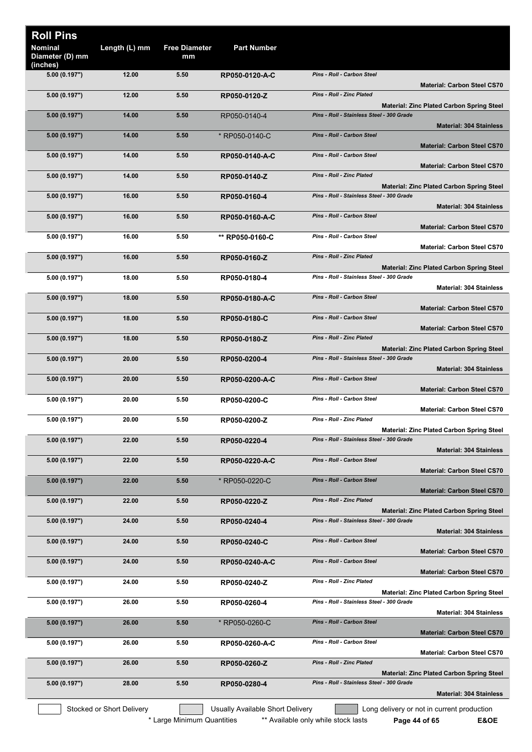| <b>Roll Pins</b>                              |                           |                            |                                  |                                                                                               |
|-----------------------------------------------|---------------------------|----------------------------|----------------------------------|-----------------------------------------------------------------------------------------------|
| <b>Nominal</b><br>Diameter (D) mm<br>(inches) | Length (L) mm             | <b>Free Diameter</b><br>mm | <b>Part Number</b>               |                                                                                               |
| 5.00 (0.197")                                 | 12.00                     | 5.50                       | RP050-0120-A-C                   | Pins - Roll - Carbon Steel<br><b>Material: Carbon Steel CS70</b>                              |
| 5.00 (0.197")                                 | 12.00                     | 5.50                       | RP050-0120-Z                     | <b>Pins - Roll - Zinc Plated</b><br><b>Material: Zinc Plated Carbon Spring Steel</b>          |
| 5.00 (0.197")                                 | 14.00                     | 5.50                       | RP050-0140-4                     | Pins - Roll - Stainless Steel - 300 Grade<br><b>Material: 304 Stainless</b>                   |
| 5.00 (0.197")                                 | 14.00                     | 5.50                       | * RP050-0140-C                   | <b>Pins - Roll - Carbon Steel</b><br><b>Material: Carbon Steel CS70</b>                       |
| 5.00 (0.197")                                 | 14.00                     | 5.50                       | RP050-0140-A-C                   | Pins - Roll - Carbon Steel<br><b>Material: Carbon Steel CS70</b>                              |
| 5.00 (0.197")                                 | 14.00                     | 5.50                       | RP050-0140-Z                     | Pins - Roll - Zinc Plated                                                                     |
| 5.00 (0.197")                                 | 16.00                     | 5.50                       | RP050-0160-4                     | <b>Material: Zinc Plated Carbon Spring Steel</b><br>Pins - Roll - Stainless Steel - 300 Grade |
| 5.00 (0.197")                                 | 16.00                     | 5.50                       | RP050-0160-A-C                   | <b>Material: 304 Stainless</b><br>Pins - Roll - Carbon Steel                                  |
| 5.00 (0.197")                                 | 16.00                     | 5.50                       | ** RP050-0160-C                  | <b>Material: Carbon Steel CS70</b><br>Pins - Roll - Carbon Steel                              |
| 5.00 (0.197")                                 | 16.00                     | 5.50                       | RP050-0160-Z                     | <b>Material: Carbon Steel CS70</b><br><b>Pins - Roll - Zinc Plated</b>                        |
| 5.00 (0.197")                                 | 18.00                     | 5.50                       | RP050-0180-4                     | <b>Material: Zinc Plated Carbon Spring Steel</b><br>Pins - Roll - Stainless Steel - 300 Grade |
| 5.00 (0.197")                                 | 18.00                     | 5.50                       | RP050-0180-A-C                   | <b>Material: 304 Stainless</b><br><b>Pins - Roll - Carbon Steel</b>                           |
|                                               |                           |                            |                                  | <b>Material: Carbon Steel CS70</b><br>Pins - Roll - Carbon Steel                              |
| 5.00 (0.197")                                 | 18.00                     | 5.50                       | RP050-0180-C                     | <b>Material: Carbon Steel CS70</b>                                                            |
| 5.00 (0.197")                                 | 18.00                     | 5.50                       | RP050-0180-Z                     | <b>Pins - Roll - Zinc Plated</b><br><b>Material: Zinc Plated Carbon Spring Steel</b>          |
| 5.00 (0.197")                                 | 20.00                     | 5.50                       | RP050-0200-4                     | Pins - Roll - Stainless Steel - 300 Grade<br><b>Material: 304 Stainless</b>                   |
| 5.00 (0.197")                                 | 20.00                     | 5.50                       | RP050-0200-A-C                   | Pins - Roll - Carbon Steel<br><b>Material: Carbon Steel CS70</b>                              |
| 5.00 (0.197")                                 | 20.00                     | 5.50                       | RP050-0200-C                     | Pins - Roll - Carbon Steel<br><b>Material: Carbon Steel CS70</b>                              |
| 5.00 (0.197")                                 | 20.00                     | 5.50                       | RP050-0200-Z                     | <b>Pins - Roll - Zinc Plated</b><br><b>Material: Zinc Plated Carbon Spring Steel</b>          |
| 5.00 (0.197")                                 | 22.00                     | 5.50                       | RP050-0220-4                     | Pins - Roll - Stainless Steel - 300 Grade<br><b>Material: 304 Stainless</b>                   |
| 5.00 (0.197")                                 | 22.00                     | 5.50                       | RP050-0220-A-C                   | Pins - Roll - Carbon Steel<br><b>Material: Carbon Steel CS70</b>                              |
| 5.00 (0.197")                                 | 22.00                     | 5.50                       | * RP050-0220-C                   | Pins - Roll - Carbon Steel                                                                    |
| 5.00 (0.197")                                 | 22.00                     | 5.50                       | RP050-0220-Z                     | <b>Material: Carbon Steel CS70</b><br><b>Pins - Roll - Zinc Plated</b>                        |
| 5.00 (0.197")                                 | 24.00                     | 5.50                       | RP050-0240-4                     | <b>Material: Zinc Plated Carbon Spring Steel</b><br>Pins - Roll - Stainless Steel - 300 Grade |
| 5.00 (0.197")                                 | 24.00                     | 5.50                       | RP050-0240-C                     | <b>Material: 304 Stainless</b><br>Pins - Roll - Carbon Steel                                  |
| 5.00(0.197")                                  | 24.00                     | 5.50                       | RP050-0240-A-C                   | <b>Material: Carbon Steel CS70</b><br>Pins - Roll - Carbon Steel                              |
| 5.00 (0.197")                                 | 24.00                     | 5.50                       | RP050-0240-Z                     | <b>Material: Carbon Steel CS70</b><br>Pins - Roll - Zinc Plated                               |
| 5.00 (0.197")                                 | 26.00                     | 5.50                       | RP050-0260-4                     | <b>Material: Zinc Plated Carbon Spring Steel</b><br>Pins - Roll - Stainless Steel - 300 Grade |
| 5.00 (0.197")                                 | 26.00                     | 5.50                       | * RP050-0260-C                   | <b>Material: 304 Stainless</b><br>Pins - Roll - Carbon Steel                                  |
|                                               | 26.00                     | 5.50                       |                                  | <b>Material: Carbon Steel CS70</b><br>Pins - Roll - Carbon Steel                              |
| 5.00 (0.197")                                 |                           |                            | RP050-0260-A-C                   | <b>Material: Carbon Steel CS70</b>                                                            |
| 5.00 (0.197")                                 | 26.00                     | 5.50                       | RP050-0260-Z                     | Pins - Roll - Zinc Plated<br><b>Material: Zinc Plated Carbon Spring Steel</b>                 |
| 5.00(0.197")                                  | 28.00                     | 5.50                       | RP050-0280-4                     | Pins - Roll - Stainless Steel - 300 Grade<br><b>Material: 304 Stainless</b>                   |
|                                               | Stocked or Short Delivery |                            | Usually Available Short Delivery | Long delivery or not in current production                                                    |

\* Large Minimum Quantities \*\* Available only while stock lasts **Page 44 of 65 E&OE**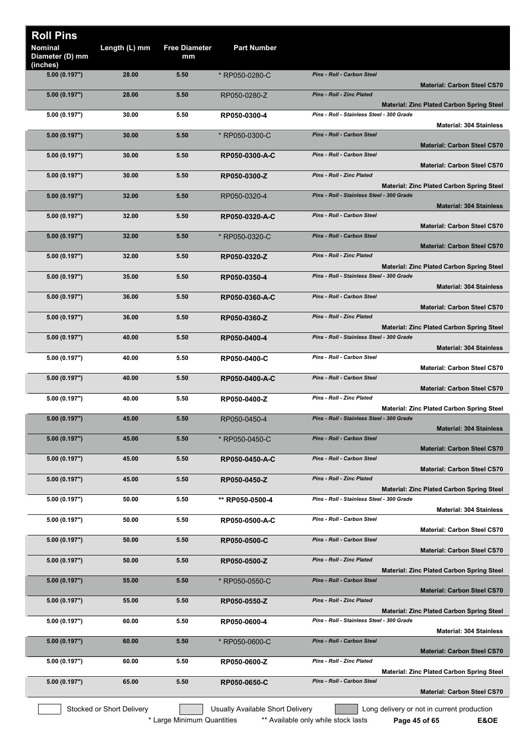| <b>Roll Pins</b>                              |                           |                            |                                  |                                                                                               |
|-----------------------------------------------|---------------------------|----------------------------|----------------------------------|-----------------------------------------------------------------------------------------------|
| <b>Nominal</b><br>Diameter (D) mm<br>(inches) | Length (L) mm             | <b>Free Diameter</b><br>mm | <b>Part Number</b>               |                                                                                               |
| 5.00 (0.197")                                 | 28.00                     | 5.50                       | * RP050-0280-C                   | <b>Pins - Roll - Carbon Steel</b><br><b>Material: Carbon Steel CS70</b>                       |
| 5.00 (0.197")                                 | 28.00                     | 5.50                       | RP050-0280-Z                     | <b>Pins - Roll - Zinc Plated</b><br><b>Material: Zinc Plated Carbon Spring Steel</b>          |
| 5.00 (0.197")                                 | 30.00                     | 5.50                       | RP050-0300-4                     | Pins - Roll - Stainless Steel - 300 Grade<br><b>Material: 304 Stainless</b>                   |
| 5.00 (0.197")                                 | 30.00                     | 5.50                       | * RP050-0300-C                   | Pins - Roll - Carbon Steel<br><b>Material: Carbon Steel CS70</b>                              |
| 5.00 (0.197")                                 | 30.00                     | 5.50                       | RP050-0300-A-C                   | Pins - Roll - Carbon Steel<br><b>Material: Carbon Steel CS70</b>                              |
| 5.00 (0.197")                                 | 30.00                     | 5.50                       | RP050-0300-Z                     | Pins - Roll - Zinc Plated                                                                     |
| 5.00(0.197")                                  | 32.00                     | 5.50                       | RP050-0320-4                     | <b>Material: Zinc Plated Carbon Spring Steel</b><br>Pins - Roll - Stainless Steel - 300 Grade |
| 5.00 (0.197")                                 | 32.00                     | 5.50                       | RP050-0320-A-C                   | <b>Material: 304 Stainless</b><br>Pins - Roll - Carbon Steel                                  |
| 5.00 (0.197")                                 | 32.00                     | 5.50                       | * RP050-0320-C                   | <b>Material: Carbon Steel CS70</b><br>Pins - Roll - Carbon Steel                              |
| 5.00 (0.197")                                 | 32.00                     | 5.50                       | RP050-0320-Z                     | <b>Material: Carbon Steel CS70</b><br>Pins - Roll - Zinc Plated                               |
| 5.00 (0.197")                                 | 35.00                     | 5.50                       | RP050-0350-4                     | <b>Material: Zinc Plated Carbon Spring Steel</b><br>Pins - Roll - Stainless Steel - 300 Grade |
| 5.00 (0.197")                                 | 36.00                     | 5.50                       | RP050-0360-A-C                   | <b>Material: 304 Stainless</b><br>Pins - Roll - Carbon Steel                                  |
| 5.00 (0.197")                                 | 36.00                     | 5.50                       | RP050-0360-Z                     | <b>Material: Carbon Steel CS70</b><br><b>Pins - Roll - Zinc Plated</b>                        |
|                                               |                           |                            |                                  | <b>Material: Zinc Plated Carbon Spring Steel</b>                                              |
| 5.00 (0.197")                                 | 40.00                     | 5.50                       | RP050-0400-4                     | Pins - Roll - Stainless Steel - 300 Grade<br><b>Material: 304 Stainless</b>                   |
| 5.00 (0.197")                                 | 40.00                     | 5.50                       | RP050-0400-C                     | Pins - Roll - Carbon Steel<br><b>Material: Carbon Steel CS70</b>                              |
| 5.00 (0.197")                                 | 40.00                     | 5.50                       | RP050-0400-A-C                   | Pins - Roll - Carbon Steel<br><b>Material: Carbon Steel CS70</b>                              |
| 5.00 (0.197")                                 | 40.00                     | 5.50                       | RP050-0400-Z                     | Pins - Roll - Zinc Plated<br><b>Material: Zinc Plated Carbon Spring Steel</b>                 |
| 5.00 (0.197")                                 | 45.00                     | 5.50                       | RP050-0450-4                     | Pins - Roll - Stainless Steel - 300 Grade<br><b>Material: 304 Stainless</b>                   |
| 5.00 (0.197")                                 | 45.00                     | 5.50                       | * RP050-0450-C                   | Pins - Roll - Carbon Steel<br><b>Material: Carbon Steel CS70</b>                              |
| 5.00 (0.197")                                 | 45.00                     | 5.50                       | RP050-0450-A-C                   | Pins - Roll - Carbon Steel<br><b>Material: Carbon Steel CS70</b>                              |
| 5.00 (0.197")                                 | 45.00                     | 5.50                       | RP050-0450-Z                     | Pins - Roll - Zinc Plated                                                                     |
| 5.00 (0.197")                                 | 50.00                     | 5.50                       | ** RP050-0500-4                  | <b>Material: Zinc Plated Carbon Spring Steel</b><br>Pins - Roll - Stainless Steel - 300 Grade |
| 5.00 (0.197")                                 | 50.00                     | 5.50                       | RP050-0500-A-C                   | <b>Material: 304 Stainless</b><br>Pins - Roll - Carbon Steel                                  |
| 5.00 (0.197")                                 | 50.00                     | 5.50                       | RP050-0500-C                     | <b>Material: Carbon Steel CS70</b><br>Pins - Roll - Carbon Steel                              |
| 5.00 (0.197")                                 | 50.00                     | 5.50                       | RP050-0500-Z                     | <b>Material: Carbon Steel CS70</b><br>Pins - Roll - Zinc Plated                               |
| 5.00 (0.197")                                 | 55.00                     | 5.50                       | * RP050-0550-C                   | <b>Material: Zinc Plated Carbon Spring Steel</b><br>Pins - Roll - Carbon Steel                |
| 5.00 (0.197")                                 | 55.00                     | 5.50                       | RP050-0550-Z                     | <b>Material: Carbon Steel CS70</b><br>Pins - Roll - Zinc Plated                               |
| 5.00 (0.197")                                 | 60.00                     | 5.50                       | RP050-0600-4                     | <b>Material: Zinc Plated Carbon Spring Steel</b><br>Pins - Roll - Stainless Steel - 300 Grade |
| 5.00 (0.197")                                 | 60.00                     | 5.50                       | * RP050-0600-C                   | <b>Material: 304 Stainless</b><br>Pins - Roll - Carbon Steel                                  |
| 5.00 (0.197")                                 | 60.00                     | 5.50                       | RP050-0600-Z                     | <b>Material: Carbon Steel CS70</b><br>Pins - Roll - Zinc Plated                               |
|                                               |                           |                            |                                  | <b>Material: Zinc Plated Carbon Spring Steel</b><br>Pins - Roll - Carbon Steel                |
| 5.00(0.197")                                  | 65.00                     | 5.50                       | RP050-0650-C                     | <b>Material: Carbon Steel CS70</b>                                                            |
|                                               | Stocked or Short Delivery |                            | Usually Available Short Delivery | Long delivery or not in current production                                                    |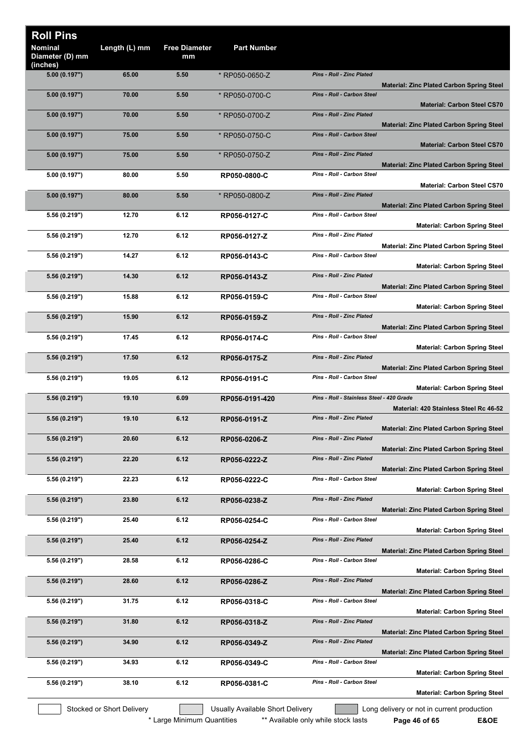| <b>Roll Pins</b><br><b>Nominal</b><br>Diameter (D) mm | Length (L) mm             | <b>Free Diameter</b><br>mm | <b>Part Number</b>               |                                           |                                                  |
|-------------------------------------------------------|---------------------------|----------------------------|----------------------------------|-------------------------------------------|--------------------------------------------------|
| (inches)                                              |                           |                            |                                  | <b>Pins - Roll - Zinc Plated</b>          |                                                  |
| 5.00 (0.197")                                         | 65.00                     | 5.50                       | * RP050-0650-Z                   |                                           | <b>Material: Zinc Plated Carbon Spring Steel</b> |
| 5.00 (0.197")                                         | 70.00                     | 5.50                       | * RP050-0700-C                   | <b>Pins - Roll - Carbon Steel</b>         | <b>Material: Carbon Steel CS70</b>               |
| 5.00 (0.197")                                         | 70.00                     | 5.50                       | * RP050-0700-Z                   | Pins - Roll - Zinc Plated                 | <b>Material: Zinc Plated Carbon Spring Steel</b> |
| 5.00 (0.197")                                         | 75.00                     | 5.50                       | * RP050-0750-C                   | Pins - Roll - Carbon Steel                | <b>Material: Carbon Steel CS70</b>               |
| 5.00(0.197")                                          | 75.00                     | 5.50                       | * RP050-0750-Z                   | <b>Pins - Roll - Zinc Plated</b>          | <b>Material: Zinc Plated Carbon Spring Steel</b> |
| 5.00 (0.197")                                         | 80.00                     | 5.50                       | RP050-0800-C                     | Pins - Roll - Carbon Steel                | <b>Material: Carbon Steel CS70</b>               |
| 5.00(0.197")                                          | 80.00                     | 5.50                       | * RP050-0800-Z                   | Pins - Roll - Zinc Plated                 |                                                  |
| 5.56 (0.219")                                         | 12.70                     | 6.12                       | RP056-0127-C                     | Pins - Roll - Carbon Steel                | <b>Material: Zinc Plated Carbon Spring Steel</b> |
|                                                       | 12.70                     | 6.12                       |                                  | Pins - Roll - Zinc Plated                 | <b>Material: Carbon Spring Steel</b>             |
| 5.56 (0.219")                                         |                           |                            | RP056-0127-Z                     |                                           | <b>Material: Zinc Plated Carbon Spring Steel</b> |
| 5.56 (0.219")                                         | 14.27                     | 6.12                       | RP056-0143-C                     | Pins - Roll - Carbon Steel                | <b>Material: Carbon Spring Steel</b>             |
| 5.56 (0.219")                                         | 14.30                     | 6.12                       | RP056-0143-Z                     | Pins - Roll - Zinc Plated                 |                                                  |
|                                                       |                           |                            |                                  |                                           | <b>Material: Zinc Plated Carbon Spring Steel</b> |
| 5.56 (0.219")                                         | 15.88                     | 6.12                       | RP056-0159-C                     | Pins - Roll - Carbon Steel                | <b>Material: Carbon Spring Steel</b>             |
| 5.56 (0.219")                                         | 15.90                     | 6.12                       | RP056-0159-Z                     | <b>Pins - Roll - Zinc Plated</b>          |                                                  |
| 5.56(0.219")                                          | 17.45                     | 6.12                       | RP056-0174-C                     | Pins - Roll - Carbon Steel                | <b>Material: Zinc Plated Carbon Spring Steel</b> |
|                                                       |                           |                            |                                  |                                           | <b>Material: Carbon Spring Steel</b>             |
| 5.56 (0.219")                                         | 17.50                     | 6.12                       | RP056-0175-Z                     | Pins - Roll - Zinc Plated                 | <b>Material: Zinc Plated Carbon Spring Steel</b> |
| 5.56(0.219")                                          | 19.05                     | 6.12                       | RP056-0191-C                     | Pins - Roll - Carbon Steel                | <b>Material: Carbon Spring Steel</b>             |
| 5.56 (0.219")                                         | 19.10                     | 6.09                       | RP056-0191-420                   | Pins - Roll - Stainless Steel - 420 Grade | Material: 420 Stainless Steel Rc 46-52           |
| 5.56 (0.219")                                         | 19.10                     | 6.12                       | RP056-0191-Z                     | <b>Pins - Roll - Zinc Plated</b>          |                                                  |
| 5.56 (0.219")                                         | 20.60                     | 6.12                       | RP056-0206-Z                     | Pins - Roll - Zinc Plated                 | <b>Material: Zinc Plated Carbon Spring Steel</b> |
| 5.56 (0.219")                                         | 22.20                     | 6.12                       | RP056-0222-Z                     | Pins - Roll - Zinc Plated                 | <b>Material: Zinc Plated Carbon Spring Steel</b> |
|                                                       |                           |                            |                                  |                                           | <b>Material: Zinc Plated Carbon Spring Steel</b> |
| 5.56 (0.219")                                         | 22.23                     | 6.12                       | RP056-0222-C                     | Pins - Roll - Carbon Steel                | <b>Material: Carbon Spring Steel</b>             |
| 5.56 (0.219")                                         | 23.80                     | 6.12                       | RP056-0238-Z                     | <b>Pins - Roll - Zinc Plated</b>          |                                                  |
| 5.56 (0.219")                                         | 25.40                     | 6.12                       | RP056-0254-C                     | Pins - Roll - Carbon Steel                | <b>Material: Zinc Plated Carbon Spring Steel</b> |
| 5.56 (0.219")                                         | 25.40                     | 6.12                       |                                  | Pins - Roll - Zinc Plated                 | <b>Material: Carbon Spring Steel</b>             |
|                                                       |                           |                            | RP056-0254-Z                     |                                           | <b>Material: Zinc Plated Carbon Spring Steel</b> |
| 5.56 (0.219")                                         | 28.58                     | 6.12                       | RP056-0286-C                     | Pins - Roll - Carbon Steel                | <b>Material: Carbon Spring Steel</b>             |
| 5.56 (0.219")                                         | 28.60                     | 6.12                       | RP056-0286-Z                     | Pins - Roll - Zinc Plated                 | <b>Material: Zinc Plated Carbon Spring Steel</b> |
| 5.56 (0.219")                                         | 31.75                     | 6.12                       | RP056-0318-C                     | Pins - Roll - Carbon Steel                | <b>Material: Carbon Spring Steel</b>             |
| 5.56 (0.219")                                         | 31.80                     | 6.12                       | RP056-0318-Z                     | Pins - Roll - Zinc Plated                 |                                                  |
| 5.56 (0.219")                                         | 34.90                     | 6.12                       | RP056-0349-Z                     | <b>Pins - Roll - Zinc Plated</b>          | <b>Material: Zinc Plated Carbon Spring Steel</b> |
| 5.56 (0.219")                                         | 34.93                     | 6.12                       | RP056-0349-C                     | Pins - Roll - Carbon Steel                | <b>Material: Zinc Plated Carbon Spring Steel</b> |
| 5.56 (0.219")                                         | 38.10                     | 6.12                       | RP056-0381-C                     | Pins - Roll - Carbon Steel                | <b>Material: Carbon Spring Steel</b>             |
|                                                       |                           |                            |                                  |                                           | <b>Material: Carbon Spring Steel</b>             |
|                                                       | Stocked or Short Delivery |                            | Usually Available Short Delivery |                                           | Long delivery or not in current production       |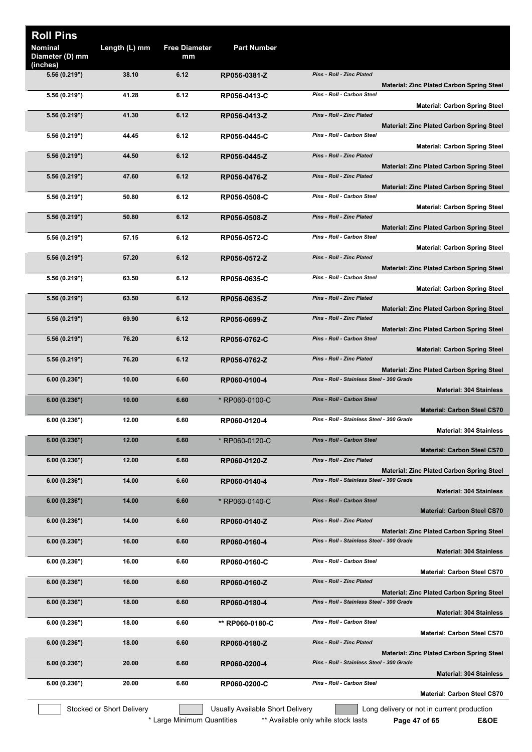|                                                  |                                           | <b>Part Number</b>               | <b>Free Diameter</b><br>mm | Length (L) mm             | <b>Roll Pins</b><br><b>Nominal</b><br>Diameter (D) mm |
|--------------------------------------------------|-------------------------------------------|----------------------------------|----------------------------|---------------------------|-------------------------------------------------------|
| <b>Material: Zinc Plated Carbon Spring Steel</b> | Pins - Roll - Zinc Plated                 | RP056-0381-Z                     | 6.12                       | 38.10                     | (inches)<br>5.56 (0.219")                             |
| <b>Material: Carbon Spring Steel</b>             | Pins - Roll - Carbon Steel                | RP056-0413-C                     | 6.12                       | 41.28                     | 5.56 (0.219")                                         |
| <b>Material: Zinc Plated Carbon Spring Steel</b> | Pins - Roll - Zinc Plated                 | RP056-0413-Z                     | 6.12                       | 41.30                     | 5.56 (0.219")                                         |
| <b>Material: Carbon Spring Steel</b>             | Pins - Roll - Carbon Steel                | RP056-0445-C                     | 6.12                       | 44.45                     | 5.56 (0.219")                                         |
| <b>Material: Zinc Plated Carbon Spring Steel</b> | Pins - Roll - Zinc Plated                 | RP056-0445-Z                     | 6.12                       | 44.50                     | 5.56 (0.219")                                         |
| <b>Material: Zinc Plated Carbon Spring Steel</b> | Pins - Roll - Zinc Plated                 | RP056-0476-Z                     | 6.12                       | 47.60                     | 5.56 (0.219")                                         |
| <b>Material: Carbon Spring Steel</b>             | Pins - Roll - Carbon Steel                | RP056-0508-C                     | 6.12                       | 50.80                     | 5.56 (0.219")                                         |
| <b>Material: Zinc Plated Carbon Spring Steel</b> | Pins - Roll - Zinc Plated                 | RP056-0508-Z                     | 6.12                       | 50.80                     | 5.56 (0.219")                                         |
| <b>Material: Carbon Spring Steel</b>             | Pins - Roll - Carbon Steel                | RP056-0572-C                     | 6.12                       | 57.15                     | 5.56 (0.219")                                         |
| <b>Material: Zinc Plated Carbon Spring Steel</b> | Pins - Roll - Zinc Plated                 | RP056-0572-Z                     | 6.12                       | 57.20                     | 5.56 (0.219")                                         |
|                                                  | Pins - Roll - Carbon Steel                | RP056-0635-C                     | 6.12                       | 63.50                     | 5.56 (0.219")                                         |
| <b>Material: Carbon Spring Steel</b>             | Pins - Roll - Zinc Plated                 | RP056-0635-Z                     | 6.12                       | 63.50                     | 5.56 (0.219")                                         |
| <b>Material: Zinc Plated Carbon Spring Steel</b> | Pins - Roll - Zinc Plated                 | RP056-0699-Z                     | 6.12                       | 69.90                     | 5.56 (0.219")                                         |
| <b>Material: Zinc Plated Carbon Spring Steel</b> | Pins - Roll - Carbon Steel                | RP056-0762-C                     | 6.12                       | 76.20                     | 5.56 (0.219")                                         |
| <b>Material: Carbon Spring Steel</b>             | Pins - Roll - Zinc Plated                 | RP056-0762-Z                     | 6.12                       | 76.20                     | 5.56 (0.219")                                         |
| <b>Material: Zinc Plated Carbon Spring Steel</b> | Pins - Roll - Stainless Steel - 300 Grade | RP060-0100-4                     | 6.60                       | 10.00                     | 6.00(0.236")                                          |
| <b>Material: 304 Stainless</b>                   | <b>Pins - Roll - Carbon Steel</b>         | * RP060-0100-C                   | 6.60                       | 10.00                     | 6.00(0.236")                                          |
| <b>Material: Carbon Steel CS70</b>               | Pins - Roll - Stainless Steel - 300 Grade | RP060-0120-4                     | 6.60                       | 12.00                     | 6.00(0.236")                                          |
| <b>Material: 304 Stainless</b>                   | Pins - Roll - Carbon Steel                | * RP060-0120-C                   | 6.60                       | 12.00                     | 6.00(0.236")                                          |
| <b>Material: Carbon Steel CS70</b>               | <b>Pins - Roll - Zinc Plated</b>          | RP060-0120-Z                     | 6.60                       | 12.00                     | 6.00(0.236")                                          |
| <b>Material: Zinc Plated Carbon Spring Steel</b> | Pins - Roll - Stainless Steel - 300 Grade | RP060-0140-4                     | 6.60                       | 14.00                     | 6.00(0.236")                                          |
| <b>Material: 304 Stainless</b>                   | Pins - Roll - Carbon Steel                | * RP060-0140-C                   | 6.60                       | 14.00                     | 6.00(0.236")                                          |
| <b>Material: Carbon Steel CS70</b>               | Pins - Roll - Zinc Plated                 | RP060-0140-Z                     | 6.60                       | 14.00                     | 6.00(0.236")                                          |
| <b>Material: Zinc Plated Carbon Spring Steel</b> | Pins - Roll - Stainless Steel - 300 Grade | RP060-0160-4                     | 6.60                       | 16.00                     | 6.00(0.236")                                          |
| <b>Material: 304 Stainless</b>                   | Pins - Roll - Carbon Steel                | RP060-0160-C                     | 6.60                       | 16.00                     | 6.00(0.236")                                          |
| <b>Material: Carbon Steel CS70</b>               | Pins - Roll - Zinc Plated                 | RP060-0160-Z                     | 6.60                       | 16.00                     | 6.00(0.236")                                          |
| <b>Material: Zinc Plated Carbon Spring Steel</b> | Pins - Roll - Stainless Steel - 300 Grade | RP060-0180-4                     | 6.60                       | 18.00                     | 6.00(0.236")                                          |
| <b>Material: 304 Stainless</b>                   | Pins - Roll - Carbon Steel                | ** RP060-0180-C                  | 6.60                       | 18.00                     | 6.00(0.236")                                          |
| <b>Material: Carbon Steel CS70</b>               | Pins - Roll - Zinc Plated                 | RP060-0180-Z                     | 6.60                       | 18.00                     | 6.00(0.236")                                          |
| <b>Material: Zinc Plated Carbon Spring Steel</b> | Pins - Roll - Stainless Steel - 300 Grade | RP060-0200-4                     | 6.60                       | 20.00                     | 6.00(0.236")                                          |
| <b>Material: 304 Stainless</b>                   | Pins - Roll - Carbon Steel                | RP060-0200-C                     | 6.60                       | 20.00                     | 6.00(0.236")                                          |
| <b>Material: Carbon Steel CS70</b>               |                                           |                                  |                            |                           |                                                       |
| Long delivery or not in current production       |                                           | Usually Available Short Delivery |                            | Stocked or Short Delivery |                                                       |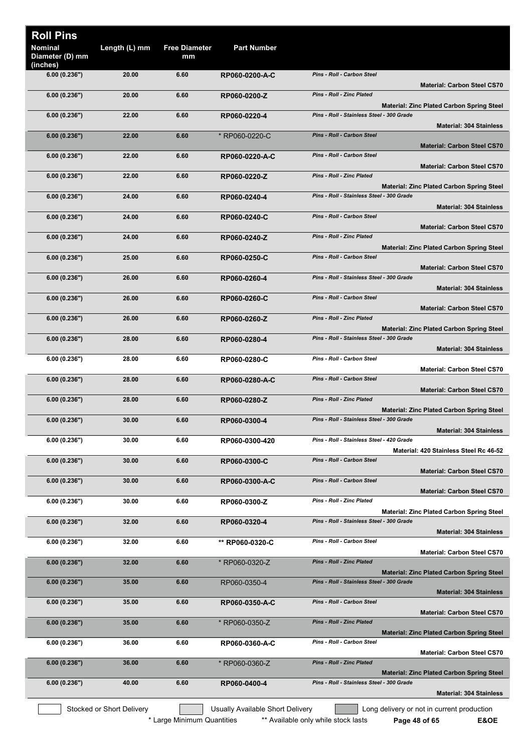| <b>Roll Pins</b>                       |                           |                            |                                  |                                                                                                                                 |
|----------------------------------------|---------------------------|----------------------------|----------------------------------|---------------------------------------------------------------------------------------------------------------------------------|
| Nominal<br>Diameter (D) mm<br>(inches) | Length (L) mm             | <b>Free Diameter</b><br>mm | <b>Part Number</b>               |                                                                                                                                 |
| 6.00(0.236")                           | 20.00                     | 6.60                       | RP060-0200-A-C                   | <b>Pins - Roll - Carbon Steel</b><br><b>Material: Carbon Steel CS70</b>                                                         |
| 6.00(0.236")                           | 20.00                     | 6.60                       | RP060-0200-Z                     | <b>Pins - Roll - Zinc Plated</b>                                                                                                |
| 6.00(0.236")                           | 22.00                     | 6.60                       | RP060-0220-4                     | <b>Material: Zinc Plated Carbon Spring Steel</b><br>Pins - Roll - Stainless Steel - 300 Grade<br><b>Material: 304 Stainless</b> |
| 6.00(0.236")                           | 22.00                     | 6.60                       | * RP060-0220-C                   | <b>Pins - Roll - Carbon Steel</b>                                                                                               |
| 6.00(0.236")                           | 22.00                     | 6.60                       | RP060-0220-A-C                   | <b>Material: Carbon Steel CS70</b><br>Pins - Roll - Carbon Steel                                                                |
| 6.00(0.236")                           | 22.00                     | 6.60                       | RP060-0220-Z                     | <b>Material: Carbon Steel CS70</b><br><b>Pins - Roll - Zinc Plated</b>                                                          |
| 6.00(0.236")                           | 24.00                     | 6.60                       | RP060-0240-4                     | <b>Material: Zinc Plated Carbon Spring Steel</b><br>Pins - Roll - Stainless Steel - 300 Grade                                   |
| 6.00(0.236")                           | 24.00                     | 6.60                       | RP060-0240-C                     | <b>Material: 304 Stainless</b><br>Pins - Roll - Carbon Steel                                                                    |
| 6.00(0.236")                           | 24.00                     | 6.60                       | RP060-0240-Z                     | <b>Material: Carbon Steel CS70</b><br><b>Pins - Roll - Zinc Plated</b>                                                          |
| 6.00(0.236")                           | 25.00                     | 6.60                       | RP060-0250-C                     | <b>Material: Zinc Plated Carbon Spring Steel</b><br><b>Pins - Roll - Carbon Steel</b>                                           |
| 6.00(0.236")                           | 26.00                     | 6.60                       | RP060-0260-4                     | <b>Material: Carbon Steel CS70</b><br>Pins - Roll - Stainless Steel - 300 Grade                                                 |
|                                        |                           |                            |                                  | <b>Material: 304 Stainless</b>                                                                                                  |
| 6.00(0.236")                           | 26.00                     | 6.60                       | RP060-0260-C                     | Pins - Roll - Carbon Steel<br><b>Material: Carbon Steel CS70</b>                                                                |
| 6.00(0.236")                           | 26.00                     | 6.60                       | RP060-0260-Z                     | <b>Pins - Roll - Zinc Plated</b><br><b>Material: Zinc Plated Carbon Spring Steel</b>                                            |
| 6.00(0.236")                           | 28.00                     | 6.60                       | RP060-0280-4                     | Pins - Roll - Stainless Steel - 300 Grade                                                                                       |
| 6.00(0.236")                           | 28.00                     | 6.60                       | RP060-0280-C                     | <b>Material: 304 Stainless</b><br>Pins - Roll - Carbon Steel                                                                    |
|                                        | 28.00                     | 6.60                       |                                  | <b>Material: Carbon Steel CS70</b><br>Pins - Roll - Carbon Steel                                                                |
| 6.00(0.236")                           |                           |                            | RP060-0280-A-C                   | <b>Material: Carbon Steel CS70</b>                                                                                              |
| 6.00(0.236")                           | 28.00                     | 6.60                       | RP060-0280-Z                     | <b>Pins - Roll - Zinc Plated</b><br><b>Material: Zinc Plated Carbon Spring Steel</b>                                            |
| 6.00(0.236")                           | 30.00                     | 6.60                       | RP060-0300-4                     | Pins - Roll - Stainless Steel - 300 Grade<br><b>Material: 304 Stainless</b>                                                     |
| 6.00(0.236")                           | 30.00                     | 6.60                       | RP060-0300-420                   | Pins - Roll - Stainless Steel - 420 Grade                                                                                       |
| 6.00(0.236")                           | 30.00                     | 6.60                       | RP060-0300-C                     | Material: 420 Stainless Steel Rc 46-52<br>Pins - Roll - Carbon Steel                                                            |
| 6.00(0.236")                           | 30.00                     | 6.60                       | RP060-0300-A-C                   | <b>Material: Carbon Steel CS70</b><br>Pins - Roll - Carbon Steel                                                                |
| 6.00(0.236")                           | 30.00                     | 6.60                       | RP060-0300-Z                     | <b>Material: Carbon Steel CS70</b><br>Pins - Roll - Zinc Plated                                                                 |
| 6.00(0.236")                           | 32.00                     | 6.60                       | RP060-0320-4                     | <b>Material: Zinc Plated Carbon Spring Steel</b><br>Pins - Roll - Stainless Steel - 300 Grade                                   |
|                                        |                           |                            |                                  | <b>Material: 304 Stainless</b>                                                                                                  |
| 6.00(0.236")                           | 32.00                     | 6.60                       | ** RP060-0320-C                  | Pins - Roll - Carbon Steel<br><b>Material: Carbon Steel CS70</b>                                                                |
| 6.00(0.236")                           | 32.00                     | 6.60                       | * RP060-0320-Z                   | <b>Pins - Roll - Zinc Plated</b><br><b>Material: Zinc Plated Carbon Spring Steel</b>                                            |
| 6.00(0.236")                           | 35.00                     | 6.60                       | RP060-0350-4                     | Pins - Roll - Stainless Steel - 300 Grade<br><b>Material: 304 Stainless</b>                                                     |
| 6.00(0.236")                           | 35.00                     | 6.60                       | RP060-0350-A-C                   | Pins - Roll - Carbon Steel<br><b>Material: Carbon Steel CS70</b>                                                                |
| 6.00(0.236")                           | 35.00                     | 6.60                       | * RP060-0350-Z                   | <b>Pins - Roll - Zinc Plated</b><br><b>Material: Zinc Plated Carbon Spring Steel</b>                                            |
| 6.00(0.236")                           | 36.00                     | 6.60                       | RP060-0360-A-C                   | Pins - Roll - Carbon Steel                                                                                                      |
| 6.00(0.236")                           | 36.00                     | 6.60                       | * RP060-0360-Z                   | <b>Material: Carbon Steel CS70</b><br>Pins - Roll - Zinc Plated                                                                 |
| 6.00(0.236")                           | 40.00                     | 6.60                       | RP060-0400-4                     | <b>Material: Zinc Plated Carbon Spring Steel</b><br>Pins - Roll - Stainless Steel - 300 Grade                                   |
|                                        |                           |                            |                                  | <b>Material: 304 Stainless</b>                                                                                                  |
|                                        | Stocked or Short Delivery |                            | Usually Available Short Delivery | Long delivery or not in current production                                                                                      |

\* Large Minimum Quantities \*\* Available only while stock lasts **Page 48 of 65 E&OE**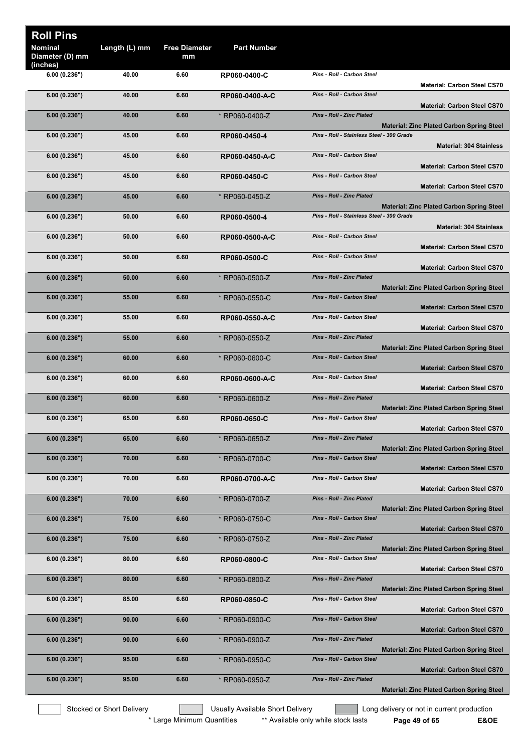| <b>Roll Pins</b><br>Nominal<br>Diameter (D) mm | Length (L) mm | <b>Free Diameter</b><br>mm | <b>Part Number</b> |                                           |                                                  |
|------------------------------------------------|---------------|----------------------------|--------------------|-------------------------------------------|--------------------------------------------------|
| (inches)                                       |               |                            |                    |                                           |                                                  |
| 6.00(0.236")                                   | 40.00         | 6.60                       | RP060-0400-C       | Pins - Roll - Carbon Steel                | <b>Material: Carbon Steel CS70</b>               |
| 6.00(0.236")                                   | 40.00         | 6.60                       | RP060-0400-A-C     | Pins - Roll - Carbon Steel                | <b>Material: Carbon Steel CS70</b>               |
| 6.00(0.236")                                   | 40.00         | 6.60                       | * RP060-0400-Z     | <b>Pins - Roll - Zinc Plated</b>          |                                                  |
| 6.00(0.236")                                   | 45.00         | 6.60                       | RP060-0450-4       | Pins - Roll - Stainless Steel - 300 Grade | <b>Material: Zinc Plated Carbon Spring Steel</b> |
|                                                |               |                            |                    |                                           | <b>Material: 304 Stainless</b>                   |
| 6.00(0.236")                                   | 45.00         | 6.60                       | RP060-0450-A-C     | Pins - Roll - Carbon Steel                | <b>Material: Carbon Steel CS70</b>               |
| 6.00(0.236")                                   | 45.00         | 6.60                       | RP060-0450-C       | <b>Pins - Roll - Carbon Steel</b>         | <b>Material: Carbon Steel CS70</b>               |
| 6.00(0.236")                                   | 45.00         | 6.60                       | * RP060-0450-Z     | <b>Pins - Roll - Zinc Plated</b>          |                                                  |
|                                                |               |                            |                    | Pins - Roll - Stainless Steel - 300 Grade | <b>Material: Zinc Plated Carbon Spring Steel</b> |
| 6.00(0.236")                                   | 50.00         | 6.60                       | RP060-0500-4       |                                           | <b>Material: 304 Stainless</b>                   |
| 6.00(0.236")                                   | 50.00         | 6.60                       | RP060-0500-A-C     | Pins - Roll - Carbon Steel                | <b>Material: Carbon Steel CS70</b>               |
| 6.00(0.236")                                   | 50.00         | 6.60                       | RP060-0500-C       | Pins - Roll - Carbon Steel                | <b>Material: Carbon Steel CS70</b>               |
| 6.00(0.236")                                   | 50.00         | 6.60                       | * RP060-0500-Z     | <b>Pins - Roll - Zinc Plated</b>          |                                                  |
|                                                |               |                            |                    | Pins - Roll - Carbon Steel                | <b>Material: Zinc Plated Carbon Spring Steel</b> |
| 6.00(0.236")                                   | 55.00         | 6.60                       | * RP060-0550-C     |                                           | <b>Material: Carbon Steel CS70</b>               |
| 6.00(0.236")                                   | 55.00         | 6.60                       | RP060-0550-A-C     | Pins - Roll - Carbon Steel                | <b>Material: Carbon Steel CS70</b>               |
| 6.00(0.236")                                   | 55.00         | 6.60                       | * RP060-0550-Z     | <b>Pins - Roll - Zinc Plated</b>          | <b>Material: Zinc Plated Carbon Spring Steel</b> |
| 6.00(0.236")                                   | 60.00         | 6.60                       | * RP060-0600-C     | <b>Pins - Roll - Carbon Steel</b>         |                                                  |
| 6.00(0.236")                                   | 60.00         | 6.60                       | RP060-0600-A-C     | Pins - Roll - Carbon Steel                | <b>Material: Carbon Steel CS70</b>               |
| 6.00(0.236")                                   | 60.00         | 6.60                       | * RP060-0600-Z     | <b>Pins - Roll - Zinc Plated</b>          | <b>Material: Carbon Steel CS70</b>               |
| 6.00(0.236")                                   | 65.00         | 6.60                       | RP060-0650-C       | Pins - Roll - Carbon Steel                | <b>Material: Zinc Plated Carbon Spring Steel</b> |
|                                                |               |                            |                    |                                           | <b>Material: Carbon Steel CS70</b>               |
| 6.00(0.236")                                   | 65.00         | 6.60                       | * RP060-0650-Z     | Pins - Roll - Zinc Plated                 | <b>Material: Zinc Plated Carbon Spring Steel</b> |
| 6.00(0.236")                                   | 70.00         | 6.60                       | * RP060-0700-C     | Pins - Roll - Carbon Steel                | <b>Material: Carbon Steel CS70</b>               |
| 6.00(0.236")                                   | 70.00         | 6.60                       | RP060-0700-A-C     | Pins - Roll - Carbon Steel                | <b>Material: Carbon Steel CS70</b>               |
| 6.00(0.236")                                   | 70.00         | 6.60                       | * RP060-0700-Z     | Pins - Roll - Zinc Plated                 |                                                  |
|                                                |               |                            |                    |                                           | <b>Material: Zinc Plated Carbon Spring Steel</b> |
| 6.00(0.236")                                   | 75.00         | 6.60                       | * RP060-0750-C     | <b>Pins - Roll - Carbon Steel</b>         | <b>Material: Carbon Steel CS70</b>               |
| 6.00(0.236")                                   | 75.00         | 6.60                       | * RP060-0750-Z     | <b>Pins - Roll - Zinc Plated</b>          | <b>Material: Zinc Plated Carbon Spring Steel</b> |
| 6.00(0.236")                                   | 80.00         | 6.60                       | RP060-0800-C       | Pins - Roll - Carbon Steel                | <b>Material: Carbon Steel CS70</b>               |
| 6.00(0.236")                                   | 80.00         | 6.60                       | * RP060-0800-Z     | <b>Pins - Roll - Zinc Plated</b>          |                                                  |
| 6.00(0.236")                                   | 85.00         | 6.60                       | RP060-0850-C       | Pins - Roll - Carbon Steel                | <b>Material: Zinc Plated Carbon Spring Steel</b> |
| 6.00(0.236")                                   | 90.00         | 6.60                       | * RP060-0900-C     | Pins - Roll - Carbon Steel                | <b>Material: Carbon Steel CS70</b>               |
|                                                | 90.00         | 6.60                       |                    | Pins - Roll - Zinc Plated                 | <b>Material: Carbon Steel CS70</b>               |
| 6.00(0.236")                                   |               |                            | * RP060-0900-Z     |                                           | <b>Material: Zinc Plated Carbon Spring Steel</b> |
| 6.00(0.236")                                   | 95.00         | 6.60                       | * RP060-0950-C     | Pins - Roll - Carbon Steel                | <b>Material: Carbon Steel CS70</b>               |
| 6.00(0.236")                                   | 95.00         | 6.60                       | * RP060-0950-Z     | <b>Pins - Roll - Zinc Plated</b>          | <b>Material: Zinc Plated Carbon Spring Steel</b> |
|                                                |               |                            |                    |                                           |                                                  |

Stocked or Short Delivery **The Contract Contract Contract Contract** Long delivery or not in current production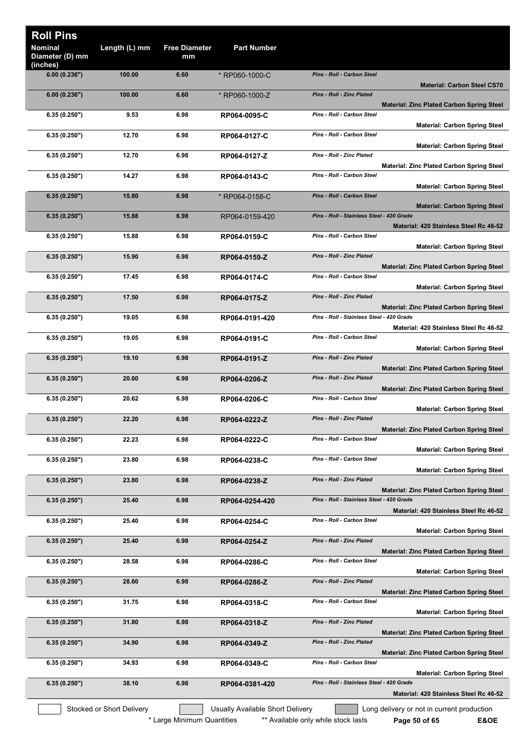| <b>Roll Pins</b>                              |                           |                            |                                  |                                           |                                                  |
|-----------------------------------------------|---------------------------|----------------------------|----------------------------------|-------------------------------------------|--------------------------------------------------|
| <b>Nominal</b><br>Diameter (D) mm<br>(inches) | Length (L) mm             | <b>Free Diameter</b><br>mm | <b>Part Number</b>               |                                           |                                                  |
| 6.00(0.236")                                  | 100.00                    | 6.60                       | * RP060-1000-C                   | <b>Pins - Roll - Carbon Steel</b>         | <b>Material: Carbon Steel CS70</b>               |
| 6.00(0.236")                                  | 100.00                    | 6.60                       | * RP060-1000-Z                   | Pins - Roll - Zinc Plated                 | <b>Material: Zinc Plated Carbon Spring Steel</b> |
| 6.35(0.250")                                  | 9.53                      | 6.98                       | RP064-0095-C                     | Pins - Roll - Carbon Steel                | <b>Material: Carbon Spring Steel</b>             |
| 6.35(0.250")                                  | 12.70                     | 6.98                       | RP064-0127-C                     | Pins - Roll - Carbon Steel                | <b>Material: Carbon Spring Steel</b>             |
| 6.35(0.250")                                  | 12.70                     | 6.98                       | RP064-0127-Z                     | Pins - Roll - Zinc Plated                 | <b>Material: Zinc Plated Carbon Spring Steel</b> |
| 6.35(0.250")                                  | 14.27                     | 6.98                       | RP064-0143-C                     | Pins - Roll - Carbon Steel                | <b>Material: Carbon Spring Steel</b>             |
| 6.35(0.250")                                  | 15.80                     | 6.98                       | * RP064-0158-C                   | Pins - Roll - Carbon Steel                | <b>Material: Carbon Spring Steel</b>             |
| 6.35(0.250")                                  | 15.88                     | 6.98                       | RP064-0159-420                   | Pins - Roll - Stainless Steel - 420 Grade | Material: 420 Stainless Steel Rc 46-52           |
| 6.35(0.250")                                  | 15.88                     | 6.98                       | RP064-0159-C                     | Pins - Roll - Carbon Steel                | <b>Material: Carbon Spring Steel</b>             |
| 6.35(0.250")                                  | 15.90                     | 6.98                       | RP064-0159-Z                     | Pins - Roll - Zinc Plated                 | <b>Material: Zinc Plated Carbon Spring Steel</b> |
| 6.35(0.250")                                  | 17.45                     | 6.98                       | RP064-0174-C                     | Pins - Roll - Carbon Steel                | <b>Material: Carbon Spring Steel</b>             |
| 6.35(0.250")                                  | 17.50                     | 6.98                       | RP064-0175-Z                     | Pins - Roll - Zinc Plated                 |                                                  |
| 6.35(0.250")                                  | 19.05                     | 6.98                       | RP064-0191-420                   | Pins - Roll - Stainless Steel - 420 Grade | <b>Material: Zinc Plated Carbon Spring Steel</b> |
| 6.35(0.250")                                  | 19.05                     | 6.98                       | RP064-0191-C                     | Pins - Roll - Carbon Steel                | Material: 420 Stainless Steel Rc 46-52           |
| 6.35(0.250")                                  | 19.10                     | 6.98                       | RP064-0191-Z                     | Pins - Roll - Zinc Plated                 | <b>Material: Carbon Spring Steel</b>             |
| 6.35(0.250")                                  | 20.60                     | 6.98                       | RP064-0206-Z                     | Pins - Roll - Zinc Plated                 | <b>Material: Zinc Plated Carbon Spring Steel</b> |
| 6.35(0.250")                                  | 20.62                     | 6.98                       | RP064-0206-C                     | Pins - Roll - Carbon Steel                | <b>Material: Zinc Plated Carbon Spring Steel</b> |
| 6.35(0.250")                                  | 22.20                     | 6.98                       | RP064-0222-Z                     | Pins - Roll - Zinc Plated                 | <b>Material: Carbon Spring Steel</b>             |
| 6.35(0.250")                                  | 22.23                     | 6.98                       | RP064-0222-C                     | Pins - Roll - Carbon Steel                | <b>Material: Zinc Plated Carbon Spring Steel</b> |
| 6.35(0.250")                                  | 23.80                     | 6.98                       | RP064-0238-C                     | Pins - Roll - Carbon Steel                | <b>Material: Carbon Spring Steel</b>             |
| 6.35(0.250")                                  | 23.80                     | 6.98                       | RP064-0238-Z                     | Pins - Roll - Zinc Plated                 | <b>Material: Carbon Spring Steel</b>             |
| 6.35(0.250")                                  | 25.40                     | 6.98                       | RP064-0254-420                   | Pins - Roll - Stainless Steel - 420 Grade | <b>Material: Zinc Plated Carbon Spring Steel</b> |
| 6.35(0.250")                                  | 25.40                     | 6.98                       | RP064-0254-C                     | <b>Pins - Roll - Carbon Steel</b>         | Material: 420 Stainless Steel Rc 46-52           |
| 6.35(0.250")                                  | 25.40                     | 6.98                       | RP064-0254-Z                     | Pins - Roll - Zinc Plated                 | <b>Material: Carbon Spring Steel</b>             |
| 6.35(0.250")                                  | 28.58                     | 6.98                       | RP064-0286-C                     | Pins - Roll - Carbon Steel                | <b>Material: Zinc Plated Carbon Spring Steel</b> |
| 6.35(0.250")                                  | 28.60                     | 6.98                       | RP064-0286-Z                     | Pins - Roll - Zinc Plated                 | <b>Material: Carbon Spring Steel</b>             |
| 6.35(0.250")                                  | 31.75                     | 6.98                       | RP064-0318-C                     | Pins - Roll - Carbon Steel                | <b>Material: Zinc Plated Carbon Spring Steel</b> |
|                                               | 31.80                     | 6.98                       |                                  | Pins - Roll - Zinc Plated                 | <b>Material: Carbon Spring Steel</b>             |
| 6.35(0.250")                                  |                           |                            | RP064-0318-Z                     |                                           | <b>Material: Zinc Plated Carbon Spring Steel</b> |
| 6.35(0.250")                                  | 34.90                     | 6.98                       | RP064-0349-Z                     | Pins - Roll - Zinc Plated                 | <b>Material: Zinc Plated Carbon Spring Steel</b> |
| 6.35(0.250")                                  | 34.93                     | 6.98                       | RP064-0349-C                     | Pins - Roll - Carbon Steel                | <b>Material: Carbon Spring Steel</b>             |
| 6.35(0.250")                                  | 38.10                     | 6.98                       | RP064-0381-420                   | Pins - Roll - Stainless Steel - 420 Grade | Material: 420 Stainless Steel Rc 46-52           |
|                                               | Stocked or Short Delivery |                            | Usually Available Short Delivery |                                           | Long delivery or not in current production       |

\* Large Minimum Quantities \*\* Available only while stock lasts **Page 50 of 65 E&OE**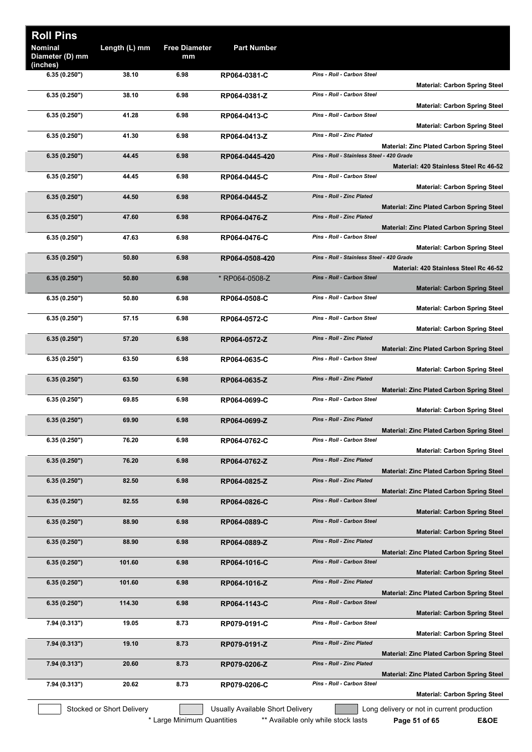| <b>Roll Pins</b><br><b>Nominal</b><br>Diameter (D) mm | Length (L) mm             | <b>Free Diameter</b><br>mm | <b>Part Number</b>               |                                           |                                                                              |
|-------------------------------------------------------|---------------------------|----------------------------|----------------------------------|-------------------------------------------|------------------------------------------------------------------------------|
| (inches)<br>6.35(0.250")                              | 38.10                     | 6.98                       | RP064-0381-C                     | Pins - Roll - Carbon Steel                |                                                                              |
| 6.35(0.250")                                          | 38.10                     | 6.98                       | RP064-0381-Z                     | Pins - Roll - Carbon Steel                | <b>Material: Carbon Spring Steel</b><br><b>Material: Carbon Spring Steel</b> |
| 6.35(0.250")                                          | 41.28                     | 6.98                       | RP064-0413-C                     | <b>Pins - Roll - Carbon Steel</b>         | <b>Material: Carbon Spring Steel</b>                                         |
| 6.35(0.250")                                          | 41.30                     | 6.98                       | RP064-0413-Z                     | <b>Pins - Roll - Zinc Plated</b>          | Material: Zinc Plated Carbon Spring Steel                                    |
| 6.35(0.250")                                          | 44.45                     | 6.98                       | RP064-0445-420                   | Pins - Roll - Stainless Steel - 420 Grade | Material: 420 Stainless Steel Rc 46-52                                       |
| 6.35(0.250")                                          | 44.45                     | 6.98                       | RP064-0445-C                     | Pins - Roll - Carbon Steel                | <b>Material: Carbon Spring Steel</b>                                         |
| 6.35(0.250")                                          | 44.50                     | 6.98                       | RP064-0445-Z                     | Pins - Roll - Zinc Plated                 | <b>Material: Zinc Plated Carbon Spring Steel</b>                             |
| 6.35(0.250")                                          | 47.60                     | 6.98                       | RP064-0476-Z                     | Pins - Roll - Zinc Plated                 | <b>Material: Zinc Plated Carbon Spring Steel</b>                             |
| 6.35(0.250")                                          | 47.63                     | 6.98                       | RP064-0476-C                     | <b>Pins - Roll - Carbon Steel</b>         | <b>Material: Carbon Spring Steel</b>                                         |
| 6.35(0.250")                                          | 50.80                     | 6.98                       | RP064-0508-420                   | Pins - Roll - Stainless Steel - 420 Grade | Material: 420 Stainless Steel Rc 46-52                                       |
| 6.35(0.250")                                          | 50.80                     | 6.98                       | * RP064-0508-Z                   | <b>Pins - Roll - Carbon Steel</b>         | <b>Material: Carbon Spring Steel</b>                                         |
| 6.35(0.250")                                          | 50.80                     | 6.98                       | RP064-0508-C                     | Pins - Roll - Carbon Steel                | <b>Material: Carbon Spring Steel</b>                                         |
| 6.35(0.250")                                          | 57.15                     | 6.98                       | RP064-0572-C                     | Pins - Roll - Carbon Steel                | <b>Material: Carbon Spring Steel</b>                                         |
| 6.35(0.250")                                          | 57.20                     | 6.98                       | RP064-0572-Z                     | Pins - Roll - Zinc Plated                 | <b>Material: Zinc Plated Carbon Spring Steel</b>                             |
| 6.35(0.250")                                          | 63.50                     | 6.98                       | RP064-0635-C                     | Pins - Roll - Carbon Steel                | <b>Material: Carbon Spring Steel</b>                                         |
| 6.35(0.250")                                          | 63.50                     | 6.98                       | RP064-0635-Z                     | <b>Pins - Roll - Zinc Plated</b>          | <b>Material: Zinc Plated Carbon Spring Steel</b>                             |
| 6.35(0.250")                                          | 69.85                     | 6.98                       | RP064-0699-C                     | Pins - Roll - Carbon Steel                | <b>Material: Carbon Spring Steel</b>                                         |
| 6.35(0.250")                                          | 69.90                     | 6.98                       | RP064-0699-Z                     | Pins - Roll - Zinc Plated                 | <b>Material: Zinc Plated Carbon Spring Steel</b>                             |
| 6.35(0.250")                                          | 76.20                     | 6.98                       | RP064-0762-C                     | Pins - Roll - Carbon Steel                | <b>Material: Carbon Spring Steel</b>                                         |
| 6.35(0.250")                                          | 76.20                     | 6.98                       | RP064-0762-Z                     | Pins - Roll - Zinc Plated                 | <b>Material: Zinc Plated Carbon Spring Steel</b>                             |
| 6.35(0.250")                                          | 82.50                     | 6.98                       | RP064-0825-Z                     | Pins - Roll - Zinc Plated                 | <b>Material: Zinc Plated Carbon Spring Steel</b>                             |
| 6.35(0.250")                                          | 82.55                     | 6.98                       | RP064-0826-C                     | Pins - Roll - Carbon Steel                | <b>Material: Carbon Spring Steel</b>                                         |
| 6.35(0.250")                                          | 88.90                     | 6.98                       | RP064-0889-C                     | Pins - Roll - Carbon Steel                | <b>Material: Carbon Spring Steel</b>                                         |
| 6.35(0.250")                                          | 88.90                     | 6.98                       | RP064-0889-Z                     | Pins - Roll - Zinc Plated                 | <b>Material: Zinc Plated Carbon Spring Steel</b>                             |
| 6.35(0.250")                                          | 101.60                    | 6.98                       | RP064-1016-C                     | Pins - Roll - Carbon Steel                | <b>Material: Carbon Spring Steel</b>                                         |
| 6.35(0.250")                                          | 101.60                    | 6.98                       | RP064-1016-Z                     | Pins - Roll - Zinc Plated                 | <b>Material: Zinc Plated Carbon Spring Steel</b>                             |
| 6.35(0.250")                                          | 114.30                    | 6.98                       | RP064-1143-C                     | Pins - Roll - Carbon Steel                | <b>Material: Carbon Spring Steel</b>                                         |
| 7.94 (0.313")                                         | 19.05                     | 8.73                       | RP079-0191-C                     | Pins - Roll - Carbon Steel                | <b>Material: Carbon Spring Steel</b>                                         |
| 7.94 (0.313")                                         | 19.10                     | 8.73                       | RP079-0191-Z                     | Pins - Roll - Zinc Plated                 | <b>Material: Zinc Plated Carbon Spring Steel</b>                             |
| 7.94 (0.313")                                         | 20.60                     | 8.73                       | RP079-0206-Z                     | Pins - Roll - Zinc Plated                 | <b>Material: Zinc Plated Carbon Spring Steel</b>                             |
| 7.94 (0.313")                                         | 20.62                     | 8.73                       | RP079-0206-C                     | Pins - Roll - Carbon Steel                | <b>Material: Carbon Spring Steel</b>                                         |
|                                                       | Stocked or Short Delivery |                            | Usually Available Short Delivery |                                           | Long delivery or not in current production                                   |

\* Large Minimum Quantities \*\* Available only while stock lasts **Page 51 of 65 E&OE**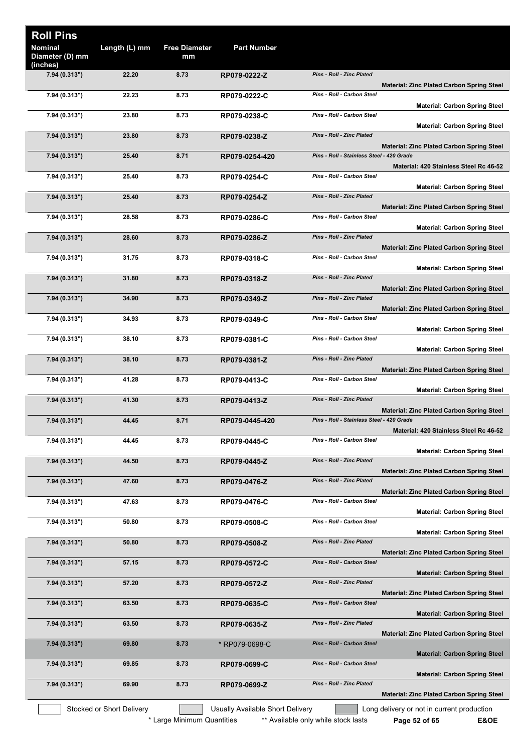| <b>Roll Pins</b>                       |                           |                            |                                  |                                                                                                |
|----------------------------------------|---------------------------|----------------------------|----------------------------------|------------------------------------------------------------------------------------------------|
| Nominal<br>Diameter (D) mm<br>(inches) | Length (L) mm             | <b>Free Diameter</b><br>mm | <b>Part Number</b>               |                                                                                                |
| 7.94 (0.313")                          | 22.20                     | 8.73                       | RP079-0222-Z                     | <b>Pins - Roll - Zinc Plated</b><br><b>Material: Zinc Plated Carbon Spring Steel</b>           |
| 7.94 (0.313")                          | 22.23                     | 8.73                       | RP079-0222-C                     | Pins - Roll - Carbon Steel<br><b>Material: Carbon Spring Steel</b>                             |
| 7.94 (0.313")                          | 23.80                     | 8.73                       | RP079-0238-C                     | Pins - Roll - Carbon Steel<br><b>Material: Carbon Spring Steel</b>                             |
| 7.94 (0.313")                          | 23.80                     | 8.73                       | RP079-0238-Z                     | <b>Pins - Roll - Zinc Plated</b><br><b>Material: Zinc Plated Carbon Spring Steel</b>           |
| 7.94 (0.313")                          | 25.40                     | 8.71                       | RP079-0254-420                   | Pins - Roll - Stainless Steel - 420 Grade<br>Material: 420 Stainless Steel Rc 46-52            |
| 7.94 (0.313")                          | 25.40                     | 8.73                       | RP079-0254-C                     | Pins - Roll - Carbon Steel                                                                     |
| 7.94 (0.313")                          | 25.40                     | 8.73                       | RP079-0254-Z                     | <b>Material: Carbon Spring Steel</b><br>Pins - Roll - Zinc Plated                              |
| 7.94 (0.313")                          | 28.58                     | 8.73                       | RP079-0286-C                     | <b>Material: Zinc Plated Carbon Spring Steel</b><br>Pins - Roll - Carbon Steel                 |
| 7.94 (0.313")                          | 28.60                     | 8.73                       | RP079-0286-Z                     | <b>Material: Carbon Spring Steel</b><br><b>Pins - Roll - Zinc Plated</b>                       |
| 7.94 (0.313")                          | 31.75                     | 8.73                       | RP079-0318-C                     | <b>Material: Zinc Plated Carbon Spring Steel</b><br>Pins - Roll - Carbon Steel                 |
| 7.94 (0.313")                          | 31.80                     | 8.73                       | RP079-0318-Z                     | <b>Material: Carbon Spring Steel</b><br>Pins - Roll - Zinc Plated                              |
| 7.94 (0.313")                          | 34.90                     | 8.73                       | RP079-0349-Z                     | <b>Material: Zinc Plated Carbon Spring Steel</b><br>Pins - Roll - Zinc Plated                  |
| 7.94 (0.313")                          | 34.93                     | 8.73                       | RP079-0349-C                     | <b>Material: Zinc Plated Carbon Spring Steel</b><br>Pins - Roll - Carbon Steel                 |
| 7.94 (0.313")                          | 38.10                     | 8.73                       | RP079-0381-C                     | <b>Material: Carbon Spring Steel</b><br>Pins - Roll - Carbon Steel                             |
| 7.94 (0.313")                          | 38.10                     | 8.73                       | RP079-0381-Z                     | <b>Material: Carbon Spring Steel</b><br>Pins - Roll - Zinc Plated                              |
| 7.94 (0.313")                          | 41.28                     | 8.73                       | RP079-0413-C                     | <b>Material: Zinc Plated Carbon Spring Steel</b><br>Pins - Roll - Carbon Steel                 |
| 7.94 (0.313")                          | 41.30                     | 8.73                       | RP079-0413-Z                     | <b>Material: Carbon Spring Steel</b><br><b>Pins - Roll - Zinc Plated</b>                       |
|                                        | 44.45                     |                            |                                  | <b>Material: Zinc Plated Carbon Spring Steel</b><br>Pins - Roll - Stainless Steel - 420 Grade  |
| 7.94 (0.313")                          |                           | 8.71                       | RP079-0445-420                   | Material: 420 Stainless Steel Rc 46-52                                                         |
| 7.94 (0.313")                          | 44.45                     | 8.73                       | RP079-0445-C                     | Pins - Roll - Carbon Steel<br><b>Material: Carbon Spring Steel</b>                             |
| 7.94 (0.313")                          | 44.50                     | 8.73                       | RP079-0445-Z                     | <b>Pins - Roll - Zinc Plated</b><br><b>Material: Zinc Plated Carbon Spring Steel</b>           |
| 7.94 (0.313")                          | 47.60                     | 8.73                       | RP079-0476-Z                     | Pins - Roll - Zinc Plated<br><b>Material: Zinc Plated Carbon Spring Steel</b>                  |
| 7.94 (0.313")                          | 47.63                     | 8.73                       | RP079-0476-C                     | Pins - Roll - Carbon Steel<br><b>Material: Carbon Spring Steel</b>                             |
| 7.94 (0.313")                          | 50.80                     | 8.73                       | RP079-0508-C                     | Pins - Roll - Carbon Steel<br><b>Material: Carbon Spring Steel</b>                             |
| 7.94 (0.313")                          | 50.80                     | 8.73                       | RP079-0508-Z                     | <b>Pins - Roll - Zinc Plated</b><br><b>Material: Zinc Plated Carbon Spring Steel</b>           |
| 7.94 (0.313")                          | 57.15                     | 8.73                       | RP079-0572-C                     | Pins - Roll - Carbon Steel<br><b>Material: Carbon Spring Steel</b>                             |
| 7.94 (0.313")                          | 57.20                     | 8.73                       | RP079-0572-Z                     | Pins - Roll - Zinc Plated                                                                      |
| 7.94 (0.313")                          | 63.50                     | 8.73                       | RP079-0635-C                     | <b>Material: Zinc Plated Carbon Spring Steel</b><br>Pins - Roll - Carbon Steel                 |
| 7.94 (0.313")                          | 63.50                     | 8.73                       | RP079-0635-Z                     | <b>Material: Carbon Spring Steel</b><br>Pins - Roll - Zinc Plated                              |
| 7.94 (0.313")                          | 69.80                     | 8.73                       | * RP079-0698-C                   | <b>Material: Zinc Plated Carbon Spring Steel</b><br>Pins - Roll - Carbon Steel                 |
| 7.94 (0.313")                          | 69.85                     | 8.73                       | RP079-0699-C                     | <b>Material: Carbon Spring Steel</b><br>Pins - Roll - Carbon Steel                             |
| 7.94 (0.313")                          | 69.90                     | 8.73                       | RP079-0699-Z                     | <b>Material: Carbon Spring Steel</b><br>Pins - Roll - Zinc Plated                              |
|                                        | Stocked or Short Delivery |                            | Usually Available Short Delivery | <b>Material: Zinc Plated Carbon Spring Steel</b><br>Long delivery or not in current production |
|                                        |                           | * Large Minimum Quantities |                                  | ** Available only while stock lasts<br>E&OE<br>Page 52 of 65                                   |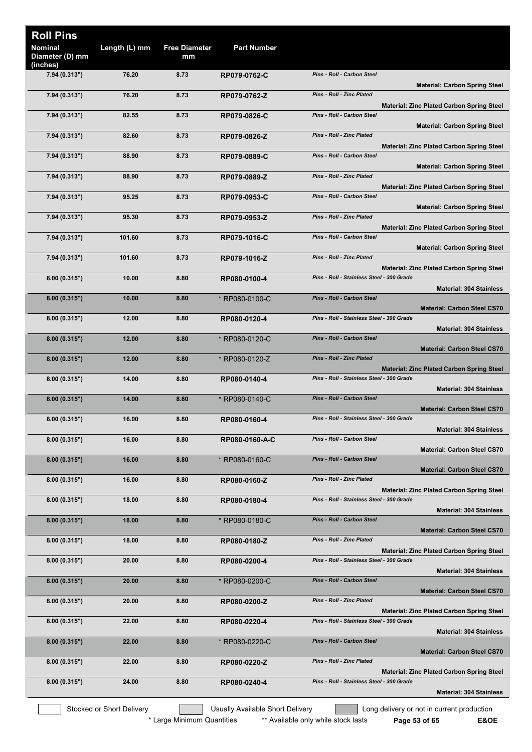| <b>Roll Pins</b><br><b>Nominal</b><br>Diameter (D) mm | Length (L) mm             | <b>Free Diameter</b><br>mm | <b>Part Number</b>               |                                                                                               |
|-------------------------------------------------------|---------------------------|----------------------------|----------------------------------|-----------------------------------------------------------------------------------------------|
| (inches)                                              |                           |                            |                                  |                                                                                               |
| 7.94 (0.313")                                         | 76.20                     | 8.73                       | RP079-0762-C                     | Pins - Roll - Carbon Steel<br><b>Material: Carbon Spring Steel</b>                            |
| 7.94 (0.313")                                         | 76.20                     | 8.73                       | RP079-0762-Z                     | <b>Pins - Roll - Zinc Plated</b><br><b>Material: Zinc Plated Carbon Spring Steel</b>          |
| 7.94 (0.313")                                         | 82.55                     | 8.73                       | RP079-0826-C                     | <b>Pins - Roll - Carbon Steel</b><br><b>Material: Carbon Spring Steel</b>                     |
| 7.94 (0.313")                                         | 82.60                     | 8.73                       | RP079-0826-Z                     | <b>Pins - Roll - Zinc Plated</b><br><b>Material: Zinc Plated Carbon Spring Steel</b>          |
| 7.94 (0.313")                                         | 88.90                     | 8.73                       | RP079-0889-C                     | Pins - Roll - Carbon Steel<br><b>Material: Carbon Spring Steel</b>                            |
| 7.94 (0.313")                                         | 88.90                     | 8.73                       | RP079-0889-Z                     | <b>Pins - Roll - Zinc Plated</b><br><b>Material: Zinc Plated Carbon Spring Steel</b>          |
| 7.94 (0.313")                                         | 95.25                     | 8.73                       | RP079-0953-C                     | Pins - Roll - Carbon Steel                                                                    |
| 7.94 (0.313")                                         | 95.30                     | 8.73                       | RP079-0953-Z                     | <b>Material: Carbon Spring Steel</b><br><b>Pins - Roll - Zinc Plated</b>                      |
| 7.94 (0.313")                                         | 101.60                    | 8.73                       | RP079-1016-C                     | <b>Material: Zinc Plated Carbon Spring Steel</b><br>Pins - Roll - Carbon Steel                |
| 7.94 (0.313")                                         | 101.60                    | 8.73                       | RP079-1016-Z                     | <b>Material: Carbon Spring Steel</b><br><b>Pins - Roll - Zinc Plated</b>                      |
|                                                       |                           |                            |                                  | <b>Material: Zinc Plated Carbon Spring Steel</b>                                              |
| 8.00(0.315")                                          | 10.00                     | 8.80                       | RP080-0100-4                     | Pins - Roll - Stainless Steel - 300 Grade<br><b>Material: 304 Stainless</b>                   |
| 8.00(0.315")                                          | 10.00                     | 8.80                       | * RP080-0100-C                   | <b>Pins - Roll - Carbon Steel</b><br><b>Material: Carbon Steel CS70</b>                       |
| 8.00(0.315")                                          | 12.00                     | 8.80                       | RP080-0120-4                     | Pins - Roll - Stainless Steel - 300 Grade<br><b>Material: 304 Stainless</b>                   |
| 8.00(0.315")                                          | 12.00                     | 8.80                       | * RP080-0120-C                   | Pins - Roll - Carbon Steel<br><b>Material: Carbon Steel CS70</b>                              |
| 8.00(0.315")                                          | 12.00                     | 8.80                       | * RP080-0120-Z                   | <b>Pins - Roll - Zinc Plated</b><br><b>Material: Zinc Plated Carbon Spring Steel</b>          |
| 8.00(0.315")                                          | 14.00                     | 8.80                       | RP080-0140-4                     | Pins - Roll - Stainless Steel - 300 Grade<br><b>Material: 304 Stainless</b>                   |
| 8.00(0.315")                                          | 14.00                     | 8.80                       | * RP080-0140-C                   | <b>Pins - Roll - Carbon Steel</b><br><b>Material: Carbon Steel CS70</b>                       |
| 8.00(0.315")                                          | 16.00                     | 8.80                       | RP080-0160-4                     | Pins - Roll - Stainless Steel - 300 Grade<br><b>Material: 304 Stainless</b>                   |
| 8.00(0.315")                                          | 16.00                     | 8.80                       | RP080-0160-A-C                   | Pins - Roll - Carbon Steel<br><b>Material: Carbon Steel CS70</b>                              |
| 8.00(0.315")                                          | 16.00                     | 8.80                       | * RP080-0160-C                   | Pins - Roll - Carbon Steel<br><b>Material: Carbon Steel CS70</b>                              |
| 8.00(0.315")                                          | 16.00                     | 8.80                       | RP080-0160-Z                     | Pins - Roll - Zinc Plated                                                                     |
| 8.00(0.315")                                          | 18.00                     | 8.80                       | RP080-0180-4                     | <b>Material: Zinc Plated Carbon Spring Steel</b><br>Pins - Roll - Stainless Steel - 300 Grade |
| 8.00(0.315")                                          | 18.00                     | 8.80                       | * RP080-0180-C                   | <b>Material: 304 Stainless</b><br>Pins - Roll - Carbon Steel                                  |
|                                                       |                           |                            |                                  | <b>Material: Carbon Steel CS70</b><br><b>Pins - Roll - Zinc Plated</b>                        |
| 8.00(0.315")                                          | 18.00                     | 8.80                       | RP080-0180-Z                     | <b>Material: Zinc Plated Carbon Spring Steel</b>                                              |
| 8.00(0.315")                                          | 20.00                     | 8.80                       | RP080-0200-4                     | Pins - Roll - Stainless Steel - 300 Grade<br><b>Material: 304 Stainless</b>                   |
| 8.00(0.315")                                          | 20.00                     | 8.80                       | * RP080-0200-C                   | <b>Pins - Roll - Carbon Steel</b><br><b>Material: Carbon Steel CS70</b>                       |
| 8.00(0.315")                                          | 20.00                     | 8.80                       | RP080-0200-Z                     | Pins - Roll - Zinc Plated<br><b>Material: Zinc Plated Carbon Spring Steel</b>                 |
| 8.00(0.315")                                          | 22.00                     | 8.80                       | RP080-0220-4                     | Pins - Roll - Stainless Steel - 300 Grade<br><b>Material: 304 Stainless</b>                   |
| 8.00(0.315")                                          | 22.00                     | 8.80                       | * RP080-0220-C                   | Pins - Roll - Carbon Steel<br><b>Material: Carbon Steel CS70</b>                              |
| 8.00(0.315")                                          | 22.00                     | 8.80                       | RP080-0220-Z                     | Pins - Roll - Zinc Plated<br><b>Material: Zinc Plated Carbon Spring Steel</b>                 |
| 8.00(0.315")                                          | 24.00                     | 8.80                       | RP080-0240-4                     | Pins - Roll - Stainless Steel - 300 Grade                                                     |
|                                                       |                           |                            |                                  | <b>Material: 304 Stainless</b>                                                                |
|                                                       | Stocked or Short Delivery |                            | Usually Available Short Delivery | Long delivery or not in current production                                                    |

\* Large Minimum Quantities \*\*\* Available only while stock lasts **Page 53 of 65 E&OE**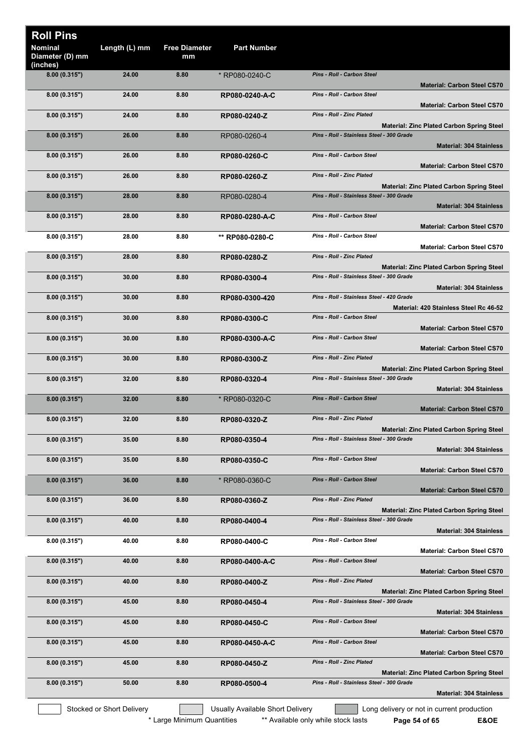| Length (L) mm<br><b>Free Diameter</b><br><b>Part Number</b><br><b>Nominal</b><br>Diameter (D) mm<br>mm<br>(inches)<br>Pins - Roll - Carbon Steel<br>8.00(0.315")<br>24.00<br>8.80<br>* RP080-0240-C<br><b>Material: Carbon Steel CS70</b><br>Pins - Roll - Carbon Steel<br>24.00<br>8.80<br>8.00(0.315")<br>RP080-0240-A-C<br><b>Material: Carbon Steel CS70</b><br><b>Pins - Roll - Zinc Plated</b><br>24.00<br>8.80<br>8.00(0.315")<br>RP080-0240-Z<br><b>Material: Zinc Plated Carbon Spring Steel</b><br>Pins - Roll - Stainless Steel - 300 Grade<br>8.00(0.315")<br>26.00<br>8.80<br>RP080-0260-4<br><b>Material: 304 Stainless</b><br>Pins - Roll - Carbon Steel<br>26.00<br>8.80<br>8.00(0.315")<br>RP080-0260-C<br><b>Material: Carbon Steel CS70</b><br>Pins - Roll - Zinc Plated<br>8.00(0.315")<br>26.00<br>8.80<br>RP080-0260-Z<br><b>Material: Zinc Plated Carbon Spring Steel</b><br>Pins - Roll - Stainless Steel - 300 Grade<br>28.00<br>8.80<br>8.00(0.315")<br>RP080-0280-4<br><b>Material: 304 Stainless</b><br>Pins - Roll - Carbon Steel<br>8.00(0.315")<br>28.00<br>8.80<br>RP080-0280-A-C<br><b>Material: Carbon Steel CS70</b><br>Pins - Roll - Carbon Steel<br>8.00(0.315")<br>28.00<br>8.80<br>** RP080-0280-C<br><b>Material: Carbon Steel CS70</b><br>Pins - Roll - Zinc Plated<br>28.00<br>8.80<br>8.00(0.315")<br>RP080-0280-Z<br><b>Material: Zinc Plated Carbon Spring Steel</b><br>Pins - Roll - Stainless Steel - 300 Grade<br>8.80<br>8.00(0.315")<br>30.00<br>RP080-0300-4<br><b>Material: 304 Stainless</b><br>Pins - Roll - Stainless Steel - 420 Grade<br>8.80<br>8.00(0.315")<br>30.00<br>RP080-0300-420<br>Material: 420 Stainless Steel Rc 46-52<br>Pins - Roll - Carbon Steel<br>8.00(0.315")<br>30.00<br>8.80<br>RP080-0300-C<br><b>Material: Carbon Steel CS70</b><br>Pins - Roll - Carbon Steel<br>30.00<br>8.80<br>8.00(0.315")<br>RP080-0300-A-C<br><b>Material: Carbon Steel CS70</b><br>Pins - Roll - Zinc Plated<br>30.00<br>8.80<br>8.00(0.315")<br>RP080-0300-Z<br><b>Material: Zinc Plated Carbon Spring Steel</b><br>Pins - Roll - Stainless Steel - 300 Grade<br>32.00<br>8.80<br>8.00(0.315")<br>RP080-0320-4<br><b>Material: 304 Stainless</b><br><b>Pins - Roll - Carbon Steel</b><br>32.00<br>8.80<br>8.00 (0.315")<br>* RP080-0320-C<br><b>Material: Carbon Steel CS70</b><br><b>Pins - Roll - Zinc Plated</b><br>32.00<br>8.80<br>8.00(0.315")<br>RP080-0320-Z<br><b>Material: Zinc Plated Carbon Spring Steel</b><br>Pins - Roll - Stainless Steel - 300 Grade<br>35.00<br>8.80<br>8.00(0.315")<br>RP080-0350-4<br><b>Material: 304 Stainless</b><br>Pins - Roll - Carbon Steel<br>8.80<br>8.00(0.315")<br>35.00<br>RP080-0350-C<br><b>Material: Carbon Steel CS70</b><br>Pins - Roll - Carbon Steel<br>36.00<br>8.80<br>8.00(0.315")<br>* RP080-0360-C<br><b>Material: Carbon Steel CS70</b><br>Pins - Roll - Zinc Plated<br>8.00(0.315")<br>36.00<br>8.80<br>RP080-0360-Z<br><b>Material: Zinc Plated Carbon Spring Steel</b><br>8.00(0.315")<br>40.00<br>8.80<br>Pins - Roll - Stainless Steel - 300 Grade<br>RP080-0400-4<br><b>Material: 304 Stainless</b><br>40.00<br>8.80<br>Pins - Roll - Carbon Steel<br>8.00(0.315")<br>RP080-0400-C<br><b>Material: Carbon Steel CS70</b><br>Pins - Roll - Carbon Steel<br>40.00<br>8.80<br>8.00(0.315")<br>RP080-0400-A-C<br><b>Material: Carbon Steel CS70</b><br>Pins - Roll - Zinc Plated<br>40.00<br>8.80<br>8.00(0.315")<br>RP080-0400-Z<br><b>Material: Zinc Plated Carbon Spring Steel</b><br>Pins - Roll - Stainless Steel - 300 Grade<br>8.00(0.315")<br>45.00<br>8.80<br>RP080-0450-4<br><b>Material: 304 Stainless</b><br>Pins - Roll - Carbon Steel<br>45.00<br>8.80<br>8.00(0.315")<br>RP080-0450-C<br><b>Material: Carbon Steel CS70</b><br>Pins - Roll - Carbon Steel<br>45.00<br>8.80<br>8.00(0.315")<br>RP080-0450-A-C<br><b>Material: Carbon Steel CS70</b><br>Pins - Roll - Zinc Plated<br>45.00<br>8.80<br>8.00(0.315")<br>RP080-0450-Z<br><b>Material: Zinc Plated Carbon Spring Steel</b><br>Pins - Roll - Stainless Steel - 300 Grade<br>50.00<br>8.80<br>8.00(0.315")<br>RP080-0500-4<br><b>Material: 304 Stainless</b><br>Stocked or Short Delivery<br>Usually Available Short Delivery<br>Long delivery or not in current production | <b>Roll Pins</b> |  |  |
|----------------------------------------------------------------------------------------------------------------------------------------------------------------------------------------------------------------------------------------------------------------------------------------------------------------------------------------------------------------------------------------------------------------------------------------------------------------------------------------------------------------------------------------------------------------------------------------------------------------------------------------------------------------------------------------------------------------------------------------------------------------------------------------------------------------------------------------------------------------------------------------------------------------------------------------------------------------------------------------------------------------------------------------------------------------------------------------------------------------------------------------------------------------------------------------------------------------------------------------------------------------------------------------------------------------------------------------------------------------------------------------------------------------------------------------------------------------------------------------------------------------------------------------------------------------------------------------------------------------------------------------------------------------------------------------------------------------------------------------------------------------------------------------------------------------------------------------------------------------------------------------------------------------------------------------------------------------------------------------------------------------------------------------------------------------------------------------------------------------------------------------------------------------------------------------------------------------------------------------------------------------------------------------------------------------------------------------------------------------------------------------------------------------------------------------------------------------------------------------------------------------------------------------------------------------------------------------------------------------------------------------------------------------------------------------------------------------------------------------------------------------------------------------------------------------------------------------------------------------------------------------------------------------------------------------------------------------------------------------------------------------------------------------------------------------------------------------------------------------------------------------------------------------------------------------------------------------------------------------------------------------------------------------------------------------------------------------------------------------------------------------------------------------------------------------------------------------------------------------------------------------------------------------------------------------------------------------------------------------------------------------------------------------------------------------------------------------------------------------------------------------------------------------------------------------------------------------------------------------------------------------------------------------------------------------------------------------------------------------------------------------------------------------------------------------------------------------------------------------------------------------------------------------------------------------------------------------------------------------------------------------------------|------------------|--|--|
|                                                                                                                                                                                                                                                                                                                                                                                                                                                                                                                                                                                                                                                                                                                                                                                                                                                                                                                                                                                                                                                                                                                                                                                                                                                                                                                                                                                                                                                                                                                                                                                                                                                                                                                                                                                                                                                                                                                                                                                                                                                                                                                                                                                                                                                                                                                                                                                                                                                                                                                                                                                                                                                                                                                                                                                                                                                                                                                                                                                                                                                                                                                                                                                                                                                                                                                                                                                                                                                                                                                                                                                                                                                                                                                                                                                                                                                                                                                                                                                                                                                                                                                                                                                                                                                                            |                  |  |  |
|                                                                                                                                                                                                                                                                                                                                                                                                                                                                                                                                                                                                                                                                                                                                                                                                                                                                                                                                                                                                                                                                                                                                                                                                                                                                                                                                                                                                                                                                                                                                                                                                                                                                                                                                                                                                                                                                                                                                                                                                                                                                                                                                                                                                                                                                                                                                                                                                                                                                                                                                                                                                                                                                                                                                                                                                                                                                                                                                                                                                                                                                                                                                                                                                                                                                                                                                                                                                                                                                                                                                                                                                                                                                                                                                                                                                                                                                                                                                                                                                                                                                                                                                                                                                                                                                            |                  |  |  |
|                                                                                                                                                                                                                                                                                                                                                                                                                                                                                                                                                                                                                                                                                                                                                                                                                                                                                                                                                                                                                                                                                                                                                                                                                                                                                                                                                                                                                                                                                                                                                                                                                                                                                                                                                                                                                                                                                                                                                                                                                                                                                                                                                                                                                                                                                                                                                                                                                                                                                                                                                                                                                                                                                                                                                                                                                                                                                                                                                                                                                                                                                                                                                                                                                                                                                                                                                                                                                                                                                                                                                                                                                                                                                                                                                                                                                                                                                                                                                                                                                                                                                                                                                                                                                                                                            |                  |  |  |
|                                                                                                                                                                                                                                                                                                                                                                                                                                                                                                                                                                                                                                                                                                                                                                                                                                                                                                                                                                                                                                                                                                                                                                                                                                                                                                                                                                                                                                                                                                                                                                                                                                                                                                                                                                                                                                                                                                                                                                                                                                                                                                                                                                                                                                                                                                                                                                                                                                                                                                                                                                                                                                                                                                                                                                                                                                                                                                                                                                                                                                                                                                                                                                                                                                                                                                                                                                                                                                                                                                                                                                                                                                                                                                                                                                                                                                                                                                                                                                                                                                                                                                                                                                                                                                                                            |                  |  |  |
|                                                                                                                                                                                                                                                                                                                                                                                                                                                                                                                                                                                                                                                                                                                                                                                                                                                                                                                                                                                                                                                                                                                                                                                                                                                                                                                                                                                                                                                                                                                                                                                                                                                                                                                                                                                                                                                                                                                                                                                                                                                                                                                                                                                                                                                                                                                                                                                                                                                                                                                                                                                                                                                                                                                                                                                                                                                                                                                                                                                                                                                                                                                                                                                                                                                                                                                                                                                                                                                                                                                                                                                                                                                                                                                                                                                                                                                                                                                                                                                                                                                                                                                                                                                                                                                                            |                  |  |  |
|                                                                                                                                                                                                                                                                                                                                                                                                                                                                                                                                                                                                                                                                                                                                                                                                                                                                                                                                                                                                                                                                                                                                                                                                                                                                                                                                                                                                                                                                                                                                                                                                                                                                                                                                                                                                                                                                                                                                                                                                                                                                                                                                                                                                                                                                                                                                                                                                                                                                                                                                                                                                                                                                                                                                                                                                                                                                                                                                                                                                                                                                                                                                                                                                                                                                                                                                                                                                                                                                                                                                                                                                                                                                                                                                                                                                                                                                                                                                                                                                                                                                                                                                                                                                                                                                            |                  |  |  |
|                                                                                                                                                                                                                                                                                                                                                                                                                                                                                                                                                                                                                                                                                                                                                                                                                                                                                                                                                                                                                                                                                                                                                                                                                                                                                                                                                                                                                                                                                                                                                                                                                                                                                                                                                                                                                                                                                                                                                                                                                                                                                                                                                                                                                                                                                                                                                                                                                                                                                                                                                                                                                                                                                                                                                                                                                                                                                                                                                                                                                                                                                                                                                                                                                                                                                                                                                                                                                                                                                                                                                                                                                                                                                                                                                                                                                                                                                                                                                                                                                                                                                                                                                                                                                                                                            |                  |  |  |
|                                                                                                                                                                                                                                                                                                                                                                                                                                                                                                                                                                                                                                                                                                                                                                                                                                                                                                                                                                                                                                                                                                                                                                                                                                                                                                                                                                                                                                                                                                                                                                                                                                                                                                                                                                                                                                                                                                                                                                                                                                                                                                                                                                                                                                                                                                                                                                                                                                                                                                                                                                                                                                                                                                                                                                                                                                                                                                                                                                                                                                                                                                                                                                                                                                                                                                                                                                                                                                                                                                                                                                                                                                                                                                                                                                                                                                                                                                                                                                                                                                                                                                                                                                                                                                                                            |                  |  |  |
|                                                                                                                                                                                                                                                                                                                                                                                                                                                                                                                                                                                                                                                                                                                                                                                                                                                                                                                                                                                                                                                                                                                                                                                                                                                                                                                                                                                                                                                                                                                                                                                                                                                                                                                                                                                                                                                                                                                                                                                                                                                                                                                                                                                                                                                                                                                                                                                                                                                                                                                                                                                                                                                                                                                                                                                                                                                                                                                                                                                                                                                                                                                                                                                                                                                                                                                                                                                                                                                                                                                                                                                                                                                                                                                                                                                                                                                                                                                                                                                                                                                                                                                                                                                                                                                                            |                  |  |  |
|                                                                                                                                                                                                                                                                                                                                                                                                                                                                                                                                                                                                                                                                                                                                                                                                                                                                                                                                                                                                                                                                                                                                                                                                                                                                                                                                                                                                                                                                                                                                                                                                                                                                                                                                                                                                                                                                                                                                                                                                                                                                                                                                                                                                                                                                                                                                                                                                                                                                                                                                                                                                                                                                                                                                                                                                                                                                                                                                                                                                                                                                                                                                                                                                                                                                                                                                                                                                                                                                                                                                                                                                                                                                                                                                                                                                                                                                                                                                                                                                                                                                                                                                                                                                                                                                            |                  |  |  |
|                                                                                                                                                                                                                                                                                                                                                                                                                                                                                                                                                                                                                                                                                                                                                                                                                                                                                                                                                                                                                                                                                                                                                                                                                                                                                                                                                                                                                                                                                                                                                                                                                                                                                                                                                                                                                                                                                                                                                                                                                                                                                                                                                                                                                                                                                                                                                                                                                                                                                                                                                                                                                                                                                                                                                                                                                                                                                                                                                                                                                                                                                                                                                                                                                                                                                                                                                                                                                                                                                                                                                                                                                                                                                                                                                                                                                                                                                                                                                                                                                                                                                                                                                                                                                                                                            |                  |  |  |
|                                                                                                                                                                                                                                                                                                                                                                                                                                                                                                                                                                                                                                                                                                                                                                                                                                                                                                                                                                                                                                                                                                                                                                                                                                                                                                                                                                                                                                                                                                                                                                                                                                                                                                                                                                                                                                                                                                                                                                                                                                                                                                                                                                                                                                                                                                                                                                                                                                                                                                                                                                                                                                                                                                                                                                                                                                                                                                                                                                                                                                                                                                                                                                                                                                                                                                                                                                                                                                                                                                                                                                                                                                                                                                                                                                                                                                                                                                                                                                                                                                                                                                                                                                                                                                                                            |                  |  |  |
|                                                                                                                                                                                                                                                                                                                                                                                                                                                                                                                                                                                                                                                                                                                                                                                                                                                                                                                                                                                                                                                                                                                                                                                                                                                                                                                                                                                                                                                                                                                                                                                                                                                                                                                                                                                                                                                                                                                                                                                                                                                                                                                                                                                                                                                                                                                                                                                                                                                                                                                                                                                                                                                                                                                                                                                                                                                                                                                                                                                                                                                                                                                                                                                                                                                                                                                                                                                                                                                                                                                                                                                                                                                                                                                                                                                                                                                                                                                                                                                                                                                                                                                                                                                                                                                                            |                  |  |  |
|                                                                                                                                                                                                                                                                                                                                                                                                                                                                                                                                                                                                                                                                                                                                                                                                                                                                                                                                                                                                                                                                                                                                                                                                                                                                                                                                                                                                                                                                                                                                                                                                                                                                                                                                                                                                                                                                                                                                                                                                                                                                                                                                                                                                                                                                                                                                                                                                                                                                                                                                                                                                                                                                                                                                                                                                                                                                                                                                                                                                                                                                                                                                                                                                                                                                                                                                                                                                                                                                                                                                                                                                                                                                                                                                                                                                                                                                                                                                                                                                                                                                                                                                                                                                                                                                            |                  |  |  |
|                                                                                                                                                                                                                                                                                                                                                                                                                                                                                                                                                                                                                                                                                                                                                                                                                                                                                                                                                                                                                                                                                                                                                                                                                                                                                                                                                                                                                                                                                                                                                                                                                                                                                                                                                                                                                                                                                                                                                                                                                                                                                                                                                                                                                                                                                                                                                                                                                                                                                                                                                                                                                                                                                                                                                                                                                                                                                                                                                                                                                                                                                                                                                                                                                                                                                                                                                                                                                                                                                                                                                                                                                                                                                                                                                                                                                                                                                                                                                                                                                                                                                                                                                                                                                                                                            |                  |  |  |
|                                                                                                                                                                                                                                                                                                                                                                                                                                                                                                                                                                                                                                                                                                                                                                                                                                                                                                                                                                                                                                                                                                                                                                                                                                                                                                                                                                                                                                                                                                                                                                                                                                                                                                                                                                                                                                                                                                                                                                                                                                                                                                                                                                                                                                                                                                                                                                                                                                                                                                                                                                                                                                                                                                                                                                                                                                                                                                                                                                                                                                                                                                                                                                                                                                                                                                                                                                                                                                                                                                                                                                                                                                                                                                                                                                                                                                                                                                                                                                                                                                                                                                                                                                                                                                                                            |                  |  |  |
|                                                                                                                                                                                                                                                                                                                                                                                                                                                                                                                                                                                                                                                                                                                                                                                                                                                                                                                                                                                                                                                                                                                                                                                                                                                                                                                                                                                                                                                                                                                                                                                                                                                                                                                                                                                                                                                                                                                                                                                                                                                                                                                                                                                                                                                                                                                                                                                                                                                                                                                                                                                                                                                                                                                                                                                                                                                                                                                                                                                                                                                                                                                                                                                                                                                                                                                                                                                                                                                                                                                                                                                                                                                                                                                                                                                                                                                                                                                                                                                                                                                                                                                                                                                                                                                                            |                  |  |  |
|                                                                                                                                                                                                                                                                                                                                                                                                                                                                                                                                                                                                                                                                                                                                                                                                                                                                                                                                                                                                                                                                                                                                                                                                                                                                                                                                                                                                                                                                                                                                                                                                                                                                                                                                                                                                                                                                                                                                                                                                                                                                                                                                                                                                                                                                                                                                                                                                                                                                                                                                                                                                                                                                                                                                                                                                                                                                                                                                                                                                                                                                                                                                                                                                                                                                                                                                                                                                                                                                                                                                                                                                                                                                                                                                                                                                                                                                                                                                                                                                                                                                                                                                                                                                                                                                            |                  |  |  |
|                                                                                                                                                                                                                                                                                                                                                                                                                                                                                                                                                                                                                                                                                                                                                                                                                                                                                                                                                                                                                                                                                                                                                                                                                                                                                                                                                                                                                                                                                                                                                                                                                                                                                                                                                                                                                                                                                                                                                                                                                                                                                                                                                                                                                                                                                                                                                                                                                                                                                                                                                                                                                                                                                                                                                                                                                                                                                                                                                                                                                                                                                                                                                                                                                                                                                                                                                                                                                                                                                                                                                                                                                                                                                                                                                                                                                                                                                                                                                                                                                                                                                                                                                                                                                                                                            |                  |  |  |
|                                                                                                                                                                                                                                                                                                                                                                                                                                                                                                                                                                                                                                                                                                                                                                                                                                                                                                                                                                                                                                                                                                                                                                                                                                                                                                                                                                                                                                                                                                                                                                                                                                                                                                                                                                                                                                                                                                                                                                                                                                                                                                                                                                                                                                                                                                                                                                                                                                                                                                                                                                                                                                                                                                                                                                                                                                                                                                                                                                                                                                                                                                                                                                                                                                                                                                                                                                                                                                                                                                                                                                                                                                                                                                                                                                                                                                                                                                                                                                                                                                                                                                                                                                                                                                                                            |                  |  |  |
|                                                                                                                                                                                                                                                                                                                                                                                                                                                                                                                                                                                                                                                                                                                                                                                                                                                                                                                                                                                                                                                                                                                                                                                                                                                                                                                                                                                                                                                                                                                                                                                                                                                                                                                                                                                                                                                                                                                                                                                                                                                                                                                                                                                                                                                                                                                                                                                                                                                                                                                                                                                                                                                                                                                                                                                                                                                                                                                                                                                                                                                                                                                                                                                                                                                                                                                                                                                                                                                                                                                                                                                                                                                                                                                                                                                                                                                                                                                                                                                                                                                                                                                                                                                                                                                                            |                  |  |  |
|                                                                                                                                                                                                                                                                                                                                                                                                                                                                                                                                                                                                                                                                                                                                                                                                                                                                                                                                                                                                                                                                                                                                                                                                                                                                                                                                                                                                                                                                                                                                                                                                                                                                                                                                                                                                                                                                                                                                                                                                                                                                                                                                                                                                                                                                                                                                                                                                                                                                                                                                                                                                                                                                                                                                                                                                                                                                                                                                                                                                                                                                                                                                                                                                                                                                                                                                                                                                                                                                                                                                                                                                                                                                                                                                                                                                                                                                                                                                                                                                                                                                                                                                                                                                                                                                            |                  |  |  |
|                                                                                                                                                                                                                                                                                                                                                                                                                                                                                                                                                                                                                                                                                                                                                                                                                                                                                                                                                                                                                                                                                                                                                                                                                                                                                                                                                                                                                                                                                                                                                                                                                                                                                                                                                                                                                                                                                                                                                                                                                                                                                                                                                                                                                                                                                                                                                                                                                                                                                                                                                                                                                                                                                                                                                                                                                                                                                                                                                                                                                                                                                                                                                                                                                                                                                                                                                                                                                                                                                                                                                                                                                                                                                                                                                                                                                                                                                                                                                                                                                                                                                                                                                                                                                                                                            |                  |  |  |
|                                                                                                                                                                                                                                                                                                                                                                                                                                                                                                                                                                                                                                                                                                                                                                                                                                                                                                                                                                                                                                                                                                                                                                                                                                                                                                                                                                                                                                                                                                                                                                                                                                                                                                                                                                                                                                                                                                                                                                                                                                                                                                                                                                                                                                                                                                                                                                                                                                                                                                                                                                                                                                                                                                                                                                                                                                                                                                                                                                                                                                                                                                                                                                                                                                                                                                                                                                                                                                                                                                                                                                                                                                                                                                                                                                                                                                                                                                                                                                                                                                                                                                                                                                                                                                                                            |                  |  |  |
|                                                                                                                                                                                                                                                                                                                                                                                                                                                                                                                                                                                                                                                                                                                                                                                                                                                                                                                                                                                                                                                                                                                                                                                                                                                                                                                                                                                                                                                                                                                                                                                                                                                                                                                                                                                                                                                                                                                                                                                                                                                                                                                                                                                                                                                                                                                                                                                                                                                                                                                                                                                                                                                                                                                                                                                                                                                                                                                                                                                                                                                                                                                                                                                                                                                                                                                                                                                                                                                                                                                                                                                                                                                                                                                                                                                                                                                                                                                                                                                                                                                                                                                                                                                                                                                                            |                  |  |  |
|                                                                                                                                                                                                                                                                                                                                                                                                                                                                                                                                                                                                                                                                                                                                                                                                                                                                                                                                                                                                                                                                                                                                                                                                                                                                                                                                                                                                                                                                                                                                                                                                                                                                                                                                                                                                                                                                                                                                                                                                                                                                                                                                                                                                                                                                                                                                                                                                                                                                                                                                                                                                                                                                                                                                                                                                                                                                                                                                                                                                                                                                                                                                                                                                                                                                                                                                                                                                                                                                                                                                                                                                                                                                                                                                                                                                                                                                                                                                                                                                                                                                                                                                                                                                                                                                            |                  |  |  |
|                                                                                                                                                                                                                                                                                                                                                                                                                                                                                                                                                                                                                                                                                                                                                                                                                                                                                                                                                                                                                                                                                                                                                                                                                                                                                                                                                                                                                                                                                                                                                                                                                                                                                                                                                                                                                                                                                                                                                                                                                                                                                                                                                                                                                                                                                                                                                                                                                                                                                                                                                                                                                                                                                                                                                                                                                                                                                                                                                                                                                                                                                                                                                                                                                                                                                                                                                                                                                                                                                                                                                                                                                                                                                                                                                                                                                                                                                                                                                                                                                                                                                                                                                                                                                                                                            |                  |  |  |
|                                                                                                                                                                                                                                                                                                                                                                                                                                                                                                                                                                                                                                                                                                                                                                                                                                                                                                                                                                                                                                                                                                                                                                                                                                                                                                                                                                                                                                                                                                                                                                                                                                                                                                                                                                                                                                                                                                                                                                                                                                                                                                                                                                                                                                                                                                                                                                                                                                                                                                                                                                                                                                                                                                                                                                                                                                                                                                                                                                                                                                                                                                                                                                                                                                                                                                                                                                                                                                                                                                                                                                                                                                                                                                                                                                                                                                                                                                                                                                                                                                                                                                                                                                                                                                                                            |                  |  |  |
|                                                                                                                                                                                                                                                                                                                                                                                                                                                                                                                                                                                                                                                                                                                                                                                                                                                                                                                                                                                                                                                                                                                                                                                                                                                                                                                                                                                                                                                                                                                                                                                                                                                                                                                                                                                                                                                                                                                                                                                                                                                                                                                                                                                                                                                                                                                                                                                                                                                                                                                                                                                                                                                                                                                                                                                                                                                                                                                                                                                                                                                                                                                                                                                                                                                                                                                                                                                                                                                                                                                                                                                                                                                                                                                                                                                                                                                                                                                                                                                                                                                                                                                                                                                                                                                                            |                  |  |  |
|                                                                                                                                                                                                                                                                                                                                                                                                                                                                                                                                                                                                                                                                                                                                                                                                                                                                                                                                                                                                                                                                                                                                                                                                                                                                                                                                                                                                                                                                                                                                                                                                                                                                                                                                                                                                                                                                                                                                                                                                                                                                                                                                                                                                                                                                                                                                                                                                                                                                                                                                                                                                                                                                                                                                                                                                                                                                                                                                                                                                                                                                                                                                                                                                                                                                                                                                                                                                                                                                                                                                                                                                                                                                                                                                                                                                                                                                                                                                                                                                                                                                                                                                                                                                                                                                            |                  |  |  |
|                                                                                                                                                                                                                                                                                                                                                                                                                                                                                                                                                                                                                                                                                                                                                                                                                                                                                                                                                                                                                                                                                                                                                                                                                                                                                                                                                                                                                                                                                                                                                                                                                                                                                                                                                                                                                                                                                                                                                                                                                                                                                                                                                                                                                                                                                                                                                                                                                                                                                                                                                                                                                                                                                                                                                                                                                                                                                                                                                                                                                                                                                                                                                                                                                                                                                                                                                                                                                                                                                                                                                                                                                                                                                                                                                                                                                                                                                                                                                                                                                                                                                                                                                                                                                                                                            |                  |  |  |
|                                                                                                                                                                                                                                                                                                                                                                                                                                                                                                                                                                                                                                                                                                                                                                                                                                                                                                                                                                                                                                                                                                                                                                                                                                                                                                                                                                                                                                                                                                                                                                                                                                                                                                                                                                                                                                                                                                                                                                                                                                                                                                                                                                                                                                                                                                                                                                                                                                                                                                                                                                                                                                                                                                                                                                                                                                                                                                                                                                                                                                                                                                                                                                                                                                                                                                                                                                                                                                                                                                                                                                                                                                                                                                                                                                                                                                                                                                                                                                                                                                                                                                                                                                                                                                                                            |                  |  |  |
|                                                                                                                                                                                                                                                                                                                                                                                                                                                                                                                                                                                                                                                                                                                                                                                                                                                                                                                                                                                                                                                                                                                                                                                                                                                                                                                                                                                                                                                                                                                                                                                                                                                                                                                                                                                                                                                                                                                                                                                                                                                                                                                                                                                                                                                                                                                                                                                                                                                                                                                                                                                                                                                                                                                                                                                                                                                                                                                                                                                                                                                                                                                                                                                                                                                                                                                                                                                                                                                                                                                                                                                                                                                                                                                                                                                                                                                                                                                                                                                                                                                                                                                                                                                                                                                                            |                  |  |  |
|                                                                                                                                                                                                                                                                                                                                                                                                                                                                                                                                                                                                                                                                                                                                                                                                                                                                                                                                                                                                                                                                                                                                                                                                                                                                                                                                                                                                                                                                                                                                                                                                                                                                                                                                                                                                                                                                                                                                                                                                                                                                                                                                                                                                                                                                                                                                                                                                                                                                                                                                                                                                                                                                                                                                                                                                                                                                                                                                                                                                                                                                                                                                                                                                                                                                                                                                                                                                                                                                                                                                                                                                                                                                                                                                                                                                                                                                                                                                                                                                                                                                                                                                                                                                                                                                            |                  |  |  |
|                                                                                                                                                                                                                                                                                                                                                                                                                                                                                                                                                                                                                                                                                                                                                                                                                                                                                                                                                                                                                                                                                                                                                                                                                                                                                                                                                                                                                                                                                                                                                                                                                                                                                                                                                                                                                                                                                                                                                                                                                                                                                                                                                                                                                                                                                                                                                                                                                                                                                                                                                                                                                                                                                                                                                                                                                                                                                                                                                                                                                                                                                                                                                                                                                                                                                                                                                                                                                                                                                                                                                                                                                                                                                                                                                                                                                                                                                                                                                                                                                                                                                                                                                                                                                                                                            |                  |  |  |
|                                                                                                                                                                                                                                                                                                                                                                                                                                                                                                                                                                                                                                                                                                                                                                                                                                                                                                                                                                                                                                                                                                                                                                                                                                                                                                                                                                                                                                                                                                                                                                                                                                                                                                                                                                                                                                                                                                                                                                                                                                                                                                                                                                                                                                                                                                                                                                                                                                                                                                                                                                                                                                                                                                                                                                                                                                                                                                                                                                                                                                                                                                                                                                                                                                                                                                                                                                                                                                                                                                                                                                                                                                                                                                                                                                                                                                                                                                                                                                                                                                                                                                                                                                                                                                                                            |                  |  |  |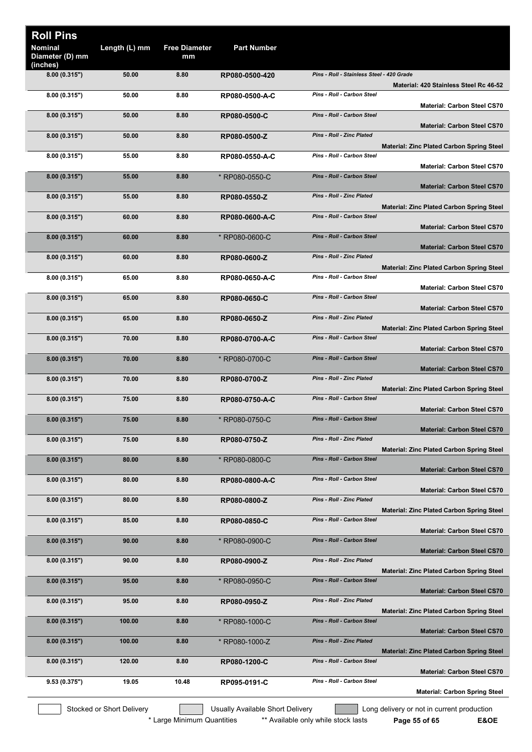| <b>Nominal</b><br>Length (L) mm<br><b>Free Diameter</b><br><b>Part Number</b><br>Diameter (D) mm<br>mm<br>(inches)<br>Pins - Roll - Stainless Steel - 420 Grade<br>8.00 (0.315")<br>50.00<br>8.80<br>RP080-0500-420<br>Material: 420 Stainless Steel Rc 46-52<br>8.80<br>Pins - Roll - Carbon Steel<br>8.00(0.315")<br>50.00<br>RP080-0500-A-C<br><b>Material: Carbon Steel CS70</b><br>Pins - Roll - Carbon Steel<br>50.00<br>8.80<br>8.00(0.315")<br>RP080-0500-C<br><b>Material: Carbon Steel CS70</b><br><b>Pins - Roll - Zinc Plated</b><br>50.00<br>8.80<br>8.00(0.315")<br>RP080-0500-Z<br><b>Material: Zinc Plated Carbon Spring Steel</b><br>Pins - Roll - Carbon Steel<br>55.00<br>8.80<br>8.00(0.315")<br>RP080-0550-A-C<br><b>Material: Carbon Steel CS70</b><br>Pins - Roll - Carbon Steel<br>8.80<br>8.00(0.315")<br>55.00<br>* RP080-0550-C<br><b>Material: Carbon Steel CS70</b><br><b>Pins - Roll - Zinc Plated</b><br>8.00(0.315")<br>55.00<br>8.80<br>RP080-0550-Z<br><b>Material: Zinc Plated Carbon Spring Steel</b><br>Pins - Roll - Carbon Steel<br>60.00<br>8.80<br>8.00(0.315")<br>RP080-0600-A-C<br><b>Material: Carbon Steel CS70</b><br>Pins - Roll - Carbon Steel<br>60.00<br>8.80<br>* RP080-0600-C<br>8.00(0.315")<br><b>Material: Carbon Steel CS70</b><br>Pins - Roll - Zinc Plated<br>60.00<br>8.80<br>8.00(0.315")<br>RP080-0600-Z<br><b>Material: Zinc Plated Carbon Spring Steel</b><br>Pins - Roll - Carbon Steel<br>65.00<br>8.80<br>8.00(0.315")<br>RP080-0650-A-C<br><b>Material: Carbon Steel CS70</b><br>Pins - Roll - Carbon Steel<br>65.00<br>8.80<br>8.00(0.315")<br>RP080-0650-C<br><b>Material: Carbon Steel CS70</b><br>Pins - Roll - Zinc Plated<br>65.00<br>8.80<br>8.00(0.315")<br>RP080-0650-Z<br><b>Material: Zinc Plated Carbon Spring Steel</b><br>Pins - Roll - Carbon Steel<br>8.00(0.315")<br>70.00<br>8.80<br>RP080-0700-A-C<br><b>Material: Carbon Steel CS70</b><br>Pins - Roll - Carbon Steel<br>8.00(0.315")<br>70.00<br>8.80<br>* RP080-0700-C<br><b>Material: Carbon Steel CS70</b><br>Pins - Roll - Zinc Plated<br>8.00(0.315")<br>70.00<br>8.80<br>RP080-0700-Z<br><b>Material: Zinc Plated Carbon Spring Steel</b><br>Pins - Roll - Carbon Steel<br>75.00<br>8.80<br>RP080-0750-A-C<br>8.00(0.315")<br><b>Material: Carbon Steel CS70</b><br>75.00<br>8.80<br><b>Pins - Roll - Carbon Steel</b><br>8.00 (0.315")<br>* RP080-0750-C<br><b>Material: Carbon Steel CS70</b><br>Pins - Roll - Zinc Plated<br>75.00<br>8.00(0.315")<br>8.80<br>RP080-0750-Z<br><b>Material: Zinc Plated Carbon Spring Steel</b><br>Pins - Roll - Carbon Steel<br>80.00<br>8.80<br>* RP080-0800-C<br>8.00(0.315")<br><b>Material: Carbon Steel CS70</b><br>Pins - Roll - Carbon Steel<br>80.00<br>8.80<br>8.00(0.315")<br>RP080-0800-A-C<br><b>Material: Carbon Steel CS70</b><br><b>Pins - Roll - Zinc Plated</b><br>80.00<br>8.80<br>8.00(0.315")<br>RP080-0800-Z<br><b>Material: Zinc Plated Carbon Spring Steel</b><br>Pins - Roll - Carbon Steel<br>8.00(0.315")<br>85.00<br>8.80<br>RP080-0850-C<br><b>Material: Carbon Steel CS70</b><br><b>Pins - Roll - Carbon Steel</b><br>8.00(0.315")<br>90.00<br>8.80<br>* RP080-0900-C<br><b>Material: Carbon Steel CS70</b><br>Pins - Roll - Zinc Plated<br>8.00(0.315")<br>90.00<br>8.80<br>RP080-0900-Z<br><b>Material: Zinc Plated Carbon Spring Steel</b><br><b>Pins - Roll - Carbon Steel</b><br>8.00(0.315")<br>95.00<br>8.80<br>* RP080-0950-C<br><b>Material: Carbon Steel CS70</b><br>Pins - Roll - Zinc Plated<br>8.00(0.315")<br>95.00<br>8.80<br>RP080-0950-Z<br><b>Material: Zinc Plated Carbon Spring Steel</b><br>Pins - Roll - Carbon Steel<br>100.00<br>8.80<br>8.00(0.315")<br>* RP080-1000-C<br><b>Material: Carbon Steel CS70</b><br>Pins - Roll - Zinc Plated<br>100.00<br>8.00(0.315")<br>8.80<br>* RP080-1000-Z<br><b>Material: Zinc Plated Carbon Spring Steel</b><br>Pins - Roll - Carbon Steel<br>120.00<br>8.80<br>8.00(0.315")<br>RP080-1200-C<br><b>Material: Carbon Steel CS70</b><br>Pins - Roll - Carbon Steel<br>9.53(0.375")<br>19.05<br>10.48<br>RP095-0191-C<br><b>Material: Carbon Spring Steel</b> |                  |  |  |  |
|----------------------------------------------------------------------------------------------------------------------------------------------------------------------------------------------------------------------------------------------------------------------------------------------------------------------------------------------------------------------------------------------------------------------------------------------------------------------------------------------------------------------------------------------------------------------------------------------------------------------------------------------------------------------------------------------------------------------------------------------------------------------------------------------------------------------------------------------------------------------------------------------------------------------------------------------------------------------------------------------------------------------------------------------------------------------------------------------------------------------------------------------------------------------------------------------------------------------------------------------------------------------------------------------------------------------------------------------------------------------------------------------------------------------------------------------------------------------------------------------------------------------------------------------------------------------------------------------------------------------------------------------------------------------------------------------------------------------------------------------------------------------------------------------------------------------------------------------------------------------------------------------------------------------------------------------------------------------------------------------------------------------------------------------------------------------------------------------------------------------------------------------------------------------------------------------------------------------------------------------------------------------------------------------------------------------------------------------------------------------------------------------------------------------------------------------------------------------------------------------------------------------------------------------------------------------------------------------------------------------------------------------------------------------------------------------------------------------------------------------------------------------------------------------------------------------------------------------------------------------------------------------------------------------------------------------------------------------------------------------------------------------------------------------------------------------------------------------------------------------------------------------------------------------------------------------------------------------------------------------------------------------------------------------------------------------------------------------------------------------------------------------------------------------------------------------------------------------------------------------------------------------------------------------------------------------------------------------------------------------------------------------------------------------------------------------------------------------------------------------------------------------------------------------------------------------------------------------------------------------------------------------------------------------------------------------------------------------------------------------------------------------------------------------------------------------------------------------------------------------------------------|------------------|--|--|--|
|                                                                                                                                                                                                                                                                                                                                                                                                                                                                                                                                                                                                                                                                                                                                                                                                                                                                                                                                                                                                                                                                                                                                                                                                                                                                                                                                                                                                                                                                                                                                                                                                                                                                                                                                                                                                                                                                                                                                                                                                                                                                                                                                                                                                                                                                                                                                                                                                                                                                                                                                                                                                                                                                                                                                                                                                                                                                                                                                                                                                                                                                                                                                                                                                                                                                                                                                                                                                                                                                                                                                                                                                                                                                                                                                                                                                                                                                                                                                                                                                                                                                                                                                        | <b>Roll Pins</b> |  |  |  |
|                                                                                                                                                                                                                                                                                                                                                                                                                                                                                                                                                                                                                                                                                                                                                                                                                                                                                                                                                                                                                                                                                                                                                                                                                                                                                                                                                                                                                                                                                                                                                                                                                                                                                                                                                                                                                                                                                                                                                                                                                                                                                                                                                                                                                                                                                                                                                                                                                                                                                                                                                                                                                                                                                                                                                                                                                                                                                                                                                                                                                                                                                                                                                                                                                                                                                                                                                                                                                                                                                                                                                                                                                                                                                                                                                                                                                                                                                                                                                                                                                                                                                                                                        |                  |  |  |  |
|                                                                                                                                                                                                                                                                                                                                                                                                                                                                                                                                                                                                                                                                                                                                                                                                                                                                                                                                                                                                                                                                                                                                                                                                                                                                                                                                                                                                                                                                                                                                                                                                                                                                                                                                                                                                                                                                                                                                                                                                                                                                                                                                                                                                                                                                                                                                                                                                                                                                                                                                                                                                                                                                                                                                                                                                                                                                                                                                                                                                                                                                                                                                                                                                                                                                                                                                                                                                                                                                                                                                                                                                                                                                                                                                                                                                                                                                                                                                                                                                                                                                                                                                        |                  |  |  |  |
|                                                                                                                                                                                                                                                                                                                                                                                                                                                                                                                                                                                                                                                                                                                                                                                                                                                                                                                                                                                                                                                                                                                                                                                                                                                                                                                                                                                                                                                                                                                                                                                                                                                                                                                                                                                                                                                                                                                                                                                                                                                                                                                                                                                                                                                                                                                                                                                                                                                                                                                                                                                                                                                                                                                                                                                                                                                                                                                                                                                                                                                                                                                                                                                                                                                                                                                                                                                                                                                                                                                                                                                                                                                                                                                                                                                                                                                                                                                                                                                                                                                                                                                                        |                  |  |  |  |
|                                                                                                                                                                                                                                                                                                                                                                                                                                                                                                                                                                                                                                                                                                                                                                                                                                                                                                                                                                                                                                                                                                                                                                                                                                                                                                                                                                                                                                                                                                                                                                                                                                                                                                                                                                                                                                                                                                                                                                                                                                                                                                                                                                                                                                                                                                                                                                                                                                                                                                                                                                                                                                                                                                                                                                                                                                                                                                                                                                                                                                                                                                                                                                                                                                                                                                                                                                                                                                                                                                                                                                                                                                                                                                                                                                                                                                                                                                                                                                                                                                                                                                                                        |                  |  |  |  |
|                                                                                                                                                                                                                                                                                                                                                                                                                                                                                                                                                                                                                                                                                                                                                                                                                                                                                                                                                                                                                                                                                                                                                                                                                                                                                                                                                                                                                                                                                                                                                                                                                                                                                                                                                                                                                                                                                                                                                                                                                                                                                                                                                                                                                                                                                                                                                                                                                                                                                                                                                                                                                                                                                                                                                                                                                                                                                                                                                                                                                                                                                                                                                                                                                                                                                                                                                                                                                                                                                                                                                                                                                                                                                                                                                                                                                                                                                                                                                                                                                                                                                                                                        |                  |  |  |  |
|                                                                                                                                                                                                                                                                                                                                                                                                                                                                                                                                                                                                                                                                                                                                                                                                                                                                                                                                                                                                                                                                                                                                                                                                                                                                                                                                                                                                                                                                                                                                                                                                                                                                                                                                                                                                                                                                                                                                                                                                                                                                                                                                                                                                                                                                                                                                                                                                                                                                                                                                                                                                                                                                                                                                                                                                                                                                                                                                                                                                                                                                                                                                                                                                                                                                                                                                                                                                                                                                                                                                                                                                                                                                                                                                                                                                                                                                                                                                                                                                                                                                                                                                        |                  |  |  |  |
|                                                                                                                                                                                                                                                                                                                                                                                                                                                                                                                                                                                                                                                                                                                                                                                                                                                                                                                                                                                                                                                                                                                                                                                                                                                                                                                                                                                                                                                                                                                                                                                                                                                                                                                                                                                                                                                                                                                                                                                                                                                                                                                                                                                                                                                                                                                                                                                                                                                                                                                                                                                                                                                                                                                                                                                                                                                                                                                                                                                                                                                                                                                                                                                                                                                                                                                                                                                                                                                                                                                                                                                                                                                                                                                                                                                                                                                                                                                                                                                                                                                                                                                                        |                  |  |  |  |
|                                                                                                                                                                                                                                                                                                                                                                                                                                                                                                                                                                                                                                                                                                                                                                                                                                                                                                                                                                                                                                                                                                                                                                                                                                                                                                                                                                                                                                                                                                                                                                                                                                                                                                                                                                                                                                                                                                                                                                                                                                                                                                                                                                                                                                                                                                                                                                                                                                                                                                                                                                                                                                                                                                                                                                                                                                                                                                                                                                                                                                                                                                                                                                                                                                                                                                                                                                                                                                                                                                                                                                                                                                                                                                                                                                                                                                                                                                                                                                                                                                                                                                                                        |                  |  |  |  |
|                                                                                                                                                                                                                                                                                                                                                                                                                                                                                                                                                                                                                                                                                                                                                                                                                                                                                                                                                                                                                                                                                                                                                                                                                                                                                                                                                                                                                                                                                                                                                                                                                                                                                                                                                                                                                                                                                                                                                                                                                                                                                                                                                                                                                                                                                                                                                                                                                                                                                                                                                                                                                                                                                                                                                                                                                                                                                                                                                                                                                                                                                                                                                                                                                                                                                                                                                                                                                                                                                                                                                                                                                                                                                                                                                                                                                                                                                                                                                                                                                                                                                                                                        |                  |  |  |  |
|                                                                                                                                                                                                                                                                                                                                                                                                                                                                                                                                                                                                                                                                                                                                                                                                                                                                                                                                                                                                                                                                                                                                                                                                                                                                                                                                                                                                                                                                                                                                                                                                                                                                                                                                                                                                                                                                                                                                                                                                                                                                                                                                                                                                                                                                                                                                                                                                                                                                                                                                                                                                                                                                                                                                                                                                                                                                                                                                                                                                                                                                                                                                                                                                                                                                                                                                                                                                                                                                                                                                                                                                                                                                                                                                                                                                                                                                                                                                                                                                                                                                                                                                        |                  |  |  |  |
|                                                                                                                                                                                                                                                                                                                                                                                                                                                                                                                                                                                                                                                                                                                                                                                                                                                                                                                                                                                                                                                                                                                                                                                                                                                                                                                                                                                                                                                                                                                                                                                                                                                                                                                                                                                                                                                                                                                                                                                                                                                                                                                                                                                                                                                                                                                                                                                                                                                                                                                                                                                                                                                                                                                                                                                                                                                                                                                                                                                                                                                                                                                                                                                                                                                                                                                                                                                                                                                                                                                                                                                                                                                                                                                                                                                                                                                                                                                                                                                                                                                                                                                                        |                  |  |  |  |
|                                                                                                                                                                                                                                                                                                                                                                                                                                                                                                                                                                                                                                                                                                                                                                                                                                                                                                                                                                                                                                                                                                                                                                                                                                                                                                                                                                                                                                                                                                                                                                                                                                                                                                                                                                                                                                                                                                                                                                                                                                                                                                                                                                                                                                                                                                                                                                                                                                                                                                                                                                                                                                                                                                                                                                                                                                                                                                                                                                                                                                                                                                                                                                                                                                                                                                                                                                                                                                                                                                                                                                                                                                                                                                                                                                                                                                                                                                                                                                                                                                                                                                                                        |                  |  |  |  |
|                                                                                                                                                                                                                                                                                                                                                                                                                                                                                                                                                                                                                                                                                                                                                                                                                                                                                                                                                                                                                                                                                                                                                                                                                                                                                                                                                                                                                                                                                                                                                                                                                                                                                                                                                                                                                                                                                                                                                                                                                                                                                                                                                                                                                                                                                                                                                                                                                                                                                                                                                                                                                                                                                                                                                                                                                                                                                                                                                                                                                                                                                                                                                                                                                                                                                                                                                                                                                                                                                                                                                                                                                                                                                                                                                                                                                                                                                                                                                                                                                                                                                                                                        |                  |  |  |  |
|                                                                                                                                                                                                                                                                                                                                                                                                                                                                                                                                                                                                                                                                                                                                                                                                                                                                                                                                                                                                                                                                                                                                                                                                                                                                                                                                                                                                                                                                                                                                                                                                                                                                                                                                                                                                                                                                                                                                                                                                                                                                                                                                                                                                                                                                                                                                                                                                                                                                                                                                                                                                                                                                                                                                                                                                                                                                                                                                                                                                                                                                                                                                                                                                                                                                                                                                                                                                                                                                                                                                                                                                                                                                                                                                                                                                                                                                                                                                                                                                                                                                                                                                        |                  |  |  |  |
|                                                                                                                                                                                                                                                                                                                                                                                                                                                                                                                                                                                                                                                                                                                                                                                                                                                                                                                                                                                                                                                                                                                                                                                                                                                                                                                                                                                                                                                                                                                                                                                                                                                                                                                                                                                                                                                                                                                                                                                                                                                                                                                                                                                                                                                                                                                                                                                                                                                                                                                                                                                                                                                                                                                                                                                                                                                                                                                                                                                                                                                                                                                                                                                                                                                                                                                                                                                                                                                                                                                                                                                                                                                                                                                                                                                                                                                                                                                                                                                                                                                                                                                                        |                  |  |  |  |
|                                                                                                                                                                                                                                                                                                                                                                                                                                                                                                                                                                                                                                                                                                                                                                                                                                                                                                                                                                                                                                                                                                                                                                                                                                                                                                                                                                                                                                                                                                                                                                                                                                                                                                                                                                                                                                                                                                                                                                                                                                                                                                                                                                                                                                                                                                                                                                                                                                                                                                                                                                                                                                                                                                                                                                                                                                                                                                                                                                                                                                                                                                                                                                                                                                                                                                                                                                                                                                                                                                                                                                                                                                                                                                                                                                                                                                                                                                                                                                                                                                                                                                                                        |                  |  |  |  |
|                                                                                                                                                                                                                                                                                                                                                                                                                                                                                                                                                                                                                                                                                                                                                                                                                                                                                                                                                                                                                                                                                                                                                                                                                                                                                                                                                                                                                                                                                                                                                                                                                                                                                                                                                                                                                                                                                                                                                                                                                                                                                                                                                                                                                                                                                                                                                                                                                                                                                                                                                                                                                                                                                                                                                                                                                                                                                                                                                                                                                                                                                                                                                                                                                                                                                                                                                                                                                                                                                                                                                                                                                                                                                                                                                                                                                                                                                                                                                                                                                                                                                                                                        |                  |  |  |  |
|                                                                                                                                                                                                                                                                                                                                                                                                                                                                                                                                                                                                                                                                                                                                                                                                                                                                                                                                                                                                                                                                                                                                                                                                                                                                                                                                                                                                                                                                                                                                                                                                                                                                                                                                                                                                                                                                                                                                                                                                                                                                                                                                                                                                                                                                                                                                                                                                                                                                                                                                                                                                                                                                                                                                                                                                                                                                                                                                                                                                                                                                                                                                                                                                                                                                                                                                                                                                                                                                                                                                                                                                                                                                                                                                                                                                                                                                                                                                                                                                                                                                                                                                        |                  |  |  |  |
|                                                                                                                                                                                                                                                                                                                                                                                                                                                                                                                                                                                                                                                                                                                                                                                                                                                                                                                                                                                                                                                                                                                                                                                                                                                                                                                                                                                                                                                                                                                                                                                                                                                                                                                                                                                                                                                                                                                                                                                                                                                                                                                                                                                                                                                                                                                                                                                                                                                                                                                                                                                                                                                                                                                                                                                                                                                                                                                                                                                                                                                                                                                                                                                                                                                                                                                                                                                                                                                                                                                                                                                                                                                                                                                                                                                                                                                                                                                                                                                                                                                                                                                                        |                  |  |  |  |
|                                                                                                                                                                                                                                                                                                                                                                                                                                                                                                                                                                                                                                                                                                                                                                                                                                                                                                                                                                                                                                                                                                                                                                                                                                                                                                                                                                                                                                                                                                                                                                                                                                                                                                                                                                                                                                                                                                                                                                                                                                                                                                                                                                                                                                                                                                                                                                                                                                                                                                                                                                                                                                                                                                                                                                                                                                                                                                                                                                                                                                                                                                                                                                                                                                                                                                                                                                                                                                                                                                                                                                                                                                                                                                                                                                                                                                                                                                                                                                                                                                                                                                                                        |                  |  |  |  |
|                                                                                                                                                                                                                                                                                                                                                                                                                                                                                                                                                                                                                                                                                                                                                                                                                                                                                                                                                                                                                                                                                                                                                                                                                                                                                                                                                                                                                                                                                                                                                                                                                                                                                                                                                                                                                                                                                                                                                                                                                                                                                                                                                                                                                                                                                                                                                                                                                                                                                                                                                                                                                                                                                                                                                                                                                                                                                                                                                                                                                                                                                                                                                                                                                                                                                                                                                                                                                                                                                                                                                                                                                                                                                                                                                                                                                                                                                                                                                                                                                                                                                                                                        |                  |  |  |  |
|                                                                                                                                                                                                                                                                                                                                                                                                                                                                                                                                                                                                                                                                                                                                                                                                                                                                                                                                                                                                                                                                                                                                                                                                                                                                                                                                                                                                                                                                                                                                                                                                                                                                                                                                                                                                                                                                                                                                                                                                                                                                                                                                                                                                                                                                                                                                                                                                                                                                                                                                                                                                                                                                                                                                                                                                                                                                                                                                                                                                                                                                                                                                                                                                                                                                                                                                                                                                                                                                                                                                                                                                                                                                                                                                                                                                                                                                                                                                                                                                                                                                                                                                        |                  |  |  |  |
|                                                                                                                                                                                                                                                                                                                                                                                                                                                                                                                                                                                                                                                                                                                                                                                                                                                                                                                                                                                                                                                                                                                                                                                                                                                                                                                                                                                                                                                                                                                                                                                                                                                                                                                                                                                                                                                                                                                                                                                                                                                                                                                                                                                                                                                                                                                                                                                                                                                                                                                                                                                                                                                                                                                                                                                                                                                                                                                                                                                                                                                                                                                                                                                                                                                                                                                                                                                                                                                                                                                                                                                                                                                                                                                                                                                                                                                                                                                                                                                                                                                                                                                                        |                  |  |  |  |
|                                                                                                                                                                                                                                                                                                                                                                                                                                                                                                                                                                                                                                                                                                                                                                                                                                                                                                                                                                                                                                                                                                                                                                                                                                                                                                                                                                                                                                                                                                                                                                                                                                                                                                                                                                                                                                                                                                                                                                                                                                                                                                                                                                                                                                                                                                                                                                                                                                                                                                                                                                                                                                                                                                                                                                                                                                                                                                                                                                                                                                                                                                                                                                                                                                                                                                                                                                                                                                                                                                                                                                                                                                                                                                                                                                                                                                                                                                                                                                                                                                                                                                                                        |                  |  |  |  |
|                                                                                                                                                                                                                                                                                                                                                                                                                                                                                                                                                                                                                                                                                                                                                                                                                                                                                                                                                                                                                                                                                                                                                                                                                                                                                                                                                                                                                                                                                                                                                                                                                                                                                                                                                                                                                                                                                                                                                                                                                                                                                                                                                                                                                                                                                                                                                                                                                                                                                                                                                                                                                                                                                                                                                                                                                                                                                                                                                                                                                                                                                                                                                                                                                                                                                                                                                                                                                                                                                                                                                                                                                                                                                                                                                                                                                                                                                                                                                                                                                                                                                                                                        |                  |  |  |  |
|                                                                                                                                                                                                                                                                                                                                                                                                                                                                                                                                                                                                                                                                                                                                                                                                                                                                                                                                                                                                                                                                                                                                                                                                                                                                                                                                                                                                                                                                                                                                                                                                                                                                                                                                                                                                                                                                                                                                                                                                                                                                                                                                                                                                                                                                                                                                                                                                                                                                                                                                                                                                                                                                                                                                                                                                                                                                                                                                                                                                                                                                                                                                                                                                                                                                                                                                                                                                                                                                                                                                                                                                                                                                                                                                                                                                                                                                                                                                                                                                                                                                                                                                        |                  |  |  |  |
|                                                                                                                                                                                                                                                                                                                                                                                                                                                                                                                                                                                                                                                                                                                                                                                                                                                                                                                                                                                                                                                                                                                                                                                                                                                                                                                                                                                                                                                                                                                                                                                                                                                                                                                                                                                                                                                                                                                                                                                                                                                                                                                                                                                                                                                                                                                                                                                                                                                                                                                                                                                                                                                                                                                                                                                                                                                                                                                                                                                                                                                                                                                                                                                                                                                                                                                                                                                                                                                                                                                                                                                                                                                                                                                                                                                                                                                                                                                                                                                                                                                                                                                                        |                  |  |  |  |
|                                                                                                                                                                                                                                                                                                                                                                                                                                                                                                                                                                                                                                                                                                                                                                                                                                                                                                                                                                                                                                                                                                                                                                                                                                                                                                                                                                                                                                                                                                                                                                                                                                                                                                                                                                                                                                                                                                                                                                                                                                                                                                                                                                                                                                                                                                                                                                                                                                                                                                                                                                                                                                                                                                                                                                                                                                                                                                                                                                                                                                                                                                                                                                                                                                                                                                                                                                                                                                                                                                                                                                                                                                                                                                                                                                                                                                                                                                                                                                                                                                                                                                                                        |                  |  |  |  |
|                                                                                                                                                                                                                                                                                                                                                                                                                                                                                                                                                                                                                                                                                                                                                                                                                                                                                                                                                                                                                                                                                                                                                                                                                                                                                                                                                                                                                                                                                                                                                                                                                                                                                                                                                                                                                                                                                                                                                                                                                                                                                                                                                                                                                                                                                                                                                                                                                                                                                                                                                                                                                                                                                                                                                                                                                                                                                                                                                                                                                                                                                                                                                                                                                                                                                                                                                                                                                                                                                                                                                                                                                                                                                                                                                                                                                                                                                                                                                                                                                                                                                                                                        |                  |  |  |  |
|                                                                                                                                                                                                                                                                                                                                                                                                                                                                                                                                                                                                                                                                                                                                                                                                                                                                                                                                                                                                                                                                                                                                                                                                                                                                                                                                                                                                                                                                                                                                                                                                                                                                                                                                                                                                                                                                                                                                                                                                                                                                                                                                                                                                                                                                                                                                                                                                                                                                                                                                                                                                                                                                                                                                                                                                                                                                                                                                                                                                                                                                                                                                                                                                                                                                                                                                                                                                                                                                                                                                                                                                                                                                                                                                                                                                                                                                                                                                                                                                                                                                                                                                        |                  |  |  |  |
|                                                                                                                                                                                                                                                                                                                                                                                                                                                                                                                                                                                                                                                                                                                                                                                                                                                                                                                                                                                                                                                                                                                                                                                                                                                                                                                                                                                                                                                                                                                                                                                                                                                                                                                                                                                                                                                                                                                                                                                                                                                                                                                                                                                                                                                                                                                                                                                                                                                                                                                                                                                                                                                                                                                                                                                                                                                                                                                                                                                                                                                                                                                                                                                                                                                                                                                                                                                                                                                                                                                                                                                                                                                                                                                                                                                                                                                                                                                                                                                                                                                                                                                                        |                  |  |  |  |
|                                                                                                                                                                                                                                                                                                                                                                                                                                                                                                                                                                                                                                                                                                                                                                                                                                                                                                                                                                                                                                                                                                                                                                                                                                                                                                                                                                                                                                                                                                                                                                                                                                                                                                                                                                                                                                                                                                                                                                                                                                                                                                                                                                                                                                                                                                                                                                                                                                                                                                                                                                                                                                                                                                                                                                                                                                                                                                                                                                                                                                                                                                                                                                                                                                                                                                                                                                                                                                                                                                                                                                                                                                                                                                                                                                                                                                                                                                                                                                                                                                                                                                                                        |                  |  |  |  |
|                                                                                                                                                                                                                                                                                                                                                                                                                                                                                                                                                                                                                                                                                                                                                                                                                                                                                                                                                                                                                                                                                                                                                                                                                                                                                                                                                                                                                                                                                                                                                                                                                                                                                                                                                                                                                                                                                                                                                                                                                                                                                                                                                                                                                                                                                                                                                                                                                                                                                                                                                                                                                                                                                                                                                                                                                                                                                                                                                                                                                                                                                                                                                                                                                                                                                                                                                                                                                                                                                                                                                                                                                                                                                                                                                                                                                                                                                                                                                                                                                                                                                                                                        |                  |  |  |  |
|                                                                                                                                                                                                                                                                                                                                                                                                                                                                                                                                                                                                                                                                                                                                                                                                                                                                                                                                                                                                                                                                                                                                                                                                                                                                                                                                                                                                                                                                                                                                                                                                                                                                                                                                                                                                                                                                                                                                                                                                                                                                                                                                                                                                                                                                                                                                                                                                                                                                                                                                                                                                                                                                                                                                                                                                                                                                                                                                                                                                                                                                                                                                                                                                                                                                                                                                                                                                                                                                                                                                                                                                                                                                                                                                                                                                                                                                                                                                                                                                                                                                                                                                        |                  |  |  |  |
|                                                                                                                                                                                                                                                                                                                                                                                                                                                                                                                                                                                                                                                                                                                                                                                                                                                                                                                                                                                                                                                                                                                                                                                                                                                                                                                                                                                                                                                                                                                                                                                                                                                                                                                                                                                                                                                                                                                                                                                                                                                                                                                                                                                                                                                                                                                                                                                                                                                                                                                                                                                                                                                                                                                                                                                                                                                                                                                                                                                                                                                                                                                                                                                                                                                                                                                                                                                                                                                                                                                                                                                                                                                                                                                                                                                                                                                                                                                                                                                                                                                                                                                                        |                  |  |  |  |
|                                                                                                                                                                                                                                                                                                                                                                                                                                                                                                                                                                                                                                                                                                                                                                                                                                                                                                                                                                                                                                                                                                                                                                                                                                                                                                                                                                                                                                                                                                                                                                                                                                                                                                                                                                                                                                                                                                                                                                                                                                                                                                                                                                                                                                                                                                                                                                                                                                                                                                                                                                                                                                                                                                                                                                                                                                                                                                                                                                                                                                                                                                                                                                                                                                                                                                                                                                                                                                                                                                                                                                                                                                                                                                                                                                                                                                                                                                                                                                                                                                                                                                                                        |                  |  |  |  |
|                                                                                                                                                                                                                                                                                                                                                                                                                                                                                                                                                                                                                                                                                                                                                                                                                                                                                                                                                                                                                                                                                                                                                                                                                                                                                                                                                                                                                                                                                                                                                                                                                                                                                                                                                                                                                                                                                                                                                                                                                                                                                                                                                                                                                                                                                                                                                                                                                                                                                                                                                                                                                                                                                                                                                                                                                                                                                                                                                                                                                                                                                                                                                                                                                                                                                                                                                                                                                                                                                                                                                                                                                                                                                                                                                                                                                                                                                                                                                                                                                                                                                                                                        |                  |  |  |  |
|                                                                                                                                                                                                                                                                                                                                                                                                                                                                                                                                                                                                                                                                                                                                                                                                                                                                                                                                                                                                                                                                                                                                                                                                                                                                                                                                                                                                                                                                                                                                                                                                                                                                                                                                                                                                                                                                                                                                                                                                                                                                                                                                                                                                                                                                                                                                                                                                                                                                                                                                                                                                                                                                                                                                                                                                                                                                                                                                                                                                                                                                                                                                                                                                                                                                                                                                                                                                                                                                                                                                                                                                                                                                                                                                                                                                                                                                                                                                                                                                                                                                                                                                        |                  |  |  |  |
|                                                                                                                                                                                                                                                                                                                                                                                                                                                                                                                                                                                                                                                                                                                                                                                                                                                                                                                                                                                                                                                                                                                                                                                                                                                                                                                                                                                                                                                                                                                                                                                                                                                                                                                                                                                                                                                                                                                                                                                                                                                                                                                                                                                                                                                                                                                                                                                                                                                                                                                                                                                                                                                                                                                                                                                                                                                                                                                                                                                                                                                                                                                                                                                                                                                                                                                                                                                                                                                                                                                                                                                                                                                                                                                                                                                                                                                                                                                                                                                                                                                                                                                                        |                  |  |  |  |
|                                                                                                                                                                                                                                                                                                                                                                                                                                                                                                                                                                                                                                                                                                                                                                                                                                                                                                                                                                                                                                                                                                                                                                                                                                                                                                                                                                                                                                                                                                                                                                                                                                                                                                                                                                                                                                                                                                                                                                                                                                                                                                                                                                                                                                                                                                                                                                                                                                                                                                                                                                                                                                                                                                                                                                                                                                                                                                                                                                                                                                                                                                                                                                                                                                                                                                                                                                                                                                                                                                                                                                                                                                                                                                                                                                                                                                                                                                                                                                                                                                                                                                                                        |                  |  |  |  |
|                                                                                                                                                                                                                                                                                                                                                                                                                                                                                                                                                                                                                                                                                                                                                                                                                                                                                                                                                                                                                                                                                                                                                                                                                                                                                                                                                                                                                                                                                                                                                                                                                                                                                                                                                                                                                                                                                                                                                                                                                                                                                                                                                                                                                                                                                                                                                                                                                                                                                                                                                                                                                                                                                                                                                                                                                                                                                                                                                                                                                                                                                                                                                                                                                                                                                                                                                                                                                                                                                                                                                                                                                                                                                                                                                                                                                                                                                                                                                                                                                                                                                                                                        |                  |  |  |  |
|                                                                                                                                                                                                                                                                                                                                                                                                                                                                                                                                                                                                                                                                                                                                                                                                                                                                                                                                                                                                                                                                                                                                                                                                                                                                                                                                                                                                                                                                                                                                                                                                                                                                                                                                                                                                                                                                                                                                                                                                                                                                                                                                                                                                                                                                                                                                                                                                                                                                                                                                                                                                                                                                                                                                                                                                                                                                                                                                                                                                                                                                                                                                                                                                                                                                                                                                                                                                                                                                                                                                                                                                                                                                                                                                                                                                                                                                                                                                                                                                                                                                                                                                        |                  |  |  |  |
|                                                                                                                                                                                                                                                                                                                                                                                                                                                                                                                                                                                                                                                                                                                                                                                                                                                                                                                                                                                                                                                                                                                                                                                                                                                                                                                                                                                                                                                                                                                                                                                                                                                                                                                                                                                                                                                                                                                                                                                                                                                                                                                                                                                                                                                                                                                                                                                                                                                                                                                                                                                                                                                                                                                                                                                                                                                                                                                                                                                                                                                                                                                                                                                                                                                                                                                                                                                                                                                                                                                                                                                                                                                                                                                                                                                                                                                                                                                                                                                                                                                                                                                                        |                  |  |  |  |
|                                                                                                                                                                                                                                                                                                                                                                                                                                                                                                                                                                                                                                                                                                                                                                                                                                                                                                                                                                                                                                                                                                                                                                                                                                                                                                                                                                                                                                                                                                                                                                                                                                                                                                                                                                                                                                                                                                                                                                                                                                                                                                                                                                                                                                                                                                                                                                                                                                                                                                                                                                                                                                                                                                                                                                                                                                                                                                                                                                                                                                                                                                                                                                                                                                                                                                                                                                                                                                                                                                                                                                                                                                                                                                                                                                                                                                                                                                                                                                                                                                                                                                                                        |                  |  |  |  |
|                                                                                                                                                                                                                                                                                                                                                                                                                                                                                                                                                                                                                                                                                                                                                                                                                                                                                                                                                                                                                                                                                                                                                                                                                                                                                                                                                                                                                                                                                                                                                                                                                                                                                                                                                                                                                                                                                                                                                                                                                                                                                                                                                                                                                                                                                                                                                                                                                                                                                                                                                                                                                                                                                                                                                                                                                                                                                                                                                                                                                                                                                                                                                                                                                                                                                                                                                                                                                                                                                                                                                                                                                                                                                                                                                                                                                                                                                                                                                                                                                                                                                                                                        |                  |  |  |  |
|                                                                                                                                                                                                                                                                                                                                                                                                                                                                                                                                                                                                                                                                                                                                                                                                                                                                                                                                                                                                                                                                                                                                                                                                                                                                                                                                                                                                                                                                                                                                                                                                                                                                                                                                                                                                                                                                                                                                                                                                                                                                                                                                                                                                                                                                                                                                                                                                                                                                                                                                                                                                                                                                                                                                                                                                                                                                                                                                                                                                                                                                                                                                                                                                                                                                                                                                                                                                                                                                                                                                                                                                                                                                                                                                                                                                                                                                                                                                                                                                                                                                                                                                        |                  |  |  |  |
|                                                                                                                                                                                                                                                                                                                                                                                                                                                                                                                                                                                                                                                                                                                                                                                                                                                                                                                                                                                                                                                                                                                                                                                                                                                                                                                                                                                                                                                                                                                                                                                                                                                                                                                                                                                                                                                                                                                                                                                                                                                                                                                                                                                                                                                                                                                                                                                                                                                                                                                                                                                                                                                                                                                                                                                                                                                                                                                                                                                                                                                                                                                                                                                                                                                                                                                                                                                                                                                                                                                                                                                                                                                                                                                                                                                                                                                                                                                                                                                                                                                                                                                                        |                  |  |  |  |
|                                                                                                                                                                                                                                                                                                                                                                                                                                                                                                                                                                                                                                                                                                                                                                                                                                                                                                                                                                                                                                                                                                                                                                                                                                                                                                                                                                                                                                                                                                                                                                                                                                                                                                                                                                                                                                                                                                                                                                                                                                                                                                                                                                                                                                                                                                                                                                                                                                                                                                                                                                                                                                                                                                                                                                                                                                                                                                                                                                                                                                                                                                                                                                                                                                                                                                                                                                                                                                                                                                                                                                                                                                                                                                                                                                                                                                                                                                                                                                                                                                                                                                                                        |                  |  |  |  |
|                                                                                                                                                                                                                                                                                                                                                                                                                                                                                                                                                                                                                                                                                                                                                                                                                                                                                                                                                                                                                                                                                                                                                                                                                                                                                                                                                                                                                                                                                                                                                                                                                                                                                                                                                                                                                                                                                                                                                                                                                                                                                                                                                                                                                                                                                                                                                                                                                                                                                                                                                                                                                                                                                                                                                                                                                                                                                                                                                                                                                                                                                                                                                                                                                                                                                                                                                                                                                                                                                                                                                                                                                                                                                                                                                                                                                                                                                                                                                                                                                                                                                                                                        |                  |  |  |  |
|                                                                                                                                                                                                                                                                                                                                                                                                                                                                                                                                                                                                                                                                                                                                                                                                                                                                                                                                                                                                                                                                                                                                                                                                                                                                                                                                                                                                                                                                                                                                                                                                                                                                                                                                                                                                                                                                                                                                                                                                                                                                                                                                                                                                                                                                                                                                                                                                                                                                                                                                                                                                                                                                                                                                                                                                                                                                                                                                                                                                                                                                                                                                                                                                                                                                                                                                                                                                                                                                                                                                                                                                                                                                                                                                                                                                                                                                                                                                                                                                                                                                                                                                        |                  |  |  |  |
|                                                                                                                                                                                                                                                                                                                                                                                                                                                                                                                                                                                                                                                                                                                                                                                                                                                                                                                                                                                                                                                                                                                                                                                                                                                                                                                                                                                                                                                                                                                                                                                                                                                                                                                                                                                                                                                                                                                                                                                                                                                                                                                                                                                                                                                                                                                                                                                                                                                                                                                                                                                                                                                                                                                                                                                                                                                                                                                                                                                                                                                                                                                                                                                                                                                                                                                                                                                                                                                                                                                                                                                                                                                                                                                                                                                                                                                                                                                                                                                                                                                                                                                                        |                  |  |  |  |
|                                                                                                                                                                                                                                                                                                                                                                                                                                                                                                                                                                                                                                                                                                                                                                                                                                                                                                                                                                                                                                                                                                                                                                                                                                                                                                                                                                                                                                                                                                                                                                                                                                                                                                                                                                                                                                                                                                                                                                                                                                                                                                                                                                                                                                                                                                                                                                                                                                                                                                                                                                                                                                                                                                                                                                                                                                                                                                                                                                                                                                                                                                                                                                                                                                                                                                                                                                                                                                                                                                                                                                                                                                                                                                                                                                                                                                                                                                                                                                                                                                                                                                                                        |                  |  |  |  |
|                                                                                                                                                                                                                                                                                                                                                                                                                                                                                                                                                                                                                                                                                                                                                                                                                                                                                                                                                                                                                                                                                                                                                                                                                                                                                                                                                                                                                                                                                                                                                                                                                                                                                                                                                                                                                                                                                                                                                                                                                                                                                                                                                                                                                                                                                                                                                                                                                                                                                                                                                                                                                                                                                                                                                                                                                                                                                                                                                                                                                                                                                                                                                                                                                                                                                                                                                                                                                                                                                                                                                                                                                                                                                                                                                                                                                                                                                                                                                                                                                                                                                                                                        |                  |  |  |  |
|                                                                                                                                                                                                                                                                                                                                                                                                                                                                                                                                                                                                                                                                                                                                                                                                                                                                                                                                                                                                                                                                                                                                                                                                                                                                                                                                                                                                                                                                                                                                                                                                                                                                                                                                                                                                                                                                                                                                                                                                                                                                                                                                                                                                                                                                                                                                                                                                                                                                                                                                                                                                                                                                                                                                                                                                                                                                                                                                                                                                                                                                                                                                                                                                                                                                                                                                                                                                                                                                                                                                                                                                                                                                                                                                                                                                                                                                                                                                                                                                                                                                                                                                        |                  |  |  |  |
|                                                                                                                                                                                                                                                                                                                                                                                                                                                                                                                                                                                                                                                                                                                                                                                                                                                                                                                                                                                                                                                                                                                                                                                                                                                                                                                                                                                                                                                                                                                                                                                                                                                                                                                                                                                                                                                                                                                                                                                                                                                                                                                                                                                                                                                                                                                                                                                                                                                                                                                                                                                                                                                                                                                                                                                                                                                                                                                                                                                                                                                                                                                                                                                                                                                                                                                                                                                                                                                                                                                                                                                                                                                                                                                                                                                                                                                                                                                                                                                                                                                                                                                                        |                  |  |  |  |
|                                                                                                                                                                                                                                                                                                                                                                                                                                                                                                                                                                                                                                                                                                                                                                                                                                                                                                                                                                                                                                                                                                                                                                                                                                                                                                                                                                                                                                                                                                                                                                                                                                                                                                                                                                                                                                                                                                                                                                                                                                                                                                                                                                                                                                                                                                                                                                                                                                                                                                                                                                                                                                                                                                                                                                                                                                                                                                                                                                                                                                                                                                                                                                                                                                                                                                                                                                                                                                                                                                                                                                                                                                                                                                                                                                                                                                                                                                                                                                                                                                                                                                                                        |                  |  |  |  |
|                                                                                                                                                                                                                                                                                                                                                                                                                                                                                                                                                                                                                                                                                                                                                                                                                                                                                                                                                                                                                                                                                                                                                                                                                                                                                                                                                                                                                                                                                                                                                                                                                                                                                                                                                                                                                                                                                                                                                                                                                                                                                                                                                                                                                                                                                                                                                                                                                                                                                                                                                                                                                                                                                                                                                                                                                                                                                                                                                                                                                                                                                                                                                                                                                                                                                                                                                                                                                                                                                                                                                                                                                                                                                                                                                                                                                                                                                                                                                                                                                                                                                                                                        |                  |  |  |  |
|                                                                                                                                                                                                                                                                                                                                                                                                                                                                                                                                                                                                                                                                                                                                                                                                                                                                                                                                                                                                                                                                                                                                                                                                                                                                                                                                                                                                                                                                                                                                                                                                                                                                                                                                                                                                                                                                                                                                                                                                                                                                                                                                                                                                                                                                                                                                                                                                                                                                                                                                                                                                                                                                                                                                                                                                                                                                                                                                                                                                                                                                                                                                                                                                                                                                                                                                                                                                                                                                                                                                                                                                                                                                                                                                                                                                                                                                                                                                                                                                                                                                                                                                        |                  |  |  |  |

Stocked or Short Delivery **Contains the Usually Available Short Delivery Containery** Long delivery or not in current production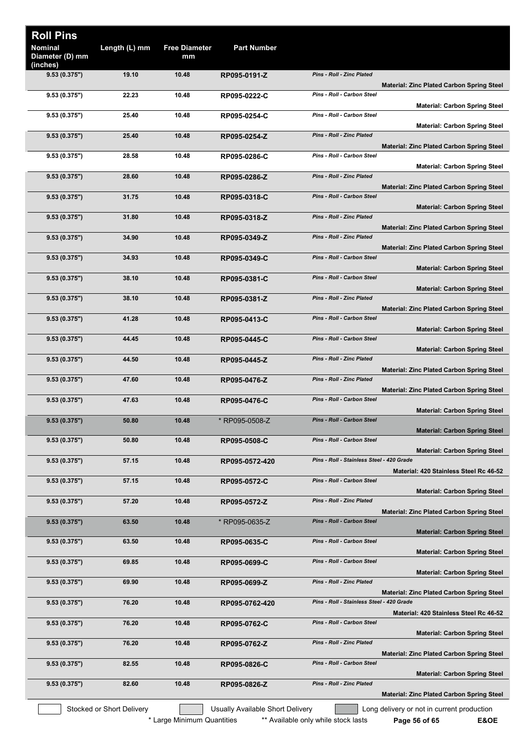| <b>Roll Pins</b>                  |                           |                            |                                  |                                                                                                |
|-----------------------------------|---------------------------|----------------------------|----------------------------------|------------------------------------------------------------------------------------------------|
| <b>Nominal</b><br>Diameter (D) mm | Length (L) mm             | <b>Free Diameter</b><br>mm | <b>Part Number</b>               |                                                                                                |
| (inches)<br>9.53(0.375")          | 19.10                     | 10.48                      | RP095-0191-Z                     | Pins - Roll - Zinc Plated<br><b>Material: Zinc Plated Carbon Spring Steel</b>                  |
| 9.53(0.375")                      | 22.23                     | 10.48                      | RP095-0222-C                     | Pins - Roll - Carbon Steel<br><b>Material: Carbon Spring Steel</b>                             |
| 9.53(0.375")                      | 25.40                     | 10.48                      | RP095-0254-C                     | Pins - Roll - Carbon Steel<br><b>Material: Carbon Spring Steel</b>                             |
| 9.53(0.375")                      | 25.40                     | 10.48                      | RP095-0254-Z                     | Pins - Roll - Zinc Plated<br><b>Material: Zinc Plated Carbon Spring Steel</b>                  |
| 9.53(0.375")                      | 28.58                     | 10.48                      | RP095-0286-C                     | Pins - Roll - Carbon Steel<br><b>Material: Carbon Spring Steel</b>                             |
| 9.53(0.375")                      | 28.60                     | 10.48                      | RP095-0286-Z                     | Pins - Roll - Zinc Plated<br><b>Material: Zinc Plated Carbon Spring Steel</b>                  |
| 9.53(0.375")                      | 31.75                     | 10.48                      | RP095-0318-C                     | Pins - Roll - Carbon Steel<br><b>Material: Carbon Spring Steel</b>                             |
| 9.53(0.375")                      | 31.80                     | 10.48                      | RP095-0318-Z                     | Pins - Roll - Zinc Plated<br><b>Material: Zinc Plated Carbon Spring Steel</b>                  |
| 9.53(0.375")                      | 34.90                     | 10.48                      | RP095-0349-Z                     | Pins - Roll - Zinc Plated<br><b>Material: Zinc Plated Carbon Spring Steel</b>                  |
| 9.53(0.375")                      | 34.93                     | 10.48                      | RP095-0349-C                     | Pins - Roll - Carbon Steel<br><b>Material: Carbon Spring Steel</b>                             |
| 9.53(0.375")                      | 38.10                     | 10.48                      | RP095-0381-C                     | Pins - Roll - Carbon Steel<br><b>Material: Carbon Spring Steel</b>                             |
| 9.53(0.375")                      | 38.10                     | 10.48                      | RP095-0381-Z                     | Pins - Roll - Zinc Plated<br><b>Material: Zinc Plated Carbon Spring Steel</b>                  |
| 9.53(0.375")                      | 41.28                     | 10.48                      | RP095-0413-C                     | Pins - Roll - Carbon Steel<br><b>Material: Carbon Spring Steel</b>                             |
| 9.53(0.375")                      | 44.45                     | 10.48                      | RP095-0445-C                     | Pins - Roll - Carbon Steel<br><b>Material: Carbon Spring Steel</b>                             |
| 9.53(0.375")                      | 44.50                     | 10.48                      | RP095-0445-Z                     | Pins - Roll - Zinc Plated<br><b>Material: Zinc Plated Carbon Spring Steel</b>                  |
| 9.53(0.375")                      | 47.60                     | 10.48                      | RP095-0476-Z                     | <b>Pins - Roll - Zinc Plated</b><br><b>Material: Zinc Plated Carbon Spring Steel</b>           |
| 9.53(0.375")                      | 47.63                     | 10.48                      | RP095-0476-C                     | Pins - Roll - Carbon Steel<br><b>Material: Carbon Spring Steel</b>                             |
| 9.53(0.375")                      | 50.80                     | 10.48                      | * RP095-0508-Z                   | <b>Pins - Roll - Carbon Steel</b><br><b>Material: Carbon Spring Steel</b>                      |
| 9.53(0.375")                      | 50.80                     | 10.48                      | RP095-0508-C                     | Pins - Roll - Carbon Steel<br><b>Material: Carbon Spring Steel</b>                             |
| 9.53(0.375")                      | 57.15                     | 10.48                      | RP095-0572-420                   | Pins - Roll - Stainless Steel - 420 Grade<br>Material: 420 Stainless Steel Rc 46-52            |
| 9.53(0.375")                      | 57.15                     | 10.48                      | RP095-0572-C                     | <b>Pins - Roll - Carbon Steel</b><br><b>Material: Carbon Spring Steel</b>                      |
| 9.53(0.375")                      | 57.20                     | 10.48                      | RP095-0572-Z                     | Pins - Roll - Zinc Plated<br><b>Material: Zinc Plated Carbon Spring Steel</b>                  |
| 9.53(0.375")                      | 63.50                     | 10.48                      | * RP095-0635-Z                   | Pins - Roll - Carbon Steel<br><b>Material: Carbon Spring Steel</b>                             |
| 9.53(0.375")                      | 63.50                     | 10.48                      | RP095-0635-C                     | Pins - Roll - Carbon Steel<br><b>Material: Carbon Spring Steel</b>                             |
| 9.53(0.375")                      | 69.85                     | 10.48                      | RP095-0699-C                     | Pins - Roll - Carbon Steel<br><b>Material: Carbon Spring Steel</b>                             |
| 9.53(0.375")                      | 69.90                     | 10.48                      | RP095-0699-Z                     | Pins - Roll - Zinc Plated                                                                      |
| 9.53(0.375")                      | 76.20                     | 10.48                      | RP095-0762-420                   | <b>Material: Zinc Plated Carbon Spring Steel</b><br>Pins - Roll - Stainless Steel - 420 Grade  |
| 9.53(0.375")                      | 76.20                     | 10.48                      | RP095-0762-C                     | Material: 420 Stainless Steel Rc 46-52<br>Pins - Roll - Carbon Steel                           |
| 9.53(0.375")                      | 76.20                     | 10.48                      | RP095-0762-Z                     | <b>Material: Carbon Spring Steel</b><br>Pins - Roll - Zinc Plated                              |
| 9.53(0.375")                      | 82.55                     | 10.48                      | RP095-0826-C                     | <b>Material: Zinc Plated Carbon Spring Steel</b><br>Pins - Roll - Carbon Steel                 |
| 9.53(0.375")                      | 82.60                     | 10.48                      | RP095-0826-Z                     | <b>Material: Carbon Spring Steel</b><br>Pins - Roll - Zinc Plated                              |
|                                   | Stocked or Short Delivery |                            | Usually Available Short Delivery | <b>Material: Zinc Plated Carbon Spring Steel</b><br>Long delivery or not in current production |
|                                   |                           | * Large Minimum Quantities |                                  | ** Available only while stock lasts<br>E&OE<br>Page 56 of 65                                   |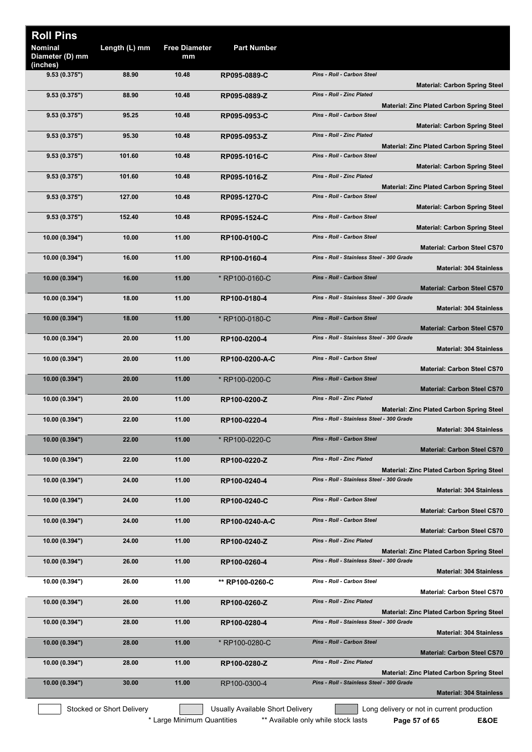| <b>Roll Pins</b>                              |                           |                            |                                         |                                                                                                            |
|-----------------------------------------------|---------------------------|----------------------------|-----------------------------------------|------------------------------------------------------------------------------------------------------------|
| <b>Nominal</b><br>Diameter (D) mm<br>(inches) | Length (L) mm             | <b>Free Diameter</b><br>mm | <b>Part Number</b>                      |                                                                                                            |
| 9.53(0.375")                                  | 88.90                     | 10.48                      | RP095-0889-C                            | <b>Pins - Roll - Carbon Steel</b><br><b>Material: Carbon Spring Steel</b>                                  |
| 9.53(0.375")                                  | 88.90                     | 10.48                      | RP095-0889-Z                            | Pins - Roll - Zinc Plated<br><b>Material: Zinc Plated Carbon Spring Steel</b>                              |
| 9.53(0.375")                                  | 95.25                     | 10.48                      | RP095-0953-C                            | Pins - Roll - Carbon Steel<br><b>Material: Carbon Spring Steel</b>                                         |
| 9.53(0.375")                                  | 95.30                     | 10.48                      | RP095-0953-Z                            | Pins - Roll - Zinc Plated<br><b>Material: Zinc Plated Carbon Spring Steel</b>                              |
| 9.53(0.375")                                  | 101.60                    | 10.48                      | RP095-1016-C                            | <b>Pins - Roll - Carbon Steel</b><br><b>Material: Carbon Spring Steel</b>                                  |
| 9.53(0.375")                                  | 101.60                    | 10.48                      | RP095-1016-Z                            | <b>Pins - Roll - Zinc Plated</b><br><b>Material: Zinc Plated Carbon Spring Steel</b>                       |
| 9.53(0.375")                                  | 127.00                    | 10.48                      | RP095-1270-C                            | Pins - Roll - Carbon Steel<br><b>Material: Carbon Spring Steel</b>                                         |
| 9.53(0.375")                                  | 152.40                    | 10.48                      | RP095-1524-C                            | Pins - Roll - Carbon Steel<br><b>Material: Carbon Spring Steel</b>                                         |
| 10.00(0.394")                                 | 10.00                     | 11.00                      | RP100-0100-C                            | Pins - Roll - Carbon Steel<br><b>Material: Carbon Steel CS70</b>                                           |
| 10.00 (0.394")                                | 16.00                     | 11.00                      | RP100-0160-4                            | Pins - Roll - Stainless Steel - 300 Grade<br><b>Material: 304 Stainless</b>                                |
| 10.00 (0.394")                                | 16.00                     | 11.00                      | * RP100-0160-C                          | <b>Pins - Roll - Carbon Steel</b><br><b>Material: Carbon Steel CS70</b>                                    |
| 10.00(0.394")                                 | 18.00                     | 11.00                      | RP100-0180-4                            | Pins - Roll - Stainless Steel - 300 Grade                                                                  |
| 10.00 (0.394")                                | 18.00                     | 11.00                      | * RP100-0180-C                          | <b>Material: 304 Stainless</b><br>Pins - Roll - Carbon Steel                                               |
| 10.00 (0.394")                                | 20.00                     | 11.00                      | RP100-0200-4                            | <b>Material: Carbon Steel CS70</b><br>Pins - Roll - Stainless Steel - 300 Grade                            |
| 10.00(0.394")                                 | 20.00                     | 11.00                      | RP100-0200-A-C                          | <b>Material: 304 Stainless</b><br>Pins - Roll - Carbon Steel                                               |
| 10.00 (0.394")                                | 20.00                     | 11.00                      | * RP100-0200-C                          | <b>Material: Carbon Steel CS70</b><br><b>Pins - Roll - Carbon Steel</b>                                    |
| 10.00(0.394")                                 | 20.00                     | 11.00                      | RP100-0200-Z                            | <b>Material: Carbon Steel CS70</b><br><b>Pins - Roll - Zinc Plated</b>                                     |
| 10.00 (0.394")                                | 22.00                     | 11.00                      | RP100-0220-4                            | <b>Material: Zinc Plated Carbon Spring Steel</b><br>Pins - Roll - Stainless Steel - 300 Grade              |
| 10.00 (0.394")                                | 22.00                     | 11.00                      | * RP100-0220-C                          | <b>Material: 304 Stainless</b><br>Pins - Roll - Carbon Steel                                               |
| 10.00(0.394")                                 | 22.00                     | 11.00                      | RP100-0220-Z                            | <b>Material: Carbon Steel CS70</b><br>Pins - Roll - Zinc Plated                                            |
| 10.00 (0.394")                                | 24.00                     | 11.00                      | RP100-0240-4                            | <b>Material: Zinc Plated Carbon Spring Steel</b><br>Pins - Roll - Stainless Steel - 300 Grade              |
| 10.00 (0.394")                                | 24.00                     | 11.00                      | RP100-0240-C                            | <b>Material: 304 Stainless</b><br>Pins - Roll - Carbon Steel                                               |
| 10.00(0.394")                                 | 24.00                     | 11.00                      | RP100-0240-A-C                          | <b>Material: Carbon Steel CS70</b><br>Pins - Roll - Carbon Steel                                           |
| 10.00(0.394")                                 | 24.00                     | 11.00                      | RP100-0240-Z                            | <b>Material: Carbon Steel CS70</b><br><b>Pins - Roll - Zinc Plated</b>                                     |
| 10.00 (0.394")                                | 26.00                     | 11.00                      | RP100-0260-4                            | <b>Material: Zinc Plated Carbon Spring Steel</b><br>Pins - Roll - Stainless Steel - 300 Grade              |
| 10.00 (0.394")                                | 26.00                     | 11.00                      | ** RP100-0260-C                         | <b>Material: 304 Stainless</b><br>Pins - Roll - Carbon Steel                                               |
| 10.00 (0.394")                                | 26.00                     | 11.00                      | RP100-0260-Z                            | <b>Material: Carbon Steel CS70</b><br>Pins - Roll - Zinc Plated                                            |
| 10.00 (0.394")                                | 28.00                     | 11.00                      | RP100-0280-4                            | <b>Material: Zinc Plated Carbon Spring Steel</b><br>Pins - Roll - Stainless Steel - 300 Grade              |
| 10.00(0.394")                                 | 28.00                     | 11.00                      | * RP100-0280-C                          | <b>Material: 304 Stainless</b><br>Pins - Roll - Carbon Steel                                               |
| 10.00 (0.394")                                | 28.00                     | 11.00                      | RP100-0280-Z                            | <b>Material: Carbon Steel CS70</b><br>Pins - Roll - Zinc Plated                                            |
| 10.00(0.394")                                 | 30.00                     | 11.00                      | RP100-0300-4                            | <b>Material: Zinc Plated Carbon Spring Steel</b><br>Pins - Roll - Stainless Steel - 300 Grade              |
|                                               |                           |                            |                                         | <b>Material: 304 Stainless</b>                                                                             |
|                                               | Stocked or Short Delivery | * Large Minimum Quantities | <b>Usually Available Short Delivery</b> | Long delivery or not in current production<br>** Available only while stock lasts<br>E&OE<br>Page 57 of 65 |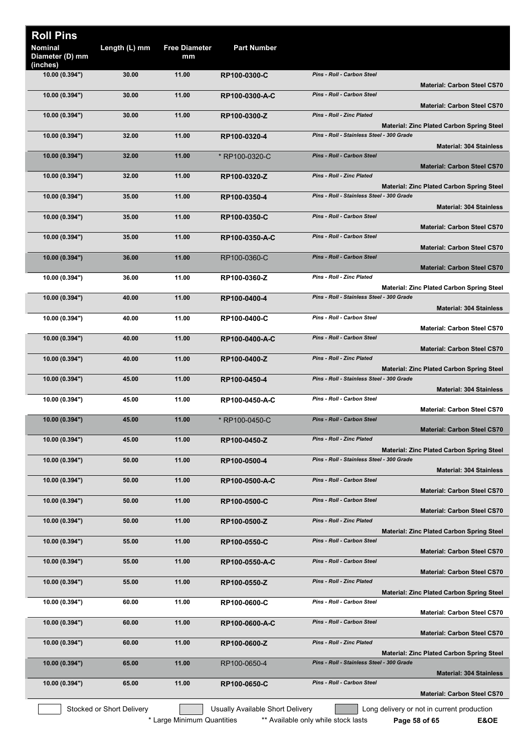| <b>Roll Pins</b><br>Nominal<br>Diameter (D) mm | Length (L) mm             | <b>Free Diameter</b><br>mm | <b>Part Number</b>               |                                                                                               |
|------------------------------------------------|---------------------------|----------------------------|----------------------------------|-----------------------------------------------------------------------------------------------|
| (inches)<br>10.00 (0.394")                     | 30.00                     | 11.00                      | RP100-0300-C                     | Pins - Roll - Carbon Steel<br><b>Material: Carbon Steel CS70</b>                              |
| 10.00 (0.394")                                 | 30.00                     | 11.00                      | RP100-0300-A-C                   | Pins - Roll - Carbon Steel<br><b>Material: Carbon Steel CS70</b>                              |
| 10.00(0.394")                                  | 30.00                     | 11.00                      | RP100-0300-Z                     | Pins - Roll - Zinc Plated<br><b>Material: Zinc Plated Carbon Spring Steel</b>                 |
| 10.00 (0.394")                                 | 32.00                     | 11.00                      | RP100-0320-4                     | Pins - Roll - Stainless Steel - 300 Grade<br><b>Material: 304 Stainless</b>                   |
| 10.00 (0.394")                                 | 32.00                     | 11.00                      | * RP100-0320-C                   | <b>Pins - Roll - Carbon Steel</b><br><b>Material: Carbon Steel CS70</b>                       |
| 10.00 (0.394")                                 | 32.00                     | 11.00                      | RP100-0320-Z                     | <b>Pins - Roll - Zinc Plated</b><br><b>Material: Zinc Plated Carbon Spring Steel</b>          |
| 10.00(0.394")                                  | 35.00                     | 11.00                      | RP100-0350-4                     | Pins - Roll - Stainless Steel - 300 Grade<br><b>Material: 304 Stainless</b>                   |
| 10.00 (0.394")                                 | 35.00                     | 11.00                      | RP100-0350-C                     | Pins - Roll - Carbon Steel<br><b>Material: Carbon Steel CS70</b>                              |
| 10.00 (0.394")                                 | 35.00                     | 11.00                      | RP100-0350-A-C                   | Pins - Roll - Carbon Steel<br><b>Material: Carbon Steel CS70</b>                              |
| 10.00 (0.394")                                 | 36.00                     | 11.00                      | RP100-0360-C                     | Pins - Roll - Carbon Steel<br><b>Material: Carbon Steel CS70</b>                              |
| 10.00 (0.394")                                 | 36.00                     | 11.00                      | RP100-0360-Z                     | <b>Pins - Roll - Zinc Plated</b><br><b>Material: Zinc Plated Carbon Spring Steel</b>          |
| 10.00 (0.394")                                 | 40.00                     | 11.00                      | RP100-0400-4                     | Pins - Roll - Stainless Steel - 300 Grade<br><b>Material: 304 Stainless</b>                   |
| 10.00 (0.394")                                 | 40.00                     | 11.00                      | RP100-0400-C                     | Pins - Roll - Carbon Steel                                                                    |
| 10.00 (0.394")                                 | 40.00                     | 11.00                      | RP100-0400-A-C                   | <b>Material: Carbon Steel CS70</b><br>Pins - Roll - Carbon Steel                              |
| 10.00 (0.394")                                 | 40.00                     | 11.00                      | RP100-0400-Z                     | <b>Material: Carbon Steel CS70</b><br><b>Pins - Roll - Zinc Plated</b>                        |
| 10.00 (0.394")                                 | 45.00                     | 11.00                      | RP100-0450-4                     | <b>Material: Zinc Plated Carbon Spring Steel</b><br>Pins - Roll - Stainless Steel - 300 Grade |
| 10.00 (0.394")                                 | 45.00                     | 11.00                      | RP100-0450-A-C                   | <b>Material: 304 Stainless</b><br>Pins - Roll - Carbon Steel                                  |
| 10.00 (0.394")                                 | 45.00                     | 11.00                      | * RP100-0450-C                   | <b>Material: Carbon Steel CS70</b><br>Pins - Roll - Carbon Steel                              |
| 10.00 (0.394")                                 | 45.00                     | 11.00                      | RP100-0450-Z                     | <b>Material: Carbon Steel CS70</b><br>Pins - Roll - Zinc Plated                               |
| 10.00 (0.394")                                 | 50.00                     | 11.00                      | RP100-0500-4                     | <b>Material: Zinc Plated Carbon Spring Steel</b><br>Pins - Roll - Stainless Steel - 300 Grade |
| 10.00 (0.394")                                 | 50.00                     | 11.00                      | RP100-0500-A-C                   | <b>Material: 304 Stainless</b><br>Pins - Roll - Carbon Steel                                  |
| 10.00 (0.394")                                 | 50.00                     | 11.00                      | RP100-0500-C                     | <b>Material: Carbon Steel CS70</b><br>Pins - Roll - Carbon Steel                              |
| 10.00 (0.394")                                 | 50.00                     | 11.00                      | RP100-0500-Z                     | <b>Material: Carbon Steel CS70</b><br>Pins - Roll - Zinc Plated                               |
| 10.00 (0.394")                                 | 55.00                     | 11.00                      | RP100-0550-C                     | <b>Material: Zinc Plated Carbon Spring Steel</b><br>Pins - Roll - Carbon Steel                |
| 10.00(0.394")                                  | 55.00                     | 11.00                      | RP100-0550-A-C                   | <b>Material: Carbon Steel CS70</b><br>Pins - Roll - Carbon Steel                              |
| 10.00 (0.394")                                 | 55.00                     | 11.00                      | RP100-0550-Z                     | <b>Material: Carbon Steel CS70</b><br>Pins - Roll - Zinc Plated                               |
| 10.00 (0.394")                                 | 60.00                     | 11.00                      | RP100-0600-C                     | <b>Material: Zinc Plated Carbon Spring Steel</b><br>Pins - Roll - Carbon Steel                |
| 10.00 (0.394")                                 | 60.00                     | 11.00                      | RP100-0600-A-C                   | <b>Material: Carbon Steel CS70</b><br>Pins - Roll - Carbon Steel                              |
| 10.00 (0.394")                                 | 60.00                     | 11.00                      | RP100-0600-Z                     | <b>Material: Carbon Steel CS70</b><br>Pins - Roll - Zinc Plated                               |
| 10.00 (0.394")                                 | 65.00                     | 11.00                      | RP100-0650-4                     | <b>Material: Zinc Plated Carbon Spring Steel</b><br>Pins - Roll - Stainless Steel - 300 Grade |
| 10.00(0.394")                                  | 65.00                     | 11.00                      | RP100-0650-C                     | <b>Material: 304 Stainless</b><br>Pins - Roll - Carbon Steel                                  |
|                                                |                           |                            |                                  | <b>Material: Carbon Steel CS70</b>                                                            |
|                                                | Stocked or Short Delivery |                            | Usually Available Short Delivery | Long delivery or not in current production                                                    |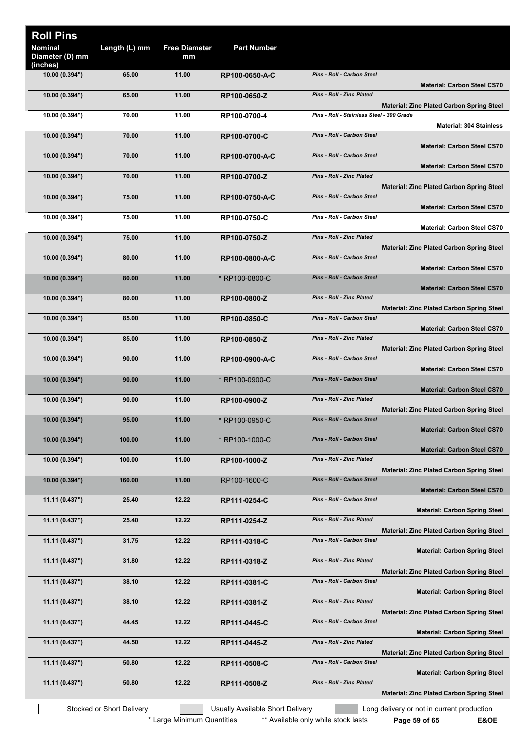| <b>Roll Pins</b>                              |                           |                            |                                  |                                           |                                                  |
|-----------------------------------------------|---------------------------|----------------------------|----------------------------------|-------------------------------------------|--------------------------------------------------|
| <b>Nominal</b><br>Diameter (D) mm<br>(inches) | Length (L) mm             | <b>Free Diameter</b><br>mm | <b>Part Number</b>               |                                           |                                                  |
| 10.00 (0.394")                                | 65.00                     | 11.00                      | RP100-0650-A-C                   | <b>Pins - Roll - Carbon Steel</b>         | <b>Material: Carbon Steel CS70</b>               |
| 10.00 (0.394")                                | 65.00                     | 11.00                      | RP100-0650-Z                     | <b>Pins - Roll - Zinc Plated</b>          |                                                  |
| 10.00 (0.394")                                | 70.00                     | 11.00                      | RP100-0700-4                     | Pins - Roll - Stainless Steel - 300 Grade | <b>Material: Zinc Plated Carbon Spring Steel</b> |
| 10.00 (0.394")                                | 70.00                     | 11.00                      | RP100-0700-C                     | Pins - Roll - Carbon Steel                | <b>Material: 304 Stainless</b>                   |
| 10.00 (0.394")                                | 70.00                     | 11.00                      | RP100-0700-A-C                   | Pins - Roll - Carbon Steel                | <b>Material: Carbon Steel CS70</b>               |
| 10.00(0.394")                                 | 70.00                     | 11.00                      | RP100-0700-Z                     | <b>Pins - Roll - Zinc Plated</b>          | <b>Material: Carbon Steel CS70</b>               |
| 10.00(0.394")                                 | 75.00                     | 11.00                      | RP100-0750-A-C                   | Pins - Roll - Carbon Steel                | <b>Material: Zinc Plated Carbon Spring Steel</b> |
| 10.00 (0.394")                                | 75.00                     | 11.00                      | RP100-0750-C                     | Pins - Roll - Carbon Steel                | <b>Material: Carbon Steel CS70</b>               |
|                                               | 75.00                     | 11.00                      |                                  | <b>Pins - Roll - Zinc Plated</b>          | <b>Material: Carbon Steel CS70</b>               |
| 10.00 (0.394")                                |                           |                            | RP100-0750-Z                     |                                           | <b>Material: Zinc Plated Carbon Spring Steel</b> |
| 10.00 (0.394")                                | 80.00                     | 11.00                      | RP100-0800-A-C                   | Pins - Roll - Carbon Steel                | <b>Material: Carbon Steel CS70</b>               |
| 10.00 (0.394")                                | 80.00                     | 11.00                      | * RP100-0800-C                   | Pins - Roll - Carbon Steel                | <b>Material: Carbon Steel CS70</b>               |
| 10.00(0.394")                                 | 80.00                     | 11.00                      | RP100-0800-Z                     | <b>Pins - Roll - Zinc Plated</b>          |                                                  |
| 10.00 (0.394")                                | 85.00                     | 11.00                      | RP100-0850-C                     | Pins - Roll - Carbon Steel                | <b>Material: Zinc Plated Carbon Spring Steel</b> |
| 10.00(0.394")                                 | 85.00                     | 11.00                      | RP100-0850-Z                     | <b>Pins - Roll - Zinc Plated</b>          | <b>Material: Carbon Steel CS70</b>               |
|                                               |                           |                            |                                  | <b>Pins - Roll - Carbon Steel</b>         | <b>Material: Zinc Plated Carbon Spring Steel</b> |
| 10.00 (0.394")                                | 90.00                     | 11.00                      | RP100-0900-A-C                   |                                           | <b>Material: Carbon Steel CS70</b>               |
| 10.00 (0.394")                                | 90.00                     | 11.00                      | * RP100-0900-C                   | <b>Pins - Roll - Carbon Steel</b>         | <b>Material: Carbon Steel CS70</b>               |
| 10.00 (0.394")                                | 90.00                     | 11.00                      | RP100-0900-Z                     | <b>Pins - Roll - Zinc Plated</b>          | <b>Material: Zinc Plated Carbon Spring Steel</b> |
| 10.00 (0.394")                                | 95.00                     | 11.00                      | * RP100-0950-C                   | <b>Pins - Roll - Carbon Steel</b>         | <b>Material: Carbon Steel CS70</b>               |
| 10.00 (0.394")                                | 100.00                    | 11.00                      | * RP100-1000-C                   | Pins - Roll - Carbon Steel                |                                                  |
| 10.00(0.394")                                 | 100.00                    | 11.00                      | RP100-1000-Z                     | <b>Pins - Roll - Zinc Plated</b>          | <b>Material: Carbon Steel CS70</b>               |
| 10.00(0.394")                                 | 160.00                    | 11.00                      | RP100-1600-C                     | Pins - Roll - Carbon Steel                | <b>Material: Zinc Plated Carbon Spring Steel</b> |
| 11.11 (0.437")                                | 25.40                     | 12.22                      | RP111-0254-C                     | Pins - Roll - Carbon Steel                | <b>Material: Carbon Steel CS70</b>               |
|                                               |                           |                            |                                  |                                           | <b>Material: Carbon Spring Steel</b>             |
| 11.11 (0.437")                                | 25.40                     | 12.22                      | RP111-0254-Z                     | Pins - Roll - Zinc Plated                 | <b>Material: Zinc Plated Carbon Spring Steel</b> |
| 11.11 (0.437")                                | 31.75                     | 12.22                      | RP111-0318-C                     | Pins - Roll - Carbon Steel                | <b>Material: Carbon Spring Steel</b>             |
| 11.11 (0.437")                                | 31.80                     | 12.22                      | RP111-0318-Z                     | Pins - Roll - Zinc Plated                 | <b>Material: Zinc Plated Carbon Spring Steel</b> |
| 11.11 (0.437")                                | 38.10                     | 12.22                      | RP111-0381-C                     | Pins - Roll - Carbon Steel                |                                                  |
| 11.11 (0.437")                                | 38.10                     | 12.22                      | RP111-0381-Z                     | <b>Pins - Roll - Zinc Plated</b>          | <b>Material: Carbon Spring Steel</b>             |
| 11.11 (0.437")                                | 44.45                     | 12.22                      | RP111-0445-C                     | Pins - Roll - Carbon Steel                | <b>Material: Zinc Plated Carbon Spring Steel</b> |
| 11.11 (0.437")                                | 44.50                     | 12.22                      | RP111-0445-Z                     | Pins - Roll - Zinc Plated                 | <b>Material: Carbon Spring Steel</b>             |
| 11.11 (0.437")                                | 50.80                     | 12.22                      | RP111-0508-C                     | Pins - Roll - Carbon Steel                | <b>Material: Zinc Plated Carbon Spring Steel</b> |
| 11.11 (0.437")                                | 50.80                     | 12.22                      | RP111-0508-Z                     | Pins - Roll - Zinc Plated                 | <b>Material: Carbon Spring Steel</b>             |
|                                               |                           |                            |                                  |                                           | <b>Material: Zinc Plated Carbon Spring Steel</b> |
|                                               | Stocked or Short Delivery |                            | Usually Available Short Delivery |                                           | Long delivery or not in current production       |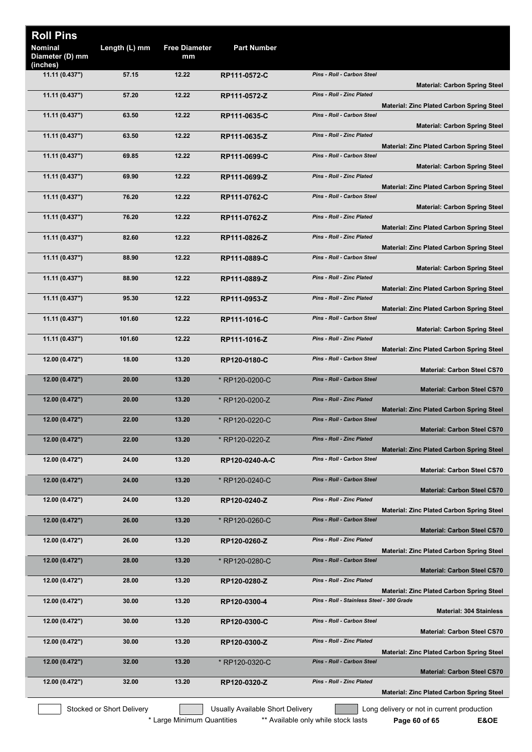| <b>Roll Pins</b><br><b>Nominal</b><br>Diameter (D) mm | Length (L) mm             | <b>Free Diameter</b><br>mm | <b>Part Number</b>               |                                           |                                                  |
|-------------------------------------------------------|---------------------------|----------------------------|----------------------------------|-------------------------------------------|--------------------------------------------------|
| (inches)                                              |                           |                            |                                  |                                           |                                                  |
| 11.11 (0.437")                                        | 57.15                     | 12.22                      | RP111-0572-C                     | Pins - Roll - Carbon Steel                | <b>Material: Carbon Spring Steel</b>             |
| 11.11 (0.437")                                        | 57.20                     | 12.22                      | RP111-0572-Z                     | Pins - Roll - Zinc Plated                 | <b>Material: Zinc Plated Carbon Spring Steel</b> |
| 11.11 (0.437")                                        | 63.50                     | 12.22                      | RP111-0635-C                     | Pins - Roll - Carbon Steel                |                                                  |
| 11.11 (0.437")                                        | 63.50                     | 12.22                      | RP111-0635-Z                     | <b>Pins - Roll - Zinc Plated</b>          | <b>Material: Carbon Spring Steel</b>             |
| 11.11 (0.437")                                        | 69.85                     | 12.22                      | RP111-0699-C                     | Pins - Roll - Carbon Steel                | <b>Material: Zinc Plated Carbon Spring Steel</b> |
| 11.11 (0.437")                                        | 69.90                     | 12.22                      | RP111-0699-Z                     | Pins - Roll - Zinc Plated                 | <b>Material: Carbon Spring Steel</b>             |
|                                                       |                           | 12.22                      |                                  | <b>Pins - Roll - Carbon Steel</b>         | <b>Material: Zinc Plated Carbon Spring Steel</b> |
| 11.11 (0.437")                                        | 76.20                     |                            | RP111-0762-C                     |                                           | <b>Material: Carbon Spring Steel</b>             |
| 11.11 (0.437")                                        | 76.20                     | 12.22                      | RP111-0762-Z                     | Pins - Roll - Zinc Plated                 | <b>Material: Zinc Plated Carbon Spring Steel</b> |
| 11.11 (0.437")                                        | 82.60                     | 12.22                      | RP111-0826-Z                     | Pins - Roll - Zinc Plated                 | <b>Material: Zinc Plated Carbon Spring Steel</b> |
| 11.11 (0.437")                                        | 88.90                     | 12.22                      | RP111-0889-C                     | Pins - Roll - Carbon Steel                |                                                  |
| 11.11 (0.437")                                        | 88.90                     | 12.22                      | RP111-0889-Z                     | <b>Pins - Roll - Zinc Plated</b>          | <b>Material: Carbon Spring Steel</b>             |
| 11.11 (0.437")                                        | 95.30                     | 12.22                      | RP111-0953-Z                     | <b>Pins - Roll - Zinc Plated</b>          | <b>Material: Zinc Plated Carbon Spring Steel</b> |
| 11.11 (0.437")                                        | 101.60                    | 12.22                      | RP111-1016-C                     | Pins - Roll - Carbon Steel                | <b>Material: Zinc Plated Carbon Spring Steel</b> |
|                                                       |                           |                            |                                  | Pins - Roll - Zinc Plated                 | <b>Material: Carbon Spring Steel</b>             |
| 11.11 (0.437")                                        | 101.60                    | 12.22                      | RP111-1016-Z                     |                                           | <b>Material: Zinc Plated Carbon Spring Steel</b> |
| 12.00 (0.472")                                        | 18.00                     | 13.20                      | RP120-0180-C                     | Pins - Roll - Carbon Steel                | <b>Material: Carbon Steel CS70</b>               |
| 12.00 (0.472")                                        | 20.00                     | 13.20                      | * RP120-0200-C                   | Pins - Roll - Carbon Steel                | <b>Material: Carbon Steel CS70</b>               |
| 12.00 (0.472")                                        | 20.00                     | 13.20                      | * RP120-0200-Z                   | <b>Pins - Roll - Zinc Plated</b>          | <b>Material: Zinc Plated Carbon Spring Steel</b> |
| 12.00 (0.472")                                        | 22.00                     | 13.20                      | * RP120-0220-C                   | Pins - Roll - Carbon Steel                | <b>Material: Carbon Steel CS70</b>               |
| 12.00 (0.472")                                        | 22.00                     | 13.20                      | * RP120-0220-Z                   | Pins - Roll - Zinc Plated                 |                                                  |
| 12.00 (0.472")                                        | 24.00                     | 13.20                      | RP120-0240-A-C                   | Pins - Roll - Carbon Steel                | <b>Material: Zinc Plated Carbon Spring Steel</b> |
| 12.00 (0.472")                                        | 24.00                     | 13.20                      | * RP120-0240-C                   | <b>Pins - Roll - Carbon Steel</b>         | <b>Material: Carbon Steel CS70</b>               |
|                                                       |                           |                            |                                  |                                           | <b>Material: Carbon Steel CS70</b>               |
| 12.00 (0.472")                                        | 24.00                     | 13.20                      | RP120-0240-Z                     | Pins - Roll - Zinc Plated                 | <b>Material: Zinc Plated Carbon Spring Steel</b> |
| 12.00 (0.472")                                        | 26.00                     | 13.20                      | * RP120-0260-C                   | Pins - Roll - Carbon Steel                | <b>Material: Carbon Steel CS70</b>               |
| 12.00 (0.472")                                        | 26.00                     | 13.20                      | RP120-0260-Z                     | Pins - Roll - Zinc Plated                 |                                                  |
| 12.00 (0.472")                                        | 28.00                     | 13.20                      | * RP120-0280-C                   | <b>Pins - Roll - Carbon Steel</b>         | <b>Material: Zinc Plated Carbon Spring Steel</b> |
| 12.00 (0.472")                                        | 28.00                     | 13.20                      | RP120-0280-Z                     | Pins - Roll - Zinc Plated                 | <b>Material: Carbon Steel CS70</b>               |
| 12.00 (0.472")                                        | 30.00                     | 13.20                      | RP120-0300-4                     | Pins - Roll - Stainless Steel - 300 Grade | <b>Material: Zinc Plated Carbon Spring Steel</b> |
| 12.00 (0.472")                                        | 30.00                     | 13.20                      |                                  | Pins - Roll - Carbon Steel                | <b>Material: 304 Stainless</b>                   |
|                                                       |                           |                            | RP120-0300-C                     |                                           | <b>Material: Carbon Steel CS70</b>               |
| 12.00(0.472")                                         | 30.00                     | 13.20                      | RP120-0300-Z                     | Pins - Roll - Zinc Plated                 | <b>Material: Zinc Plated Carbon Spring Steel</b> |
| 12.00 (0.472")                                        | 32.00                     | 13.20                      | * RP120-0320-C                   | <b>Pins - Roll - Carbon Steel</b>         | <b>Material: Carbon Steel CS70</b>               |
| 12.00(0.472")                                         | 32.00                     | 13.20                      | RP120-0320-Z                     | Pins - Roll - Zinc Plated                 | <b>Material: Zinc Plated Carbon Spring Steel</b> |
|                                                       | Stocked or Short Delivery |                            | Usually Available Short Delivery |                                           | Long delivery or not in current production       |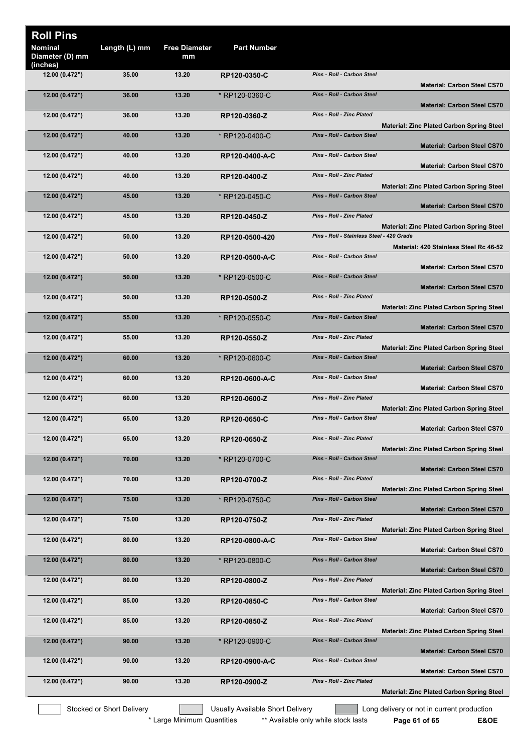| <b>Roll Pins</b><br><b>Nominal</b><br>Diameter (D) mm | Length (L) mm             | <b>Free Diameter</b><br>mm | <b>Part Number</b>               |                                           |                                                  |
|-------------------------------------------------------|---------------------------|----------------------------|----------------------------------|-------------------------------------------|--------------------------------------------------|
| (inches)<br>12.00 (0.472")                            | 35.00                     | 13.20                      | RP120-0350-C                     | Pins - Roll - Carbon Steel                |                                                  |
| 12.00 (0.472")                                        | 36.00                     | 13.20                      | * RP120-0360-C                   | <b>Pins - Roll - Carbon Steel</b>         | <b>Material: Carbon Steel CS70</b>               |
| 12.00 (0.472")                                        | 36.00                     | 13.20                      | RP120-0360-Z                     | <b>Pins - Roll - Zinc Plated</b>          | <b>Material: Carbon Steel CS70</b>               |
|                                                       |                           |                            |                                  | Pins - Roll - Carbon Steel                | <b>Material: Zinc Plated Carbon Spring Steel</b> |
| 12.00 (0.472")                                        | 40.00                     | 13.20                      | * RP120-0400-C                   |                                           | <b>Material: Carbon Steel CS70</b>               |
| 12.00(0.472")                                         | 40.00                     | 13.20                      | RP120-0400-A-C                   | Pins - Roll - Carbon Steel                | <b>Material: Carbon Steel CS70</b>               |
| 12.00 (0.472")                                        | 40.00                     | 13.20                      | RP120-0400-Z                     | Pins - Roll - Zinc Plated                 | <b>Material: Zinc Plated Carbon Spring Steel</b> |
| 12.00 (0.472")                                        | 45.00                     | 13.20                      | * RP120-0450-C                   | <b>Pins - Roll - Carbon Steel</b>         | <b>Material: Carbon Steel CS70</b>               |
| 12.00 (0.472")                                        | 45.00                     | 13.20                      | RP120-0450-Z                     | <b>Pins - Roll - Zinc Plated</b>          |                                                  |
| 12.00 (0.472")                                        | 50.00                     | 13.20                      | RP120-0500-420                   | Pins - Roll - Stainless Steel - 420 Grade | <b>Material: Zinc Plated Carbon Spring Steel</b> |
| 12.00 (0.472")                                        | 50.00                     | 13.20                      | RP120-0500-A-C                   | Pins - Roll - Carbon Steel                | Material: 420 Stainless Steel Rc 46-52           |
| 12.00 (0.472")                                        | 50.00                     | 13.20                      | * RP120-0500-C                   | Pins - Roll - Carbon Steel                | <b>Material: Carbon Steel CS70</b>               |
| 12.00 (0.472")                                        | 50.00                     | 13.20                      | RP120-0500-Z                     | <b>Pins - Roll - Zinc Plated</b>          | <b>Material: Carbon Steel CS70</b>               |
|                                                       |                           |                            |                                  |                                           | <b>Material: Zinc Plated Carbon Spring Steel</b> |
| 12.00 (0.472")                                        | 55.00                     | 13.20                      | * RP120-0550-C                   | <b>Pins - Roll - Carbon Steel</b>         | <b>Material: Carbon Steel CS70</b>               |
| 12.00 (0.472")                                        | 55.00                     | 13.20                      | RP120-0550-Z                     | <b>Pins - Roll - Zinc Plated</b>          | <b>Material: Zinc Plated Carbon Spring Steel</b> |
| 12.00 (0.472")                                        | 60.00                     | 13.20                      | * RP120-0600-C                   | Pins - Roll - Carbon Steel                | <b>Material: Carbon Steel CS70</b>               |
| 12.00 (0.472")                                        | 60.00                     | 13.20                      | RP120-0600-A-C                   | Pins - Roll - Carbon Steel                | <b>Material: Carbon Steel CS70</b>               |
| 12.00(0.472")                                         | 60.00                     | 13.20                      | RP120-0600-Z                     | Pins - Roll - Zinc Plated                 |                                                  |
| 12.00 (0.472")                                        | 65.00                     | 13.20                      | RP120-0650-C                     | <b>Pins - Roll - Carbon Steel</b>         | <b>Material: Zinc Plated Carbon Spring Steel</b> |
| 12.00 (0.472")                                        | 65.00                     | 13.20                      | RP120-0650-Z                     | Pins - Roll - Zinc Plated                 | <b>Material: Carbon Steel CS70</b>               |
| 12.00 (0.472")                                        | 70.00                     | 13.20                      | * RP120-0700-C                   | <b>Pins - Roll - Carbon Steel</b>         | <b>Material: Zinc Plated Carbon Spring Steel</b> |
|                                                       | 70.00                     | 13.20                      |                                  | Pins - Roll - Zinc Plated                 | <b>Material: Carbon Steel CS70</b>               |
| 12.00 (0.472")                                        |                           |                            | RP120-0700-Z                     |                                           | <b>Material: Zinc Plated Carbon Spring Steel</b> |
| 12.00 (0.472")                                        | 75.00                     | 13.20                      | * RP120-0750-C                   | Pins - Roll - Carbon Steel                | <b>Material: Carbon Steel CS70</b>               |
| 12.00 (0.472")                                        | 75.00                     | 13.20                      | RP120-0750-Z                     | Pins - Roll - Zinc Plated                 | <b>Material: Zinc Plated Carbon Spring Steel</b> |
| 12.00 (0.472")                                        | 80.00                     | 13.20                      | RP120-0800-A-C                   | Pins - Roll - Carbon Steel                | <b>Material: Carbon Steel CS70</b>               |
| 12.00 (0.472")                                        | 80.00                     | 13.20                      | * RP120-0800-C                   | <b>Pins - Roll - Carbon Steel</b>         | <b>Material: Carbon Steel CS70</b>               |
| 12.00 (0.472")                                        | 80.00                     | 13.20                      | RP120-0800-Z                     | <b>Pins - Roll - Zinc Plated</b>          |                                                  |
| 12.00 (0.472")                                        | 85.00                     | 13.20                      | RP120-0850-C                     | Pins - Roll - Carbon Steel                | <b>Material: Zinc Plated Carbon Spring Steel</b> |
| 12.00 (0.472")                                        | 85.00                     | 13.20                      | RP120-0850-Z                     | Pins - Roll - Zinc Plated                 | <b>Material: Carbon Steel CS70</b>               |
| 12.00 (0.472")                                        | 90.00                     | 13.20                      | * RP120-0900-C                   | Pins - Roll - Carbon Steel                | <b>Material: Zinc Plated Carbon Spring Steel</b> |
|                                                       |                           |                            |                                  |                                           | <b>Material: Carbon Steel CS70</b>               |
| 12.00(0.472")                                         | 90.00                     | 13.20                      | RP120-0900-A-C                   | Pins - Roll - Carbon Steel                | <b>Material: Carbon Steel CS70</b>               |
| 12.00(0.472")                                         | 90.00                     | 13.20                      | RP120-0900-Z                     | Pins - Roll - Zinc Plated                 | <b>Material: Zinc Plated Carbon Spring Steel</b> |
|                                                       | Stocked or Short Delivery |                            | Usually Available Short Delivery |                                           | Long delivery or not in current production       |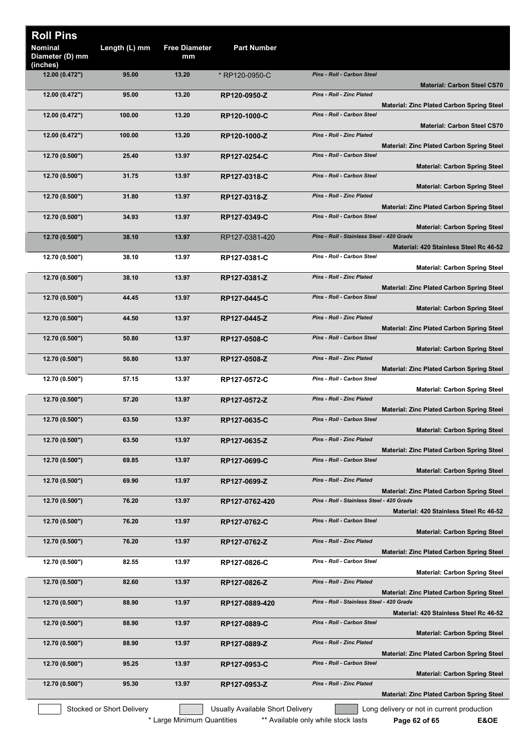| <b>Roll Pins</b>                              |                           |                            |                                  |                                           |                                                  |
|-----------------------------------------------|---------------------------|----------------------------|----------------------------------|-------------------------------------------|--------------------------------------------------|
| <b>Nominal</b><br>Diameter (D) mm<br>(inches) | Length (L) mm             | <b>Free Diameter</b><br>mm | <b>Part Number</b>               |                                           |                                                  |
| 12.00 (0.472")                                | 95.00                     | 13.20                      | * RP120-0950-C                   | <b>Pins - Roll - Carbon Steel</b>         | <b>Material: Carbon Steel CS70</b>               |
| 12.00 (0.472")                                | 95.00                     | 13.20                      | RP120-0950-Z                     | Pins - Roll - Zinc Plated                 | <b>Material: Zinc Plated Carbon Spring Steel</b> |
| 12.00 (0.472")                                | 100.00                    | 13.20                      | RP120-1000-C                     | Pins - Roll - Carbon Steel                | <b>Material: Carbon Steel CS70</b>               |
| 12.00 (0.472")                                | 100.00                    | 13.20                      | RP120-1000-Z                     | <b>Pins - Roll - Zinc Plated</b>          | <b>Material: Zinc Plated Carbon Spring Steel</b> |
| 12.70 (0.500")                                | 25.40                     | 13.97                      | RP127-0254-C                     | Pins - Roll - Carbon Steel                | <b>Material: Carbon Spring Steel</b>             |
| 12.70 (0.500")                                | 31.75                     | 13.97                      | RP127-0318-C                     | Pins - Roll - Carbon Steel                | <b>Material: Carbon Spring Steel</b>             |
| 12.70 (0.500")                                | 31.80                     | 13.97                      | RP127-0318-Z                     | Pins - Roll - Zinc Plated                 | <b>Material: Zinc Plated Carbon Spring Steel</b> |
| 12.70 (0.500")                                | 34.93                     | 13.97                      | RP127-0349-C                     | Pins - Roll - Carbon Steel                | <b>Material: Carbon Spring Steel</b>             |
| 12.70 (0.500")                                | 38.10                     | 13.97                      | RP127-0381-420                   | Pins - Roll - Stainless Steel - 420 Grade | Material: 420 Stainless Steel Rc 46-52           |
| 12.70 (0.500")                                | 38.10                     | 13.97                      | RP127-0381-C                     | Pins - Roll - Carbon Steel                | <b>Material: Carbon Spring Steel</b>             |
| 12.70 (0.500")                                | 38.10                     | 13.97                      | RP127-0381-Z                     | Pins - Roll - Zinc Plated                 | <b>Material: Zinc Plated Carbon Spring Steel</b> |
| 12.70 (0.500")                                | 44.45                     | 13.97                      | RP127-0445-C                     | Pins - Roll - Carbon Steel                | <b>Material: Carbon Spring Steel</b>             |
| 12.70 (0.500")                                | 44.50                     | 13.97                      | RP127-0445-Z                     | Pins - Roll - Zinc Plated                 | <b>Material: Zinc Plated Carbon Spring Steel</b> |
| 12.70 (0.500")                                | 50.80                     | 13.97                      | RP127-0508-C                     | Pins - Roll - Carbon Steel                |                                                  |
| 12.70 (0.500")                                | 50.80                     | 13.97                      | RP127-0508-Z                     | Pins - Roll - Zinc Plated                 | <b>Material: Carbon Spring Steel</b>             |
| 12.70 (0.500")                                | 57.15                     | 13.97                      | RP127-0572-C                     | Pins - Roll - Carbon Steel                | <b>Material: Zinc Plated Carbon Spring Steel</b> |
| 12.70 (0.500")                                | 57.20                     | 13.97                      | RP127-0572-Z                     | <b>Pins - Roll - Zinc Plated</b>          | <b>Material: Carbon Spring Steel</b>             |
| 12.70 (0.500")                                | 63.50                     | 13.97                      | RP127-0635-C                     | <b>Pins - Roll - Carbon Steel</b>         | <b>Material: Zinc Plated Carbon Spring Steel</b> |
| 12.70 (0.500")                                | 63.50                     | 13.97                      | RP127-0635-Z                     | Pins - Roll - Zinc Plated                 | <b>Material: Carbon Spring Steel</b>             |
| 12.70 (0.500")                                | 69.85                     | 13.97                      | RP127-0699-C                     | Pins - Roll - Carbon Steel                | <b>Material: Zinc Plated Carbon Spring Steel</b> |
| 12.70(0.500")                                 | 69.90                     | 13.97                      | RP127-0699-Z                     | Pins - Roll - Zinc Plated                 | <b>Material: Carbon Spring Steel</b>             |
| 12.70 (0.500")                                | 76.20                     | 13.97                      | RP127-0762-420                   | Pins - Roll - Stainless Steel - 420 Grade | <b>Material: Zinc Plated Carbon Spring Steel</b> |
| 12.70 (0.500")                                | 76.20                     | 13.97                      | RP127-0762-C                     | Pins - Roll - Carbon Steel                | Material: 420 Stainless Steel Rc 46-52           |
| 12.70 (0.500")                                | 76.20                     | 13.97                      | RP127-0762-Z                     | Pins - Roll - Zinc Plated                 | <b>Material: Carbon Spring Steel</b>             |
| 12.70 (0.500")                                | 82.55                     | 13.97                      | RP127-0826-C                     | Pins - Roll - Carbon Steel                | <b>Material: Zinc Plated Carbon Spring Steel</b> |
| 12.70 (0.500")                                | 82.60                     | 13.97                      | RP127-0826-Z                     | Pins - Roll - Zinc Plated                 | <b>Material: Carbon Spring Steel</b>             |
| 12.70 (0.500")                                | 88.90                     | 13.97                      | RP127-0889-420                   | Pins - Roll - Stainless Steel - 420 Grade | <b>Material: Zinc Plated Carbon Spring Steel</b> |
| 12.70 (0.500")                                | 88.90                     | 13.97                      | RP127-0889-C                     | Pins - Roll - Carbon Steel                | Material: 420 Stainless Steel Rc 46-52           |
| 12.70 (0.500")                                | 88.90                     | 13.97                      | RP127-0889-Z                     | Pins - Roll - Zinc Plated                 | <b>Material: Carbon Spring Steel</b>             |
| 12.70 (0.500")                                | 95.25                     | 13.97                      | RP127-0953-C                     | Pins - Roll - Carbon Steel                | <b>Material: Zinc Plated Carbon Spring Steel</b> |
| 12.70 (0.500")                                | 95.30                     | 13.97                      | RP127-0953-Z                     | Pins - Roll - Zinc Plated                 | <b>Material: Carbon Spring Steel</b>             |
|                                               |                           |                            |                                  |                                           | <b>Material: Zinc Plated Carbon Spring Steel</b> |
|                                               | Stocked or Short Delivery |                            | Usually Available Short Delivery |                                           | Long delivery or not in current production       |

\* Large Minimum Quantities \*\*\* Available only while stock lasts **Page 62 of 65 E&OE**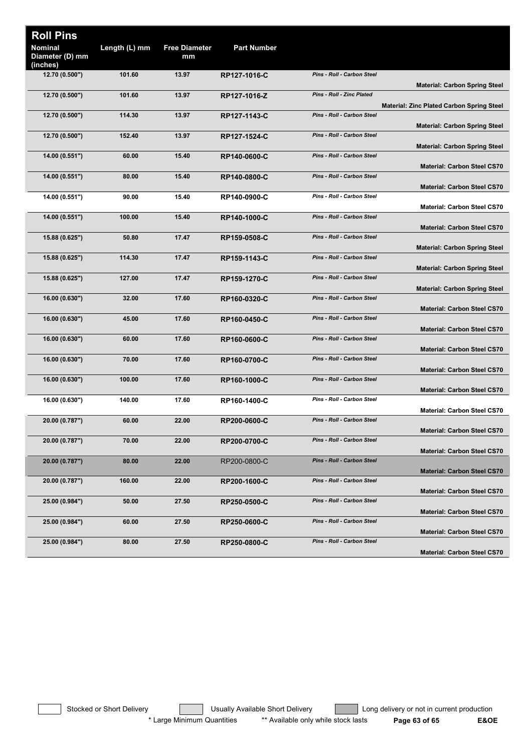| <b>Roll Pins</b><br>Length (L) mm<br><b>Free Diameter</b><br><b>Part Number</b><br>Nominal<br>Diameter (D) mm<br>mm<br>(inches)<br>12.70 (0.500")<br>Pins - Roll - Carbon Steel<br>101.60<br>13.97<br>RP127-1016-C<br><b>Material: Carbon Spring Steel</b><br><b>Pins - Roll - Zinc Plated</b><br>101.60<br>13.97<br>12.70 (0.500")<br>RP127-1016-Z<br><b>Material: Zinc Plated Carbon Spring Steel</b><br>12.70 (0.500")<br>114.30<br>13.97<br>Pins - Roll - Carbon Steel<br>RP127-1143-C<br><b>Material: Carbon Spring Steel</b><br>12.70 (0.500")<br>152.40<br>Pins - Roll - Carbon Steel<br>13.97<br>RP127-1524-C<br><b>Material: Carbon Spring Steel</b><br>Pins - Roll - Carbon Steel<br>14.00 (0.551")<br>60.00<br>15.40<br>RP140-0600-C<br><b>Material: Carbon Steel CS70</b><br>Pins - Roll - Carbon Steel<br>14.00 (0.551")<br>80.00<br>15.40<br>RP140-0800-C<br><b>Material: Carbon Steel CS70</b><br>Pins - Roll - Carbon Steel<br>14.00 (0.551")<br>90.00<br>15.40<br>RP140-0900-C<br><b>Material: Carbon Steel CS70</b><br>Pins - Roll - Carbon Steel<br>14.00 (0.551")<br>100.00<br>15.40<br>RP140-1000-C<br><b>Material: Carbon Steel CS70</b><br>Pins - Roll - Carbon Steel<br>50.80<br>17.47<br>15.88 (0.625")<br>RP159-0508-C<br><b>Material: Carbon Spring Steel</b><br>Pins - Roll - Carbon Steel<br>114.30<br>17.47<br>15.88 (0.625")<br>RP159-1143-C<br><b>Material: Carbon Spring Steel</b><br>Pins - Roll - Carbon Steel<br>127.00<br>15.88 (0.625")<br>17.47<br>RP159-1270-C<br><b>Material: Carbon Spring Steel</b><br>Pins - Roll - Carbon Steel<br>32.00<br>16.00 (0.630")<br>17.60<br>RP160-0320-C<br><b>Material: Carbon Steel CS70</b><br>Pins - Roll - Carbon Steel<br>16.00 (0.630")<br>45.00<br>17.60<br>RP160-0450-C<br><b>Material: Carbon Steel CS70</b><br>Pins - Roll - Carbon Steel<br>17.60<br>16.00 (0.630")<br>60.00<br>RP160-0600-C<br><b>Material: Carbon Steel CS70</b><br>Pins - Roll - Carbon Steel<br>16.00 (0.630")<br>70.00<br>17.60<br>RP160-0700-C<br><b>Material: Carbon Steel CS70</b><br><b>Pins - Roll - Carbon Steel</b><br>16.00 (0.630")<br>100.00<br>17.60<br>RP160-1000-C<br><b>Material: Carbon Steel CS70</b><br>Pins - Roll - Carbon Steel<br>140.00<br>17.60<br>16.00 (0.630")<br>RP160-1400-C<br><b>Material: Carbon Steel CS70</b><br>Pins - Roll - Carbon Steel<br>20.00 (0.787")<br>60.00<br>22.00<br>RP200-0600-C<br><b>Material: Carbon Steel CS70</b><br>Pins - Roll - Carbon Steel<br>20.00 (0.787")<br>70.00<br>22.00<br>RP200-0700-C<br><b>Material: Carbon Steel CS70</b><br>Pins - Roll - Carbon Steel<br>20.00 (0.787")<br>80.00<br>22.00<br>RP200-0800-C<br><b>Material: Carbon Steel CS70</b><br>Pins - Roll - Carbon Steel<br>22.00<br>20.00 (0.787")<br>160.00<br>RP200-1600-C<br><b>Material: Carbon Steel CS70</b><br>Pins - Roll - Carbon Steel<br>25.00 (0.984")<br>50.00<br>27.50<br>RP250-0500-C<br><b>Material: Carbon Steel CS70</b><br>Pins - Roll - Carbon Steel<br>60.00<br>27.50<br>25.00 (0.984")<br>RP250-0600-C<br><b>Material: Carbon Steel CS70</b><br>Pins - Roll - Carbon Steel<br>80.00<br>27.50<br>25.00 (0.984")<br>RP250-0800-C |  |  |                                    |
|--------------------------------------------------------------------------------------------------------------------------------------------------------------------------------------------------------------------------------------------------------------------------------------------------------------------------------------------------------------------------------------------------------------------------------------------------------------------------------------------------------------------------------------------------------------------------------------------------------------------------------------------------------------------------------------------------------------------------------------------------------------------------------------------------------------------------------------------------------------------------------------------------------------------------------------------------------------------------------------------------------------------------------------------------------------------------------------------------------------------------------------------------------------------------------------------------------------------------------------------------------------------------------------------------------------------------------------------------------------------------------------------------------------------------------------------------------------------------------------------------------------------------------------------------------------------------------------------------------------------------------------------------------------------------------------------------------------------------------------------------------------------------------------------------------------------------------------------------------------------------------------------------------------------------------------------------------------------------------------------------------------------------------------------------------------------------------------------------------------------------------------------------------------------------------------------------------------------------------------------------------------------------------------------------------------------------------------------------------------------------------------------------------------------------------------------------------------------------------------------------------------------------------------------------------------------------------------------------------------------------------------------------------------------------------------------------------------------------------------------------------------------------------------------------------------------------------------------------------------------------------------------------------------------------------------------------------------------------------------------------------------------------------------------------------------------------------------------------------------------------------------------|--|--|------------------------------------|
|                                                                                                                                                                                                                                                                                                                                                                                                                                                                                                                                                                                                                                                                                                                                                                                                                                                                                                                                                                                                                                                                                                                                                                                                                                                                                                                                                                                                                                                                                                                                                                                                                                                                                                                                                                                                                                                                                                                                                                                                                                                                                                                                                                                                                                                                                                                                                                                                                                                                                                                                                                                                                                                                                                                                                                                                                                                                                                                                                                                                                                                                                                                                            |  |  |                                    |
|                                                                                                                                                                                                                                                                                                                                                                                                                                                                                                                                                                                                                                                                                                                                                                                                                                                                                                                                                                                                                                                                                                                                                                                                                                                                                                                                                                                                                                                                                                                                                                                                                                                                                                                                                                                                                                                                                                                                                                                                                                                                                                                                                                                                                                                                                                                                                                                                                                                                                                                                                                                                                                                                                                                                                                                                                                                                                                                                                                                                                                                                                                                                            |  |  |                                    |
|                                                                                                                                                                                                                                                                                                                                                                                                                                                                                                                                                                                                                                                                                                                                                                                                                                                                                                                                                                                                                                                                                                                                                                                                                                                                                                                                                                                                                                                                                                                                                                                                                                                                                                                                                                                                                                                                                                                                                                                                                                                                                                                                                                                                                                                                                                                                                                                                                                                                                                                                                                                                                                                                                                                                                                                                                                                                                                                                                                                                                                                                                                                                            |  |  |                                    |
|                                                                                                                                                                                                                                                                                                                                                                                                                                                                                                                                                                                                                                                                                                                                                                                                                                                                                                                                                                                                                                                                                                                                                                                                                                                                                                                                                                                                                                                                                                                                                                                                                                                                                                                                                                                                                                                                                                                                                                                                                                                                                                                                                                                                                                                                                                                                                                                                                                                                                                                                                                                                                                                                                                                                                                                                                                                                                                                                                                                                                                                                                                                                            |  |  |                                    |
|                                                                                                                                                                                                                                                                                                                                                                                                                                                                                                                                                                                                                                                                                                                                                                                                                                                                                                                                                                                                                                                                                                                                                                                                                                                                                                                                                                                                                                                                                                                                                                                                                                                                                                                                                                                                                                                                                                                                                                                                                                                                                                                                                                                                                                                                                                                                                                                                                                                                                                                                                                                                                                                                                                                                                                                                                                                                                                                                                                                                                                                                                                                                            |  |  |                                    |
|                                                                                                                                                                                                                                                                                                                                                                                                                                                                                                                                                                                                                                                                                                                                                                                                                                                                                                                                                                                                                                                                                                                                                                                                                                                                                                                                                                                                                                                                                                                                                                                                                                                                                                                                                                                                                                                                                                                                                                                                                                                                                                                                                                                                                                                                                                                                                                                                                                                                                                                                                                                                                                                                                                                                                                                                                                                                                                                                                                                                                                                                                                                                            |  |  |                                    |
|                                                                                                                                                                                                                                                                                                                                                                                                                                                                                                                                                                                                                                                                                                                                                                                                                                                                                                                                                                                                                                                                                                                                                                                                                                                                                                                                                                                                                                                                                                                                                                                                                                                                                                                                                                                                                                                                                                                                                                                                                                                                                                                                                                                                                                                                                                                                                                                                                                                                                                                                                                                                                                                                                                                                                                                                                                                                                                                                                                                                                                                                                                                                            |  |  |                                    |
|                                                                                                                                                                                                                                                                                                                                                                                                                                                                                                                                                                                                                                                                                                                                                                                                                                                                                                                                                                                                                                                                                                                                                                                                                                                                                                                                                                                                                                                                                                                                                                                                                                                                                                                                                                                                                                                                                                                                                                                                                                                                                                                                                                                                                                                                                                                                                                                                                                                                                                                                                                                                                                                                                                                                                                                                                                                                                                                                                                                                                                                                                                                                            |  |  |                                    |
|                                                                                                                                                                                                                                                                                                                                                                                                                                                                                                                                                                                                                                                                                                                                                                                                                                                                                                                                                                                                                                                                                                                                                                                                                                                                                                                                                                                                                                                                                                                                                                                                                                                                                                                                                                                                                                                                                                                                                                                                                                                                                                                                                                                                                                                                                                                                                                                                                                                                                                                                                                                                                                                                                                                                                                                                                                                                                                                                                                                                                                                                                                                                            |  |  |                                    |
|                                                                                                                                                                                                                                                                                                                                                                                                                                                                                                                                                                                                                                                                                                                                                                                                                                                                                                                                                                                                                                                                                                                                                                                                                                                                                                                                                                                                                                                                                                                                                                                                                                                                                                                                                                                                                                                                                                                                                                                                                                                                                                                                                                                                                                                                                                                                                                                                                                                                                                                                                                                                                                                                                                                                                                                                                                                                                                                                                                                                                                                                                                                                            |  |  |                                    |
|                                                                                                                                                                                                                                                                                                                                                                                                                                                                                                                                                                                                                                                                                                                                                                                                                                                                                                                                                                                                                                                                                                                                                                                                                                                                                                                                                                                                                                                                                                                                                                                                                                                                                                                                                                                                                                                                                                                                                                                                                                                                                                                                                                                                                                                                                                                                                                                                                                                                                                                                                                                                                                                                                                                                                                                                                                                                                                                                                                                                                                                                                                                                            |  |  |                                    |
|                                                                                                                                                                                                                                                                                                                                                                                                                                                                                                                                                                                                                                                                                                                                                                                                                                                                                                                                                                                                                                                                                                                                                                                                                                                                                                                                                                                                                                                                                                                                                                                                                                                                                                                                                                                                                                                                                                                                                                                                                                                                                                                                                                                                                                                                                                                                                                                                                                                                                                                                                                                                                                                                                                                                                                                                                                                                                                                                                                                                                                                                                                                                            |  |  |                                    |
|                                                                                                                                                                                                                                                                                                                                                                                                                                                                                                                                                                                                                                                                                                                                                                                                                                                                                                                                                                                                                                                                                                                                                                                                                                                                                                                                                                                                                                                                                                                                                                                                                                                                                                                                                                                                                                                                                                                                                                                                                                                                                                                                                                                                                                                                                                                                                                                                                                                                                                                                                                                                                                                                                                                                                                                                                                                                                                                                                                                                                                                                                                                                            |  |  |                                    |
|                                                                                                                                                                                                                                                                                                                                                                                                                                                                                                                                                                                                                                                                                                                                                                                                                                                                                                                                                                                                                                                                                                                                                                                                                                                                                                                                                                                                                                                                                                                                                                                                                                                                                                                                                                                                                                                                                                                                                                                                                                                                                                                                                                                                                                                                                                                                                                                                                                                                                                                                                                                                                                                                                                                                                                                                                                                                                                                                                                                                                                                                                                                                            |  |  |                                    |
|                                                                                                                                                                                                                                                                                                                                                                                                                                                                                                                                                                                                                                                                                                                                                                                                                                                                                                                                                                                                                                                                                                                                                                                                                                                                                                                                                                                                                                                                                                                                                                                                                                                                                                                                                                                                                                                                                                                                                                                                                                                                                                                                                                                                                                                                                                                                                                                                                                                                                                                                                                                                                                                                                                                                                                                                                                                                                                                                                                                                                                                                                                                                            |  |  |                                    |
|                                                                                                                                                                                                                                                                                                                                                                                                                                                                                                                                                                                                                                                                                                                                                                                                                                                                                                                                                                                                                                                                                                                                                                                                                                                                                                                                                                                                                                                                                                                                                                                                                                                                                                                                                                                                                                                                                                                                                                                                                                                                                                                                                                                                                                                                                                                                                                                                                                                                                                                                                                                                                                                                                                                                                                                                                                                                                                                                                                                                                                                                                                                                            |  |  |                                    |
|                                                                                                                                                                                                                                                                                                                                                                                                                                                                                                                                                                                                                                                                                                                                                                                                                                                                                                                                                                                                                                                                                                                                                                                                                                                                                                                                                                                                                                                                                                                                                                                                                                                                                                                                                                                                                                                                                                                                                                                                                                                                                                                                                                                                                                                                                                                                                                                                                                                                                                                                                                                                                                                                                                                                                                                                                                                                                                                                                                                                                                                                                                                                            |  |  |                                    |
|                                                                                                                                                                                                                                                                                                                                                                                                                                                                                                                                                                                                                                                                                                                                                                                                                                                                                                                                                                                                                                                                                                                                                                                                                                                                                                                                                                                                                                                                                                                                                                                                                                                                                                                                                                                                                                                                                                                                                                                                                                                                                                                                                                                                                                                                                                                                                                                                                                                                                                                                                                                                                                                                                                                                                                                                                                                                                                                                                                                                                                                                                                                                            |  |  |                                    |
|                                                                                                                                                                                                                                                                                                                                                                                                                                                                                                                                                                                                                                                                                                                                                                                                                                                                                                                                                                                                                                                                                                                                                                                                                                                                                                                                                                                                                                                                                                                                                                                                                                                                                                                                                                                                                                                                                                                                                                                                                                                                                                                                                                                                                                                                                                                                                                                                                                                                                                                                                                                                                                                                                                                                                                                                                                                                                                                                                                                                                                                                                                                                            |  |  |                                    |
|                                                                                                                                                                                                                                                                                                                                                                                                                                                                                                                                                                                                                                                                                                                                                                                                                                                                                                                                                                                                                                                                                                                                                                                                                                                                                                                                                                                                                                                                                                                                                                                                                                                                                                                                                                                                                                                                                                                                                                                                                                                                                                                                                                                                                                                                                                                                                                                                                                                                                                                                                                                                                                                                                                                                                                                                                                                                                                                                                                                                                                                                                                                                            |  |  |                                    |
|                                                                                                                                                                                                                                                                                                                                                                                                                                                                                                                                                                                                                                                                                                                                                                                                                                                                                                                                                                                                                                                                                                                                                                                                                                                                                                                                                                                                                                                                                                                                                                                                                                                                                                                                                                                                                                                                                                                                                                                                                                                                                                                                                                                                                                                                                                                                                                                                                                                                                                                                                                                                                                                                                                                                                                                                                                                                                                                                                                                                                                                                                                                                            |  |  |                                    |
|                                                                                                                                                                                                                                                                                                                                                                                                                                                                                                                                                                                                                                                                                                                                                                                                                                                                                                                                                                                                                                                                                                                                                                                                                                                                                                                                                                                                                                                                                                                                                                                                                                                                                                                                                                                                                                                                                                                                                                                                                                                                                                                                                                                                                                                                                                                                                                                                                                                                                                                                                                                                                                                                                                                                                                                                                                                                                                                                                                                                                                                                                                                                            |  |  |                                    |
|                                                                                                                                                                                                                                                                                                                                                                                                                                                                                                                                                                                                                                                                                                                                                                                                                                                                                                                                                                                                                                                                                                                                                                                                                                                                                                                                                                                                                                                                                                                                                                                                                                                                                                                                                                                                                                                                                                                                                                                                                                                                                                                                                                                                                                                                                                                                                                                                                                                                                                                                                                                                                                                                                                                                                                                                                                                                                                                                                                                                                                                                                                                                            |  |  |                                    |
|                                                                                                                                                                                                                                                                                                                                                                                                                                                                                                                                                                                                                                                                                                                                                                                                                                                                                                                                                                                                                                                                                                                                                                                                                                                                                                                                                                                                                                                                                                                                                                                                                                                                                                                                                                                                                                                                                                                                                                                                                                                                                                                                                                                                                                                                                                                                                                                                                                                                                                                                                                                                                                                                                                                                                                                                                                                                                                                                                                                                                                                                                                                                            |  |  |                                    |
|                                                                                                                                                                                                                                                                                                                                                                                                                                                                                                                                                                                                                                                                                                                                                                                                                                                                                                                                                                                                                                                                                                                                                                                                                                                                                                                                                                                                                                                                                                                                                                                                                                                                                                                                                                                                                                                                                                                                                                                                                                                                                                                                                                                                                                                                                                                                                                                                                                                                                                                                                                                                                                                                                                                                                                                                                                                                                                                                                                                                                                                                                                                                            |  |  |                                    |
|                                                                                                                                                                                                                                                                                                                                                                                                                                                                                                                                                                                                                                                                                                                                                                                                                                                                                                                                                                                                                                                                                                                                                                                                                                                                                                                                                                                                                                                                                                                                                                                                                                                                                                                                                                                                                                                                                                                                                                                                                                                                                                                                                                                                                                                                                                                                                                                                                                                                                                                                                                                                                                                                                                                                                                                                                                                                                                                                                                                                                                                                                                                                            |  |  |                                    |
|                                                                                                                                                                                                                                                                                                                                                                                                                                                                                                                                                                                                                                                                                                                                                                                                                                                                                                                                                                                                                                                                                                                                                                                                                                                                                                                                                                                                                                                                                                                                                                                                                                                                                                                                                                                                                                                                                                                                                                                                                                                                                                                                                                                                                                                                                                                                                                                                                                                                                                                                                                                                                                                                                                                                                                                                                                                                                                                                                                                                                                                                                                                                            |  |  |                                    |
|                                                                                                                                                                                                                                                                                                                                                                                                                                                                                                                                                                                                                                                                                                                                                                                                                                                                                                                                                                                                                                                                                                                                                                                                                                                                                                                                                                                                                                                                                                                                                                                                                                                                                                                                                                                                                                                                                                                                                                                                                                                                                                                                                                                                                                                                                                                                                                                                                                                                                                                                                                                                                                                                                                                                                                                                                                                                                                                                                                                                                                                                                                                                            |  |  |                                    |
|                                                                                                                                                                                                                                                                                                                                                                                                                                                                                                                                                                                                                                                                                                                                                                                                                                                                                                                                                                                                                                                                                                                                                                                                                                                                                                                                                                                                                                                                                                                                                                                                                                                                                                                                                                                                                                                                                                                                                                                                                                                                                                                                                                                                                                                                                                                                                                                                                                                                                                                                                                                                                                                                                                                                                                                                                                                                                                                                                                                                                                                                                                                                            |  |  |                                    |
|                                                                                                                                                                                                                                                                                                                                                                                                                                                                                                                                                                                                                                                                                                                                                                                                                                                                                                                                                                                                                                                                                                                                                                                                                                                                                                                                                                                                                                                                                                                                                                                                                                                                                                                                                                                                                                                                                                                                                                                                                                                                                                                                                                                                                                                                                                                                                                                                                                                                                                                                                                                                                                                                                                                                                                                                                                                                                                                                                                                                                                                                                                                                            |  |  |                                    |
|                                                                                                                                                                                                                                                                                                                                                                                                                                                                                                                                                                                                                                                                                                                                                                                                                                                                                                                                                                                                                                                                                                                                                                                                                                                                                                                                                                                                                                                                                                                                                                                                                                                                                                                                                                                                                                                                                                                                                                                                                                                                                                                                                                                                                                                                                                                                                                                                                                                                                                                                                                                                                                                                                                                                                                                                                                                                                                                                                                                                                                                                                                                                            |  |  |                                    |
|                                                                                                                                                                                                                                                                                                                                                                                                                                                                                                                                                                                                                                                                                                                                                                                                                                                                                                                                                                                                                                                                                                                                                                                                                                                                                                                                                                                                                                                                                                                                                                                                                                                                                                                                                                                                                                                                                                                                                                                                                                                                                                                                                                                                                                                                                                                                                                                                                                                                                                                                                                                                                                                                                                                                                                                                                                                                                                                                                                                                                                                                                                                                            |  |  |                                    |
|                                                                                                                                                                                                                                                                                                                                                                                                                                                                                                                                                                                                                                                                                                                                                                                                                                                                                                                                                                                                                                                                                                                                                                                                                                                                                                                                                                                                                                                                                                                                                                                                                                                                                                                                                                                                                                                                                                                                                                                                                                                                                                                                                                                                                                                                                                                                                                                                                                                                                                                                                                                                                                                                                                                                                                                                                                                                                                                                                                                                                                                                                                                                            |  |  |                                    |
|                                                                                                                                                                                                                                                                                                                                                                                                                                                                                                                                                                                                                                                                                                                                                                                                                                                                                                                                                                                                                                                                                                                                                                                                                                                                                                                                                                                                                                                                                                                                                                                                                                                                                                                                                                                                                                                                                                                                                                                                                                                                                                                                                                                                                                                                                                                                                                                                                                                                                                                                                                                                                                                                                                                                                                                                                                                                                                                                                                                                                                                                                                                                            |  |  |                                    |
|                                                                                                                                                                                                                                                                                                                                                                                                                                                                                                                                                                                                                                                                                                                                                                                                                                                                                                                                                                                                                                                                                                                                                                                                                                                                                                                                                                                                                                                                                                                                                                                                                                                                                                                                                                                                                                                                                                                                                                                                                                                                                                                                                                                                                                                                                                                                                                                                                                                                                                                                                                                                                                                                                                                                                                                                                                                                                                                                                                                                                                                                                                                                            |  |  |                                    |
|                                                                                                                                                                                                                                                                                                                                                                                                                                                                                                                                                                                                                                                                                                                                                                                                                                                                                                                                                                                                                                                                                                                                                                                                                                                                                                                                                                                                                                                                                                                                                                                                                                                                                                                                                                                                                                                                                                                                                                                                                                                                                                                                                                                                                                                                                                                                                                                                                                                                                                                                                                                                                                                                                                                                                                                                                                                                                                                                                                                                                                                                                                                                            |  |  |                                    |
|                                                                                                                                                                                                                                                                                                                                                                                                                                                                                                                                                                                                                                                                                                                                                                                                                                                                                                                                                                                                                                                                                                                                                                                                                                                                                                                                                                                                                                                                                                                                                                                                                                                                                                                                                                                                                                                                                                                                                                                                                                                                                                                                                                                                                                                                                                                                                                                                                                                                                                                                                                                                                                                                                                                                                                                                                                                                                                                                                                                                                                                                                                                                            |  |  |                                    |
|                                                                                                                                                                                                                                                                                                                                                                                                                                                                                                                                                                                                                                                                                                                                                                                                                                                                                                                                                                                                                                                                                                                                                                                                                                                                                                                                                                                                                                                                                                                                                                                                                                                                                                                                                                                                                                                                                                                                                                                                                                                                                                                                                                                                                                                                                                                                                                                                                                                                                                                                                                                                                                                                                                                                                                                                                                                                                                                                                                                                                                                                                                                                            |  |  |                                    |
|                                                                                                                                                                                                                                                                                                                                                                                                                                                                                                                                                                                                                                                                                                                                                                                                                                                                                                                                                                                                                                                                                                                                                                                                                                                                                                                                                                                                                                                                                                                                                                                                                                                                                                                                                                                                                                                                                                                                                                                                                                                                                                                                                                                                                                                                                                                                                                                                                                                                                                                                                                                                                                                                                                                                                                                                                                                                                                                                                                                                                                                                                                                                            |  |  |                                    |
|                                                                                                                                                                                                                                                                                                                                                                                                                                                                                                                                                                                                                                                                                                                                                                                                                                                                                                                                                                                                                                                                                                                                                                                                                                                                                                                                                                                                                                                                                                                                                                                                                                                                                                                                                                                                                                                                                                                                                                                                                                                                                                                                                                                                                                                                                                                                                                                                                                                                                                                                                                                                                                                                                                                                                                                                                                                                                                                                                                                                                                                                                                                                            |  |  |                                    |
|                                                                                                                                                                                                                                                                                                                                                                                                                                                                                                                                                                                                                                                                                                                                                                                                                                                                                                                                                                                                                                                                                                                                                                                                                                                                                                                                                                                                                                                                                                                                                                                                                                                                                                                                                                                                                                                                                                                                                                                                                                                                                                                                                                                                                                                                                                                                                                                                                                                                                                                                                                                                                                                                                                                                                                                                                                                                                                                                                                                                                                                                                                                                            |  |  |                                    |
|                                                                                                                                                                                                                                                                                                                                                                                                                                                                                                                                                                                                                                                                                                                                                                                                                                                                                                                                                                                                                                                                                                                                                                                                                                                                                                                                                                                                                                                                                                                                                                                                                                                                                                                                                                                                                                                                                                                                                                                                                                                                                                                                                                                                                                                                                                                                                                                                                                                                                                                                                                                                                                                                                                                                                                                                                                                                                                                                                                                                                                                                                                                                            |  |  |                                    |
|                                                                                                                                                                                                                                                                                                                                                                                                                                                                                                                                                                                                                                                                                                                                                                                                                                                                                                                                                                                                                                                                                                                                                                                                                                                                                                                                                                                                                                                                                                                                                                                                                                                                                                                                                                                                                                                                                                                                                                                                                                                                                                                                                                                                                                                                                                                                                                                                                                                                                                                                                                                                                                                                                                                                                                                                                                                                                                                                                                                                                                                                                                                                            |  |  |                                    |
|                                                                                                                                                                                                                                                                                                                                                                                                                                                                                                                                                                                                                                                                                                                                                                                                                                                                                                                                                                                                                                                                                                                                                                                                                                                                                                                                                                                                                                                                                                                                                                                                                                                                                                                                                                                                                                                                                                                                                                                                                                                                                                                                                                                                                                                                                                                                                                                                                                                                                                                                                                                                                                                                                                                                                                                                                                                                                                                                                                                                                                                                                                                                            |  |  |                                    |
|                                                                                                                                                                                                                                                                                                                                                                                                                                                                                                                                                                                                                                                                                                                                                                                                                                                                                                                                                                                                                                                                                                                                                                                                                                                                                                                                                                                                                                                                                                                                                                                                                                                                                                                                                                                                                                                                                                                                                                                                                                                                                                                                                                                                                                                                                                                                                                                                                                                                                                                                                                                                                                                                                                                                                                                                                                                                                                                                                                                                                                                                                                                                            |  |  |                                    |
|                                                                                                                                                                                                                                                                                                                                                                                                                                                                                                                                                                                                                                                                                                                                                                                                                                                                                                                                                                                                                                                                                                                                                                                                                                                                                                                                                                                                                                                                                                                                                                                                                                                                                                                                                                                                                                                                                                                                                                                                                                                                                                                                                                                                                                                                                                                                                                                                                                                                                                                                                                                                                                                                                                                                                                                                                                                                                                                                                                                                                                                                                                                                            |  |  |                                    |
|                                                                                                                                                                                                                                                                                                                                                                                                                                                                                                                                                                                                                                                                                                                                                                                                                                                                                                                                                                                                                                                                                                                                                                                                                                                                                                                                                                                                                                                                                                                                                                                                                                                                                                                                                                                                                                                                                                                                                                                                                                                                                                                                                                                                                                                                                                                                                                                                                                                                                                                                                                                                                                                                                                                                                                                                                                                                                                                                                                                                                                                                                                                                            |  |  |                                    |
|                                                                                                                                                                                                                                                                                                                                                                                                                                                                                                                                                                                                                                                                                                                                                                                                                                                                                                                                                                                                                                                                                                                                                                                                                                                                                                                                                                                                                                                                                                                                                                                                                                                                                                                                                                                                                                                                                                                                                                                                                                                                                                                                                                                                                                                                                                                                                                                                                                                                                                                                                                                                                                                                                                                                                                                                                                                                                                                                                                                                                                                                                                                                            |  |  |                                    |
|                                                                                                                                                                                                                                                                                                                                                                                                                                                                                                                                                                                                                                                                                                                                                                                                                                                                                                                                                                                                                                                                                                                                                                                                                                                                                                                                                                                                                                                                                                                                                                                                                                                                                                                                                                                                                                                                                                                                                                                                                                                                                                                                                                                                                                                                                                                                                                                                                                                                                                                                                                                                                                                                                                                                                                                                                                                                                                                                                                                                                                                                                                                                            |  |  |                                    |
|                                                                                                                                                                                                                                                                                                                                                                                                                                                                                                                                                                                                                                                                                                                                                                                                                                                                                                                                                                                                                                                                                                                                                                                                                                                                                                                                                                                                                                                                                                                                                                                                                                                                                                                                                                                                                                                                                                                                                                                                                                                                                                                                                                                                                                                                                                                                                                                                                                                                                                                                                                                                                                                                                                                                                                                                                                                                                                                                                                                                                                                                                                                                            |  |  |                                    |
|                                                                                                                                                                                                                                                                                                                                                                                                                                                                                                                                                                                                                                                                                                                                                                                                                                                                                                                                                                                                                                                                                                                                                                                                                                                                                                                                                                                                                                                                                                                                                                                                                                                                                                                                                                                                                                                                                                                                                                                                                                                                                                                                                                                                                                                                                                                                                                                                                                                                                                                                                                                                                                                                                                                                                                                                                                                                                                                                                                                                                                                                                                                                            |  |  |                                    |
|                                                                                                                                                                                                                                                                                                                                                                                                                                                                                                                                                                                                                                                                                                                                                                                                                                                                                                                                                                                                                                                                                                                                                                                                                                                                                                                                                                                                                                                                                                                                                                                                                                                                                                                                                                                                                                                                                                                                                                                                                                                                                                                                                                                                                                                                                                                                                                                                                                                                                                                                                                                                                                                                                                                                                                                                                                                                                                                                                                                                                                                                                                                                            |  |  | <b>Material: Carbon Steel CS70</b> |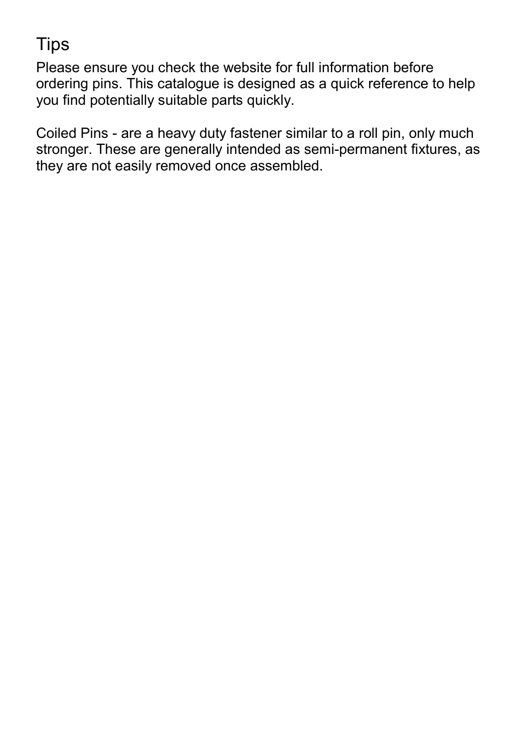## **Tips**

Please ensure you check the website for full information before ordering pins. This catalogue is designed as a quick reference to help you find potentially suitable parts quickly.

Coiled Pins - are a heavy duty fastener similar to a roll pin, only much stronger. These are generally intended as semi-permanent fixtures, as they are not easily removed once assembled.